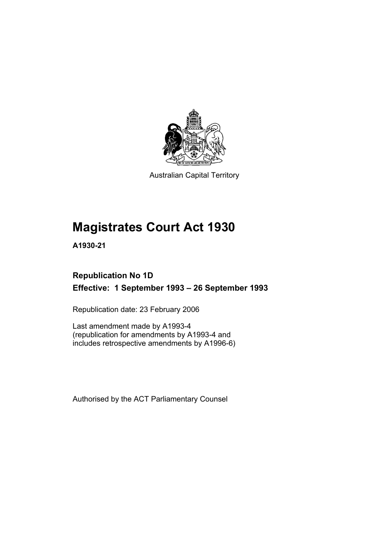

Australian Capital Territory

# **Magistrates Court Act 1930**

**A1930-21** 

## **Republication No 1D Effective: 1 September 1993 – 26 September 1993**

Republication date: 23 February 2006

Last amendment made by A1993-4 (republication for amendments by A1993-4 and includes retrospective amendments by A1996-6)

Authorised by the ACT Parliamentary Counsel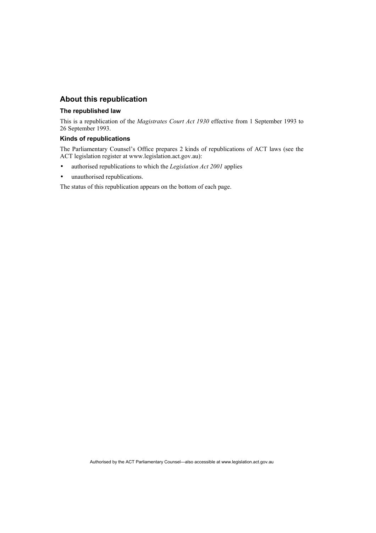## **About this republication**

#### **The republished law**

This is a republication of the *Magistrates Court Act 1930* effective from 1 September 1993 to 26 September 1993.

### **Kinds of republications**

The Parliamentary Counsel's Office prepares 2 kinds of republications of ACT laws (see the ACT legislation register at www.legislation.act.gov.au):

- authorised republications to which the *Legislation Act 2001* applies
- unauthorised republications.

The status of this republication appears on the bottom of each page.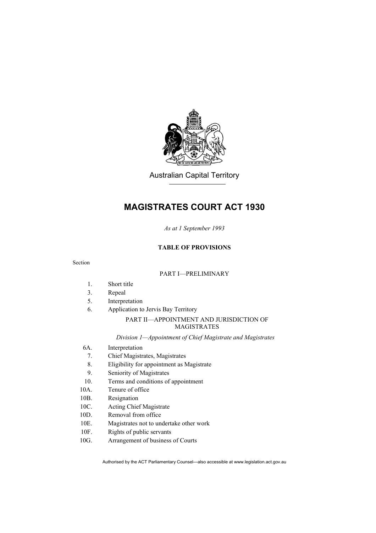

Australian Capital Territory

## **MAGISTRATES COURT ACT 1930**

*As at 1 September 1993* 

### **TABLE OF PROVISIONS**

#### Section

#### PART I—PRELIMINARY

- 1. Short title
- 3. Repeal
- 5. Interpretation
- 6. Application to Jervis Bay Territory

### PART II—APPOINTMENT AND JURISDICTION OF MAGISTRATES

*Division 1—Appointment of Chief Magistrate and Magistrates* 

- 6A. Interpretation
- 7. Chief Magistrates, Magistrates
- 8. Eligibility for appointment as Magistrate
- 9. Seniority of Magistrates
- 10. Terms and conditions of appointment
- 10A. Tenure of office
- 10B. Resignation
- 10C. Acting Chief Magistrate
- 10D. Removal from office
- 10E. Magistrates not to undertake other work
- 10F. Rights of public servants
- 10G. Arrangement of business of Courts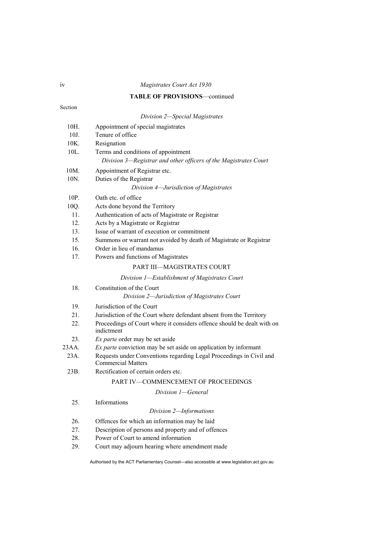### **TABLE OF PROVISIONS**—continued

### Section

|         | Division 2-Special Magistrates                                                                   |
|---------|--------------------------------------------------------------------------------------------------|
| 10H.    | Appointment of special magistrates                                                               |
| 10J.    | Tenure of office                                                                                 |
| 10K.    | Resignation                                                                                      |
| 10L.    | Terms and conditions of appointment                                                              |
|         | Division 3-Registrar and other officers of the Magistrates Court                                 |
| 10M.    | Appointment of Registrar etc.                                                                    |
| 10N.    | Duties of the Registrar                                                                          |
|         | Division 4-Jurisdiction of Magistrates                                                           |
| 10P.    | Oath etc. of office                                                                              |
| 10Q.    | Acts done beyond the Territory                                                                   |
| 11.     | Authentication of acts of Magistrate or Registrar                                                |
| 12.     | Acts by a Magistrate or Registrar                                                                |
| 13.     | Issue of warrant of execution or commitment                                                      |
| 15.     | Summons or warrant not avoided by death of Magistrate or Registrar                               |
| 16.     | Order in lieu of mandamus                                                                        |
| 17.     | Powers and functions of Magistrates                                                              |
|         | PART III—MAGISTRATES COURT                                                                       |
|         | Division 1-Establishment of Magistrates Court                                                    |
| 18.     | Constitution of the Court                                                                        |
|         | Division 2-Jurisdiction of Magistrates Court                                                     |
| 19.     | Jurisdiction of the Court                                                                        |
| 21.     | Jurisdiction of the Court where defendant absent from the Territory                              |
| 22.     | Proceedings of Court where it considers offence should be dealt with on<br>indictment            |
| 23.     | Ex parte order may be set aside                                                                  |
| 23AA.   | Ex parte conviction may be set aside on application by informant                                 |
| $23A$ . | Requests under Conventions regarding Legal Proceedings in Civil and<br><b>Commercial Matters</b> |
| 23B.    | Rectification of certain orders etc.                                                             |
|         | PART IV-COMMENCEMENT OF PROCEEDINGS                                                              |
|         | Division 1—General                                                                               |
| 25.     | Informations                                                                                     |
|         | Division 2-Informations                                                                          |
| 26.     | Offences for which an information may be laid                                                    |
| 27.     | Description of persons and property and of offences                                              |
| 28.     | Power of Court to amend information                                                              |
|         |                                                                                                  |

29. Court may adjourn hearing where amendment made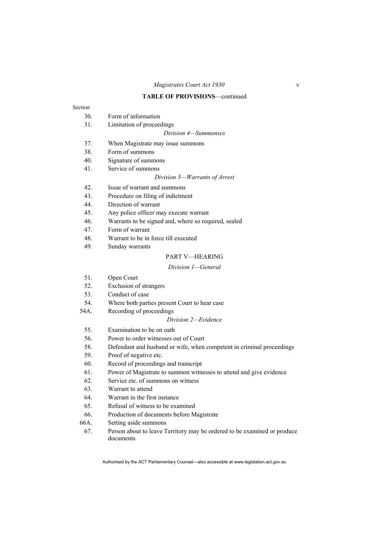#### **TABLE OF PROVISIONS**—continued

### Section

- 30. Form of information
- 31. Limitation of proceedings

#### *Division 4—Summonses*

- 37. When Magistrate may issue summons
- 38. Form of summons
- 40. Signature of summons
- 41. Service of summons

#### *Division 5—Warrants of Arrest*

- 42. Issue of warrant and summons
- 43. Procedure on filing of indictment
- 44. Direction of warrant
- 45. Any police officer may execute warrant
- 46. Warrants to be signed and, where so required, sealed
- 47. Form of warrant
- 48. Warrant to be in force till executed
- 49. Sunday warrants

#### PART V—HEARING

#### *Division 1—General*

- 51. Open Court
- 52. Exclusion of strangers
- 53. Conduct of case
- 54. Where both parties present Court to hear case
- 54A. Recording of proceedings

#### *Division 2—Evidence*

- 55. Examination to be on oath
- 56. Power to order witnesses out of Court
- 58. Defendant and husband or wife, when competent in criminal proceedings
- 59. Proof of negative etc.
- 60. Record of proceedings and transcript
- 61. Power of Magistrate to summon witnesses to attend and give evidence
- 62. Service etc. of summons on witness
- 63. Warrant to attend
- 64. Warrant in the first instance
- 65. Refusal of witness to be examined
- 66. Production of documents before Magistrate
- 66A. Setting aside summons
	- 67. Person about to leave Territory may be ordered to be examined or produce documents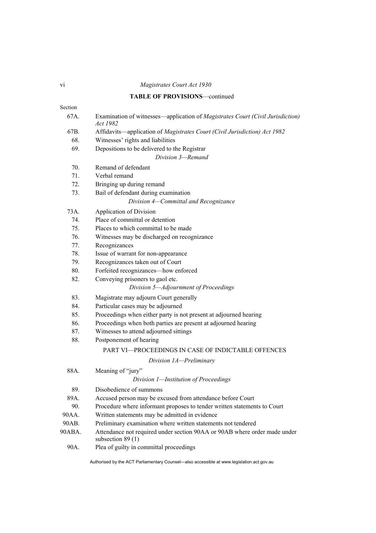## **TABLE OF PROVISIONS**—continued

| Section |                                                                                                 |
|---------|-------------------------------------------------------------------------------------------------|
| 67A.    | Examination of witnesses—application of Magistrates Court (Civil Jurisdiction)<br>Act 1982      |
| 67B.    | Affidavits-application of Magistrates Court (Civil Jurisdiction) Act 1982                       |
| 68.     | Witnesses' rights and liabilities                                                               |
| 69.     | Depositions to be delivered to the Registrar                                                    |
|         | Division 3-Remand                                                                               |
| 70.     | Remand of defendant                                                                             |
| 71.     | Verbal remand                                                                                   |
| 72.     | Bringing up during remand                                                                       |
| 73.     | Bail of defendant during examination                                                            |
|         | Division 4-Committal and Recognizance                                                           |
| 73A.    | Application of Division                                                                         |
| 74.     | Place of committal or detention                                                                 |
| 75.     | Places to which committal to be made                                                            |
| 76.     | Witnesses may be discharged on recognizance                                                     |
| 77.     | Recognizances                                                                                   |
| 78.     | Issue of warrant for non-appearance                                                             |
| 79.     | Recognizances taken out of Court                                                                |
| 80.     | Forfeited recognizances-how enforced                                                            |
| 82.     | Conveying prisoners to gaol etc.                                                                |
|         | Division 5-Adjournment of Proceedings                                                           |
| 83.     | Magistrate may adjourn Court generally                                                          |
| 84.     | Particular cases may be adjourned                                                               |
| 85.     | Proceedings when either party is not present at adjourned hearing                               |
| 86.     | Proceedings when both parties are present at adjourned hearing                                  |
| 87.     | Witnesses to attend adjourned sittings                                                          |
| 88.     | Postponement of hearing                                                                         |
|         | PART VI-PROCEEDINGS IN CASE OF INDICTABLE OFFENCES                                              |
|         | Division 1A-Preliminary                                                                         |
| 88A.    | Meaning of "jury"                                                                               |
|         | Division 1-Institution of Proceedings                                                           |
| 89.     | Disobedience of summons                                                                         |
| 89A.    | Accused person may be excused from attendance before Court                                      |
| 90.     | Procedure where informant proposes to tender written statements to Court                        |
| 90AA.   | Written statements may be admitted in evidence                                                  |
| 90AB.   | Preliminary examination where written statements not tendered                                   |
| 90ABA.  | Attendance not required under section 90AA or 90AB where order made under<br>subsection $89(1)$ |
| 90A.    | Plea of guilty in committal proceedings                                                         |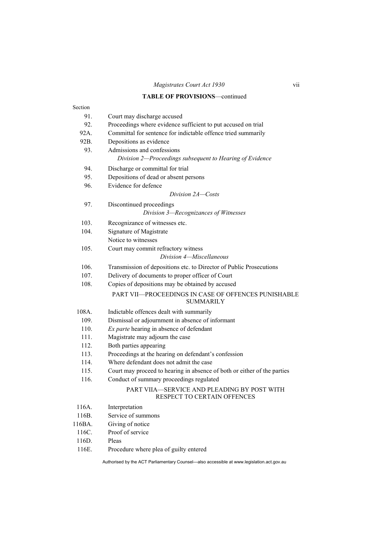## *Magistrates Court Act 1930* vii

### **TABLE OF PROVISIONS**—continued

| Section |                                                                                |
|---------|--------------------------------------------------------------------------------|
| 91.     | Court may discharge accused                                                    |
| 92.     | Proceedings where evidence sufficient to put accused on trial                  |
| 92A.    | Committal for sentence for indictable offence tried summarily                  |
| 92B.    | Depositions as evidence                                                        |
| 93.     | Admissions and confessions                                                     |
|         | Division 2-Proceedings subsequent to Hearing of Evidence                       |
| 94.     | Discharge or committal for trial                                               |
| 95.     | Depositions of dead or absent persons                                          |
| 96.     | Evidence for defence                                                           |
|         | Division 2A-Costs                                                              |
| 97.     | Discontinued proceedings                                                       |
|         | Division 3-Recognizances of Witnesses                                          |
| 103.    | Recognizance of witnesses etc.                                                 |
| 104.    | Signature of Magistrate                                                        |
|         | Notice to witnesses                                                            |
| 105.    | Court may commit refractory witness                                            |
|         | Division 4-Miscellaneous                                                       |
| 106.    | Transmission of depositions etc. to Director of Public Prosecutions            |
| 107.    | Delivery of documents to proper officer of Court                               |
| 108.    | Copies of depositions may be obtained by accused                               |
|         | <b>PART VII—PROCEEDINGS IN CASE OF OFFENCES PUNISHABLE</b><br><b>SUMMARILY</b> |
| 108A.   | Indictable offences dealt with summarily                                       |
| 109.    | Dismissal or adjournment in absence of informant                               |
| 110.    | Ex parte hearing in absence of defendant                                       |
| 111.    | Magistrate may adjourn the case                                                |
| 112.    | Both parties appearing                                                         |
| 113.    | Proceedings at the hearing on defendant's confession                           |
| 114.    | Where defendant does not admit the case                                        |
| 115.    | Court may proceed to hearing in absence of both or either of the parties       |
| 116.    | Conduct of summary proceedings regulated                                       |
|         | PART VIIA—SERVICE AND PLEADING BY POST WITH<br>RESPECT TO CERTAIN OFFENCES     |
| 116A.   | Interpretation                                                                 |
| 116B.   | Service of summons                                                             |
| 116BA.  | Giving of notice                                                               |
| 116C.   | Proof of service                                                               |
| 116D.   | Pleas                                                                          |

116E. Procedure where plea of guilty entered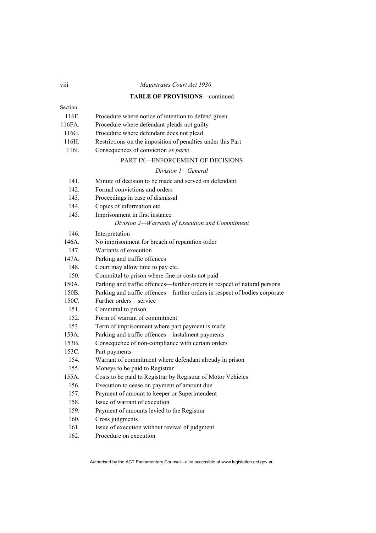#### viii *Magistrates Court Act 1930*

#### **TABLE OF PROVISIONS**—continued

| 116F.  | Procedure where notice of intention to defend given |
|--------|-----------------------------------------------------|
| 116FA. | Procedure where defendant pleads not guilty         |

- 
- 116G. Procedure where defendant does not plead
- 116H. Restrictions on the imposition of penalties under this Part
- 116I. Consequences of conviction *ex parte*

#### PART IX—ENFORCEMENT OF DECISIONS

#### *Division 1—General*

- 141. Minute of decision to be made and served on defendant
- 142. Formal convictions and orders
- 143. Proceedings in case of dismissal
- 144. Copies of information etc.
- 145. Imprisonment in first instance
	- *Division 2—Warrants of Execution and Commitment*
- 146. Interpretation
- 146A. No imprisonment for breach of reparation order
- 147. Warrants of execution
- 147A. Parking and traffic offences
- 148. Court may allow time to pay etc.
- 150. Committal to prison where fine or costs not paid
- 150A. Parking and traffic offences—further orders in respect of natural persons
- 150B. Parking and traffic offences—further orders in respect of bodies corporate
- 150C. Further orders—service
- 151. Committal to prison
- 152. Form of warrant of commitment
- 153. Term of imprisonment where part payment is made
- 153A. Parking and traffic offences—instalment payments
- 153B. Consequence of non-compliance with certain orders
- 153C. Part payments
- 154. Warrant of commitment where defendant already in prison
- 155. Moneys to be paid to Registrar
- 155A. Costs to be paid to Registrar by Registrar of Motor Vehicles
- 156. Execution to cease on payment of amount due
- 157. Payment of amount to keeper or Superintendent
- 158. Issue of warrant of execution
- 159. Payment of amounts levied to the Registrar
- 160. Cross judgments
- 161. Issue of execution without revival of judgment
- 162. Procedure on execution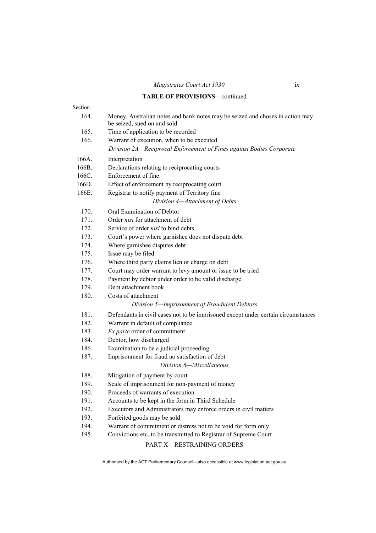### **TABLE OF PROVISIONS**—continued

| Section |                                                                                                              |
|---------|--------------------------------------------------------------------------------------------------------------|
| 164.    | Money, Australian notes and bank notes may be seized and choses in action may<br>be seized, sued on and sold |
| 165.    | Time of application to be recorded                                                                           |
| 166.    | Warrant of execution, when to be executed                                                                    |
|         | Division 2A—Reciprocal Enforcement of Fines against Bodies Corporate                                         |
| 166A.   | Interpretation                                                                                               |
| 166B.   | Declarations relating to reciprocating courts                                                                |
| 166C.   | Enforcement of fine                                                                                          |
| 166D.   | Effect of enforcement by reciprocating court                                                                 |
| 166E.   | Registrar to notify payment of Territory fine                                                                |
|         | Division 4-Attachment of Debts                                                                               |
| 170.    | Oral Examination of Debtor                                                                                   |
| 171.    | Order nisi for attachment of debt                                                                            |
| 172.    | Service of order nisi to bind debts                                                                          |
| 173.    | Court's power where garnishee does not dispute debt                                                          |
| 174.    | Where garnishee disputes debt                                                                                |
| 175.    | Issue may be filed                                                                                           |
| 176.    | Where third party claims lien or charge on debt                                                              |
| 177.    | Court may order warrant to levy amount or issue to be tried                                                  |
| 178.    | Payment by debtor under order to be valid discharge                                                          |
| 179.    | Debt attachment book                                                                                         |
| 180.    | Costs of attachment                                                                                          |
|         | Division 5-Imprisonment of Fraudulent Debtors                                                                |
| 181.    | Defendants in civil cases not to be imprisoned except under certain circumstances                            |
| 182.    | Warrant in default of compliance                                                                             |
| 183.    | Ex parte order of commitment                                                                                 |
| 184.    | Debtor, how discharged                                                                                       |
| 186.    | Examination to be a judicial proceeding                                                                      |
| 187.    | Imprisonment for fraud no satisfaction of debt                                                               |
|         | Division 6-Miscellaneous                                                                                     |
| 188.    | Mitigation of payment by court                                                                               |
| 189.    | Scale of imprisonment for non-payment of money                                                               |
| 190.    | Proceeds of warrants of execution                                                                            |
| 191.    | Accounts to be kept in the form in Third Schedule                                                            |
| 192.    | Executors and Administrators may enforce orders in civil matters                                             |
| 193.    | Forfeited goods may be sold                                                                                  |
| 194.    | Warrant of commitment or distress not to be void for form only                                               |
| 195.    | Convictions etc. to be transmitted to Registrar of Supreme Court                                             |
|         | PART X-RESTRAINING ORDERS                                                                                    |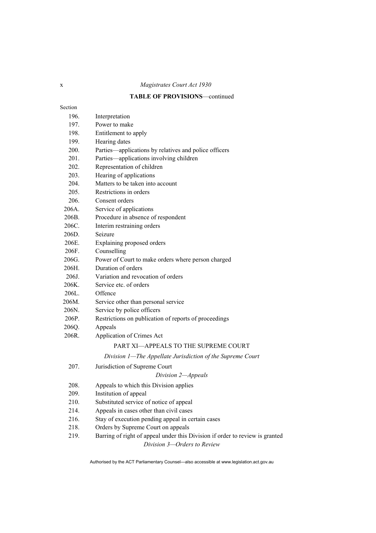## **TABLE OF PROVISIONS**—continued

| Interpretation                                                                                              |
|-------------------------------------------------------------------------------------------------------------|
| Power to make                                                                                               |
| Entitlement to apply                                                                                        |
| Hearing dates                                                                                               |
| Parties—applications by relatives and police officers                                                       |
| Parties—applications involving children                                                                     |
| Representation of children                                                                                  |
| Hearing of applications                                                                                     |
| Matters to be taken into account                                                                            |
| Restrictions in orders                                                                                      |
| Consent orders                                                                                              |
| Service of applications                                                                                     |
| Procedure in absence of respondent                                                                          |
| Interim restraining orders                                                                                  |
| Seizure                                                                                                     |
| Explaining proposed orders                                                                                  |
| Counselling                                                                                                 |
| Power of Court to make orders where person charged                                                          |
| Duration of orders                                                                                          |
| Variation and revocation of orders                                                                          |
| Service etc. of orders                                                                                      |
| Offence                                                                                                     |
| Service other than personal service                                                                         |
| Service by police officers                                                                                  |
| Restrictions on publication of reports of proceedings                                                       |
| Appeals                                                                                                     |
| Application of Crimes Act                                                                                   |
| PART XI-APPEALS TO THE SUPREME COURT                                                                        |
| Division 1—The Appellate Jurisdiction of the Supreme Court                                                  |
| Jurisdiction of Supreme Court                                                                               |
| Division 2-Appeals                                                                                          |
| Appeals to which this Division applies                                                                      |
| Institution of appeal                                                                                       |
| Substituted service of notice of appeal                                                                     |
| Appeals in cases other than civil cases                                                                     |
| Stay of execution pending appeal in certain cases                                                           |
| Orders by Supreme Court on appeals                                                                          |
| Barring of right of appeal under this Division if order to review is granted<br>Division 3-Orders to Review |
|                                                                                                             |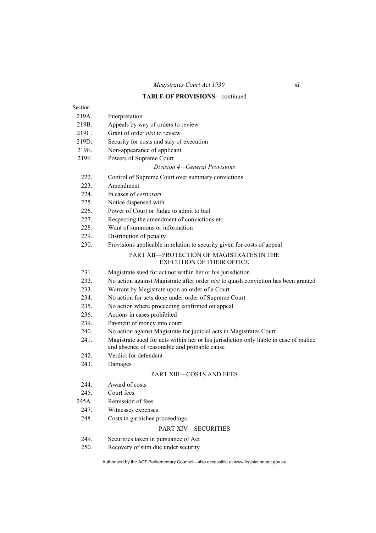## **TABLE OF PROVISIONS**—continued

| Section |                                                                                                                                       |
|---------|---------------------------------------------------------------------------------------------------------------------------------------|
| 219A    | Interpretation                                                                                                                        |
| 219B.   | Appeals by way of orders to review                                                                                                    |
| 219C.   | Grant of order nisi to review                                                                                                         |
| 219D.   | Security for costs and stay of execution                                                                                              |
| 219E.   | Non-appearance of applicant                                                                                                           |
| 219F.   | Powers of Supreme Court                                                                                                               |
|         | Division 4–General Provisions                                                                                                         |
| 222.    | Control of Supreme Court over summary convictions                                                                                     |
| 223.    | Amendment                                                                                                                             |
| 224.    | In cases of <i>certiorari</i>                                                                                                         |
| 225.    | Notice dispensed with                                                                                                                 |
| 226.    | Power of Court or Judge to admit to bail                                                                                              |
| 227.    | Respecting the amendment of convictions etc.                                                                                          |
| 228.    | Want of summons or information                                                                                                        |
| 229.    | Distribution of penalty                                                                                                               |
| 230.    | Provisions applicable in relation to security given for costs of appeal                                                               |
|         | PART XII-PROTECTION OF MAGISTRATES IN THE<br><b>EXECUTION OF THEIR OFFICE</b>                                                         |
| 231.    | Magistrate sued for act not within her or his jurisdiction                                                                            |
| 232.    | No action against Magistrate after order nisi to quash conviction has been granted                                                    |
| 233.    | Warrant by Magistrate upon an order of a Court                                                                                        |
| 234.    | No action for acts done under order of Supreme Court                                                                                  |
| 235.    | No action where proceeding confirmed on appeal                                                                                        |
| 236.    | Actions in cases prohibited                                                                                                           |
| 239.    | Payment of money into court                                                                                                           |
| 240.    | No action against Magistrate for judicial acts in Magistrates Court                                                                   |
| 241.    | Magistrate sued for acts within her or his jurisdiction only liable in case of malice<br>and absence of reasonable and probable cause |
| 242.    | Verdict for defendant                                                                                                                 |
| 243.    | Damages                                                                                                                               |
|         | <b>PART XIII-COSTS AND FEES</b>                                                                                                       |
| 244.    | Award of costs                                                                                                                        |
| 245.    | Court fees                                                                                                                            |
| 245A.   | Remission of fees                                                                                                                     |
| 247.    | Witnesses expenses                                                                                                                    |
| 248.    | Costs in garnishee proceedings                                                                                                        |
|         | PART XIV-SECURITIES                                                                                                                   |
| 249.    | Securities taken in pursuance of Act                                                                                                  |
| 250.    | Recovery of sum due under security                                                                                                    |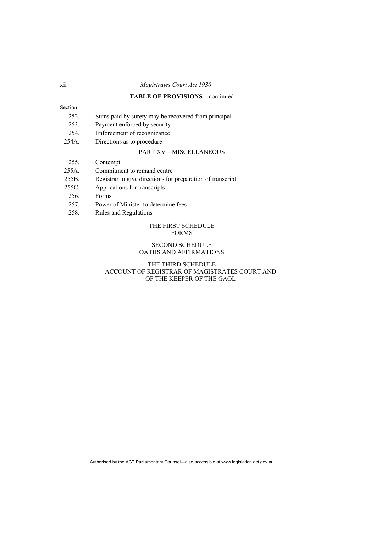### **TABLE OF PROVISIONS**—continued

### Section

- 252. Sums paid by surety may be recovered from principal
- 253. Payment enforced by security
- 254. Enforcement of recognizance
- 254A. Directions as to procedure

### PART XV—MISCELLANEOUS

- 255. Contempt
- 255A. Commitment to remand centre
- 255B. Registrar to give directions for preparation of transcript
- 255C. Applications for transcripts
- 256. Forms
- 257. Power of Minister to determine fees
- 258. Rules and Regulations

#### THE FIRST SCHEDULE FORMS

#### SECOND SCHEDULE OATHS AND AFFIRMATIONS

#### THE THIRD SCHEDULE ACCOUNT OF REGISTRAR OF MAGISTRATES COURT AND OF THE KEEPER OF THE GAOL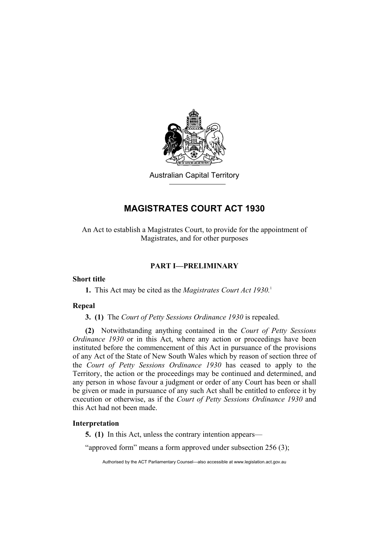

Australian Capital Territory

## **MAGISTRATES COURT ACT 1930**

An Act to establish a Magistrates Court, to provide for the appointment of Magistrates, and for other purposes

### **PART I—PRELIMINARY**

### **Short title**

**1.** This Act may be cited as the *Magistrates Court Act 1930.*<sup>1</sup>

### **Repeal**

**3. (1)** The *Court of Petty Sessions Ordinance 1930* is repealed.

**(2)** Notwithstanding anything contained in the *Court of Petty Sessions Ordinance 1930* or in this Act, where any action or proceedings have been instituted before the commencement of this Act in pursuance of the provisions of any Act of the State of New South Wales which by reason of section three of the *Court of Petty Sessions Ordinance 1930* has ceased to apply to the Territory, the action or the proceedings may be continued and determined, and any person in whose favour a judgment or order of any Court has been or shall be given or made in pursuance of any such Act shall be entitled to enforce it by execution or otherwise, as if the *Court of Petty Sessions Ordinance 1930* and this Act had not been made.

## **Interpretation**

**5. (1)** In this Act, unless the contrary intention appears—

"approved form" means a form approved under subsection 256 (3);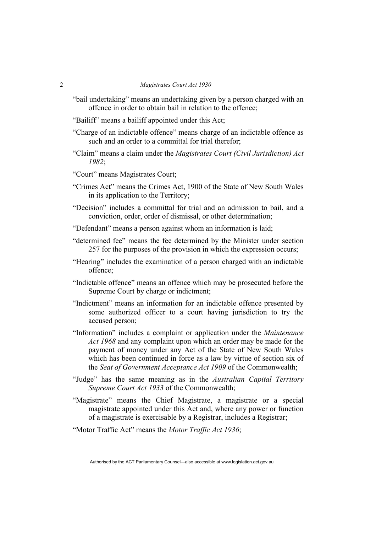- "bail undertaking" means an undertaking given by a person charged with an offence in order to obtain bail in relation to the offence;
- "Bailiff" means a bailiff appointed under this Act;
- "Charge of an indictable offence" means charge of an indictable offence as such and an order to a committal for trial therefor;
- "Claim" means a claim under the *Magistrates Court (Civil Jurisdiction) Act 1982*;

"Court" means Magistrates Court;

- "Crimes Act" means the Crimes Act, 1900 of the State of New South Wales in its application to the Territory;
- "Decision" includes a committal for trial and an admission to bail, and a conviction, order, order of dismissal, or other determination;
- "Defendant" means a person against whom an information is laid;
- "determined fee" means the fee determined by the Minister under section 257 for the purposes of the provision in which the expression occurs;
- "Hearing" includes the examination of a person charged with an indictable offence;
- "Indictable offence" means an offence which may be prosecuted before the Supreme Court by charge or indictment;
- "Indictment" means an information for an indictable offence presented by some authorized officer to a court having jurisdiction to try the accused person;
- "Information" includes a complaint or application under the *Maintenance Act 1968* and any complaint upon which an order may be made for the payment of money under any Act of the State of New South Wales which has been continued in force as a law by virtue of section six of the *Seat of Government Acceptance Act 1909* of the Commonwealth;
- "Judge" has the same meaning as in the *Australian Capital Territory Supreme Court Act 1933* of the Commonwealth;
- "Magistrate" means the Chief Magistrate, a magistrate or a special magistrate appointed under this Act and, where any power or function of a magistrate is exercisable by a Registrar, includes a Registrar;
- "Motor Traffic Act" means the *Motor Traffic Act 1936*;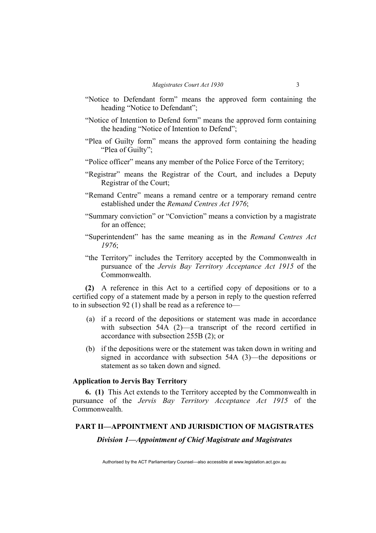- "Notice to Defendant form" means the approved form containing the heading "Notice to Defendant";
- "Notice of Intention to Defend form" means the approved form containing the heading "Notice of Intention to Defend";
- "Plea of Guilty form" means the approved form containing the heading "Plea of Guilty":
- "Police officer" means any member of the Police Force of the Territory;
- "Registrar" means the Registrar of the Court, and includes a Deputy Registrar of the Court;
- "Remand Centre" means a remand centre or a temporary remand centre established under the *Remand Centres Act 1976*;
- "Summary conviction" or "Conviction" means a conviction by a magistrate for an offence;
- "Superintendent" has the same meaning as in the *Remand Centres Act 1976*;
- "the Territory" includes the Territory accepted by the Commonwealth in pursuance of the *Jervis Bay Territory Acceptance Act 1915* of the Commonwealth.

**(2)** A reference in this Act to a certified copy of depositions or to a certified copy of a statement made by a person in reply to the question referred to in subsection 92 (1) shall be read as a reference to—

- (a) if a record of the depositions or statement was made in accordance with subsection 54A (2)—a transcript of the record certified in accordance with subsection 255B (2); or
- (b) if the depositions were or the statement was taken down in writing and signed in accordance with subsection 54A (3)—the depositions or statement as so taken down and signed.

### **Application to Jervis Bay Territory**

**6. (1)** This Act extends to the Territory accepted by the Commonwealth in pursuance of the *Jervis Bay Territory Acceptance Act 1915* of the Commonwealth.

### **PART II—APPOINTMENT AND JURISDICTION OF MAGISTRATES**

*Division 1—Appointment of Chief Magistrate and Magistrates*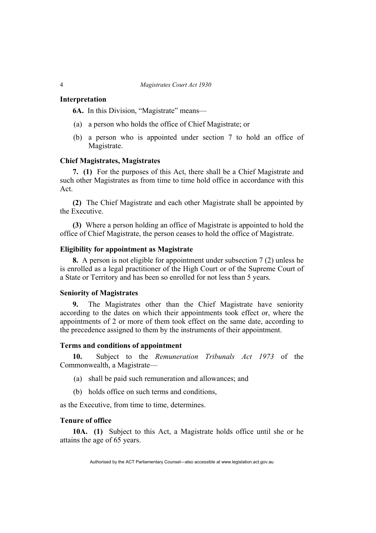### **Interpretation**

**6A.** In this Division, "Magistrate" means—

- (a) a person who holds the office of Chief Magistrate; or
- (b) a person who is appointed under section 7 to hold an office of Magistrate.

#### **Chief Magistrates, Magistrates**

**7. (1)** For the purposes of this Act, there shall be a Chief Magistrate and such other Magistrates as from time to time hold office in accordance with this Act.

**(2)** The Chief Magistrate and each other Magistrate shall be appointed by the Executive.

**(3)** Where a person holding an office of Magistrate is appointed to hold the office of Chief Magistrate, the person ceases to hold the office of Magistrate.

### **Eligibility for appointment as Magistrate**

**8.** A person is not eligible for appointment under subsection 7 (2) unless he is enrolled as a legal practitioner of the High Court or of the Supreme Court of a State or Territory and has been so enrolled for not less than 5 years.

#### **Seniority of Magistrates**

**9.** The Magistrates other than the Chief Magistrate have seniority according to the dates on which their appointments took effect or, where the appointments of 2 or more of them took effect on the same date, according to the precedence assigned to them by the instruments of their appointment.

### **Terms and conditions of appointment**

**10.** Subject to the *Remuneration Tribunals Act 1973* of the Commonwealth, a Magistrate—

- (a) shall be paid such remuneration and allowances; and
- (b) holds office on such terms and conditions,

as the Executive, from time to time, determines.

### **Tenure of office**

**10A. (1)** Subject to this Act, a Magistrate holds office until she or he attains the age of 65 years.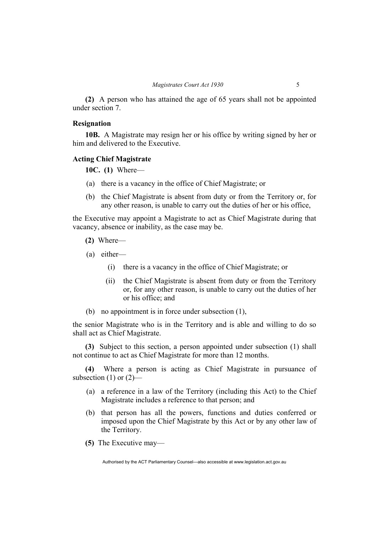**(2)** A person who has attained the age of 65 years shall not be appointed under section 7.

### **Resignation**

**10B.** A Magistrate may resign her or his office by writing signed by her or him and delivered to the Executive.

### **Acting Chief Magistrate**

**10C. (1)** Where—

- (a) there is a vacancy in the office of Chief Magistrate; or
- (b) the Chief Magistrate is absent from duty or from the Territory or, for any other reason, is unable to carry out the duties of her or his office,

the Executive may appoint a Magistrate to act as Chief Magistrate during that vacancy, absence or inability, as the case may be.

- **(2)** Where—
- (a) either—
	- (i) there is a vacancy in the office of Chief Magistrate; or
	- (ii) the Chief Magistrate is absent from duty or from the Territory or, for any other reason, is unable to carry out the duties of her or his office; and
- (b) no appointment is in force under subsection (1),

the senior Magistrate who is in the Territory and is able and willing to do so shall act as Chief Magistrate.

**(3)** Subject to this section, a person appointed under subsection (1) shall not continue to act as Chief Magistrate for more than 12 months.

**(4)** Where a person is acting as Chief Magistrate in pursuance of subsection  $(1)$  or  $(2)$ —

- (a) a reference in a law of the Territory (including this Act) to the Chief Magistrate includes a reference to that person; and
- (b) that person has all the powers, functions and duties conferred or imposed upon the Chief Magistrate by this Act or by any other law of the Territory.
- **(5)** The Executive may—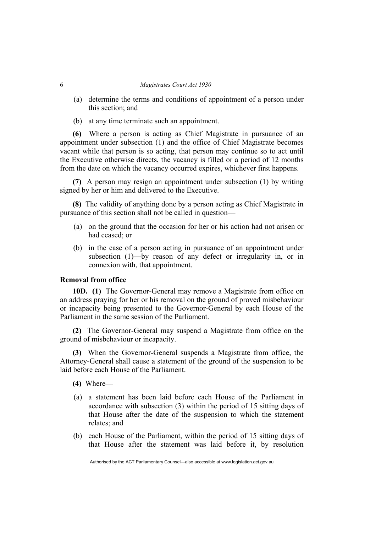- (a) determine the terms and conditions of appointment of a person under this section; and
- (b) at any time terminate such an appointment.

**(6)** Where a person is acting as Chief Magistrate in pursuance of an appointment under subsection (1) and the office of Chief Magistrate becomes vacant while that person is so acting, that person may continue so to act until the Executive otherwise directs, the vacancy is filled or a period of 12 months from the date on which the vacancy occurred expires, whichever first happens.

**(7)** A person may resign an appointment under subsection (1) by writing signed by her or him and delivered to the Executive.

**(8)** The validity of anything done by a person acting as Chief Magistrate in pursuance of this section shall not be called in question—

- (a) on the ground that the occasion for her or his action had not arisen or had ceased; or
- (b) in the case of a person acting in pursuance of an appointment under subsection (1)—by reason of any defect or irregularity in, or in connexion with, that appointment.

### **Removal from office**

**10D. (1)** The Governor-General may remove a Magistrate from office on an address praying for her or his removal on the ground of proved misbehaviour or incapacity being presented to the Governor-General by each House of the Parliament in the same session of the Parliament.

**(2)** The Governor-General may suspend a Magistrate from office on the ground of misbehaviour or incapacity.

**(3)** When the Governor-General suspends a Magistrate from office, the Attorney-General shall cause a statement of the ground of the suspension to be laid before each House of the Parliament.

- **(4)** Where—
- (a) a statement has been laid before each House of the Parliament in accordance with subsection (3) within the period of 15 sitting days of that House after the date of the suspension to which the statement relates; and
- (b) each House of the Parliament, within the period of 15 sitting days of that House after the statement was laid before it, by resolution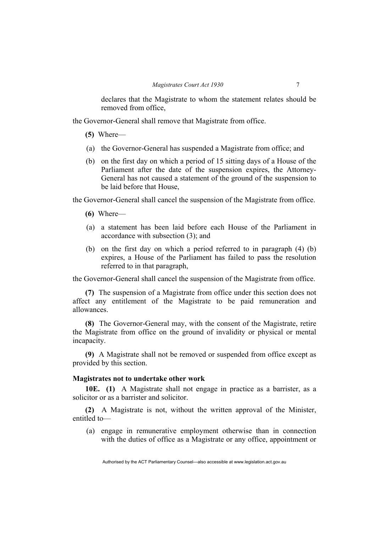declares that the Magistrate to whom the statement relates should be removed from office,

the Governor-General shall remove that Magistrate from office.

- **(5)** Where—
- (a) the Governor-General has suspended a Magistrate from office; and
- (b) on the first day on which a period of 15 sitting days of a House of the Parliament after the date of the suspension expires, the Attorney-General has not caused a statement of the ground of the suspension to be laid before that House,

the Governor-General shall cancel the suspension of the Magistrate from office.

- **(6)** Where—
- (a) a statement has been laid before each House of the Parliament in accordance with subsection (3); and
- (b) on the first day on which a period referred to in paragraph (4) (b) expires, a House of the Parliament has failed to pass the resolution referred to in that paragraph,

the Governor-General shall cancel the suspension of the Magistrate from office.

**(7)** The suspension of a Magistrate from office under this section does not affect any entitlement of the Magistrate to be paid remuneration and allowances.

**(8)** The Governor-General may, with the consent of the Magistrate, retire the Magistrate from office on the ground of invalidity or physical or mental incapacity.

**(9)** A Magistrate shall not be removed or suspended from office except as provided by this section.

### **Magistrates not to undertake other work**

**10E. (1)** A Magistrate shall not engage in practice as a barrister, as a solicitor or as a barrister and solicitor.

**(2)** A Magistrate is not, without the written approval of the Minister, entitled to—

 (a) engage in remunerative employment otherwise than in connection with the duties of office as a Magistrate or any office, appointment or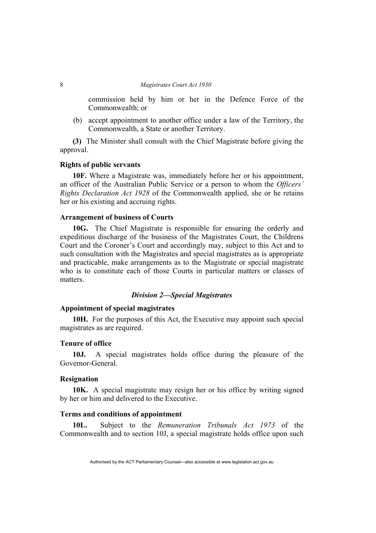commission held by him or her in the Defence Force of the Commonwealth; or

 (b) accept appointment to another office under a law of the Territory, the Commonwealth, a State or another Territory.

**(3)** The Minister shall consult with the Chief Magistrate before giving the approval.

### **Rights of public servants**

**10F.** Where a Magistrate was, immediately before her or his appointment, an officer of the Australian Public Service or a person to whom the *Officers' Rights Declaration Act 1928* of the Commonwealth applied, she or he retains her or his existing and accruing rights.

### **Arrangement of business of Courts**

**10G.** The Chief Magistrate is responsible for ensuring the orderly and expeditious discharge of the business of the Magistrates Court, the Childrens Court and the Coroner's Court and accordingly may, subject to this Act and to such consultation with the Magistrates and special magistrates as is appropriate and practicable, make arrangements as to the Magistrate or special magistrate who is to constitute each of those Courts in particular matters or classes of matters.

### *Division 2—Special Magistrates*

### **Appointment of special magistrates**

**10H.** For the purposes of this Act, the Executive may appoint such special magistrates as are required.

#### **Tenure of office**

**10J.** A special magistrates holds office during the pleasure of the Governor-General.

### **Resignation**

**10K.** A special magistrate may resign her or his office by writing signed by her or him and delivered to the Executive.

### **Terms and conditions of appointment**

**10L.** Subject to the *Remuneration Tribunals Act 1973* of the Commonwealth and to section 10J, a special magistrate holds office upon such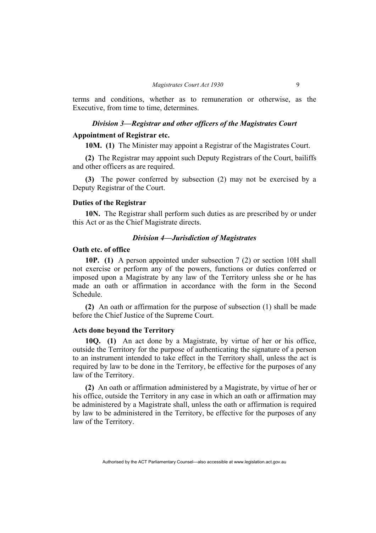terms and conditions, whether as to remuneration or otherwise, as the Executive, from time to time, determines.

### *Division 3—Registrar and other officers of the Magistrates Court*

### **Appointment of Registrar etc.**

**10M. (1)** The Minister may appoint a Registrar of the Magistrates Court.

**(2)** The Registrar may appoint such Deputy Registrars of the Court, bailiffs and other officers as are required.

**(3)** The power conferred by subsection (2) may not be exercised by a Deputy Registrar of the Court.

#### **Duties of the Registrar**

**10N.** The Registrar shall perform such duties as are prescribed by or under this Act or as the Chief Magistrate directs.

#### *Division 4—Jurisdiction of Magistrates*

#### **Oath etc. of office**

**10P. (1)** A person appointed under subsection 7 (2) or section 10H shall not exercise or perform any of the powers, functions or duties conferred or imposed upon a Magistrate by any law of the Territory unless she or he has made an oath or affirmation in accordance with the form in the Second Schedule.

**(2)** An oath or affirmation for the purpose of subsection (1) shall be made before the Chief Justice of the Supreme Court.

### **Acts done beyond the Territory**

**10Q. (1)** An act done by a Magistrate, by virtue of her or his office, outside the Territory for the purpose of authenticating the signature of a person to an instrument intended to take effect in the Territory shall, unless the act is required by law to be done in the Territory, be effective for the purposes of any law of the Territory.

**(2)** An oath or affirmation administered by a Magistrate, by virtue of her or his office, outside the Territory in any case in which an oath or affirmation may be administered by a Magistrate shall, unless the oath or affirmation is required by law to be administered in the Territory, be effective for the purposes of any law of the Territory.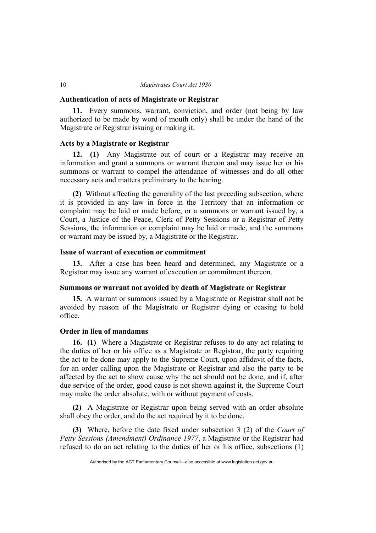#### **Authentication of acts of Magistrate or Registrar**

**11.** Every summons, warrant, conviction, and order (not being by law authorized to be made by word of mouth only) shall be under the hand of the Magistrate or Registrar issuing or making it.

### **Acts by a Magistrate or Registrar**

**12. (1)** Any Magistrate out of court or a Registrar may receive an information and grant a summons or warrant thereon and may issue her or his summons or warrant to compel the attendance of witnesses and do all other necessary acts and matters preliminary to the hearing.

**(2)** Without affecting the generality of the last preceding subsection, where it is provided in any law in force in the Territory that an information or complaint may be laid or made before, or a summons or warrant issued by, a Court, a Justice of the Peace, Clerk of Petty Sessions or a Registrar of Petty Sessions, the information or complaint may be laid or made, and the summons or warrant may be issued by, a Magistrate or the Registrar.

### **Issue of warrant of execution or commitment**

**13.** After a case has been heard and determined, any Magistrate or a Registrar may issue any warrant of execution or commitment thereon.

### **Summons or warrant not avoided by death of Magistrate or Registrar**

**15.** A warrant or summons issued by a Magistrate or Registrar shall not be avoided by reason of the Magistrate or Registrar dying or ceasing to hold office.

### **Order in lieu of mandamus**

**16. (1)** Where a Magistrate or Registrar refuses to do any act relating to the duties of her or his office as a Magistrate or Registrar, the party requiring the act to be done may apply to the Supreme Court, upon affidavit of the facts, for an order calling upon the Magistrate or Registrar and also the party to be affected by the act to show cause why the act should not be done, and if, after due service of the order, good cause is not shown against it, the Supreme Court may make the order absolute, with or without payment of costs.

**(2)** A Magistrate or Registrar upon being served with an order absolute shall obey the order, and do the act required by it to be done.

**(3)** Where, before the date fixed under subsection 3 (2) of the *Court of Petty Sessions (Amendment) Ordinance 1977*, a Magistrate or the Registrar had refused to do an act relating to the duties of her or his office, subsections (1)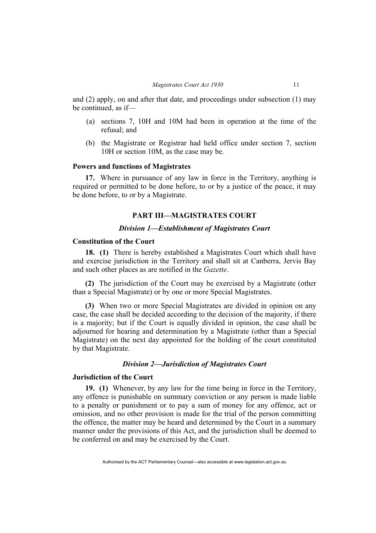and (2) apply, on and after that date, and proceedings under subsection (1) may be continued, as if—

- (a) sections 7, 10H and 10M had been in operation at the time of the refusal; and
- (b) the Magistrate or Registrar had held office under section 7, section 10H or section 10M, as the case may be.

### **Powers and functions of Magistrates**

**17.** Where in pursuance of any law in force in the Territory, anything is required or permitted to be done before, to or by a justice of the peace, it may be done before, to or by a Magistrate.

### **PART III—MAGISTRATES COURT**

#### *Division 1—Establishment of Magistrates Court*

### **Constitution of the Court**

**18. (1)** There is hereby established a Magistrates Court which shall have and exercise jurisdiction in the Territory and shall sit at Canberra, Jervis Bay and such other places as are notified in the *Gazette*.

**(2)** The jurisdiction of the Court may be exercised by a Magistrate (other than a Special Magistrate) or by one or more Special Magistrates.

**(3)** When two or more Special Magistrates are divided in opinion on any case, the case shall be decided according to the decision of the majority, if there is a majority; but if the Court is equally divided in opinion, the case shall be adjourned for hearing and determination by a Magistrate (other than a Special Magistrate) on the next day appointed for the holding of the court constituted by that Magistrate.

### *Division 2—Jurisdiction of Magistrates Court*

### **Jurisdiction of the Court**

**19. (1)** Whenever, by any law for the time being in force in the Territory, any offence is punishable on summary conviction or any person is made liable to a penalty or punishment or to pay a sum of money for any offence, act or omission, and no other provision is made for the trial of the person committing the offence, the matter may be heard and determined by the Court in a summary manner under the provisions of this Act, and the jurisdiction shall be deemed to be conferred on and may be exercised by the Court.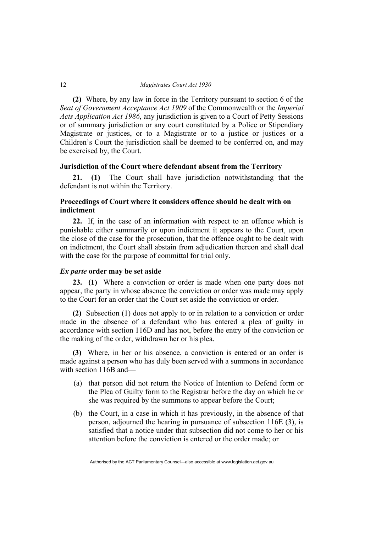**(2)** Where, by any law in force in the Territory pursuant to section 6 of the *Seat of Government Acceptance Act 1909* of the Commonwealth or the *Imperial Acts Application Act 1986*, any jurisdiction is given to a Court of Petty Sessions or of summary jurisdiction or any court constituted by a Police or Stipendiary Magistrate or justices, or to a Magistrate or to a justice or justices or a Children's Court the jurisdiction shall be deemed to be conferred on, and may be exercised by, the Court.

#### **Jurisdiction of the Court where defendant absent from the Territory**

**21. (1)** The Court shall have jurisdiction notwithstanding that the defendant is not within the Territory.

### **Proceedings of Court where it considers offence should be dealt with on indictment**

**22.** If, in the case of an information with respect to an offence which is punishable either summarily or upon indictment it appears to the Court, upon the close of the case for the prosecution, that the offence ought to be dealt with on indictment, the Court shall abstain from adjudication thereon and shall deal with the case for the purpose of committal for trial only.

#### *Ex parte* **order may be set aside**

**23. (1)** Where a conviction or order is made when one party does not appear, the party in whose absence the conviction or order was made may apply to the Court for an order that the Court set aside the conviction or order.

**(2)** Subsection (1) does not apply to or in relation to a conviction or order made in the absence of a defendant who has entered a plea of guilty in accordance with section 116D and has not, before the entry of the conviction or the making of the order, withdrawn her or his plea.

**(3)** Where, in her or his absence, a conviction is entered or an order is made against a person who has duly been served with a summons in accordance with section 116B and—

- (a) that person did not return the Notice of Intention to Defend form or the Plea of Guilty form to the Registrar before the day on which he or she was required by the summons to appear before the Court;
- (b) the Court, in a case in which it has previously, in the absence of that person, adjourned the hearing in pursuance of subsection 116E (3), is satisfied that a notice under that subsection did not come to her or his attention before the conviction is entered or the order made; or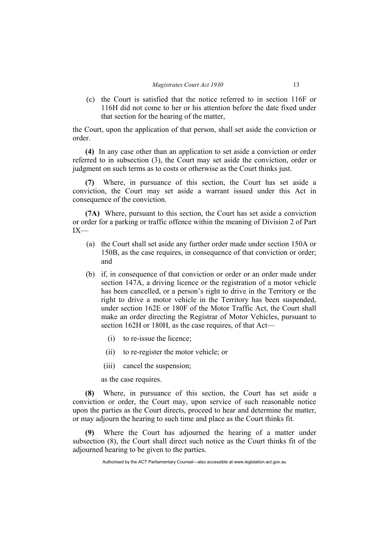(c) the Court is satisfied that the notice referred to in section 116F or 116H did not come to her or his attention before the date fixed under that section for the hearing of the matter,

the Court, upon the application of that person, shall set aside the conviction or order.

**(4)** In any case other than an application to set aside a conviction or order referred to in subsection (3), the Court may set aside the conviction, order or judgment on such terms as to costs or otherwise as the Court thinks just.

Where, in pursuance of this section, the Court has set aside a conviction, the Court may set aside a warrant issued under this Act in consequence of the conviction.

**(7A)** Where, pursuant to this section, the Court has set aside a conviction or order for a parking or traffic offence within the meaning of Division 2 of Part IX—

- (a) the Court shall set aside any further order made under section 150A or 150B, as the case requires, in consequence of that conviction or order; and
- (b) if, in consequence of that conviction or order or an order made under section 147A, a driving licence or the registration of a motor vehicle has been cancelled, or a person's right to drive in the Territory or the right to drive a motor vehicle in the Territory has been suspended, under section 162E or 180F of the Motor Traffic Act, the Court shall make an order directing the Registrar of Motor Vehicles, pursuant to section 162H or 180H, as the case requires, of that Act—
	- (i) to re-issue the licence;
	- (ii) to re-register the motor vehicle; or
	- (iii) cancel the suspension;

as the case requires.

**(8)** Where, in pursuance of this section, the Court has set aside a conviction or order, the Court may, upon service of such reasonable notice upon the parties as the Court directs, proceed to hear and determine the matter, or may adjourn the hearing to such time and place as the Court thinks fit.

**(9)** Where the Court has adjourned the hearing of a matter under subsection (8), the Court shall direct such notice as the Court thinks fit of the adjourned hearing to be given to the parties.

Authorised by the ACT Parliamentary Counsel—also accessible at www.legislation.act.gov.au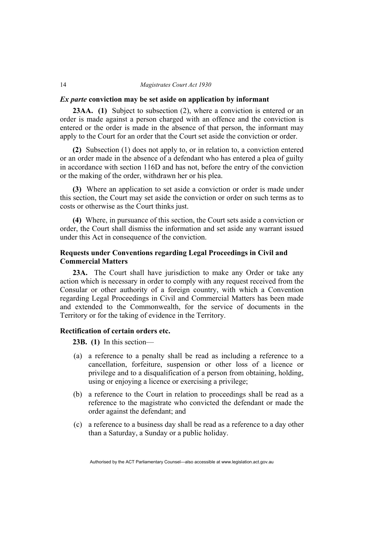#### *Ex parte* **conviction may be set aside on application by informant**

**23AA. (1)** Subject to subsection (2), where a conviction is entered or an order is made against a person charged with an offence and the conviction is entered or the order is made in the absence of that person, the informant may apply to the Court for an order that the Court set aside the conviction or order.

**(2)** Subsection (1) does not apply to, or in relation to, a conviction entered or an order made in the absence of a defendant who has entered a plea of guilty in accordance with section 116D and has not, before the entry of the conviction or the making of the order, withdrawn her or his plea.

**(3)** Where an application to set aside a conviction or order is made under this section, the Court may set aside the conviction or order on such terms as to costs or otherwise as the Court thinks just.

**(4)** Where, in pursuance of this section, the Court sets aside a conviction or order, the Court shall dismiss the information and set aside any warrant issued under this Act in consequence of the conviction.

### **Requests under Conventions regarding Legal Proceedings in Civil and Commercial Matters**

**23A.** The Court shall have jurisdiction to make any Order or take any action which is necessary in order to comply with any request received from the Consular or other authority of a foreign country, with which a Convention regarding Legal Proceedings in Civil and Commercial Matters has been made and extended to the Commonwealth, for the service of documents in the Territory or for the taking of evidence in the Territory.

### **Rectification of certain orders etc.**

**23B. (1)** In this section—

- (a) a reference to a penalty shall be read as including a reference to a cancellation, forfeiture, suspension or other loss of a licence or privilege and to a disqualification of a person from obtaining, holding, using or enjoying a licence or exercising a privilege;
- (b) a reference to the Court in relation to proceedings shall be read as a reference to the magistrate who convicted the defendant or made the order against the defendant; and
- (c) a reference to a business day shall be read as a reference to a day other than a Saturday, a Sunday or a public holiday.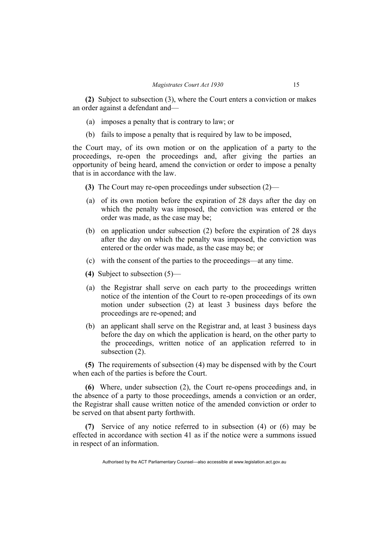**(2)** Subject to subsection (3), where the Court enters a conviction or makes an order against a defendant and—

- (a) imposes a penalty that is contrary to law; or
- (b) fails to impose a penalty that is required by law to be imposed,

the Court may, of its own motion or on the application of a party to the proceedings, re-open the proceedings and, after giving the parties an opportunity of being heard, amend the conviction or order to impose a penalty that is in accordance with the law.

- **(3)** The Court may re-open proceedings under subsection (2)—
- (a) of its own motion before the expiration of 28 days after the day on which the penalty was imposed, the conviction was entered or the order was made, as the case may be;
- (b) on application under subsection (2) before the expiration of 28 days after the day on which the penalty was imposed, the conviction was entered or the order was made, as the case may be; or
- (c) with the consent of the parties to the proceedings—at any time.
- **(4)** Subject to subsection (5)—
- (a) the Registrar shall serve on each party to the proceedings written notice of the intention of the Court to re-open proceedings of its own motion under subsection (2) at least 3 business days before the proceedings are re-opened; and
- (b) an applicant shall serve on the Registrar and, at least 3 business days before the day on which the application is heard, on the other party to the proceedings, written notice of an application referred to in subsection (2).

**(5)** The requirements of subsection (4) may be dispensed with by the Court when each of the parties is before the Court.

**(6)** Where, under subsection (2), the Court re-opens proceedings and, in the absence of a party to those proceedings, amends a conviction or an order, the Registrar shall cause written notice of the amended conviction or order to be served on that absent party forthwith.

**(7)** Service of any notice referred to in subsection (4) or (6) may be effected in accordance with section 41 as if the notice were a summons issued in respect of an information.

Authorised by the ACT Parliamentary Counsel—also accessible at www.legislation.act.gov.au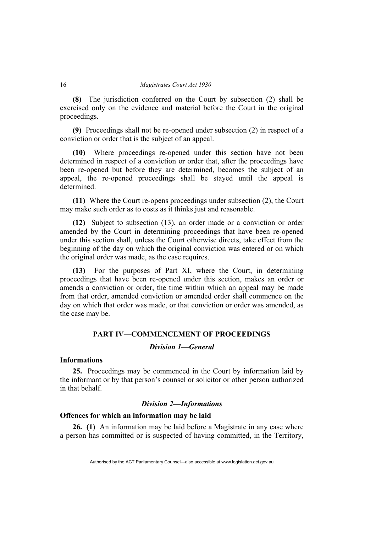**(8)** The jurisdiction conferred on the Court by subsection (2) shall be exercised only on the evidence and material before the Court in the original proceedings.

**(9)** Proceedings shall not be re-opened under subsection (2) in respect of a conviction or order that is the subject of an appeal.

**(10)** Where proceedings re-opened under this section have not been determined in respect of a conviction or order that, after the proceedings have been re-opened but before they are determined, becomes the subject of an appeal, the re-opened proceedings shall be stayed until the appeal is determined.

**(11)** Where the Court re-opens proceedings under subsection (2), the Court may make such order as to costs as it thinks just and reasonable.

**(12)** Subject to subsection (13), an order made or a conviction or order amended by the Court in determining proceedings that have been re-opened under this section shall, unless the Court otherwise directs, take effect from the beginning of the day on which the original conviction was entered or on which the original order was made, as the case requires.

**(13)** For the purposes of Part XI, where the Court, in determining proceedings that have been re-opened under this section, makes an order or amends a conviction or order, the time within which an appeal may be made from that order, amended conviction or amended order shall commence on the day on which that order was made, or that conviction or order was amended, as the case may be.

### **PART IV—COMMENCEMENT OF PROCEEDINGS**

### *Division 1—General*

### **Informations**

**25.** Proceedings may be commenced in the Court by information laid by the informant or by that person's counsel or solicitor or other person authorized in that behalf.

### *Division 2—Informations*

### **Offences for which an information may be laid**

**26. (1)** An information may be laid before a Magistrate in any case where a person has committed or is suspected of having committed, in the Territory,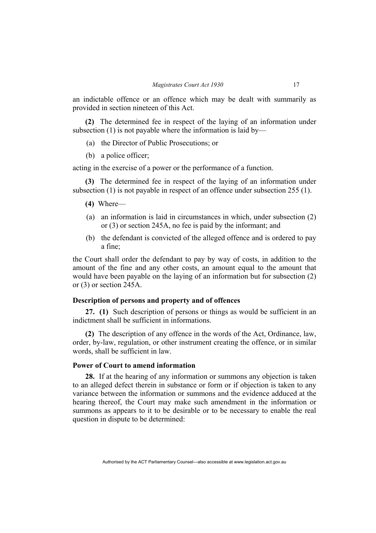an indictable offence or an offence which may be dealt with summarily as provided in section nineteen of this Act.

**(2)** The determined fee in respect of the laying of an information under subsection (1) is not payable where the information is laid by—

- (a) the Director of Public Prosecutions; or
- (b) a police officer;

acting in the exercise of a power or the performance of a function.

**(3)** The determined fee in respect of the laying of an information under subsection (1) is not payable in respect of an offence under subsection 255 (1).

### **(4)** Where—

- (a) an information is laid in circumstances in which, under subsection (2) or (3) or section 245A, no fee is paid by the informant; and
- (b) the defendant is convicted of the alleged offence and is ordered to pay a fine;

the Court shall order the defendant to pay by way of costs, in addition to the amount of the fine and any other costs, an amount equal to the amount that would have been payable on the laying of an information but for subsection (2) or (3) or section 245A.

### **Description of persons and property and of offences**

**27. (1)** Such description of persons or things as would be sufficient in an indictment shall be sufficient in informations.

**(2)** The description of any offence in the words of the Act, Ordinance, law, order, by-law, regulation, or other instrument creating the offence, or in similar words, shall be sufficient in law.

### **Power of Court to amend information**

**28.** If at the hearing of any information or summons any objection is taken to an alleged defect therein in substance or form or if objection is taken to any variance between the information or summons and the evidence adduced at the hearing thereof, the Court may make such amendment in the information or summons as appears to it to be desirable or to be necessary to enable the real question in dispute to be determined: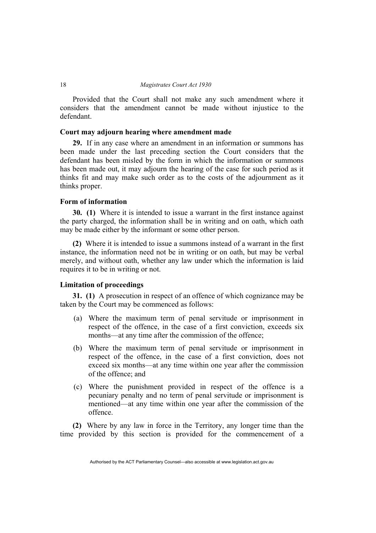Provided that the Court shall not make any such amendment where it considers that the amendment cannot be made without injustice to the defendant.

### **Court may adjourn hearing where amendment made**

**29.** If in any case where an amendment in an information or summons has been made under the last preceding section the Court considers that the defendant has been misled by the form in which the information or summons has been made out, it may adjourn the hearing of the case for such period as it thinks fit and may make such order as to the costs of the adjournment as it thinks proper.

### **Form of information**

**30. (1)** Where it is intended to issue a warrant in the first instance against the party charged, the information shall be in writing and on oath, which oath may be made either by the informant or some other person.

**(2)** Where it is intended to issue a summons instead of a warrant in the first instance, the information need not be in writing or on oath, but may be verbal merely, and without oath, whether any law under which the information is laid requires it to be in writing or not.

### **Limitation of proceedings**

**31. (1)** A prosecution in respect of an offence of which cognizance may be taken by the Court may be commenced as follows:

- (a) Where the maximum term of penal servitude or imprisonment in respect of the offence, in the case of a first conviction, exceeds six months—at any time after the commission of the offence;
- (b) Where the maximum term of penal servitude or imprisonment in respect of the offence, in the case of a first conviction, does not exceed six months—at any time within one year after the commission of the offence; and
- (c) Where the punishment provided in respect of the offence is a pecuniary penalty and no term of penal servitude or imprisonment is mentioned—at any time within one year after the commission of the offence.

**(2)** Where by any law in force in the Territory, any longer time than the time provided by this section is provided for the commencement of a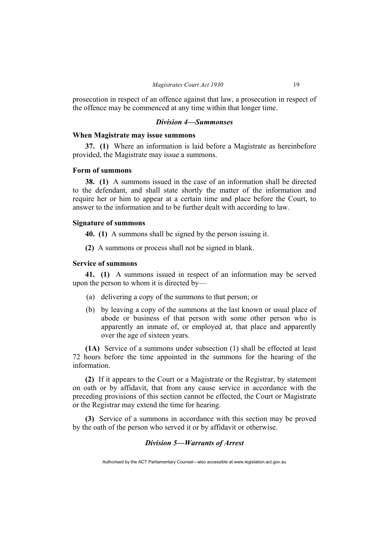prosecution in respect of an offence against that law, a prosecution in respect of the offence may be commenced at any time within that longer time.

### *Division 4—Summonses*

### **When Magistrate may issue summons**

**37. (1)** Where an information is laid before a Magistrate as hereinbefore provided, the Magistrate may issue a summons.

### **Form of summons**

**38. (1)** A summons issued in the case of an information shall be directed to the defendant, and shall state shortly the matter of the information and require her or him to appear at a certain time and place before the Court, to answer to the information and to be further dealt with according to law.

#### **Signature of summons**

**40. (1)** A summons shall be signed by the person issuing it.

**(2)** A summons or process shall not be signed in blank.

### **Service of summons**

**41. (1)** A summons issued in respect of an information may be served upon the person to whom it is directed by—

- (a) delivering a copy of the summons to that person; or
- (b) by leaving a copy of the summons at the last known or usual place of abode or business of that person with some other person who is apparently an inmate of, or employed at, that place and apparently over the age of sixteen years.

**(1A)** Service of a summons under subsection (1) shall be effected at least 72 hours before the time appointed in the summons for the hearing of the information.

**(2)** If it appears to the Court or a Magistrate or the Registrar, by statement on oath or by affidavit, that from any cause service in accordance with the preceding provisions of this section cannot be effected, the Court or Magistrate or the Registrar may extend the time for hearing.

**(3)** Service of a summons in accordance with this section may be proved by the oath of the person who served it or by affidavit or otherwise.

### *Division 5—Warrants of Arrest*

Authorised by the ACT Parliamentary Counsel—also accessible at www.legislation.act.gov.au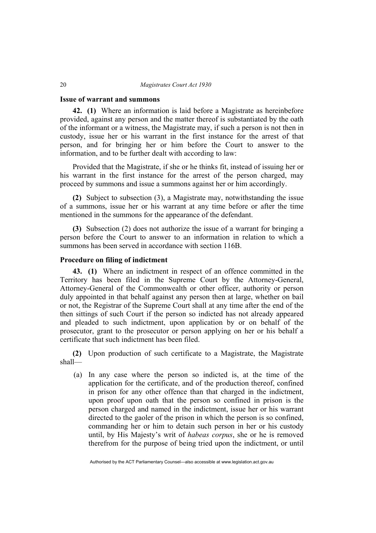#### **Issue of warrant and summons**

**42. (1)** Where an information is laid before a Magistrate as hereinbefore provided, against any person and the matter thereof is substantiated by the oath of the informant or a witness, the Magistrate may, if such a person is not then in custody, issue her or his warrant in the first instance for the arrest of that person, and for bringing her or him before the Court to answer to the information, and to be further dealt with according to law:

Provided that the Magistrate, if she or he thinks fit, instead of issuing her or his warrant in the first instance for the arrest of the person charged, may proceed by summons and issue a summons against her or him accordingly.

**(2)** Subject to subsection (3), a Magistrate may, notwithstanding the issue of a summons, issue her or his warrant at any time before or after the time mentioned in the summons for the appearance of the defendant.

**(3)** Subsection (2) does not authorize the issue of a warrant for bringing a person before the Court to answer to an information in relation to which a summons has been served in accordance with section 116B.

### **Procedure on filing of indictment**

**43. (1)** Where an indictment in respect of an offence committed in the Territory has been filed in the Supreme Court by the Attorney-General, Attorney-General of the Commonwealth or other officer, authority or person duly appointed in that behalf against any person then at large, whether on bail or not, the Registrar of the Supreme Court shall at any time after the end of the then sittings of such Court if the person so indicted has not already appeared and pleaded to such indictment, upon application by or on behalf of the prosecutor, grant to the prosecutor or person applying on her or his behalf a certificate that such indictment has been filed.

**(2)** Upon production of such certificate to a Magistrate, the Magistrate shall—

 (a) In any case where the person so indicted is, at the time of the application for the certificate, and of the production thereof, confined in prison for any other offence than that charged in the indictment, upon proof upon oath that the person so confined in prison is the person charged and named in the indictment, issue her or his warrant directed to the gaoler of the prison in which the person is so confined, commanding her or him to detain such person in her or his custody until, by His Majesty's writ of *habeas corpus*, she or he is removed therefrom for the purpose of being tried upon the indictment, or until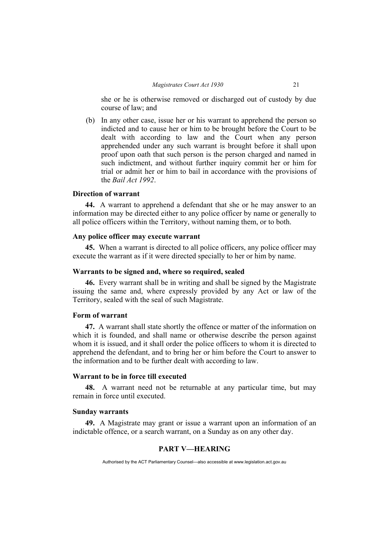she or he is otherwise removed or discharged out of custody by due course of law; and

 (b) In any other case, issue her or his warrant to apprehend the person so indicted and to cause her or him to be brought before the Court to be dealt with according to law and the Court when any person apprehended under any such warrant is brought before it shall upon proof upon oath that such person is the person charged and named in such indictment, and without further inquiry commit her or him for trial or admit her or him to bail in accordance with the provisions of the *Bail Act 1992*.

### **Direction of warrant**

**44.** A warrant to apprehend a defendant that she or he may answer to an information may be directed either to any police officer by name or generally to all police officers within the Territory, without naming them, or to both.

### **Any police officer may execute warrant**

**45.** When a warrant is directed to all police officers, any police officer may execute the warrant as if it were directed specially to her or him by name.

#### **Warrants to be signed and, where so required, sealed**

**46.** Every warrant shall be in writing and shall be signed by the Magistrate issuing the same and, where expressly provided by any Act or law of the Territory, sealed with the seal of such Magistrate.

#### **Form of warrant**

**47.** A warrant shall state shortly the offence or matter of the information on which it is founded, and shall name or otherwise describe the person against whom it is issued, and it shall order the police officers to whom it is directed to apprehend the defendant, and to bring her or him before the Court to answer to the information and to be further dealt with according to law.

### **Warrant to be in force till executed**

**48.** A warrant need not be returnable at any particular time, but may remain in force until executed.

#### **Sunday warrants**

**49.** A Magistrate may grant or issue a warrant upon an information of an indictable offence, or a search warrant, on a Sunday as on any other day.

### **PART V—HEARING**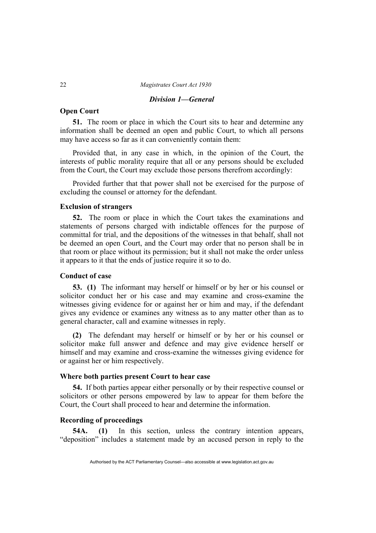### *Division 1—General*

### **Open Court**

**51.** The room or place in which the Court sits to hear and determine any information shall be deemed an open and public Court, to which all persons may have access so far as it can conveniently contain them:

Provided that, in any case in which, in the opinion of the Court, the interests of public morality require that all or any persons should be excluded from the Court, the Court may exclude those persons therefrom accordingly:

Provided further that that power shall not be exercised for the purpose of excluding the counsel or attorney for the defendant.

### **Exclusion of strangers**

**52.** The room or place in which the Court takes the examinations and statements of persons charged with indictable offences for the purpose of committal for trial, and the depositions of the witnesses in that behalf, shall not be deemed an open Court, and the Court may order that no person shall be in that room or place without its permission; but it shall not make the order unless it appears to it that the ends of justice require it so to do.

### **Conduct of case**

**53. (1)** The informant may herself or himself or by her or his counsel or solicitor conduct her or his case and may examine and cross-examine the witnesses giving evidence for or against her or him and may, if the defendant gives any evidence or examines any witness as to any matter other than as to general character, call and examine witnesses in reply.

**(2)** The defendant may herself or himself or by her or his counsel or solicitor make full answer and defence and may give evidence herself or himself and may examine and cross-examine the witnesses giving evidence for or against her or him respectively.

### **Where both parties present Court to hear case**

**54.** If both parties appear either personally or by their respective counsel or solicitors or other persons empowered by law to appear for them before the Court, the Court shall proceed to hear and determine the information.

### **Recording of proceedings**

**54A. (1)** In this section, unless the contrary intention appears, "deposition" includes a statement made by an accused person in reply to the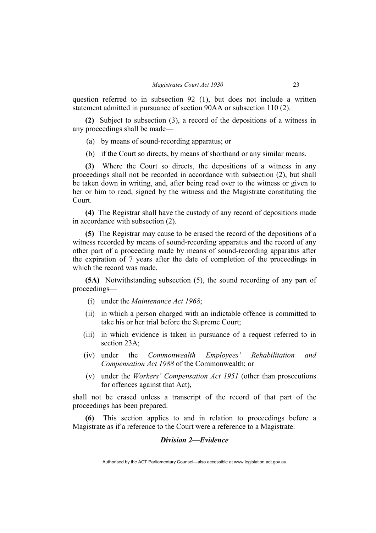question referred to in subsection 92 (1), but does not include a written statement admitted in pursuance of section 90AA or subsection 110 (2).

**(2)** Subject to subsection (3), a record of the depositions of a witness in any proceedings shall be made—

- (a) by means of sound-recording apparatus; or
- (b) if the Court so directs, by means of shorthand or any similar means.

**(3)** Where the Court so directs, the depositions of a witness in any proceedings shall not be recorded in accordance with subsection (2), but shall be taken down in writing, and, after being read over to the witness or given to her or him to read, signed by the witness and the Magistrate constituting the Court.

**(4)** The Registrar shall have the custody of any record of depositions made in accordance with subsection (2).

**(5)** The Registrar may cause to be erased the record of the depositions of a witness recorded by means of sound-recording apparatus and the record of any other part of a proceeding made by means of sound-recording apparatus after the expiration of 7 years after the date of completion of the proceedings in which the record was made.

**(5A)** Notwithstanding subsection (5), the sound recording of any part of proceedings—

- (i) under the *Maintenance Act 1968*;
- (ii) in which a person charged with an indictable offence is committed to take his or her trial before the Supreme Court;
- (iii) in which evidence is taken in pursuance of a request referred to in section 23A;
- (iv) under the *Commonwealth Employees' Rehabilitation and Compensation Act 1988* of the Commonwealth; or
- (v) under the *Workers' Compensation Act 1951* (other than prosecutions for offences against that Act),

shall not be erased unless a transcript of the record of that part of the proceedings has been prepared.

**(6)** This section applies to and in relation to proceedings before a Magistrate as if a reference to the Court were a reference to a Magistrate.

### *Division 2—Evidence*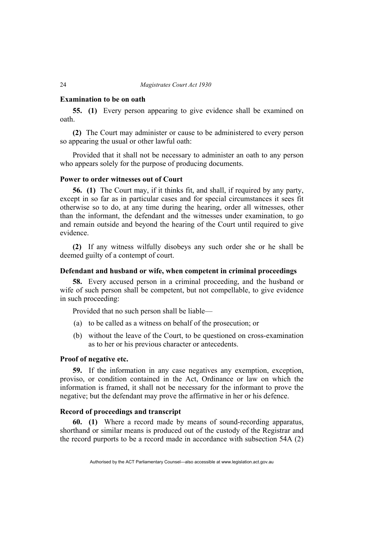### **Examination to be on oath**

**55. (1)** Every person appearing to give evidence shall be examined on oath.

**(2)** The Court may administer or cause to be administered to every person so appearing the usual or other lawful oath:

Provided that it shall not be necessary to administer an oath to any person who appears solely for the purpose of producing documents.

### **Power to order witnesses out of Court**

**56. (1)** The Court may, if it thinks fit, and shall, if required by any party, except in so far as in particular cases and for special circumstances it sees fit otherwise so to do, at any time during the hearing, order all witnesses, other than the informant, the defendant and the witnesses under examination, to go and remain outside and beyond the hearing of the Court until required to give evidence.

**(2)** If any witness wilfully disobeys any such order she or he shall be deemed guilty of a contempt of court.

### **Defendant and husband or wife, when competent in criminal proceedings**

**58.** Every accused person in a criminal proceeding, and the husband or wife of such person shall be competent, but not compellable, to give evidence in such proceeding:

Provided that no such person shall be liable—

- (a) to be called as a witness on behalf of the prosecution; or
- (b) without the leave of the Court, to be questioned on cross-examination as to her or his previous character or antecedents.

### **Proof of negative etc.**

**59.** If the information in any case negatives any exemption, exception, proviso, or condition contained in the Act, Ordinance or law on which the information is framed, it shall not be necessary for the informant to prove the negative; but the defendant may prove the affirmative in her or his defence.

### **Record of proceedings and transcript**

**60. (1)** Where a record made by means of sound-recording apparatus, shorthand or similar means is produced out of the custody of the Registrar and the record purports to be a record made in accordance with subsection 54A (2)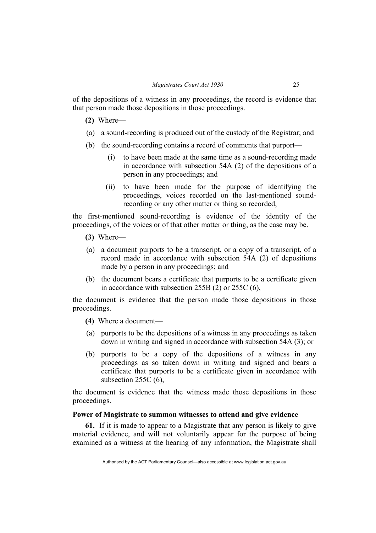of the depositions of a witness in any proceedings, the record is evidence that that person made those depositions in those proceedings.

- **(2)** Where—
- (a) a sound-recording is produced out of the custody of the Registrar; and
- (b) the sound-recording contains a record of comments that purport—
	- (i) to have been made at the same time as a sound-recording made in accordance with subsection 54A (2) of the depositions of a person in any proceedings; and
	- (ii) to have been made for the purpose of identifying the proceedings, voices recorded on the last-mentioned soundrecording or any other matter or thing so recorded,

the first-mentioned sound-recording is evidence of the identity of the proceedings, of the voices or of that other matter or thing, as the case may be.

- **(3)** Where—
- (a) a document purports to be a transcript, or a copy of a transcript, of a record made in accordance with subsection 54A (2) of depositions made by a person in any proceedings; and
- (b) the document bears a certificate that purports to be a certificate given in accordance with subsection 255B (2) or 255C (6),

the document is evidence that the person made those depositions in those proceedings.

- **(4)** Where a document—
- (a) purports to be the depositions of a witness in any proceedings as taken down in writing and signed in accordance with subsection 54A (3); or
- (b) purports to be a copy of the depositions of a witness in any proceedings as so taken down in writing and signed and bears a certificate that purports to be a certificate given in accordance with subsection 255C (6).

the document is evidence that the witness made those depositions in those proceedings.

## **Power of Magistrate to summon witnesses to attend and give evidence**

**61.** If it is made to appear to a Magistrate that any person is likely to give material evidence, and will not voluntarily appear for the purpose of being examined as a witness at the hearing of any information, the Magistrate shall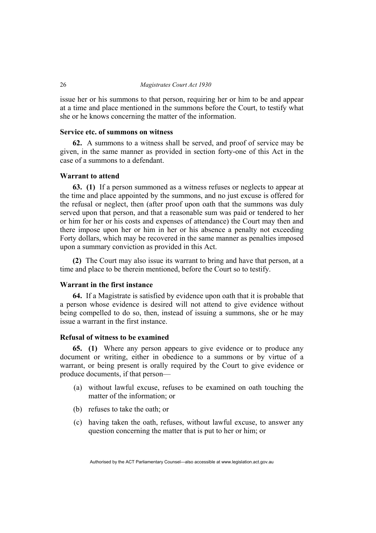issue her or his summons to that person, requiring her or him to be and appear at a time and place mentioned in the summons before the Court, to testify what she or he knows concerning the matter of the information.

### **Service etc. of summons on witness**

**62.** A summons to a witness shall be served, and proof of service may be given, in the same manner as provided in section forty-one of this Act in the case of a summons to a defendant.

#### **Warrant to attend**

**63. (1)** If a person summoned as a witness refuses or neglects to appear at the time and place appointed by the summons, and no just excuse is offered for the refusal or neglect, then (after proof upon oath that the summons was duly served upon that person, and that a reasonable sum was paid or tendered to her or him for her or his costs and expenses of attendance) the Court may then and there impose upon her or him in her or his absence a penalty not exceeding Forty dollars, which may be recovered in the same manner as penalties imposed upon a summary conviction as provided in this Act.

**(2)** The Court may also issue its warrant to bring and have that person, at a time and place to be therein mentioned, before the Court so to testify.

## **Warrant in the first instance**

**64.** If a Magistrate is satisfied by evidence upon oath that it is probable that a person whose evidence is desired will not attend to give evidence without being compelled to do so, then, instead of issuing a summons, she or he may issue a warrant in the first instance.

# **Refusal of witness to be examined**

**65. (1)** Where any person appears to give evidence or to produce any document or writing, either in obedience to a summons or by virtue of a warrant, or being present is orally required by the Court to give evidence or produce documents, if that person—

- (a) without lawful excuse, refuses to be examined on oath touching the matter of the information; or
- (b) refuses to take the oath; or
- (c) having taken the oath, refuses, without lawful excuse, to answer any question concerning the matter that is put to her or him; or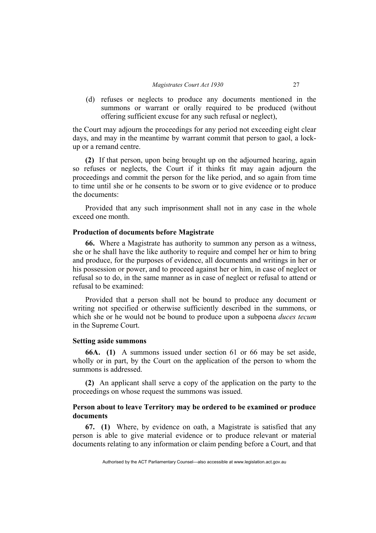(d) refuses or neglects to produce any documents mentioned in the summons or warrant or orally required to be produced (without offering sufficient excuse for any such refusal or neglect),

the Court may adjourn the proceedings for any period not exceeding eight clear days, and may in the meantime by warrant commit that person to gaol, a lockup or a remand centre.

**(2)** If that person, upon being brought up on the adjourned hearing, again so refuses or neglects, the Court if it thinks fit may again adjourn the proceedings and commit the person for the like period, and so again from time to time until she or he consents to be sworn or to give evidence or to produce the documents:

Provided that any such imprisonment shall not in any case in the whole exceed one month.

## **Production of documents before Magistrate**

**66.** Where a Magistrate has authority to summon any person as a witness, she or he shall have the like authority to require and compel her or him to bring and produce, for the purposes of evidence, all documents and writings in her or his possession or power, and to proceed against her or him, in case of neglect or refusal so to do, in the same manner as in case of neglect or refusal to attend or refusal to be examined:

Provided that a person shall not be bound to produce any document or writing not specified or otherwise sufficiently described in the summons, or which she or he would not be bound to produce upon a subpoena *duces tecum* in the Supreme Court.

#### **Setting aside summons**

**66A. (1)** A summons issued under section 61 or 66 may be set aside, wholly or in part, by the Court on the application of the person to whom the summons is addressed.

**(2)** An applicant shall serve a copy of the application on the party to the proceedings on whose request the summons was issued.

# **Person about to leave Territory may be ordered to be examined or produce documents**

**67. (1)** Where, by evidence on oath, a Magistrate is satisfied that any person is able to give material evidence or to produce relevant or material documents relating to any information or claim pending before a Court, and that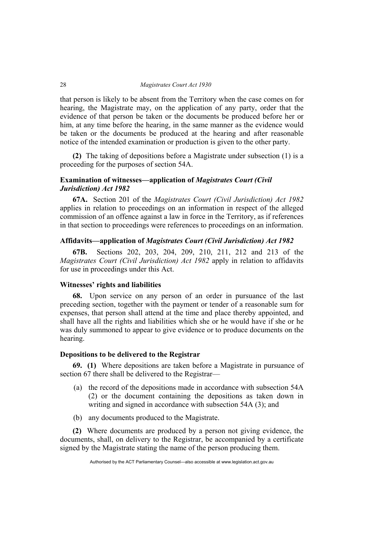that person is likely to be absent from the Territory when the case comes on for hearing, the Magistrate may, on the application of any party, order that the evidence of that person be taken or the documents be produced before her or him, at any time before the hearing, in the same manner as the evidence would be taken or the documents be produced at the hearing and after reasonable notice of the intended examination or production is given to the other party.

**(2)** The taking of depositions before a Magistrate under subsection (1) is a proceeding for the purposes of section 54A.

# **Examination of witnesses—application of** *Magistrates Court (Civil Jurisdiction) Act 1982*

**67A.** Section 201 of the *Magistrates Court (Civil Jurisdiction) Act 1982*  applies in relation to proceedings on an information in respect of the alleged commission of an offence against a law in force in the Territory, as if references in that section to proceedings were references to proceedings on an information.

## **Affidavits—application of** *Magistrates Court (Civil Jurisdiction) Act 1982*

**67B.** Sections 202, 203, 204, 209, 210, 211, 212 and 213 of the *Magistrates Court (Civil Jurisdiction) Act 1982* apply in relation to affidavits for use in proceedings under this Act.

## **Witnesses' rights and liabilities**

**68.** Upon service on any person of an order in pursuance of the last preceding section, together with the payment or tender of a reasonable sum for expenses, that person shall attend at the time and place thereby appointed, and shall have all the rights and liabilities which she or he would have if she or he was duly summoned to appear to give evidence or to produce documents on the hearing.

# **Depositions to be delivered to the Registrar**

**69. (1)** Where depositions are taken before a Magistrate in pursuance of section 67 there shall be delivered to the Registrar—

- (a) the record of the depositions made in accordance with subsection 54A (2) or the document containing the depositions as taken down in writing and signed in accordance with subsection 54A (3); and
- (b) any documents produced to the Magistrate.

**(2)** Where documents are produced by a person not giving evidence, the documents, shall, on delivery to the Registrar, be accompanied by a certificate signed by the Magistrate stating the name of the person producing them.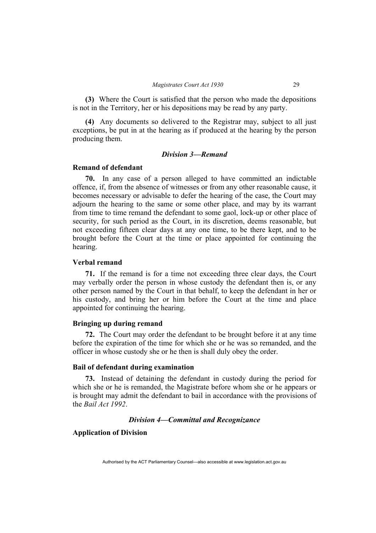**(3)** Where the Court is satisfied that the person who made the depositions is not in the Territory, her or his depositions may be read by any party.

**(4)** Any documents so delivered to the Registrar may, subject to all just exceptions, be put in at the hearing as if produced at the hearing by the person producing them.

#### *Division 3—Remand*

#### **Remand of defendant**

**70.** In any case of a person alleged to have committed an indictable offence, if, from the absence of witnesses or from any other reasonable cause, it becomes necessary or advisable to defer the hearing of the case, the Court may adjourn the hearing to the same or some other place, and may by its warrant from time to time remand the defendant to some gaol, lock-up or other place of security, for such period as the Court, in its discretion, deems reasonable, but not exceeding fifteen clear days at any one time, to be there kept, and to be brought before the Court at the time or place appointed for continuing the hearing.

#### **Verbal remand**

**71.** If the remand is for a time not exceeding three clear days, the Court may verbally order the person in whose custody the defendant then is, or any other person named by the Court in that behalf, to keep the defendant in her or his custody, and bring her or him before the Court at the time and place appointed for continuing the hearing.

# **Bringing up during remand**

**72.** The Court may order the defendant to be brought before it at any time before the expiration of the time for which she or he was so remanded, and the officer in whose custody she or he then is shall duly obey the order.

# **Bail of defendant during examination**

**73.** Instead of detaining the defendant in custody during the period for which she or he is remanded, the Magistrate before whom she or he appears or is brought may admit the defendant to bail in accordance with the provisions of the *Bail Act 1992*.

# *Division 4—Committal and Recognizance*

# **Application of Division**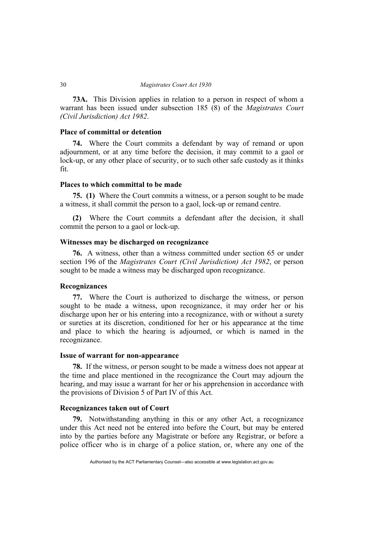**73A.** This Division applies in relation to a person in respect of whom a warrant has been issued under subsection 185 (8) of the *Magistrates Court (Civil Jurisdiction) Act 1982*.

#### **Place of committal or detention**

**74.** Where the Court commits a defendant by way of remand or upon adjournment, or at any time before the decision, it may commit to a gaol or lock-up, or any other place of security, or to such other safe custody as it thinks fit.

## **Places to which committal to be made**

**75. (1)** Where the Court commits a witness, or a person sought to be made a witness, it shall commit the person to a gaol, lock-up or remand centre.

**(2)** Where the Court commits a defendant after the decision, it shall commit the person to a gaol or lock-up.

# **Witnesses may be discharged on recognizance**

**76.** A witness, other than a witness committed under section 65 or under section 196 of the *Magistrates Court (Civil Jurisdiction) Act 1982*, or person sought to be made a witness may be discharged upon recognizance.

#### **Recognizances**

**77.** Where the Court is authorized to discharge the witness, or person sought to be made a witness, upon recognizance, it may order her or his discharge upon her or his entering into a recognizance, with or without a surety or sureties at its discretion, conditioned for her or his appearance at the time and place to which the hearing is adjourned, or which is named in the recognizance.

#### **Issue of warrant for non-appearance**

**78.** If the witness, or person sought to be made a witness does not appear at the time and place mentioned in the recognizance the Court may adjourn the hearing, and may issue a warrant for her or his apprehension in accordance with the provisions of Division 5 of Part IV of this Act.

#### **Recognizances taken out of Court**

**79.** Notwithstanding anything in this or any other Act, a recognizance under this Act need not be entered into before the Court, but may be entered into by the parties before any Magistrate or before any Registrar, or before a police officer who is in charge of a police station, or, where any one of the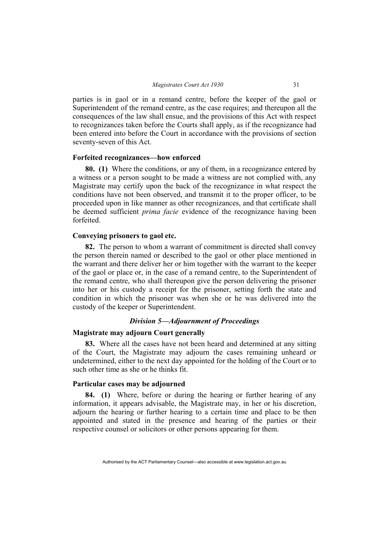parties is in gaol or in a remand centre, before the keeper of the gaol or Superintendent of the remand centre, as the case requires; and thereupon all the consequences of the law shall ensue, and the provisions of this Act with respect to recognizances taken before the Courts shall apply, as if the recognizance had been entered into before the Court in accordance with the provisions of section seventy-seven of this Act.

## **Forfeited recognizances—how enforced**

**80. (1)** Where the conditions, or any of them, in a recognizance entered by a witness or a person sought to be made a witness are not complied with, any Magistrate may certify upon the back of the recognizance in what respect the conditions have not been observed, and transmit it to the proper officer, to be proceeded upon in like manner as other recognizances, and that certificate shall be deemed sufficient *prima facie* evidence of the recognizance having been forfeited.

#### **Conveying prisoners to gaol etc.**

**82.** The person to whom a warrant of commitment is directed shall convey the person therein named or described to the gaol or other place mentioned in the warrant and there deliver her or him together with the warrant to the keeper of the gaol or place or, in the case of a remand centre, to the Superintendent of the remand centre, who shall thereupon give the person delivering the prisoner into her or his custody a receipt for the prisoner, setting forth the state and condition in which the prisoner was when she or he was delivered into the custody of the keeper or Superintendent.

#### *Division 5—Adjournment of Proceedings*

## **Magistrate may adjourn Court generally**

**83.** Where all the cases have not been heard and determined at any sitting of the Court, the Magistrate may adjourn the cases remaining unheard or undetermined, either to the next day appointed for the holding of the Court or to such other time as she or he thinks fit.

## **Particular cases may be adjourned**

**84. (1)** Where, before or during the hearing or further hearing of any information, it appears advisable, the Magistrate may, in her or his discretion, adjourn the hearing or further hearing to a certain time and place to be then appointed and stated in the presence and hearing of the parties or their respective counsel or solicitors or other persons appearing for them.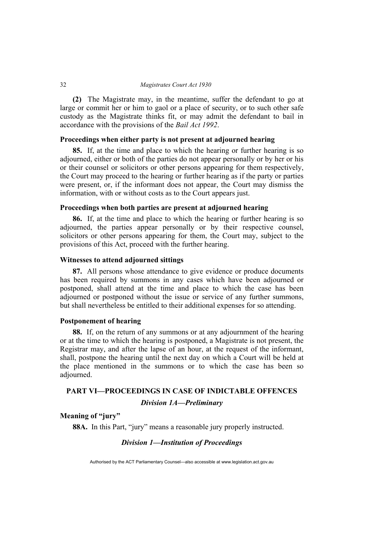**(2)** The Magistrate may, in the meantime, suffer the defendant to go at large or commit her or him to gaol or a place of security, or to such other safe custody as the Magistrate thinks fit, or may admit the defendant to bail in accordance with the provisions of the *Bail Act 1992*.

# **Proceedings when either party is not present at adjourned hearing**

**85.** If, at the time and place to which the hearing or further hearing is so adjourned, either or both of the parties do not appear personally or by her or his or their counsel or solicitors or other persons appearing for them respectively, the Court may proceed to the hearing or further hearing as if the party or parties were present, or, if the informant does not appear, the Court may dismiss the information, with or without costs as to the Court appears just.

# **Proceedings when both parties are present at adjourned hearing**

**86.** If, at the time and place to which the hearing or further hearing is so adjourned, the parties appear personally or by their respective counsel, solicitors or other persons appearing for them, the Court may, subject to the provisions of this Act, proceed with the further hearing.

## **Witnesses to attend adjourned sittings**

**87.** All persons whose attendance to give evidence or produce documents has been required by summons in any cases which have been adjourned or postponed, shall attend at the time and place to which the case has been adjourned or postponed without the issue or service of any further summons, but shall nevertheless be entitled to their additional expenses for so attending.

# **Postponement of hearing**

**88.** If, on the return of any summons or at any adjournment of the hearing or at the time to which the hearing is postponed, a Magistrate is not present, the Registrar may, and after the lapse of an hour, at the request of the informant, shall, postpone the hearing until the next day on which a Court will be held at the place mentioned in the summons or to which the case has been so adjourned.

# **PART VI—PROCEEDINGS IN CASE OF INDICTABLE OFFENCES**

*Division 1A—Preliminary* 

# **Meaning of "jury"**

**88A.** In this Part, "jury" means a reasonable jury properly instructed.

### *Division 1—Institution of Proceedings*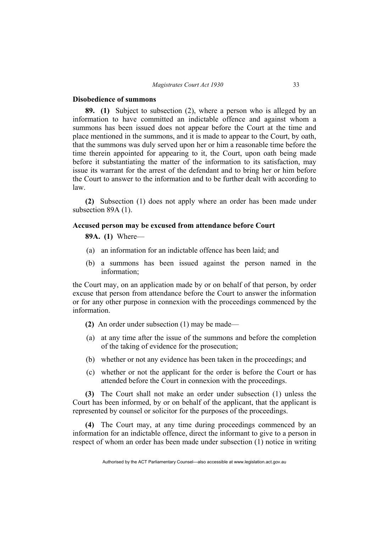#### **Disobedience of summons**

**89. (1)** Subject to subsection (2), where a person who is alleged by an information to have committed an indictable offence and against whom a summons has been issued does not appear before the Court at the time and place mentioned in the summons, and it is made to appear to the Court, by oath, that the summons was duly served upon her or him a reasonable time before the time therein appointed for appearing to it, the Court, upon oath being made before it substantiating the matter of the information to its satisfaction, may issue its warrant for the arrest of the defendant and to bring her or him before the Court to answer to the information and to be further dealt with according to law.

**(2)** Subsection (1) does not apply where an order has been made under subsection 89A (1).

#### **Accused person may be excused from attendance before Court**

#### **89A. (1)** Where—

- (a) an information for an indictable offence has been laid; and
- (b) a summons has been issued against the person named in the information;

the Court may, on an application made by or on behalf of that person, by order excuse that person from attendance before the Court to answer the information or for any other purpose in connexion with the proceedings commenced by the information.

- **(2)** An order under subsection (1) may be made—
- (a) at any time after the issue of the summons and before the completion of the taking of evidence for the prosecution;
- (b) whether or not any evidence has been taken in the proceedings; and
- (c) whether or not the applicant for the order is before the Court or has attended before the Court in connexion with the proceedings.

**(3)** The Court shall not make an order under subsection (1) unless the Court has been informed, by or on behalf of the applicant, that the applicant is represented by counsel or solicitor for the purposes of the proceedings.

**(4)** The Court may, at any time during proceedings commenced by an information for an indictable offence, direct the informant to give to a person in respect of whom an order has been made under subsection (1) notice in writing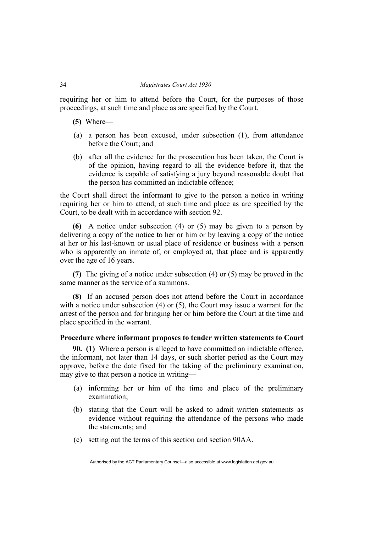requiring her or him to attend before the Court, for the purposes of those proceedings, at such time and place as are specified by the Court.

- **(5)** Where—
- (a) a person has been excused, under subsection (1), from attendance before the Court; and
- (b) after all the evidence for the prosecution has been taken, the Court is of the opinion, having regard to all the evidence before it, that the evidence is capable of satisfying a jury beyond reasonable doubt that the person has committed an indictable offence;

the Court shall direct the informant to give to the person a notice in writing requiring her or him to attend, at such time and place as are specified by the Court, to be dealt with in accordance with section 92.

**(6)** A notice under subsection (4) or (5) may be given to a person by delivering a copy of the notice to her or him or by leaving a copy of the notice at her or his last-known or usual place of residence or business with a person who is apparently an inmate of, or employed at, that place and is apparently over the age of 16 years.

**(7)** The giving of a notice under subsection (4) or (5) may be proved in the same manner as the service of a summons.

**(8)** If an accused person does not attend before the Court in accordance with a notice under subsection (4) or (5), the Court may issue a warrant for the arrest of the person and for bringing her or him before the Court at the time and place specified in the warrant.

## **Procedure where informant proposes to tender written statements to Court**

**90. (1)** Where a person is alleged to have committed an indictable offence, the informant, not later than 14 days, or such shorter period as the Court may approve, before the date fixed for the taking of the preliminary examination, may give to that person a notice in writing—

- (a) informing her or him of the time and place of the preliminary examination;
- (b) stating that the Court will be asked to admit written statements as evidence without requiring the attendance of the persons who made the statements; and
- (c) setting out the terms of this section and section 90AA.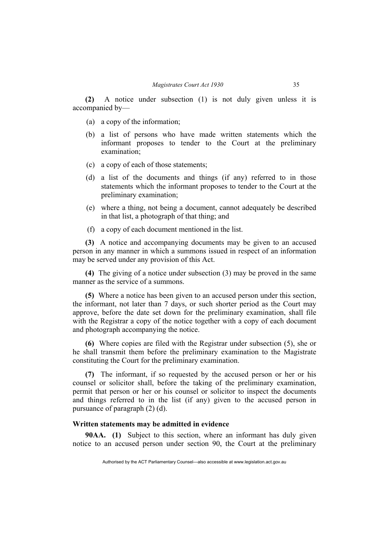**(2)** A notice under subsection (1) is not duly given unless it is accompanied by—

- (a) a copy of the information;
- (b) a list of persons who have made written statements which the informant proposes to tender to the Court at the preliminary examination;
- (c) a copy of each of those statements;
- (d) a list of the documents and things (if any) referred to in those statements which the informant proposes to tender to the Court at the preliminary examination;
- (e) where a thing, not being a document, cannot adequately be described in that list, a photograph of that thing; and
- (f) a copy of each document mentioned in the list.

**(3)** A notice and accompanying documents may be given to an accused person in any manner in which a summons issued in respect of an information may be served under any provision of this Act.

**(4)** The giving of a notice under subsection (3) may be proved in the same manner as the service of a summons.

**(5)** Where a notice has been given to an accused person under this section, the informant, not later than 7 days, or such shorter period as the Court may approve, before the date set down for the preliminary examination, shall file with the Registrar a copy of the notice together with a copy of each document and photograph accompanying the notice.

**(6)** Where copies are filed with the Registrar under subsection (5), she or he shall transmit them before the preliminary examination to the Magistrate constituting the Court for the preliminary examination.

**(7)** The informant, if so requested by the accused person or her or his counsel or solicitor shall, before the taking of the preliminary examination, permit that person or her or his counsel or solicitor to inspect the documents and things referred to in the list (if any) given to the accused person in pursuance of paragraph (2) (d).

#### **Written statements may be admitted in evidence**

**90AA. (1)** Subject to this section, where an informant has duly given notice to an accused person under section 90, the Court at the preliminary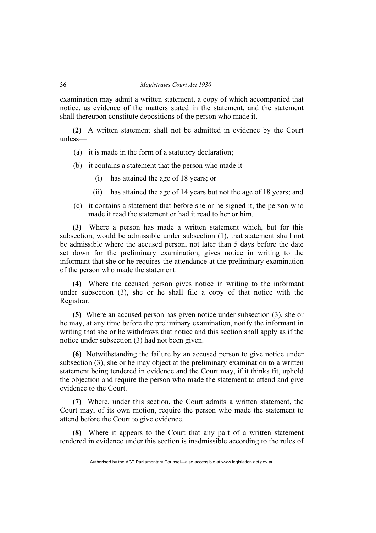examination may admit a written statement, a copy of which accompanied that notice, as evidence of the matters stated in the statement, and the statement shall thereupon constitute depositions of the person who made it.

**(2)** A written statement shall not be admitted in evidence by the Court unless—

- (a) it is made in the form of a statutory declaration;
- (b) it contains a statement that the person who made it—
	- (i) has attained the age of 18 years; or
	- (ii) has attained the age of 14 years but not the age of 18 years; and
- (c) it contains a statement that before she or he signed it, the person who made it read the statement or had it read to her or him.

**(3)** Where a person has made a written statement which, but for this subsection, would be admissible under subsection (1), that statement shall not be admissible where the accused person, not later than 5 days before the date set down for the preliminary examination, gives notice in writing to the informant that she or he requires the attendance at the preliminary examination of the person who made the statement.

**(4)** Where the accused person gives notice in writing to the informant under subsection (3), she or he shall file a copy of that notice with the Registrar.

**(5)** Where an accused person has given notice under subsection (3), she or he may, at any time before the preliminary examination, notify the informant in writing that she or he withdraws that notice and this section shall apply as if the notice under subsection (3) had not been given.

**(6)** Notwithstanding the failure by an accused person to give notice under subsection (3), she or he may object at the preliminary examination to a written statement being tendered in evidence and the Court may, if it thinks fit, uphold the objection and require the person who made the statement to attend and give evidence to the Court.

**(7)** Where, under this section, the Court admits a written statement, the Court may, of its own motion, require the person who made the statement to attend before the Court to give evidence.

**(8)** Where it appears to the Court that any part of a written statement tendered in evidence under this section is inadmissible according to the rules of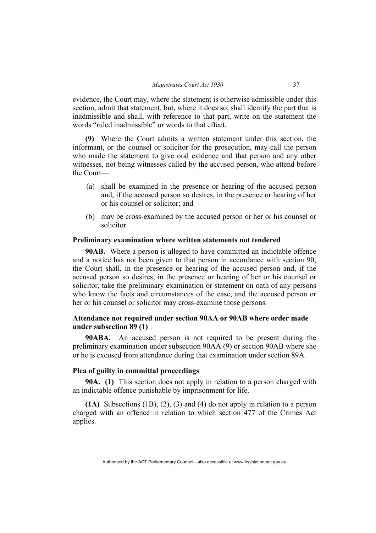evidence, the Court may, where the statement is otherwise admissible under this section, admit that statement, but, where it does so, shall identify the part that is inadmissible and shall, with reference to that part, write on the statement the words "ruled inadmissible" or words to that effect.

**(9)** Where the Court admits a written statement under this section, the informant, or the counsel or solicitor for the prosecution, may call the person who made the statement to give oral evidence and that person and any other witnesses, not being witnesses called by the accused person, who attend before the Court—

- (a) shall be examined in the presence or hearing of the accused person and, if the accused person so desires, in the presence or hearing of her or his counsel or solicitor; and
- (b) may be cross-examined by the accused person or her or his counsel or solicitor.

## **Preliminary examination where written statements not tendered**

**90AB.** Where a person is alleged to have committed an indictable offence and a notice has not been given to that person in accordance with section 90, the Court shall, in the presence or hearing of the accused person and, if the accused person so desires, in the presence or hearing of her or his counsel or solicitor, take the preliminary examination or statement on oath of any persons who know the facts and circumstances of the case, and the accused person or her or his counsel or solicitor may cross-examine those persons.

# **Attendance not required under section 90AA or 90AB where order made under subsection 89 (1)**

**90ABA.** An accused person is not required to be present during the preliminary examination under subsection 90AA (9) or section 90AB where she or he is excused from attendance during that examination under section 89A.

# **Plea of guilty in committal proceedings**

**90A. (1)** This section does not apply in relation to a person charged with an indictable offence punishable by imprisonment for life.

**(1A)** Subsections (1B), (2), (3) and (4) do not apply in relation to a person charged with an offence in relation to which section 477 of the Crimes Act applies.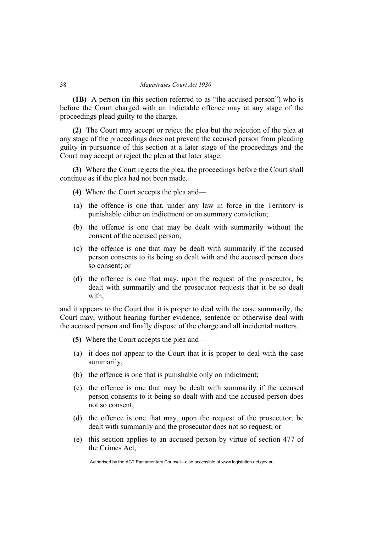**(1B)** A person (in this section referred to as "the accused person") who is before the Court charged with an indictable offence may at any stage of the proceedings plead guilty to the charge.

**(2)** The Court may accept or reject the plea but the rejection of the plea at any stage of the proceedings does not prevent the accused person from pleading guilty in pursuance of this section at a later stage of the proceedings and the Court may accept or reject the plea at that later stage.

**(3)** Where the Court rejects the plea, the proceedings before the Court shall continue as if the plea had not been made.

- **(4)** Where the Court accepts the plea and—
- (a) the offence is one that, under any law in force in the Territory is punishable either on indictment or on summary conviction;
- (b) the offence is one that may be dealt with summarily without the consent of the accused person;
- (c) the offence is one that may be dealt with summarily if the accused person consents to its being so dealt with and the accused person does so consent; or
- (d) the offence is one that may, upon the request of the prosecutor, be dealt with summarily and the prosecutor requests that it be so dealt with,

and it appears to the Court that it is proper to deal with the case summarily, the Court may, without hearing further evidence, sentence or otherwise deal with the accused person and finally dispose of the charge and all incidental matters.

- **(5)** Where the Court accepts the plea and—
- (a) it does not appear to the Court that it is proper to deal with the case summarily;
- (b) the offence is one that is punishable only on indictment;
- (c) the offence is one that may be dealt with summarily if the accused person consents to it being so dealt with and the accused person does not so consent;
- (d) the offence is one that may, upon the request of the prosecutor, be dealt with summarily and the prosecutor does not so request; or
- (e) this section applies to an accused person by virtue of section 477 of the Crimes Act,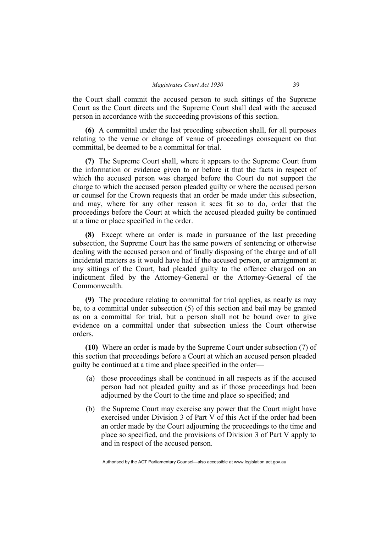the Court shall commit the accused person to such sittings of the Supreme Court as the Court directs and the Supreme Court shall deal with the accused person in accordance with the succeeding provisions of this section.

**(6)** A committal under the last preceding subsection shall, for all purposes relating to the venue or change of venue of proceedings consequent on that committal, be deemed to be a committal for trial.

**(7)** The Supreme Court shall, where it appears to the Supreme Court from the information or evidence given to or before it that the facts in respect of which the accused person was charged before the Court do not support the charge to which the accused person pleaded guilty or where the accused person or counsel for the Crown requests that an order be made under this subsection, and may, where for any other reason it sees fit so to do, order that the proceedings before the Court at which the accused pleaded guilty be continued at a time or place specified in the order.

**(8)** Except where an order is made in pursuance of the last preceding subsection, the Supreme Court has the same powers of sentencing or otherwise dealing with the accused person and of finally disposing of the charge and of all incidental matters as it would have had if the accused person, or arraignment at any sittings of the Court, had pleaded guilty to the offence charged on an indictment filed by the Attorney-General or the Attorney-General of the Commonwealth.

**(9)** The procedure relating to committal for trial applies, as nearly as may be, to a committal under subsection (5) of this section and bail may be granted as on a committal for trial, but a person shall not be bound over to give evidence on a committal under that subsection unless the Court otherwise orders.

**(10)** Where an order is made by the Supreme Court under subsection (7) of this section that proceedings before a Court at which an accused person pleaded guilty be continued at a time and place specified in the order—

- (a) those proceedings shall be continued in all respects as if the accused person had not pleaded guilty and as if those proceedings had been adjourned by the Court to the time and place so specified; and
- (b) the Supreme Court may exercise any power that the Court might have exercised under Division 3 of Part V of this Act if the order had been an order made by the Court adjourning the proceedings to the time and place so specified, and the provisions of Division 3 of Part V apply to and in respect of the accused person.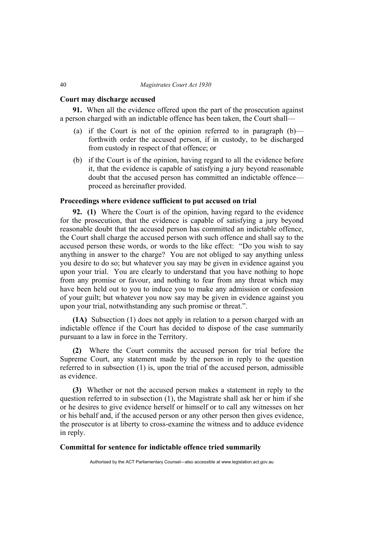#### **Court may discharge accused**

**91.** When all the evidence offered upon the part of the prosecution against a person charged with an indictable offence has been taken, the Court shall—

- (a) if the Court is not of the opinion referred to in paragraph  $(b)$  forthwith order the accused person, if in custody, to be discharged from custody in respect of that offence; or
- (b) if the Court is of the opinion, having regard to all the evidence before it, that the evidence is capable of satisfying a jury beyond reasonable doubt that the accused person has committed an indictable offence proceed as hereinafter provided.

# **Proceedings where evidence sufficient to put accused on trial**

**92. (1)** Where the Court is of the opinion, having regard to the evidence for the prosecution, that the evidence is capable of satisfying a jury beyond reasonable doubt that the accused person has committed an indictable offence, the Court shall charge the accused person with such offence and shall say to the accused person these words, or words to the like effect: "Do you wish to say anything in answer to the charge? You are not obliged to say anything unless you desire to do so; but whatever you say may be given in evidence against you upon your trial. You are clearly to understand that you have nothing to hope from any promise or favour, and nothing to fear from any threat which may have been held out to you to induce you to make any admission or confession of your guilt; but whatever you now say may be given in evidence against you upon your trial, notwithstanding any such promise or threat.".

**(1A)** Subsection (1) does not apply in relation to a person charged with an indictable offence if the Court has decided to dispose of the case summarily pursuant to a law in force in the Territory.

**(2)** Where the Court commits the accused person for trial before the Supreme Court, any statement made by the person in reply to the question referred to in subsection (1) is, upon the trial of the accused person, admissible as evidence.

**(3)** Whether or not the accused person makes a statement in reply to the question referred to in subsection (1), the Magistrate shall ask her or him if she or he desires to give evidence herself or himself or to call any witnesses on her or his behalf and, if the accused person or any other person then gives evidence, the prosecutor is at liberty to cross-examine the witness and to adduce evidence in reply.

# **Committal for sentence for indictable offence tried summarily**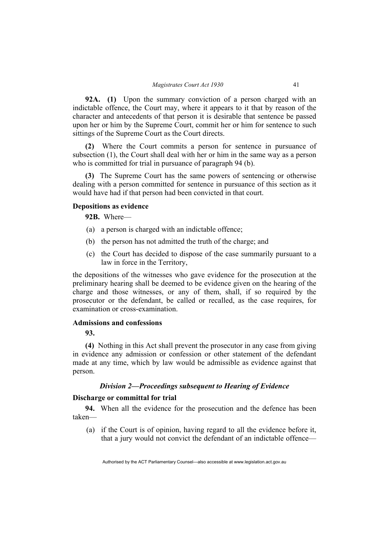**92A. (1)** Upon the summary conviction of a person charged with an indictable offence, the Court may, where it appears to it that by reason of the character and antecedents of that person it is desirable that sentence be passed upon her or him by the Supreme Court, commit her or him for sentence to such sittings of the Supreme Court as the Court directs.

**(2)** Where the Court commits a person for sentence in pursuance of subsection (1), the Court shall deal with her or him in the same way as a person who is committed for trial in pursuance of paragraph 94 (b).

**(3)** The Supreme Court has the same powers of sentencing or otherwise dealing with a person committed for sentence in pursuance of this section as it would have had if that person had been convicted in that court.

# **Depositions as evidence**

**92B.** Where—

- (a) a person is charged with an indictable offence;
- (b) the person has not admitted the truth of the charge; and
- (c) the Court has decided to dispose of the case summarily pursuant to a law in force in the Territory,

the depositions of the witnesses who gave evidence for the prosecution at the preliminary hearing shall be deemed to be evidence given on the hearing of the charge and those witnesses, or any of them, shall, if so required by the prosecutor or the defendant, be called or recalled, as the case requires, for examination or cross-examination.

# **Admissions and confessions**

**93.**

**(4)** Nothing in this Act shall prevent the prosecutor in any case from giving in evidence any admission or confession or other statement of the defendant made at any time, which by law would be admissible as evidence against that person.

## *Division 2—Proceedings subsequent to Hearing of Evidence*

## **Discharge or committal for trial**

**94.** When all the evidence for the prosecution and the defence has been taken—

 (a) if the Court is of opinion, having regard to all the evidence before it, that a jury would not convict the defendant of an indictable offence—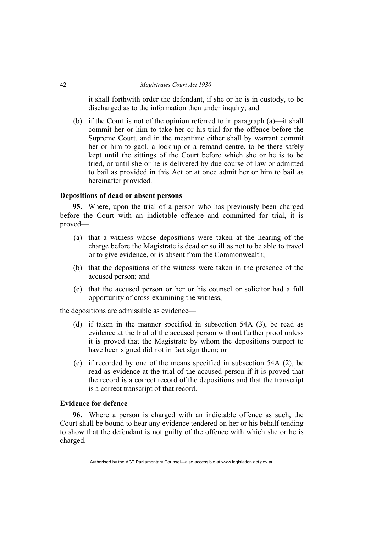it shall forthwith order the defendant, if she or he is in custody, to be discharged as to the information then under inquiry; and

 (b) if the Court is not of the opinion referred to in paragraph (a)—it shall commit her or him to take her or his trial for the offence before the Supreme Court, and in the meantime either shall by warrant commit her or him to gaol, a lock-up or a remand centre, to be there safely kept until the sittings of the Court before which she or he is to be tried, or until she or he is delivered by due course of law or admitted to bail as provided in this Act or at once admit her or him to bail as hereinafter provided.

#### **Depositions of dead or absent persons**

**95.** Where, upon the trial of a person who has previously been charged before the Court with an indictable offence and committed for trial, it is proved—

- (a) that a witness whose depositions were taken at the hearing of the charge before the Magistrate is dead or so ill as not to be able to travel or to give evidence, or is absent from the Commonwealth;
- (b) that the depositions of the witness were taken in the presence of the accused person; and
- (c) that the accused person or her or his counsel or solicitor had a full opportunity of cross-examining the witness,

the depositions are admissible as evidence—

- (d) if taken in the manner specified in subsection 54A (3), be read as evidence at the trial of the accused person without further proof unless it is proved that the Magistrate by whom the depositions purport to have been signed did not in fact sign them; or
- (e) if recorded by one of the means specified in subsection 54A (2), be read as evidence at the trial of the accused person if it is proved that the record is a correct record of the depositions and that the transcript is a correct transcript of that record.

# **Evidence for defence**

**96.** Where a person is charged with an indictable offence as such, the Court shall be bound to hear any evidence tendered on her or his behalf tending to show that the defendant is not guilty of the offence with which she or he is charged.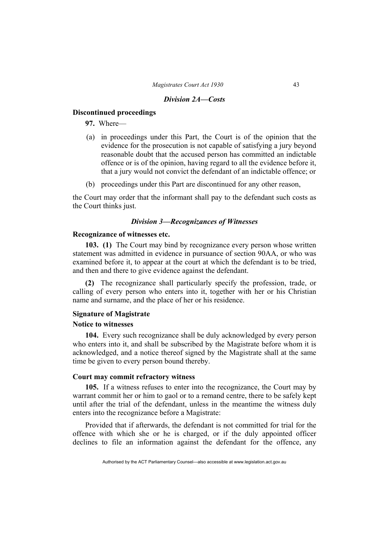#### *Division 2A—Costs*

#### **Discontinued proceedings**

**97.** Where—

- (a) in proceedings under this Part, the Court is of the opinion that the evidence for the prosecution is not capable of satisfying a jury beyond reasonable doubt that the accused person has committed an indictable offence or is of the opinion, having regard to all the evidence before it, that a jury would not convict the defendant of an indictable offence; or
- (b) proceedings under this Part are discontinued for any other reason,

the Court may order that the informant shall pay to the defendant such costs as the Court thinks just.

# *Division 3—Recognizances of Witnesses*

# **Recognizance of witnesses etc.**

**103. (1)** The Court may bind by recognizance every person whose written statement was admitted in evidence in pursuance of section 90AA, or who was examined before it, to appear at the court at which the defendant is to be tried, and then and there to give evidence against the defendant.

**(2)** The recognizance shall particularly specify the profession, trade, or calling of every person who enters into it, together with her or his Christian name and surname, and the place of her or his residence.

# **Signature of Magistrate**

#### **Notice to witnesses**

**104.** Every such recognizance shall be duly acknowledged by every person who enters into it, and shall be subscribed by the Magistrate before whom it is acknowledged, and a notice thereof signed by the Magistrate shall at the same time be given to every person bound thereby.

# **Court may commit refractory witness**

**105.** If a witness refuses to enter into the recognizance, the Court may by warrant commit her or him to gaol or to a remand centre, there to be safely kept until after the trial of the defendant, unless in the meantime the witness duly enters into the recognizance before a Magistrate:

Provided that if afterwards, the defendant is not committed for trial for the offence with which she or he is charged, or if the duly appointed officer declines to file an information against the defendant for the offence, any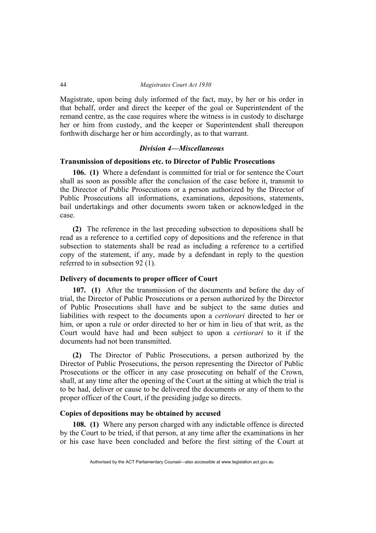Magistrate, upon being duly informed of the fact, may, by her or his order in that behalf, order and direct the keeper of the goal or Superintendent of the remand centre, as the case requires where the witness is in custody to discharge her or him from custody, and the keeper or Superintendent shall thereupon forthwith discharge her or him accordingly, as to that warrant.

## *Division 4—Miscellaneous*

#### **Transmission of depositions etc. to Director of Public Prosecutions**

**106. (1)** Where a defendant is committed for trial or for sentence the Court shall as soon as possible after the conclusion of the case before it, transmit to the Director of Public Prosecutions or a person authorized by the Director of Public Prosecutions all informations, examinations, depositions, statements, bail undertakings and other documents sworn taken or acknowledged in the case.

**(2)** The reference in the last preceding subsection to depositions shall be read as a reference to a certified copy of depositions and the reference in that subsection to statements shall be read as including a reference to a certified copy of the statement, if any, made by a defendant in reply to the question referred to in subsection 92 (1).

#### **Delivery of documents to proper officer of Court**

**107. (1)** After the transmission of the documents and before the day of trial, the Director of Public Prosecutions or a person authorized by the Director of Public Prosecutions shall have and be subject to the same duties and liabilities with respect to the documents upon a *certiorari* directed to her or him, or upon a rule or order directed to her or him in lieu of that writ, as the Court would have had and been subject to upon a *certiorari* to it if the documents had not been transmitted.

**(2)** The Director of Public Prosecutions, a person authorized by the Director of Public Prosecutions, the person representing the Director of Public Prosecutions or the officer in any case prosecuting on behalf of the Crown, shall, at any time after the opening of the Court at the sitting at which the trial is to be had, deliver or cause to be delivered the documents or any of them to the proper officer of the Court, if the presiding judge so directs.

## **Copies of depositions may be obtained by accused**

**108. (1)** Where any person charged with any indictable offence is directed by the Court to be tried, if that person, at any time after the examinations in her or his case have been concluded and before the first sitting of the Court at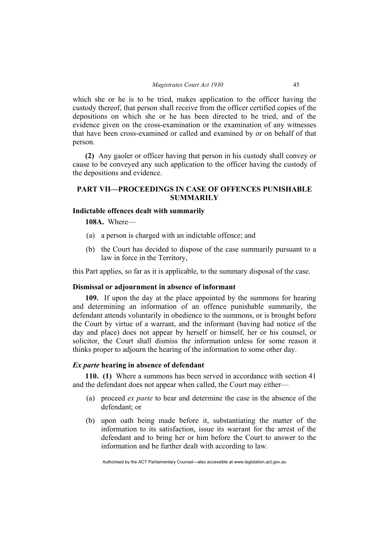which she or he is to be tried, makes application to the officer having the custody thereof, that person shall receive from the officer certified copies of the depositions on which she or he has been directed to be tried, and of the evidence given on the cross-examination or the examination of any witnesses that have been cross-examined or called and examined by or on behalf of that person.

**(2)** Any gaoler or officer having that person in his custody shall convey or cause to be conveyed any such application to the officer having the custody of the depositions and evidence.

# **PART VII—PROCEEDINGS IN CASE OF OFFENCES PUNISHABLE SUMMARILY**

# **Indictable offences dealt with summarily**

**108A.** Where—

- (a) a person is charged with an indictable offence; and
- (b) the Court has decided to dispose of the case summarily pursuant to a law in force in the Territory,

this Part applies, so far as it is applicable, to the summary disposal of the case.

## **Dismissal or adjournment in absence of informant**

**109.** If upon the day at the place appointed by the summons for hearing and determining an information of an offence punishable summarily, the defendant attends voluntarily in obedience to the summons, or is brought before the Court by virtue of a warrant, and the informant (having had notice of the day and place) does not appear by herself or himself, her or his counsel, or solicitor, the Court shall dismiss the information unless for some reason it thinks proper to adjourn the hearing of the information to some other day.

## *Ex parte* **hearing in absence of defendant**

**110. (1)** Where a summons has been served in accordance with section 41 and the defendant does not appear when called, the Court may either—

- (a) proceed *ex parte* to hear and determine the case in the absence of the defendant; or
- (b) upon oath being made before it, substantiating the matter of the information to its satisfaction, issue its warrant for the arrest of the defendant and to bring her or him before the Court to answer to the information and be further dealt with according to law.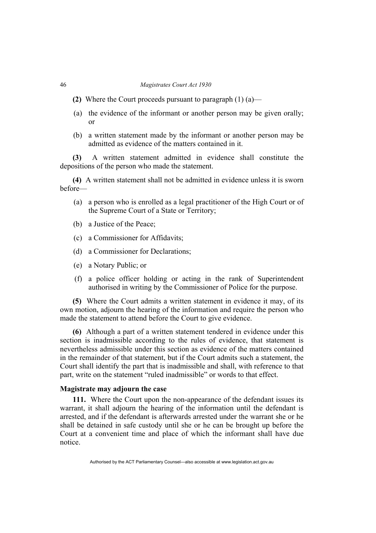- **(2)** Where the Court proceeds pursuant to paragraph (1) (a)—
- (a) the evidence of the informant or another person may be given orally; or
- (b) a written statement made by the informant or another person may be admitted as evidence of the matters contained in it.

**(3)** A written statement admitted in evidence shall constitute the depositions of the person who made the statement.

**(4)** A written statement shall not be admitted in evidence unless it is sworn before—

- (a) a person who is enrolled as a legal practitioner of the High Court or of the Supreme Court of a State or Territory;
- (b) a Justice of the Peace;
- (c) a Commissioner for Affidavits;
- (d) a Commissioner for Declarations;
- (e) a Notary Public; or
- (f) a police officer holding or acting in the rank of Superintendent authorised in writing by the Commissioner of Police for the purpose.

**(5)** Where the Court admits a written statement in evidence it may, of its own motion, adjourn the hearing of the information and require the person who made the statement to attend before the Court to give evidence.

**(6)** Although a part of a written statement tendered in evidence under this section is inadmissible according to the rules of evidence, that statement is nevertheless admissible under this section as evidence of the matters contained in the remainder of that statement, but if the Court admits such a statement, the Court shall identify the part that is inadmissible and shall, with reference to that part, write on the statement "ruled inadmissible" or words to that effect.

#### **Magistrate may adjourn the case**

**111.** Where the Court upon the non-appearance of the defendant issues its warrant, it shall adjourn the hearing of the information until the defendant is arrested, and if the defendant is afterwards arrested under the warrant she or he shall be detained in safe custody until she or he can be brought up before the Court at a convenient time and place of which the informant shall have due notice.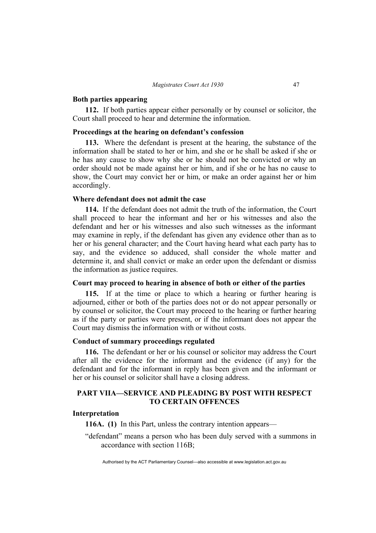#### **Both parties appearing**

**112.** If both parties appear either personally or by counsel or solicitor, the Court shall proceed to hear and determine the information.

#### **Proceedings at the hearing on defendant's confession**

**113.** Where the defendant is present at the hearing, the substance of the information shall be stated to her or him, and she or he shall be asked if she or he has any cause to show why she or he should not be convicted or why an order should not be made against her or him, and if she or he has no cause to show, the Court may convict her or him, or make an order against her or him accordingly.

# **Where defendant does not admit the case**

**114.** If the defendant does not admit the truth of the information, the Court shall proceed to hear the informant and her or his witnesses and also the defendant and her or his witnesses and also such witnesses as the informant may examine in reply, if the defendant has given any evidence other than as to her or his general character; and the Court having heard what each party has to say, and the evidence so adduced, shall consider the whole matter and determine it, and shall convict or make an order upon the defendant or dismiss the information as justice requires.

# **Court may proceed to hearing in absence of both or either of the parties**

**115.** If at the time or place to which a hearing or further hearing is adjourned, either or both of the parties does not or do not appear personally or by counsel or solicitor, the Court may proceed to the hearing or further hearing as if the party or parties were present, or if the informant does not appear the Court may dismiss the information with or without costs.

#### **Conduct of summary proceedings regulated**

**116.** The defendant or her or his counsel or solicitor may address the Court after all the evidence for the informant and the evidence (if any) for the defendant and for the informant in reply has been given and the informant or her or his counsel or solicitor shall have a closing address.

# **PART VIIA—SERVICE AND PLEADING BY POST WITH RESPECT TO CERTAIN OFFENCES**

# **Interpretation**

**116A. (1)** In this Part, unless the contrary intention appears—

"defendant" means a person who has been duly served with a summons in accordance with section 116B;

Authorised by the ACT Parliamentary Counsel—also accessible at www.legislation.act.gov.au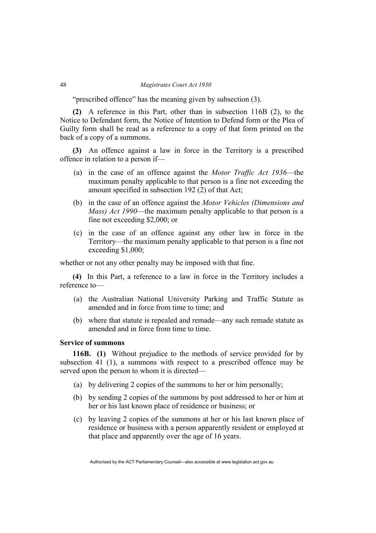"prescribed offence" has the meaning given by subsection (3).

**(2)** A reference in this Part, other than in subsection 116B (2), to the Notice to Defendant form, the Notice of Intention to Defend form or the Plea of Guilty form shall be read as a reference to a copy of that form printed on the back of a copy of a summons.

**(3)** An offence against a law in force in the Territory is a prescribed offence in relation to a person if—

- (a) in the case of an offence against the *Motor Traffic Act 1936*—the maximum penalty applicable to that person is a fine not exceeding the amount specified in subsection 192 (2) of that Act;
- (b) in the case of an offence against the *Motor Vehicles (Dimensions and Mass) Act 1990*—the maximum penalty applicable to that person is a fine not exceeding \$2,000; or
- (c) in the case of an offence against any other law in force in the Territory—the maximum penalty applicable to that person is a fine not exceeding \$1,000;

whether or not any other penalty may be imposed with that fine.

**(4)** In this Part, a reference to a law in force in the Territory includes a reference to—

- (a) the Australian National University Parking and Traffic Statute as amended and in force from time to time; and
- (b) where that statute is repealed and remade—any such remade statute as amended and in force from time to time.

#### **Service of summons**

**116B. (1)** Without prejudice to the methods of service provided for by subsection 41 (1), a summons with respect to a prescribed offence may be served upon the person to whom it is directed—

- (a) by delivering 2 copies of the summons to her or him personally;
- (b) by sending 2 copies of the summons by post addressed to her or him at her or his last known place of residence or business; or
- (c) by leaving 2 copies of the summons at her or his last known place of residence or business with a person apparently resident or employed at that place and apparently over the age of 16 years.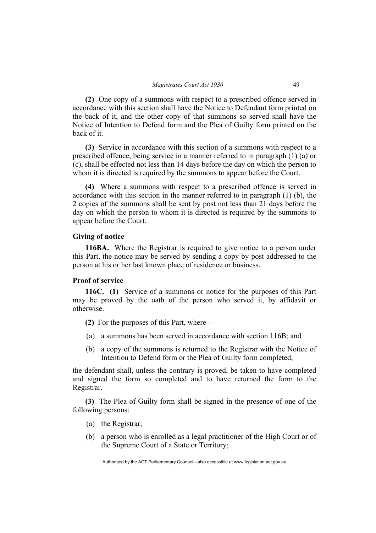**(2)** One copy of a summons with respect to a prescribed offence served in accordance with this section shall have the Notice to Defendant form printed on the back of it, and the other copy of that summons so served shall have the Notice of Intention to Defend form and the Plea of Guilty form printed on the back of it.

**(3)** Service in accordance with this section of a summons with respect to a prescribed offence, being service in a manner referred to in paragraph (1) (a) or (c), shall be effected not less than 14 days before the day on which the person to whom it is directed is required by the summons to appear before the Court.

**(4)** Where a summons with respect to a prescribed offence is served in accordance with this section in the manner referred to in paragraph (1) (b), the 2 copies of the summons shall be sent by post not less than 21 days before the day on which the person to whom it is directed is required by the summons to appear before the Court.

# **Giving of notice**

**116BA.** Where the Registrar is required to give notice to a person under this Part, the notice may be served by sending a copy by post addressed to the person at his or her last known place of residence or business.

# **Proof of service**

**116C. (1)** Service of a summons or notice for the purposes of this Part may be proved by the oath of the person who served it, by affidavit or otherwise.

**(2)** For the purposes of this Part, where—

- (a) a summons has been served in accordance with section 116B; and
- (b) a copy of the summons is returned to the Registrar with the Notice of Intention to Defend form or the Plea of Guilty form completed,

the defendant shall, unless the contrary is proved, be taken to have completed and signed the form so completed and to have returned the form to the Registrar.

**(3)** The Plea of Guilty form shall be signed in the presence of one of the following persons:

- (a) the Registrar;
- (b) a person who is enrolled as a legal practitioner of the High Court or of the Supreme Court of a State or Territory;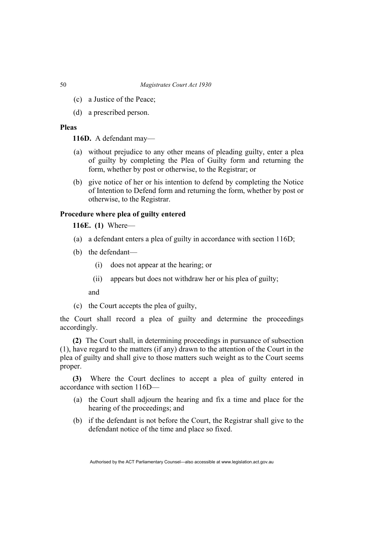- (c) a Justice of the Peace;
- (d) a prescribed person.

# **Pleas**

**116D.** A defendant may—

- (a) without prejudice to any other means of pleading guilty, enter a plea of guilty by completing the Plea of Guilty form and returning the form, whether by post or otherwise, to the Registrar; or
- (b) give notice of her or his intention to defend by completing the Notice of Intention to Defend form and returning the form, whether by post or otherwise, to the Registrar.

# **Procedure where plea of guilty entered**

**116E. (1)** Where—

- (a) a defendant enters a plea of guilty in accordance with section 116D;
- (b) the defendant—
	- (i) does not appear at the hearing; or
	- (ii) appears but does not withdraw her or his plea of guilty;

and

(c) the Court accepts the plea of guilty,

the Court shall record a plea of guilty and determine the proceedings accordingly.

**(2)** The Court shall, in determining proceedings in pursuance of subsection (1), have regard to the matters (if any) drawn to the attention of the Court in the plea of guilty and shall give to those matters such weight as to the Court seems proper.

**(3)** Where the Court declines to accept a plea of guilty entered in accordance with section 116D—

- (a) the Court shall adjourn the hearing and fix a time and place for the hearing of the proceedings; and
- (b) if the defendant is not before the Court, the Registrar shall give to the defendant notice of the time and place so fixed.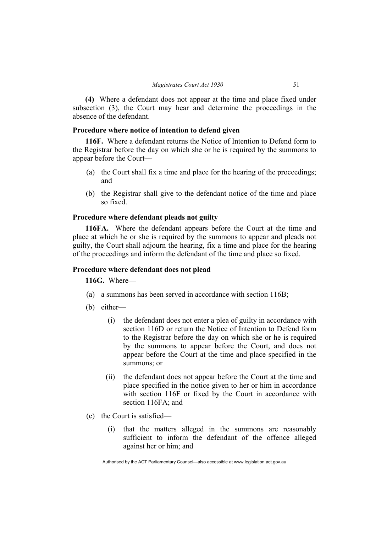**(4)** Where a defendant does not appear at the time and place fixed under subsection (3), the Court may hear and determine the proceedings in the absence of the defendant.

# **Procedure where notice of intention to defend given**

**116F.** Where a defendant returns the Notice of Intention to Defend form to the Registrar before the day on which she or he is required by the summons to appear before the Court—

- (a) the Court shall fix a time and place for the hearing of the proceedings; and
- (b) the Registrar shall give to the defendant notice of the time and place so fixed.

# **Procedure where defendant pleads not guilty**

**116FA.** Where the defendant appears before the Court at the time and place at which he or she is required by the summons to appear and pleads not guilty, the Court shall adjourn the hearing, fix a time and place for the hearing of the proceedings and inform the defendant of the time and place so fixed.

#### **Procedure where defendant does not plead**

**116G.** Where—

- (a) a summons has been served in accordance with section 116B;
- (b) either—
	- (i) the defendant does not enter a plea of guilty in accordance with section 116D or return the Notice of Intention to Defend form to the Registrar before the day on which she or he is required by the summons to appear before the Court, and does not appear before the Court at the time and place specified in the summons; or
	- (ii) the defendant does not appear before the Court at the time and place specified in the notice given to her or him in accordance with section 116F or fixed by the Court in accordance with section 116FA; and
- (c) the Court is satisfied—
	- (i) that the matters alleged in the summons are reasonably sufficient to inform the defendant of the offence alleged against her or him; and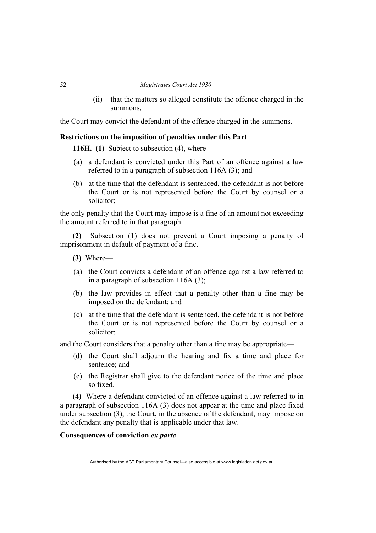(ii) that the matters so alleged constitute the offence charged in the summons,

the Court may convict the defendant of the offence charged in the summons.

# **Restrictions on the imposition of penalties under this Part**

**116H. (1)** Subject to subsection (4), where—

- (a) a defendant is convicted under this Part of an offence against a law referred to in a paragraph of subsection 116A (3); and
- (b) at the time that the defendant is sentenced, the defendant is not before the Court or is not represented before the Court by counsel or a solicitor;

the only penalty that the Court may impose is a fine of an amount not exceeding the amount referred to in that paragraph.

**(2)** Subsection (1) does not prevent a Court imposing a penalty of imprisonment in default of payment of a fine.

- **(3)** Where—
- (a) the Court convicts a defendant of an offence against a law referred to in a paragraph of subsection 116A (3);
- (b) the law provides in effect that a penalty other than a fine may be imposed on the defendant; and
- (c) at the time that the defendant is sentenced, the defendant is not before the Court or is not represented before the Court by counsel or a solicitor;

and the Court considers that a penalty other than a fine may be appropriate—

- (d) the Court shall adjourn the hearing and fix a time and place for sentence; and
- (e) the Registrar shall give to the defendant notice of the time and place so fixed.

**(4)** Where a defendant convicted of an offence against a law referred to in a paragraph of subsection 116A (3) does not appear at the time and place fixed under subsection (3), the Court, in the absence of the defendant, may impose on the defendant any penalty that is applicable under that law.

# **Consequences of conviction** *ex parte*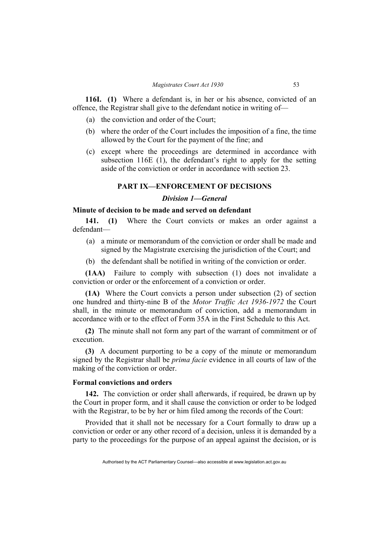**116I. (1)** Where a defendant is, in her or his absence, convicted of an offence, the Registrar shall give to the defendant notice in writing of—

- (a) the conviction and order of the Court;
- (b) where the order of the Court includes the imposition of a fine, the time allowed by the Court for the payment of the fine; and
- (c) except where the proceedings are determined in accordance with subsection 116E (1), the defendant's right to apply for the setting aside of the conviction or order in accordance with section 23.

# **PART IX—ENFORCEMENT OF DECISIONS**

# *Division 1—General*

#### **Minute of decision to be made and served on defendant**

**141. (1)** Where the Court convicts or makes an order against a defendant—

- (a) a minute or memorandum of the conviction or order shall be made and signed by the Magistrate exercising the jurisdiction of the Court; and
- (b) the defendant shall be notified in writing of the conviction or order.

**(1AA)** Failure to comply with subsection (1) does not invalidate a conviction or order or the enforcement of a conviction or order.

**(1A)** Where the Court convicts a person under subsection (2) of section one hundred and thirty-nine B of the *Motor Traffic Act 1936-1972* the Court shall, in the minute or memorandum of conviction, add a memorandum in accordance with or to the effect of Form 35A in the First Schedule to this Act.

**(2)** The minute shall not form any part of the warrant of commitment or of execution.

**(3)** A document purporting to be a copy of the minute or memorandum signed by the Registrar shall be *prima facie* evidence in all courts of law of the making of the conviction or order.

# **Formal convictions and orders**

**142.** The conviction or order shall afterwards, if required, be drawn up by the Court in proper form, and it shall cause the conviction or order to be lodged with the Registrar, to be by her or him filed among the records of the Court:

Provided that it shall not be necessary for a Court formally to draw up a conviction or order or any other record of a decision, unless it is demanded by a party to the proceedings for the purpose of an appeal against the decision, or is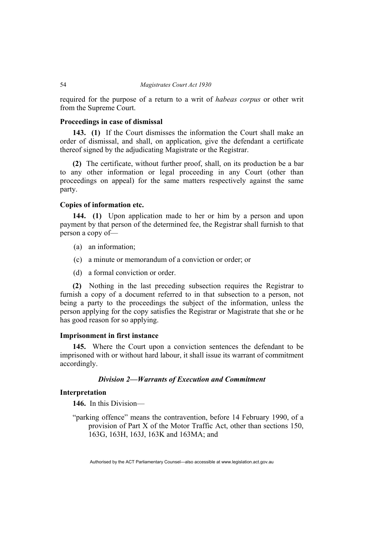required for the purpose of a return to a writ of *habeas corpus* or other writ from the Supreme Court.

#### **Proceedings in case of dismissal**

**143. (1)** If the Court dismisses the information the Court shall make an order of dismissal, and shall, on application, give the defendant a certificate thereof signed by the adjudicating Magistrate or the Registrar.

**(2)** The certificate, without further proof, shall, on its production be a bar to any other information or legal proceeding in any Court (other than proceedings on appeal) for the same matters respectively against the same party.

# **Copies of information etc.**

**144. (1)** Upon application made to her or him by a person and upon payment by that person of the determined fee, the Registrar shall furnish to that person a copy of—

- (a) an information;
- (c) a minute or memorandum of a conviction or order; or
- (d) a formal conviction or order.

**(2)** Nothing in the last preceding subsection requires the Registrar to furnish a copy of a document referred to in that subsection to a person, not being a party to the proceedings the subject of the information, unless the person applying for the copy satisfies the Registrar or Magistrate that she or he has good reason for so applying.

## **Imprisonment in first instance**

**145.** Where the Court upon a conviction sentences the defendant to be imprisoned with or without hard labour, it shall issue its warrant of commitment accordingly.

#### *Division 2—Warrants of Execution and Commitment*

# **Interpretation**

**146.** In this Division—

"parking offence" means the contravention, before 14 February 1990, of a provision of Part X of the Motor Traffic Act, other than sections 150, 163G, 163H, 163J, 163K and 163MA; and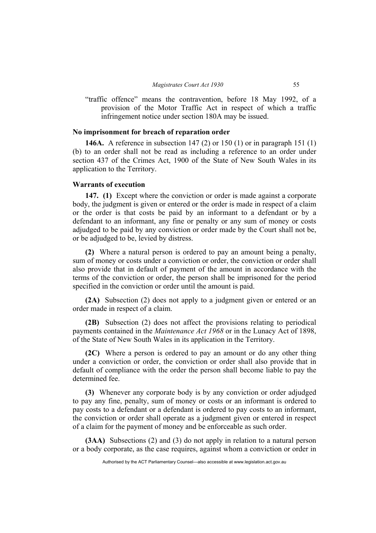"traffic offence" means the contravention, before 18 May 1992, of a provision of the Motor Traffic Act in respect of which a traffic infringement notice under section 180A may be issued.

# **No imprisonment for breach of reparation order**

**146A.** A reference in subsection 147 (2) or 150 (1) or in paragraph 151 (1) (b) to an order shall not be read as including a reference to an order under section 437 of the Crimes Act, 1900 of the State of New South Wales in its application to the Territory.

## **Warrants of execution**

**147. (1)** Except where the conviction or order is made against a corporate body, the judgment is given or entered or the order is made in respect of a claim or the order is that costs be paid by an informant to a defendant or by a defendant to an informant, any fine or penalty or any sum of money or costs adjudged to be paid by any conviction or order made by the Court shall not be, or be adjudged to be, levied by distress.

**(2)** Where a natural person is ordered to pay an amount being a penalty, sum of money or costs under a conviction or order, the conviction or order shall also provide that in default of payment of the amount in accordance with the terms of the conviction or order, the person shall be imprisoned for the period specified in the conviction or order until the amount is paid.

**(2A)** Subsection (2) does not apply to a judgment given or entered or an order made in respect of a claim.

**(2B)** Subsection (2) does not affect the provisions relating to periodical payments contained in the *Maintenance Act 1968* or in the Lunacy Act of 1898, of the State of New South Wales in its application in the Territory.

**(2C)** Where a person is ordered to pay an amount or do any other thing under a conviction or order, the conviction or order shall also provide that in default of compliance with the order the person shall become liable to pay the determined fee.

**(3)** Whenever any corporate body is by any conviction or order adjudged to pay any fine, penalty, sum of money or costs or an informant is ordered to pay costs to a defendant or a defendant is ordered to pay costs to an informant, the conviction or order shall operate as a judgment given or entered in respect of a claim for the payment of money and be enforceable as such order.

**(3AA)** Subsections (2) and (3) do not apply in relation to a natural person or a body corporate, as the case requires, against whom a conviction or order in

Authorised by the ACT Parliamentary Counsel—also accessible at www.legislation.act.gov.au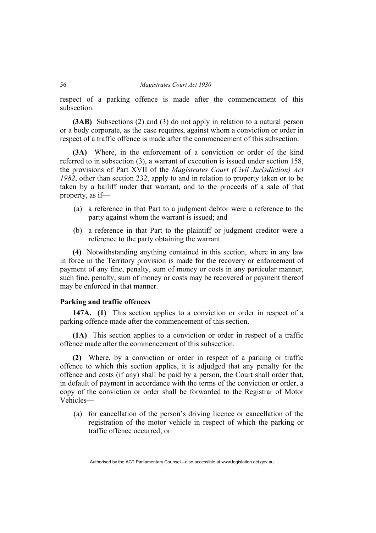respect of a parking offence is made after the commencement of this subsection.

**(3AB)** Subsections (2) and (3) do not apply in relation to a natural person or a body corporate, as the case requires, against whom a conviction or order in respect of a traffic offence is made after the commencement of this subsection.

**(3A)** Where, in the enforcement of a conviction or order of the kind referred to in subsection (3), a warrant of execution is issued under section 158, the provisions of Part XVII of the *Magistrates Court (Civil Jurisdiction) Act 1982*, other than section 232, apply to and in relation to property taken or to be taken by a bailiff under that warrant, and to the proceeds of a sale of that property, as if—

- (a) a reference in that Part to a judgment debtor were a reference to the party against whom the warrant is issued; and
- (b) a reference in that Part to the plaintiff or judgment creditor were a reference to the party obtaining the warrant.

**(4)** Notwithstanding anything contained in this section, where in any law in force in the Territory provision is made for the recovery or enforcement of payment of any fine, penalty, sum of money or costs in any particular manner, such fine, penalty, sum of money or costs may be recovered or payment thereof may be enforced in that manner.

# **Parking and traffic offences**

**147A. (1)** This section applies to a conviction or order in respect of a parking offence made after the commencement of this section.

**(1A)** This section applies to a conviction or order in respect of a traffic offence made after the commencement of this subsection.

**(2)** Where, by a conviction or order in respect of a parking or traffic offence to which this section applies, it is adjudged that any penalty for the offence and costs (if any) shall be paid by a person, the Court shall order that, in default of payment in accordance with the terms of the conviction or order, a copy of the conviction or order shall be forwarded to the Registrar of Motor Vehicles—

 (a) for cancellation of the person's driving licence or cancellation of the registration of the motor vehicle in respect of which the parking or traffic offence occurred; or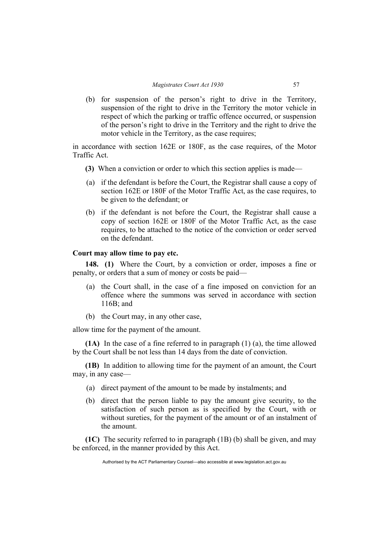(b) for suspension of the person's right to drive in the Territory, suspension of the right to drive in the Territory the motor vehicle in respect of which the parking or traffic offence occurred, or suspension of the person's right to drive in the Territory and the right to drive the motor vehicle in the Territory, as the case requires;

in accordance with section 162E or 180F, as the case requires, of the Motor Traffic Act.

- **(3)** When a conviction or order to which this section applies is made—
- (a) if the defendant is before the Court, the Registrar shall cause a copy of section 162E or 180F of the Motor Traffic Act, as the case requires, to be given to the defendant; or
- (b) if the defendant is not before the Court, the Registrar shall cause a copy of section 162E or 180F of the Motor Traffic Act, as the case requires, to be attached to the notice of the conviction or order served on the defendant.

# **Court may allow time to pay etc.**

**148. (1)** Where the Court, by a conviction or order, imposes a fine or penalty, or orders that a sum of money or costs be paid—

- (a) the Court shall, in the case of a fine imposed on conviction for an offence where the summons was served in accordance with section 116B; and
- (b) the Court may, in any other case,

allow time for the payment of the amount.

**(1A)** In the case of a fine referred to in paragraph (1) (a), the time allowed by the Court shall be not less than 14 days from the date of conviction.

**(1B)** In addition to allowing time for the payment of an amount, the Court may, in any case—

- (a) direct payment of the amount to be made by instalments; and
- (b) direct that the person liable to pay the amount give security, to the satisfaction of such person as is specified by the Court, with or without sureties, for the payment of the amount or of an instalment of the amount.

**(1C)** The security referred to in paragraph (1B) (b) shall be given, and may be enforced, in the manner provided by this Act.

Authorised by the ACT Parliamentary Counsel—also accessible at www.legislation.act.gov.au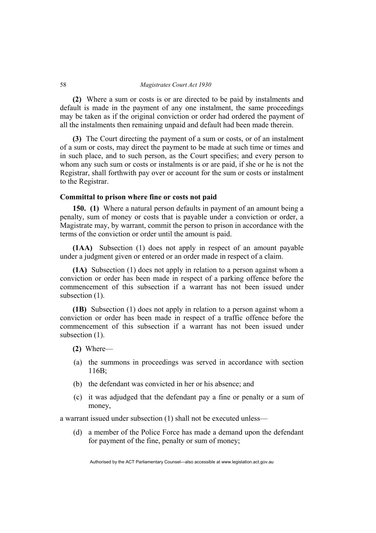**(2)** Where a sum or costs is or are directed to be paid by instalments and default is made in the payment of any one instalment, the same proceedings may be taken as if the original conviction or order had ordered the payment of all the instalments then remaining unpaid and default had been made therein.

**(3)** The Court directing the payment of a sum or costs, or of an instalment of a sum or costs, may direct the payment to be made at such time or times and in such place, and to such person, as the Court specifies; and every person to whom any such sum or costs or instalments is or are paid, if she or he is not the Registrar, shall forthwith pay over or account for the sum or costs or instalment to the Registrar.

# **Committal to prison where fine or costs not paid**

**150. (1)** Where a natural person defaults in payment of an amount being a penalty, sum of money or costs that is payable under a conviction or order, a Magistrate may, by warrant, commit the person to prison in accordance with the terms of the conviction or order until the amount is paid.

**(1AA)** Subsection (1) does not apply in respect of an amount payable under a judgment given or entered or an order made in respect of a claim.

**(1A)** Subsection (1) does not apply in relation to a person against whom a conviction or order has been made in respect of a parking offence before the commencement of this subsection if a warrant has not been issued under subsection  $(1)$ .

**(1B)** Subsection (1) does not apply in relation to a person against whom a conviction or order has been made in respect of a traffic offence before the commencement of this subsection if a warrant has not been issued under subsection  $(1)$ .

- **(2)** Where—
- (a) the summons in proceedings was served in accordance with section 116B;
- (b) the defendant was convicted in her or his absence; and
- (c) it was adjudged that the defendant pay a fine or penalty or a sum of money,

a warrant issued under subsection (1) shall not be executed unless—

 (d) a member of the Police Force has made a demand upon the defendant for payment of the fine, penalty or sum of money;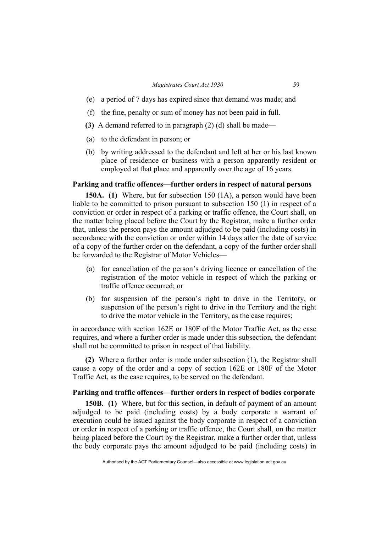#### *Magistrates Court Act 1930* 59

- (e) a period of 7 days has expired since that demand was made; and
- (f) the fine, penalty or sum of money has not been paid in full.
- **(3)** A demand referred to in paragraph (2) (d) shall be made—
- (a) to the defendant in person; or
- (b) by writing addressed to the defendant and left at her or his last known place of residence or business with a person apparently resident or employed at that place and apparently over the age of 16 years.

#### **Parking and traffic offences—further orders in respect of natural persons**

**150A. (1)** Where, but for subsection 150 (1A), a person would have been liable to be committed to prison pursuant to subsection 150 (1) in respect of a conviction or order in respect of a parking or traffic offence, the Court shall, on the matter being placed before the Court by the Registrar, make a further order that, unless the person pays the amount adjudged to be paid (including costs) in accordance with the conviction or order within 14 days after the date of service of a copy of the further order on the defendant, a copy of the further order shall be forwarded to the Registrar of Motor Vehicles—

- (a) for cancellation of the person's driving licence or cancellation of the registration of the motor vehicle in respect of which the parking or traffic offence occurred; or
- (b) for suspension of the person's right to drive in the Territory, or suspension of the person's right to drive in the Territory and the right to drive the motor vehicle in the Territory, as the case requires;

in accordance with section 162E or 180F of the Motor Traffic Act, as the case requires, and where a further order is made under this subsection, the defendant shall not be committed to prison in respect of that liability.

**(2)** Where a further order is made under subsection (1), the Registrar shall cause a copy of the order and a copy of section 162E or 180F of the Motor Traffic Act, as the case requires, to be served on the defendant.

## **Parking and traffic offences—further orders in respect of bodies corporate**

**150B. (1)** Where, but for this section, in default of payment of an amount adjudged to be paid (including costs) by a body corporate a warrant of execution could be issued against the body corporate in respect of a conviction or order in respect of a parking or traffic offence, the Court shall, on the matter being placed before the Court by the Registrar, make a further order that, unless the body corporate pays the amount adjudged to be paid (including costs) in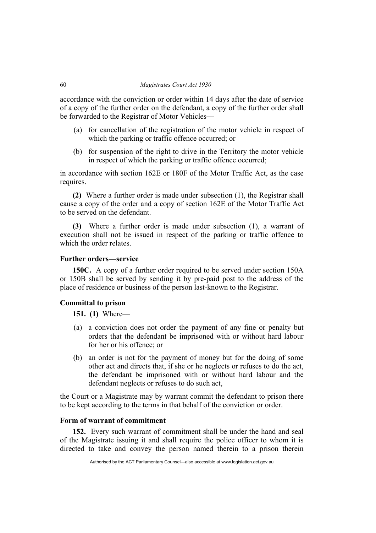accordance with the conviction or order within 14 days after the date of service of a copy of the further order on the defendant, a copy of the further order shall be forwarded to the Registrar of Motor Vehicles—

- (a) for cancellation of the registration of the motor vehicle in respect of which the parking or traffic offence occurred; or
- (b) for suspension of the right to drive in the Territory the motor vehicle in respect of which the parking or traffic offence occurred;

in accordance with section 162E or 180F of the Motor Traffic Act, as the case requires.

**(2)** Where a further order is made under subsection (1), the Registrar shall cause a copy of the order and a copy of section 162E of the Motor Traffic Act to be served on the defendant.

**(3)** Where a further order is made under subsection (1), a warrant of execution shall not be issued in respect of the parking or traffic offence to which the order relates.

# **Further orders—service**

**150C.** A copy of a further order required to be served under section 150A or 150B shall be served by sending it by pre-paid post to the address of the place of residence or business of the person last-known to the Registrar.

# **Committal to prison**

**151. (1)** Where—

- (a) a conviction does not order the payment of any fine or penalty but orders that the defendant be imprisoned with or without hard labour for her or his offence; or
- (b) an order is not for the payment of money but for the doing of some other act and directs that, if she or he neglects or refuses to do the act, the defendant be imprisoned with or without hard labour and the defendant neglects or refuses to do such act,

the Court or a Magistrate may by warrant commit the defendant to prison there to be kept according to the terms in that behalf of the conviction or order.

# **Form of warrant of commitment**

**152.** Every such warrant of commitment shall be under the hand and seal of the Magistrate issuing it and shall require the police officer to whom it is directed to take and convey the person named therein to a prison therein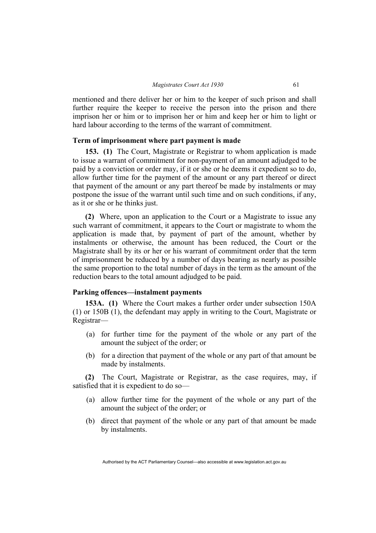mentioned and there deliver her or him to the keeper of such prison and shall further require the keeper to receive the person into the prison and there imprison her or him or to imprison her or him and keep her or him to light or hard labour according to the terms of the warrant of commitment.

## **Term of imprisonment where part payment is made**

**153. (1)** The Court, Magistrate or Registrar to whom application is made to issue a warrant of commitment for non-payment of an amount adjudged to be paid by a conviction or order may, if it or she or he deems it expedient so to do, allow further time for the payment of the amount or any part thereof or direct that payment of the amount or any part thereof be made by instalments or may postpone the issue of the warrant until such time and on such conditions, if any, as it or she or he thinks just.

**(2)** Where, upon an application to the Court or a Magistrate to issue any such warrant of commitment, it appears to the Court or magistrate to whom the application is made that, by payment of part of the amount, whether by instalments or otherwise, the amount has been reduced, the Court or the Magistrate shall by its or her or his warrant of commitment order that the term of imprisonment be reduced by a number of days bearing as nearly as possible the same proportion to the total number of days in the term as the amount of the reduction bears to the total amount adjudged to be paid.

### **Parking offences—instalment payments**

**153A. (1)** Where the Court makes a further order under subsection 150A (1) or 150B (1), the defendant may apply in writing to the Court, Magistrate or Registrar—

- (a) for further time for the payment of the whole or any part of the amount the subject of the order; or
- (b) for a direction that payment of the whole or any part of that amount be made by instalments.

**(2)** The Court, Magistrate or Registrar, as the case requires, may, if satisfied that it is expedient to do so—

- (a) allow further time for the payment of the whole or any part of the amount the subject of the order; or
- (b) direct that payment of the whole or any part of that amount be made by instalments.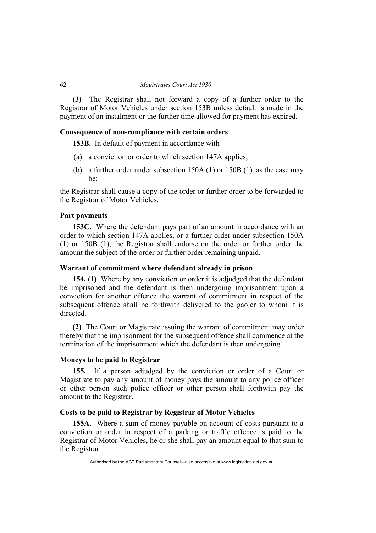**(3)** The Registrar shall not forward a copy of a further order to the Registrar of Motor Vehicles under section 153B unless default is made in the payment of an instalment or the further time allowed for payment has expired.

## **Consequence of non-compliance with certain orders**

**153B.** In default of payment in accordance with—

- (a) a conviction or order to which section 147A applies;
- (b) a further order under subsection 150A (1) or 150B (1), as the case may be;

the Registrar shall cause a copy of the order or further order to be forwarded to the Registrar of Motor Vehicles.

## **Part payments**

**153C.** Where the defendant pays part of an amount in accordance with an order to which section 147A applies, or a further order under subsection 150A (1) or 150B (1), the Registrar shall endorse on the order or further order the amount the subject of the order or further order remaining unpaid.

# **Warrant of commitment where defendant already in prison**

**154. (1)** Where by any conviction or order it is adjudged that the defendant be imprisoned and the defendant is then undergoing imprisonment upon a conviction for another offence the warrant of commitment in respect of the subsequent offence shall be forthwith delivered to the gaoler to whom it is directed.

**(2)** The Court or Magistrate issuing the warrant of commitment may order thereby that the imprisonment for the subsequent offence shall commence at the termination of the imprisonment which the defendant is then undergoing.

## **Moneys to be paid to Registrar**

**155.** If a person adjudged by the conviction or order of a Court or Magistrate to pay any amount of money pays the amount to any police officer or other person such police officer or other person shall forthwith pay the amount to the Registrar.

# **Costs to be paid to Registrar by Registrar of Motor Vehicles**

**155A.** Where a sum of money payable on account of costs pursuant to a conviction or order in respect of a parking or traffic offence is paid to the Registrar of Motor Vehicles, he or she shall pay an amount equal to that sum to the Registrar.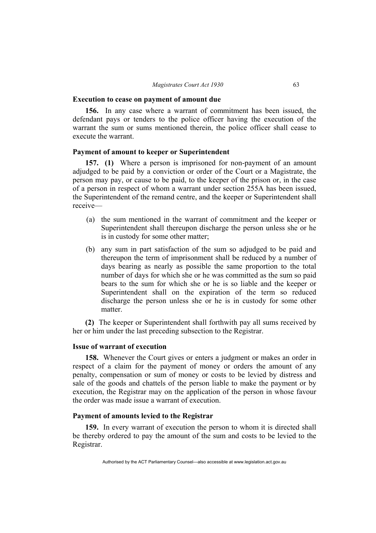#### **Execution to cease on payment of amount due**

**156.** In any case where a warrant of commitment has been issued, the defendant pays or tenders to the police officer having the execution of the warrant the sum or sums mentioned therein, the police officer shall cease to execute the warrant.

## **Payment of amount to keeper or Superintendent**

**157. (1)** Where a person is imprisoned for non-payment of an amount adjudged to be paid by a conviction or order of the Court or a Magistrate, the person may pay, or cause to be paid, to the keeper of the prison or, in the case of a person in respect of whom a warrant under section 255A has been issued, the Superintendent of the remand centre, and the keeper or Superintendent shall receive—

- (a) the sum mentioned in the warrant of commitment and the keeper or Superintendent shall thereupon discharge the person unless she or he is in custody for some other matter;
- (b) any sum in part satisfaction of the sum so adjudged to be paid and thereupon the term of imprisonment shall be reduced by a number of days bearing as nearly as possible the same proportion to the total number of days for which she or he was committed as the sum so paid bears to the sum for which she or he is so liable and the keeper or Superintendent shall on the expiration of the term so reduced discharge the person unless she or he is in custody for some other matter.

**(2)** The keeper or Superintendent shall forthwith pay all sums received by her or him under the last preceding subsection to the Registrar.

# **Issue of warrant of execution**

**158.** Whenever the Court gives or enters a judgment or makes an order in respect of a claim for the payment of money or orders the amount of any penalty, compensation or sum of money or costs to be levied by distress and sale of the goods and chattels of the person liable to make the payment or by execution, the Registrar may on the application of the person in whose favour the order was made issue a warrant of execution.

## **Payment of amounts levied to the Registrar**

**159.** In every warrant of execution the person to whom it is directed shall be thereby ordered to pay the amount of the sum and costs to be levied to the Registrar.

Authorised by the ACT Parliamentary Counsel—also accessible at www.legislation.act.gov.au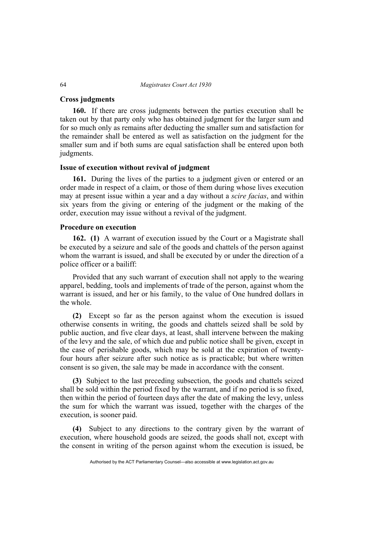## **Cross judgments**

**160.** If there are cross judgments between the parties execution shall be taken out by that party only who has obtained judgment for the larger sum and for so much only as remains after deducting the smaller sum and satisfaction for the remainder shall be entered as well as satisfaction on the judgment for the smaller sum and if both sums are equal satisfaction shall be entered upon both judgments.

# **Issue of execution without revival of judgment**

**161.** During the lives of the parties to a judgment given or entered or an order made in respect of a claim, or those of them during whose lives execution may at present issue within a year and a day without a *scire facias*, and within six years from the giving or entering of the judgment or the making of the order, execution may issue without a revival of the judgment.

## **Procedure on execution**

**162. (1)** A warrant of execution issued by the Court or a Magistrate shall be executed by a seizure and sale of the goods and chattels of the person against whom the warrant is issued, and shall be executed by or under the direction of a police officer or a bailiff:

Provided that any such warrant of execution shall not apply to the wearing apparel, bedding, tools and implements of trade of the person, against whom the warrant is issued, and her or his family, to the value of One hundred dollars in the whole.

**(2)** Except so far as the person against whom the execution is issued otherwise consents in writing, the goods and chattels seized shall be sold by public auction, and five clear days, at least, shall intervene between the making of the levy and the sale, of which due and public notice shall be given, except in the case of perishable goods, which may be sold at the expiration of twentyfour hours after seizure after such notice as is practicable; but where written consent is so given, the sale may be made in accordance with the consent.

**(3)** Subject to the last preceding subsection, the goods and chattels seized shall be sold within the period fixed by the warrant, and if no period is so fixed, then within the period of fourteen days after the date of making the levy, unless the sum for which the warrant was issued, together with the charges of the execution, is sooner paid.

**(4)** Subject to any directions to the contrary given by the warrant of execution, where household goods are seized, the goods shall not, except with the consent in writing of the person against whom the execution is issued, be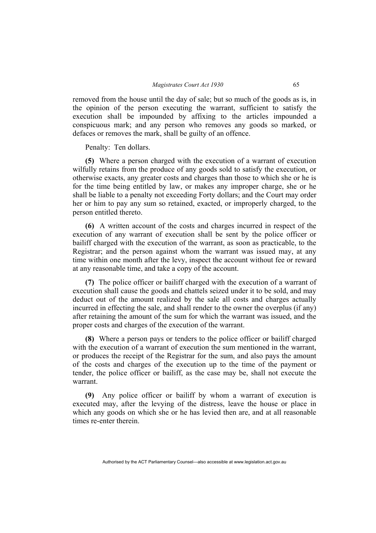removed from the house until the day of sale; but so much of the goods as is, in the opinion of the person executing the warrant, sufficient to satisfy the execution shall be impounded by affixing to the articles impounded a conspicuous mark; and any person who removes any goods so marked, or defaces or removes the mark, shall be guilty of an offence.

Penalty: Ten dollars.

**(5)** Where a person charged with the execution of a warrant of execution wilfully retains from the produce of any goods sold to satisfy the execution, or otherwise exacts, any greater costs and charges than those to which she or he is for the time being entitled by law, or makes any improper charge, she or he shall be liable to a penalty not exceeding Forty dollars; and the Court may order her or him to pay any sum so retained, exacted, or improperly charged, to the person entitled thereto.

**(6)** A written account of the costs and charges incurred in respect of the execution of any warrant of execution shall be sent by the police officer or bailiff charged with the execution of the warrant, as soon as practicable, to the Registrar; and the person against whom the warrant was issued may, at any time within one month after the levy, inspect the account without fee or reward at any reasonable time, and take a copy of the account.

**(7)** The police officer or bailiff charged with the execution of a warrant of execution shall cause the goods and chattels seized under it to be sold, and may deduct out of the amount realized by the sale all costs and charges actually incurred in effecting the sale, and shall render to the owner the overplus (if any) after retaining the amount of the sum for which the warrant was issued, and the proper costs and charges of the execution of the warrant.

**(8)** Where a person pays or tenders to the police officer or bailiff charged with the execution of a warrant of execution the sum mentioned in the warrant, or produces the receipt of the Registrar for the sum, and also pays the amount of the costs and charges of the execution up to the time of the payment or tender, the police officer or bailiff, as the case may be, shall not execute the warrant.

**(9)** Any police officer or bailiff by whom a warrant of execution is executed may, after the levying of the distress, leave the house or place in which any goods on which she or he has levied then are, and at all reasonable times re-enter therein.

Authorised by the ACT Parliamentary Counsel—also accessible at www.legislation.act.gov.au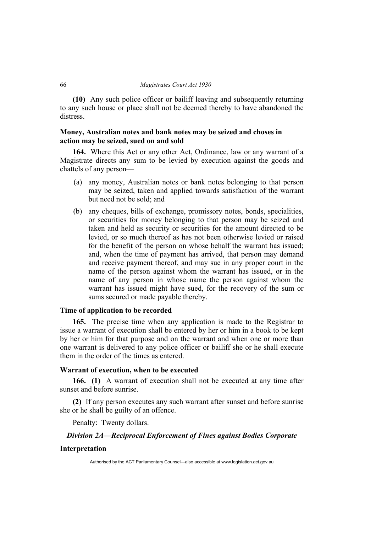**(10)** Any such police officer or bailiff leaving and subsequently returning to any such house or place shall not be deemed thereby to have abandoned the distress.

# **Money, Australian notes and bank notes may be seized and choses in action may be seized, sued on and sold**

**164.** Where this Act or any other Act, Ordinance, law or any warrant of a Magistrate directs any sum to be levied by execution against the goods and chattels of any person—

- (a) any money, Australian notes or bank notes belonging to that person may be seized, taken and applied towards satisfaction of the warrant but need not be sold; and
- (b) any cheques, bills of exchange, promissory notes, bonds, specialities, or securities for money belonging to that person may be seized and taken and held as security or securities for the amount directed to be levied, or so much thereof as has not been otherwise levied or raised for the benefit of the person on whose behalf the warrant has issued; and, when the time of payment has arrived, that person may demand and receive payment thereof, and may sue in any proper court in the name of the person against whom the warrant has issued, or in the name of any person in whose name the person against whom the warrant has issued might have sued, for the recovery of the sum or sums secured or made payable thereby.

# **Time of application to be recorded**

**165.** The precise time when any application is made to the Registrar to issue a warrant of execution shall be entered by her or him in a book to be kept by her or him for that purpose and on the warrant and when one or more than one warrant is delivered to any police officer or bailiff she or he shall execute them in the order of the times as entered.

# **Warrant of execution, when to be executed**

**166. (1)** A warrant of execution shall not be executed at any time after sunset and before sunrise.

**(2)** If any person executes any such warrant after sunset and before sunrise she or he shall be guilty of an offence.

Penalty: Twenty dollars.

## *Division 2A—Reciprocal Enforcement of Fines against Bodies Corporate*

#### **Interpretation**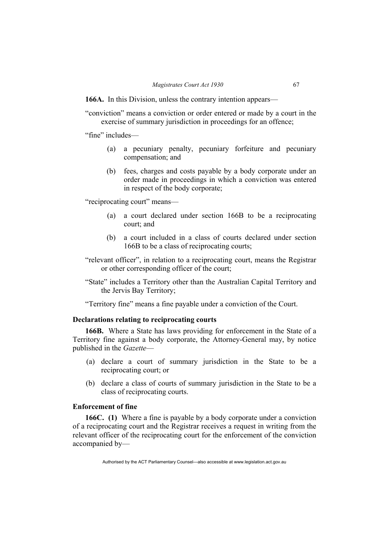**166A.** In this Division, unless the contrary intention appears—

"conviction" means a conviction or order entered or made by a court in the exercise of summary jurisdiction in proceedings for an offence;

"fine" includes—

- (a) a pecuniary penalty, pecuniary forfeiture and pecuniary compensation; and
- (b) fees, charges and costs payable by a body corporate under an order made in proceedings in which a conviction was entered in respect of the body corporate;

"reciprocating court" means—

- (a) a court declared under section 166B to be a reciprocating court; and
- (b) a court included in a class of courts declared under section 166B to be a class of reciprocating courts;
- "relevant officer", in relation to a reciprocating court, means the Registrar or other corresponding officer of the court;
- "State" includes a Territory other than the Australian Capital Territory and the Jervis Bay Territory;

"Territory fine" means a fine payable under a conviction of the Court.

## **Declarations relating to reciprocating courts**

**166B.** Where a State has laws providing for enforcement in the State of a Territory fine against a body corporate, the Attorney-General may, by notice published in the *Gazette*—

- (a) declare a court of summary jurisdiction in the State to be a reciprocating court; or
- (b) declare a class of courts of summary jurisdiction in the State to be a class of reciprocating courts.

# **Enforcement of fine**

**166C. (1)** Where a fine is payable by a body corporate under a conviction of a reciprocating court and the Registrar receives a request in writing from the relevant officer of the reciprocating court for the enforcement of the conviction accompanied by—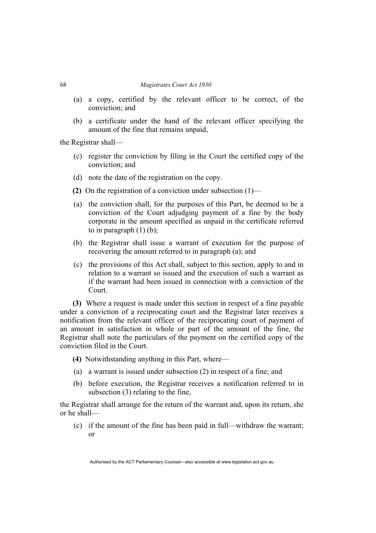- (a) a copy, certified by the relevant officer to be correct, of the conviction; and
- (b) a certificate under the hand of the relevant officer specifying the amount of the fine that remains unpaid,

the Registrar shall—

- (c) register the conviction by filing in the Court the certified copy of the conviction; and
- (d) note the date of the registration on the copy.
- **(2)** On the registration of a conviction under subsection (1)—
- (a) the conviction shall, for the purposes of this Part, be deemed to be a conviction of the Court adjudging payment of a fine by the body corporate in the amount specified as unpaid in the certificate referred to in paragraph  $(1)$  (b);
- (b) the Registrar shall issue a warrant of execution for the purpose of recovering the amount referred to in paragraph (a); and
- (c) the provisions of this Act shall, subject to this section, apply to and in relation to a warrant so issued and the execution of such a warrant as if the warrant had been issued in connection with a conviction of the Court.

**(3)** Where a request is made under this section in respect of a fine payable under a conviction of a reciprocating court and the Registrar later receives a notification from the relevant officer of the reciprocating court of payment of an amount in satisfaction in whole or part of the amount of the fine, the Registrar shall note the particulars of the payment on the certified copy of the conviction filed in the Court.

- **(4)** Notwithstanding anything in this Part, where—
- (a) a warrant is issued under subsection (2) in respect of a fine; and
- (b) before execution, the Registrar receives a notification referred to in subsection (3) relating to the fine,

the Registrar shall arrange for the return of the warrant and, upon its return, she or he shall—

 (c) if the amount of the fine has been paid in full—withdraw the warrant; or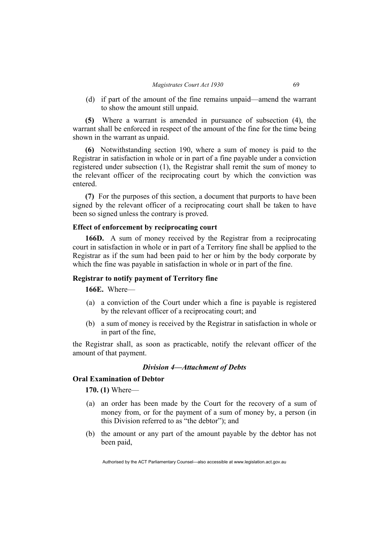(d) if part of the amount of the fine remains unpaid—amend the warrant to show the amount still unpaid.

**(5)** Where a warrant is amended in pursuance of subsection (4), the warrant shall be enforced in respect of the amount of the fine for the time being shown in the warrant as unpaid.

**(6)** Notwithstanding section 190, where a sum of money is paid to the Registrar in satisfaction in whole or in part of a fine payable under a conviction registered under subsection (1), the Registrar shall remit the sum of money to the relevant officer of the reciprocating court by which the conviction was entered.

**(7)** For the purposes of this section, a document that purports to have been signed by the relevant officer of a reciprocating court shall be taken to have been so signed unless the contrary is proved.

# **Effect of enforcement by reciprocating court**

**166D.** A sum of money received by the Registrar from a reciprocating court in satisfaction in whole or in part of a Territory fine shall be applied to the Registrar as if the sum had been paid to her or him by the body corporate by which the fine was payable in satisfaction in whole or in part of the fine.

### **Registrar to notify payment of Territory fine**

**166E.** Where—

- (a) a conviction of the Court under which a fine is payable is registered by the relevant officer of a reciprocating court; and
- (b) a sum of money is received by the Registrar in satisfaction in whole or in part of the fine,

the Registrar shall, as soon as practicable, notify the relevant officer of the amount of that payment.

## *Division 4—Attachment of Debts*

## **Oral Examination of Debtor**

**170. (1)** Where—

- (a) an order has been made by the Court for the recovery of a sum of money from, or for the payment of a sum of money by, a person (in this Division referred to as "the debtor"); and
- (b) the amount or any part of the amount payable by the debtor has not been paid,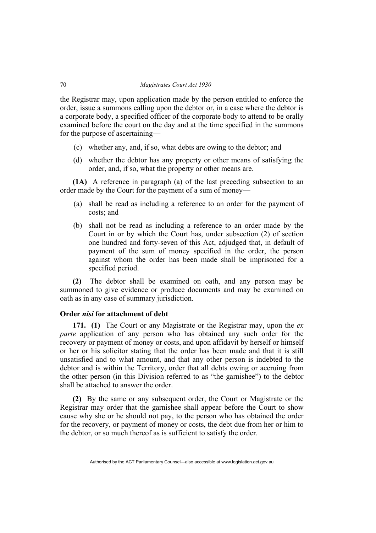the Registrar may, upon application made by the person entitled to enforce the order, issue a summons calling upon the debtor or, in a case where the debtor is a corporate body, a specified officer of the corporate body to attend to be orally examined before the court on the day and at the time specified in the summons for the purpose of ascertaining—

- (c) whether any, and, if so, what debts are owing to the debtor; and
- (d) whether the debtor has any property or other means of satisfying the order, and, if so, what the property or other means are.

**(1A)** A reference in paragraph (a) of the last preceding subsection to an order made by the Court for the payment of a sum of money—

- (a) shall be read as including a reference to an order for the payment of costs; and
- (b) shall not be read as including a reference to an order made by the Court in or by which the Court has, under subsection (2) of section one hundred and forty-seven of this Act, adjudged that, in default of payment of the sum of money specified in the order, the person against whom the order has been made shall be imprisoned for a specified period.

**(2)** The debtor shall be examined on oath, and any person may be summoned to give evidence or produce documents and may be examined on oath as in any case of summary jurisdiction.

## **Order** *nisi* **for attachment of debt**

**171. (1)** The Court or any Magistrate or the Registrar may, upon the *ex parte* application of any person who has obtained any such order for the recovery or payment of money or costs, and upon affidavit by herself or himself or her or his solicitor stating that the order has been made and that it is still unsatisfied and to what amount, and that any other person is indebted to the debtor and is within the Territory, order that all debts owing or accruing from the other person (in this Division referred to as "the garnishee") to the debtor shall be attached to answer the order.

**(2)** By the same or any subsequent order, the Court or Magistrate or the Registrar may order that the garnishee shall appear before the Court to show cause why she or he should not pay, to the person who has obtained the order for the recovery, or payment of money or costs, the debt due from her or him to the debtor, or so much thereof as is sufficient to satisfy the order.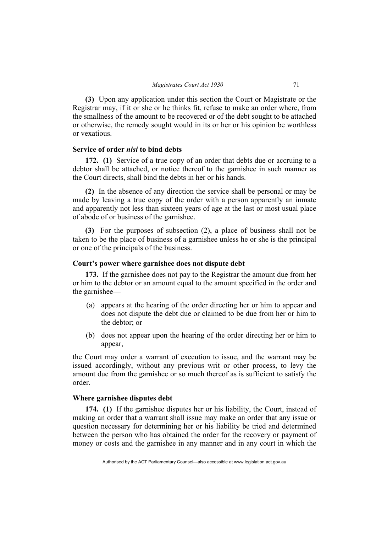**(3)** Upon any application under this section the Court or Magistrate or the Registrar may, if it or she or he thinks fit, refuse to make an order where, from the smallness of the amount to be recovered or of the debt sought to be attached or otherwise, the remedy sought would in its or her or his opinion be worthless or vexatious.

# **Service of order** *nisi* **to bind debts**

**172. (1)** Service of a true copy of an order that debts due or accruing to a debtor shall be attached, or notice thereof to the garnishee in such manner as the Court directs, shall bind the debts in her or his hands.

**(2)** In the absence of any direction the service shall be personal or may be made by leaving a true copy of the order with a person apparently an inmate and apparently not less than sixteen years of age at the last or most usual place of abode of or business of the garnishee.

**(3)** For the purposes of subsection (2), a place of business shall not be taken to be the place of business of a garnishee unless he or she is the principal or one of the principals of the business.

## **Court's power where garnishee does not dispute debt**

**173.** If the garnishee does not pay to the Registrar the amount due from her or him to the debtor or an amount equal to the amount specified in the order and the garnishee—

- (a) appears at the hearing of the order directing her or him to appear and does not dispute the debt due or claimed to be due from her or him to the debtor; or
- (b) does not appear upon the hearing of the order directing her or him to appear,

the Court may order a warrant of execution to issue, and the warrant may be issued accordingly, without any previous writ or other process, to levy the amount due from the garnishee or so much thereof as is sufficient to satisfy the order.

# **Where garnishee disputes debt**

**174. (1)** If the garnishee disputes her or his liability, the Court, instead of making an order that a warrant shall issue may make an order that any issue or question necessary for determining her or his liability be tried and determined between the person who has obtained the order for the recovery or payment of money or costs and the garnishee in any manner and in any court in which the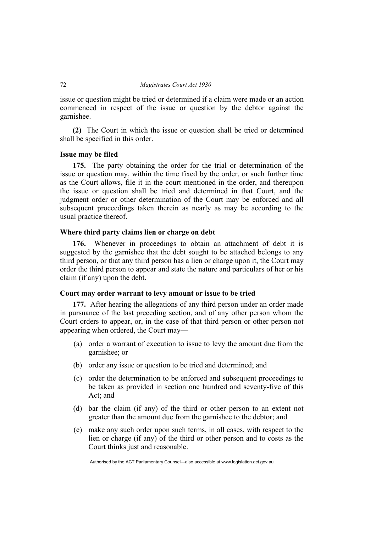issue or question might be tried or determined if a claim were made or an action commenced in respect of the issue or question by the debtor against the garnishee.

**(2)** The Court in which the issue or question shall be tried or determined shall be specified in this order.

## **Issue may be filed**

**175.** The party obtaining the order for the trial or determination of the issue or question may, within the time fixed by the order, or such further time as the Court allows, file it in the court mentioned in the order, and thereupon the issue or question shall be tried and determined in that Court, and the judgment order or other determination of the Court may be enforced and all subsequent proceedings taken therein as nearly as may be according to the usual practice thereof.

## **Where third party claims lien or charge on debt**

**176.** Whenever in proceedings to obtain an attachment of debt it is suggested by the garnishee that the debt sought to be attached belongs to any third person, or that any third person has a lien or charge upon it, the Court may order the third person to appear and state the nature and particulars of her or his claim (if any) upon the debt.

## **Court may order warrant to levy amount or issue to be tried**

**177.** After hearing the allegations of any third person under an order made in pursuance of the last preceding section, and of any other person whom the Court orders to appear, or, in the case of that third person or other person not appearing when ordered, the Court may—

- (a) order a warrant of execution to issue to levy the amount due from the garnishee; or
- (b) order any issue or question to be tried and determined; and
- (c) order the determination to be enforced and subsequent proceedings to be taken as provided in section one hundred and seventy-five of this Act; and
- (d) bar the claim (if any) of the third or other person to an extent not greater than the amount due from the garnishee to the debtor; and
- (e) make any such order upon such terms, in all cases, with respect to the lien or charge (if any) of the third or other person and to costs as the Court thinks just and reasonable.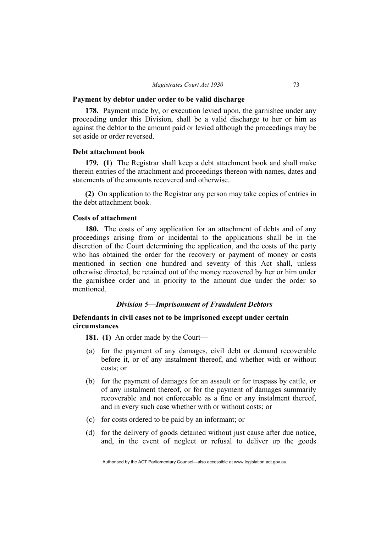#### **Payment by debtor under order to be valid discharge**

**178.** Payment made by, or execution levied upon, the garnishee under any proceeding under this Division, shall be a valid discharge to her or him as against the debtor to the amount paid or levied although the proceedings may be set aside or order reversed.

## **Debt attachment book**

**179. (1)** The Registrar shall keep a debt attachment book and shall make therein entries of the attachment and proceedings thereon with names, dates and statements of the amounts recovered and otherwise.

**(2)** On application to the Registrar any person may take copies of entries in the debt attachment book.

## **Costs of attachment**

**180.** The costs of any application for an attachment of debts and of any proceedings arising from or incidental to the applications shall be in the discretion of the Court determining the application, and the costs of the party who has obtained the order for the recovery or payment of money or costs mentioned in section one hundred and seventy of this Act shall, unless otherwise directed, be retained out of the money recovered by her or him under the garnishee order and in priority to the amount due under the order so mentioned.

# *Division 5—Imprisonment of Fraudulent Debtors*

# **Defendants in civil cases not to be imprisoned except under certain circumstances**

**181. (1)** An order made by the Court—

- (a) for the payment of any damages, civil debt or demand recoverable before it, or of any instalment thereof, and whether with or without costs; or
- (b) for the payment of damages for an assault or for trespass by cattle, or of any instalment thereof, or for the payment of damages summarily recoverable and not enforceable as a fine or any instalment thereof, and in every such case whether with or without costs; or
- (c) for costs ordered to be paid by an informant; or
- (d) for the delivery of goods detained without just cause after due notice, and, in the event of neglect or refusal to deliver up the goods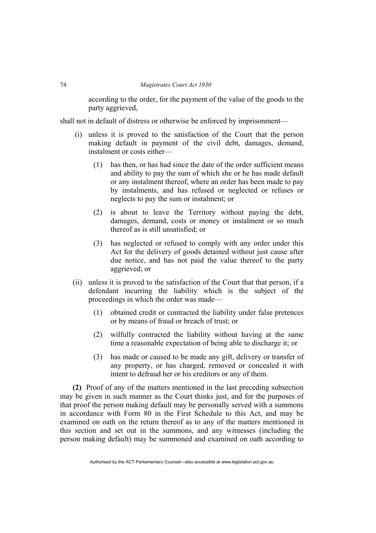according to the order, for the payment of the value of the goods to the party aggrieved,

shall not in default of distress or otherwise be enforced by imprisonment—

- (i) unless it is proved to the satisfaction of the Court that the person making default in payment of the civil debt, damages, demand, instalment or costs either—
	- (1) has then, or has had since the date of the order sufficient means and ability to pay the sum of which she or he has made default or any instalment thereof, where an order has been made to pay by instalments, and has refused or neglected or refuses or neglects to pay the sum or instalment; or
	- (2) is about to leave the Territory without paying the debt, damages, demand, costs or money or instalment or so much thereof as is still unsatisfied; or
	- (3) has neglected or refused to comply with any order under this Act for the delivery of goods detained without just cause after due notice, and has not paid the value thereof to the party aggrieved; or
- (ii) unless it is proved to the satisfaction of the Court that that person, if a defendant incurring the liability which is the subject of the proceedings in which the order was made—
	- (1) obtained credit or contracted the liability under false pretences or by means of fraud or breach of trust; or
	- (2) wilfully contracted the liability without having at the same time a reasonable expectation of being able to discharge it; or
	- (3) has made or caused to be made any gift, delivery or transfer of any property, or has charged, removed or concealed it with intent to defraud her or his creditors or any of them.

**(2)** Proof of any of the matters mentioned in the last preceding subsection may be given in such manner as the Court thinks just, and for the purposes of that proof the person making default may be personally served with a summons in accordance with Form 80 in the First Schedule to this Act, and may be examined on oath on the return thereof as to any of the matters mentioned in this section and set out in the summons, and any witnesses (including the person making default) may be summoned and examined on oath according to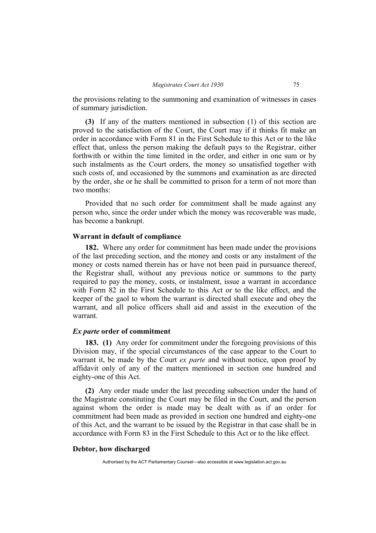the provisions relating to the summoning and examination of witnesses in cases of summary jurisdiction.

**(3)** If any of the matters mentioned in subsection (1) of this section are proved to the satisfaction of the Court, the Court may if it thinks fit make an order in accordance with Form 81 in the First Schedule to this Act or to the like effect that, unless the person making the default pays to the Registrar, either forthwith or within the time limited in the order, and either in one sum or by such instalments as the Court orders, the money so unsatisfied together with such costs of, and occasioned by the summons and examination as are directed by the order, she or he shall be committed to prison for a term of not more than two months:

Provided that no such order for commitment shall be made against any person who, since the order under which the money was recoverable was made, has become a bankrupt.

#### **Warrant in default of compliance**

**182.** Where any order for commitment has been made under the provisions of the last preceding section, and the money and costs or any instalment of the money or costs named therein has or have not been paid in pursuance thereof, the Registrar shall, without any previous notice or summons to the party required to pay the money, costs, or instalment, issue a warrant in accordance with Form 82 in the First Schedule to this Act or to the like effect, and the keeper of the gaol to whom the warrant is directed shall execute and obey the warrant, and all police officers shall aid and assist in the execution of the warrant.

# *Ex parte* **order of commitment**

**183. (1)** Any order for commitment under the foregoing provisions of this Division may, if the special circumstances of the case appear to the Court to warrant it, be made by the Court *ex parte* and without notice, upon proof by affidavit only of any of the matters mentioned in section one hundred and eighty-one of this Act.

**(2)** Any order made under the last preceding subsection under the hand of the Magistrate constituting the Court may be filed in the Court, and the person against whom the order is made may be dealt with as if an order for commitment had been made as provided in section one hundred and eighty-one of this Act, and the warrant to be issued by the Registrar in that case shall be in accordance with Form 83 in the First Schedule to this Act or to the like effect.

## **Debtor, how discharged**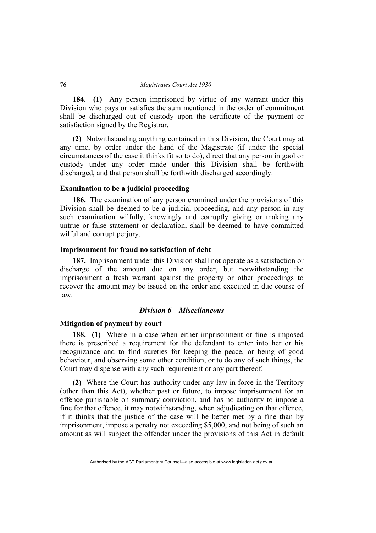**184. (1)** Any person imprisoned by virtue of any warrant under this Division who pays or satisfies the sum mentioned in the order of commitment shall be discharged out of custody upon the certificate of the payment or satisfaction signed by the Registrar.

**(2)** Notwithstanding anything contained in this Division, the Court may at any time, by order under the hand of the Magistrate (if under the special circumstances of the case it thinks fit so to do), direct that any person in gaol or custody under any order made under this Division shall be forthwith discharged, and that person shall be forthwith discharged accordingly.

### **Examination to be a judicial proceeding**

**186.** The examination of any person examined under the provisions of this Division shall be deemed to be a judicial proceeding, and any person in any such examination wilfully, knowingly and corruptly giving or making any untrue or false statement or declaration, shall be deemed to have committed wilful and corrupt perjury.

## **Imprisonment for fraud no satisfaction of debt**

**187.** Imprisonment under this Division shall not operate as a satisfaction or discharge of the amount due on any order, but notwithstanding the imprisonment a fresh warrant against the property or other proceedings to recover the amount may be issued on the order and executed in due course of law.

# *Division 6—Miscellaneous*

## **Mitigation of payment by court**

**188. (1)** Where in a case when either imprisonment or fine is imposed there is prescribed a requirement for the defendant to enter into her or his recognizance and to find sureties for keeping the peace, or being of good behaviour, and observing some other condition, or to do any of such things, the Court may dispense with any such requirement or any part thereof.

**(2)** Where the Court has authority under any law in force in the Territory (other than this Act), whether past or future, to impose imprisonment for an offence punishable on summary conviction, and has no authority to impose a fine for that offence, it may notwithstanding, when adjudicating on that offence, if it thinks that the justice of the case will be better met by a fine than by imprisonment, impose a penalty not exceeding \$5,000, and not being of such an amount as will subject the offender under the provisions of this Act in default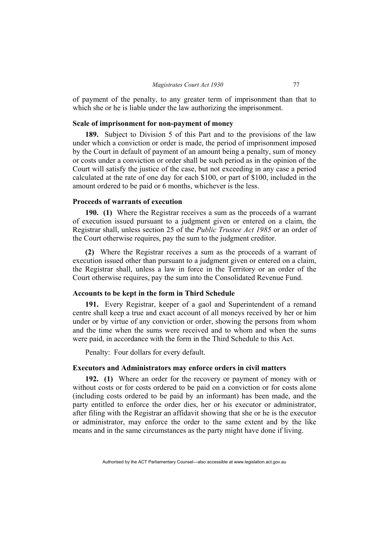of payment of the penalty, to any greater term of imprisonment than that to which she or he is liable under the law authorizing the imprisonment.

## **Scale of imprisonment for non-payment of money**

**189.** Subject to Division 5 of this Part and to the provisions of the law under which a conviction or order is made, the period of imprisonment imposed by the Court in default of payment of an amount being a penalty, sum of money or costs under a conviction or order shall be such period as in the opinion of the Court will satisfy the justice of the case, but not exceeding in any case a period calculated at the rate of one day for each \$100, or part of \$100, included in the amount ordered to be paid or 6 months, whichever is the less.

## **Proceeds of warrants of execution**

**190. (1)** Where the Registrar receives a sum as the proceeds of a warrant of execution issued pursuant to a judgment given or entered on a claim, the Registrar shall, unless section 25 of the *Public Trustee Act 1985* or an order of the Court otherwise requires, pay the sum to the judgment creditor.

**(2)** Where the Registrar receives a sum as the proceeds of a warrant of execution issued other than pursuant to a judgment given or entered on a claim, the Registrar shall, unless a law in force in the Territory or an order of the Court otherwise requires, pay the sum into the Consolidated Revenue Fund.

## **Accounts to be kept in the form in Third Schedule**

**191.** Every Registrar, keeper of a gaol and Superintendent of a remand centre shall keep a true and exact account of all moneys received by her or him under or by virtue of any conviction or order, showing the persons from whom and the time when the sums were received and to whom and when the sums were paid, in accordance with the form in the Third Schedule to this Act.

Penalty: Four dollars for every default.

# **Executors and Administrators may enforce orders in civil matters**

**192. (1)** Where an order for the recovery or payment of money with or without costs or for costs ordered to be paid on a conviction or for costs alone (including costs ordered to be paid by an informant) has been made, and the party entitled to enforce the order dies, her or his executor or administrator, after filing with the Registrar an affidavit showing that she or he is the executor or administrator, may enforce the order to the same extent and by the like means and in the same circumstances as the party might have done if living.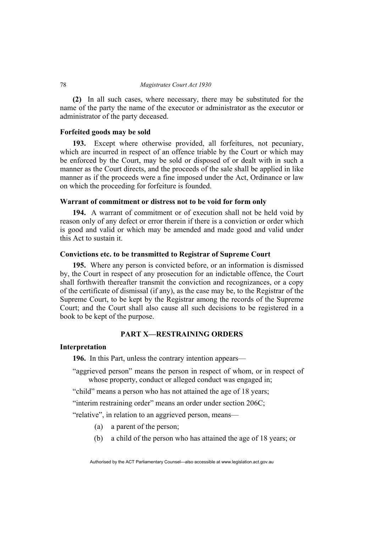**(2)** In all such cases, where necessary, there may be substituted for the name of the party the name of the executor or administrator as the executor or administrator of the party deceased.

## **Forfeited goods may be sold**

**193.** Except where otherwise provided, all forfeitures, not pecuniary, which are incurred in respect of an offence triable by the Court or which may be enforced by the Court, may be sold or disposed of or dealt with in such a manner as the Court directs, and the proceeds of the sale shall be applied in like manner as if the proceeds were a fine imposed under the Act, Ordinance or law on which the proceeding for forfeiture is founded.

## **Warrant of commitment or distress not to be void for form only**

**194.** A warrant of commitment or of execution shall not be held void by reason only of any defect or error therein if there is a conviction or order which is good and valid or which may be amended and made good and valid under this Act to sustain it.

# **Convictions etc. to be transmitted to Registrar of Supreme Court**

**195.** Where any person is convicted before, or an information is dismissed by, the Court in respect of any prosecution for an indictable offence, the Court shall forthwith thereafter transmit the conviction and recognizances, or a copy of the certificate of dismissal (if any), as the case may be, to the Registrar of the Supreme Court, to be kept by the Registrar among the records of the Supreme Court; and the Court shall also cause all such decisions to be registered in a book to be kept of the purpose.

# **PART X—RESTRAINING ORDERS**

# **Interpretation**

**196.** In this Part, unless the contrary intention appears—

"aggrieved person" means the person in respect of whom, or in respect of whose property, conduct or alleged conduct was engaged in:

"child" means a person who has not attained the age of 18 years;

"interim restraining order" means an order under section 206C;

"relative", in relation to an aggrieved person, means—

- (a) a parent of the person;
- (b) a child of the person who has attained the age of 18 years; or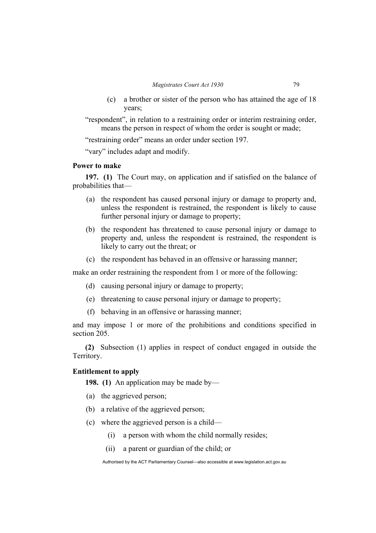- (c) a brother or sister of the person who has attained the age of 18 years;
- "respondent", in relation to a restraining order or interim restraining order, means the person in respect of whom the order is sought or made;

"restraining order" means an order under section 197.

"vary" includes adapt and modify.

# **Power to make**

**197. (1)** The Court may, on application and if satisfied on the balance of probabilities that—

- (a) the respondent has caused personal injury or damage to property and, unless the respondent is restrained, the respondent is likely to cause further personal injury or damage to property;
- (b) the respondent has threatened to cause personal injury or damage to property and, unless the respondent is restrained, the respondent is likely to carry out the threat; or
- (c) the respondent has behaved in an offensive or harassing manner;

make an order restraining the respondent from 1 or more of the following:

- (d) causing personal injury or damage to property;
- (e) threatening to cause personal injury or damage to property;
- (f) behaving in an offensive or harassing manner;

and may impose 1 or more of the prohibitions and conditions specified in section 205.

**(2)** Subsection (1) applies in respect of conduct engaged in outside the Territory.

# **Entitlement to apply**

**198. (1)** An application may be made by—

- (a) the aggrieved person;
- (b) a relative of the aggrieved person;
- (c) where the aggrieved person is a child—
	- (i) a person with whom the child normally resides;
	- (ii) a parent or guardian of the child; or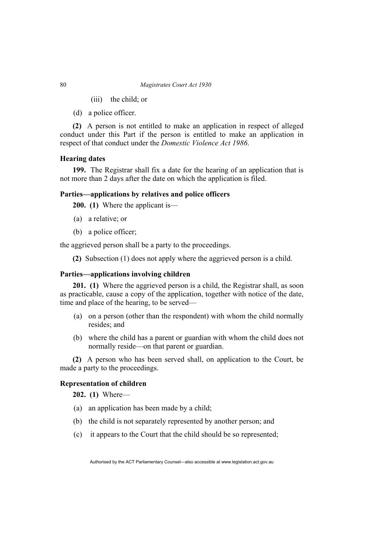- (iii) the child; or
- (d) a police officer.

**(2)** A person is not entitled to make an application in respect of alleged conduct under this Part if the person is entitled to make an application in respect of that conduct under the *Domestic Violence Act 1986*.

# **Hearing dates**

**199.** The Registrar shall fix a date for the hearing of an application that is not more than 2 days after the date on which the application is filed.

# **Parties—applications by relatives and police officers**

**200. (1)** Where the applicant is—

- (a) a relative; or
- (b) a police officer;

the aggrieved person shall be a party to the proceedings.

**(2)** Subsection (1) does not apply where the aggrieved person is a child.

# **Parties—applications involving children**

**201. (1)** Where the aggrieved person is a child, the Registrar shall, as soon as practicable, cause a copy of the application, together with notice of the date, time and place of the hearing, to be served—

- (a) on a person (other than the respondent) with whom the child normally resides; and
- (b) where the child has a parent or guardian with whom the child does not normally reside—on that parent or guardian.

**(2)** A person who has been served shall, on application to the Court, be made a party to the proceedings.

## **Representation of children**

**202. (1)** Where—

- (a) an application has been made by a child;
- (b) the child is not separately represented by another person; and
- (c) it appears to the Court that the child should be so represented;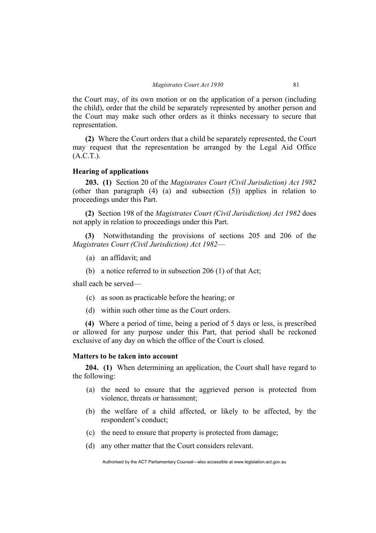the Court may, of its own motion or on the application of a person (including the child), order that the child be separately represented by another person and the Court may make such other orders as it thinks necessary to secure that representation.

**(2)** Where the Court orders that a child be separately represented, the Court may request that the representation be arranged by the Legal Aid Office  $(A.C.T.).$ 

# **Hearing of applications**

**203. (1)** Section 20 of the *Magistrates Court (Civil Jurisdiction) Act 1982* (other than paragraph (4) (a) and subsection (5)) applies in relation to proceedings under this Part.

**(2)** Section 198 of the *Magistrates Court (Civil Jurisdiction) Act 1982* does not apply in relation to proceedings under this Part.

**(3)** Notwithstanding the provisions of sections 205 and 206 of the *Magistrates Court (Civil Jurisdiction) Act 1982*—

- (a) an affidavit; and
- (b) a notice referred to in subsection 206 (1) of that Act;

shall each be served—

- (c) as soon as practicable before the hearing; or
- (d) within such other time as the Court orders.

**(4)** Where a period of time, being a period of 5 days or less, is prescribed or allowed for any purpose under this Part, that period shall be reckoned exclusive of any day on which the office of the Court is closed.

## **Matters to be taken into account**

**204. (1)** When determining an application, the Court shall have regard to the following:

- (a) the need to ensure that the aggrieved person is protected from violence, threats or harassment;
- (b) the welfare of a child affected, or likely to be affected, by the respondent's conduct;
- (c) the need to ensure that property is protected from damage;
- (d) any other matter that the Court considers relevant.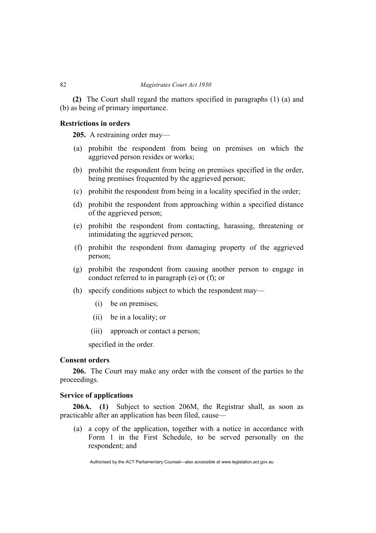**(2)** The Court shall regard the matters specified in paragraphs (1) (a) and (b) as being of primary importance.

# **Restrictions in orders**

**205.** A restraining order may—

- (a) prohibit the respondent from being on premises on which the aggrieved person resides or works;
- (b) prohibit the respondent from being on premises specified in the order, being premises frequented by the aggrieved person;
- (c) prohibit the respondent from being in a locality specified in the order;
- (d) prohibit the respondent from approaching within a specified distance of the aggrieved person;
- (e) prohibit the respondent from contacting, harassing, threatening or intimidating the aggrieved person;
- (f) prohibit the respondent from damaging property of the aggrieved person;
- (g) prohibit the respondent from causing another person to engage in conduct referred to in paragraph (e) or (f); or
- (h) specify conditions subject to which the respondent may—
	- (i) be on premises;
	- (ii) be in a locality; or
	- (iii) approach or contact a person;

specified in the order.

# **Consent orders**

**206.** The Court may make any order with the consent of the parties to the proceedings.

## **Service of applications**

**206A. (1)** Subject to section 206M, the Registrar shall, as soon as practicable after an application has been filed, cause—

 (a) a copy of the application, together with a notice in accordance with Form 1 in the First Schedule, to be served personally on the respondent; and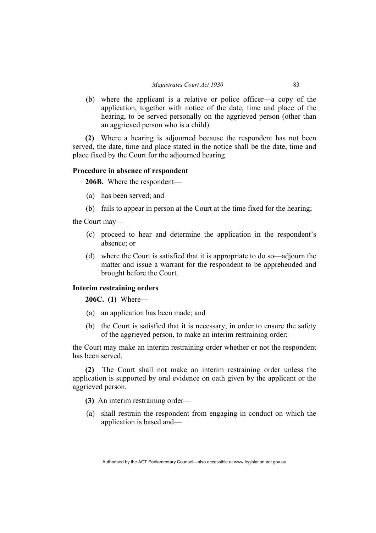(b) where the applicant is a relative or police officer—a copy of the application, together with notice of the date, time and place of the hearing, to be served personally on the aggrieved person (other than an aggrieved person who is a child).

**(2)** Where a hearing is adjourned because the respondent has not been served, the date, time and place stated in the notice shall be the date, time and place fixed by the Court for the adjourned hearing.

# **Procedure in absence of respondent**

**206B.** Where the respondent—

- (a) has been served; and
- (b) fails to appear in person at the Court at the time fixed for the hearing;

the Court may—

- (c) proceed to hear and determine the application in the respondent's absence; or
- (d) where the Court is satisfied that it is appropriate to do so—adjourn the matter and issue a warrant for the respondent to be apprehended and brought before the Court.

# **Interim restraining orders**

**206C. (1)** Where—

- (a) an application has been made; and
- (b) the Court is satisfied that it is necessary, in order to ensure the safety of the aggrieved person, to make an interim restraining order;

the Court may make an interim restraining order whether or not the respondent has been served.

**(2)** The Court shall not make an interim restraining order unless the application is supported by oral evidence on oath given by the applicant or the aggrieved person.

**(3)** An interim restraining order—

 (a) shall restrain the respondent from engaging in conduct on which the application is based and—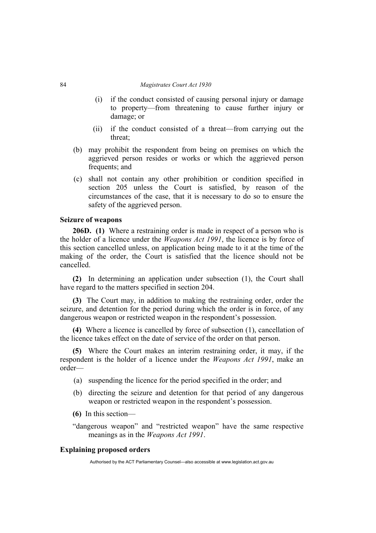- (i) if the conduct consisted of causing personal injury or damage to property—from threatening to cause further injury or damage; or
- (ii) if the conduct consisted of a threat—from carrying out the threat;
- (b) may prohibit the respondent from being on premises on which the aggrieved person resides or works or which the aggrieved person frequents; and
- (c) shall not contain any other prohibition or condition specified in section 205 unless the Court is satisfied, by reason of the circumstances of the case, that it is necessary to do so to ensure the safety of the aggrieved person.

# **Seizure of weapons**

**206D. (1)** Where a restraining order is made in respect of a person who is the holder of a licence under the *Weapons Act 1991*, the licence is by force of this section cancelled unless, on application being made to it at the time of the making of the order, the Court is satisfied that the licence should not be cancelled.

**(2)** In determining an application under subsection (1), the Court shall have regard to the matters specified in section 204.

**(3)** The Court may, in addition to making the restraining order, order the seizure, and detention for the period during which the order is in force, of any dangerous weapon or restricted weapon in the respondent's possession.

**(4)** Where a licence is cancelled by force of subsection (1), cancellation of the licence takes effect on the date of service of the order on that person.

**(5)** Where the Court makes an interim restraining order, it may, if the respondent is the holder of a licence under the *Weapons Act 1991*, make an order—

- (a) suspending the licence for the period specified in the order; and
- (b) directing the seizure and detention for that period of any dangerous weapon or restricted weapon in the respondent's possession.
- **(6)** In this section—

"dangerous weapon" and "restricted weapon" have the same respective meanings as in the *Weapons Act 1991*.

## **Explaining proposed orders**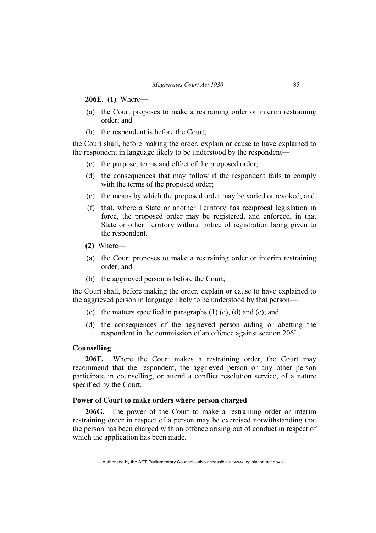**206E. (1)** Where—

- (a) the Court proposes to make a restraining order or interim restraining order; and
- (b) the respondent is before the Court;

the Court shall, before making the order, explain or cause to have explained to the respondent in language likely to be understood by the respondent—

- (c) the purpose, terms and effect of the proposed order;
- (d) the consequences that may follow if the respondent fails to comply with the terms of the proposed order;
- (e) the means by which the proposed order may be varied or revoked; and
- (f) that, where a State or another Territory has reciprocal legislation in force, the proposed order may be registered, and enforced, in that State or other Territory without notice of registration being given to the respondent.
- **(2)** Where—
- (a) the Court proposes to make a restraining order or interim restraining order; and
- (b) the aggrieved person is before the Court;

the Court shall, before making the order, explain or cause to have explained to the aggrieved person in language likely to be understood by that person—

- (c) the matters specified in paragraphs  $(1)$  (c),  $(d)$  and  $(e)$ ; and
- (d) the consequences of the aggrieved person aiding or abetting the respondent in the commission of an offence against section 206L.

# **Counselling**

**206F.** Where the Court makes a restraining order, the Court may recommend that the respondent, the aggrieved person or any other person participate in counselling, or attend a conflict resolution service, of a nature specified by the Court.

# **Power of Court to make orders where person charged**

**206G.** The power of the Court to make a restraining order or interim restraining order in respect of a person may be exercised notwithstanding that the person has been charged with an offence arising out of conduct in respect of which the application has been made.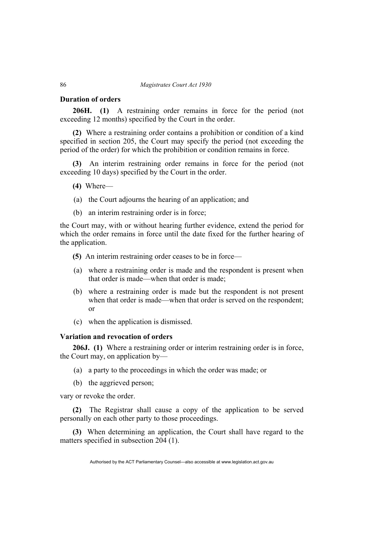## **Duration of orders**

**206H. (1)** A restraining order remains in force for the period (not exceeding 12 months) specified by the Court in the order.

**(2)** Where a restraining order contains a prohibition or condition of a kind specified in section 205, the Court may specify the period (not exceeding the period of the order) for which the prohibition or condition remains in force.

**(3)** An interim restraining order remains in force for the period (not exceeding 10 days) specified by the Court in the order.

- **(4)** Where—
- (a) the Court adjourns the hearing of an application; and
- (b) an interim restraining order is in force;

the Court may, with or without hearing further evidence, extend the period for which the order remains in force until the date fixed for the further hearing of the application.

- **(5)** An interim restraining order ceases to be in force—
- (a) where a restraining order is made and the respondent is present when that order is made—when that order is made;
- (b) where a restraining order is made but the respondent is not present when that order is made—when that order is served on the respondent; or
- (c) when the application is dismissed.

# **Variation and revocation of orders**

**206J. (1)** Where a restraining order or interim restraining order is in force, the Court may, on application by—

- (a) a party to the proceedings in which the order was made; or
- (b) the aggrieved person;

vary or revoke the order.

**(2)** The Registrar shall cause a copy of the application to be served personally on each other party to those proceedings.

**(3)** When determining an application, the Court shall have regard to the matters specified in subsection 204 (1).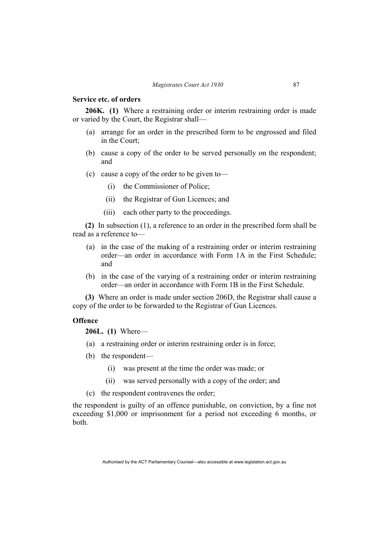## **Service etc. of orders**

**206K. (1)** Where a restraining order or interim restraining order is made or varied by the Court, the Registrar shall—

- (a) arrange for an order in the prescribed form to be engrossed and filed in the Court;
- (b) cause a copy of the order to be served personally on the respondent; and
- (c) cause a copy of the order to be given to—
	- (i) the Commissioner of Police;
	- (ii) the Registrar of Gun Licences; and
	- (iii) each other party to the proceedings.

**(2)** In subsection (1), a reference to an order in the prescribed form shall be read as a reference to—

- (a) in the case of the making of a restraining order or interim restraining order—an order in accordance with Form 1A in the First Schedule; and
- (b) in the case of the varying of a restraining order or interim restraining order—an order in accordance with Form 1B in the First Schedule.

**(3)** Where an order is made under section 206D, the Registrar shall cause a copy of the order to be forwarded to the Registrar of Gun Licences.

# **Offence**

**206L. (1)** Where—

- (a) a restraining order or interim restraining order is in force;
- (b) the respondent—
	- (i) was present at the time the order was made; or
	- (ii) was served personally with a copy of the order; and
- (c) the respondent contravenes the order;

the respondent is guilty of an offence punishable, on conviction, by a fine not exceeding \$1,000 or imprisonment for a period not exceeding 6 months, or both.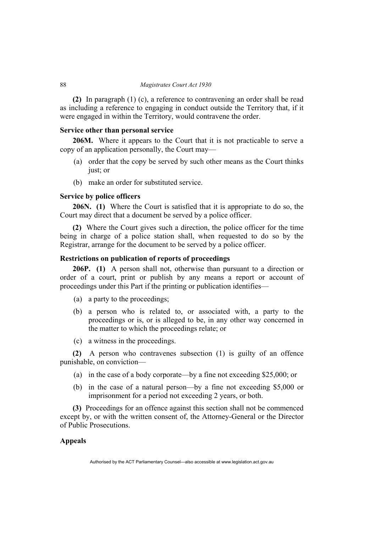**(2)** In paragraph (1) (c), a reference to contravening an order shall be read as including a reference to engaging in conduct outside the Territory that, if it were engaged in within the Territory, would contravene the order.

# **Service other than personal service**

**206M.** Where it appears to the Court that it is not practicable to serve a copy of an application personally, the Court may—

- (a) order that the copy be served by such other means as the Court thinks just; or
- (b) make an order for substituted service.

## **Service by police officers**

**206N. (1)** Where the Court is satisfied that it is appropriate to do so, the Court may direct that a document be served by a police officer.

**(2)** Where the Court gives such a direction, the police officer for the time being in charge of a police station shall, when requested to do so by the Registrar, arrange for the document to be served by a police officer.

# **Restrictions on publication of reports of proceedings**

**206P. (1)** A person shall not, otherwise than pursuant to a direction or order of a court, print or publish by any means a report or account of proceedings under this Part if the printing or publication identifies—

- (a) a party to the proceedings;
- (b) a person who is related to, or associated with, a party to the proceedings or is, or is alleged to be, in any other way concerned in the matter to which the proceedings relate; or
- (c) a witness in the proceedings.

**(2)** A person who contravenes subsection (1) is guilty of an offence punishable, on conviction—

- (a) in the case of a body corporate—by a fine not exceeding \$25,000; or
- (b) in the case of a natural person—by a fine not exceeding \$5,000 or imprisonment for a period not exceeding 2 years, or both.

**(3)** Proceedings for an offence against this section shall not be commenced except by, or with the written consent of, the Attorney-General or the Director of Public Prosecutions.

# **Appeals**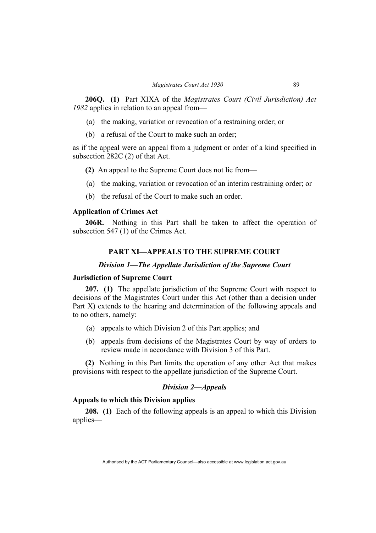**206Q. (1)** Part XIXA of the *Magistrates Court (Civil Jurisdiction) Act 1982* applies in relation to an appeal from—

- (a) the making, variation or revocation of a restraining order; or
- (b) a refusal of the Court to make such an order;

as if the appeal were an appeal from a judgment or order of a kind specified in subsection 282C (2) of that Act.

- **(2)** An appeal to the Supreme Court does not lie from—
- (a) the making, variation or revocation of an interim restraining order; or
- (b) the refusal of the Court to make such an order.

# **Application of Crimes Act**

**206R.** Nothing in this Part shall be taken to affect the operation of subsection 547 (1) of the Crimes Act.

# **PART XI—APPEALS TO THE SUPREME COURT**

#### *Division 1—The Appellate Jurisdiction of the Supreme Court*

# **Jurisdiction of Supreme Court**

**207. (1)** The appellate jurisdiction of the Supreme Court with respect to decisions of the Magistrates Court under this Act (other than a decision under Part X) extends to the hearing and determination of the following appeals and to no others, namely:

- (a) appeals to which Division 2 of this Part applies; and
- (b) appeals from decisions of the Magistrates Court by way of orders to review made in accordance with Division 3 of this Part.

**(2)** Nothing in this Part limits the operation of any other Act that makes provisions with respect to the appellate jurisdiction of the Supreme Court.

## *Division 2—Appeals*

# **Appeals to which this Division applies**

**208. (1)** Each of the following appeals is an appeal to which this Division applies—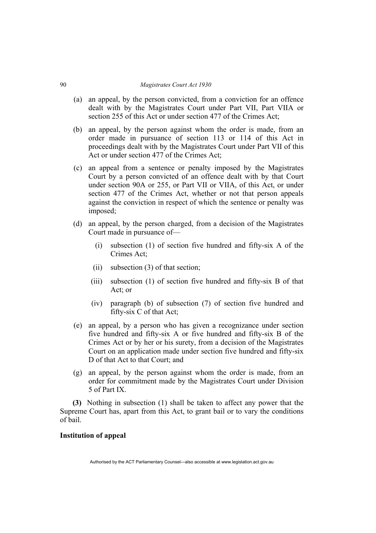- (a) an appeal, by the person convicted, from a conviction for an offence dealt with by the Magistrates Court under Part VII, Part VIIA or section 255 of this Act or under section 477 of the Crimes Act:
- (b) an appeal, by the person against whom the order is made, from an order made in pursuance of section 113 or 114 of this Act in proceedings dealt with by the Magistrates Court under Part VII of this Act or under section 477 of the Crimes Act;
- (c) an appeal from a sentence or penalty imposed by the Magistrates Court by a person convicted of an offence dealt with by that Court under section 90A or 255, or Part VII or VIIA, of this Act, or under section 477 of the Crimes Act, whether or not that person appeals against the conviction in respect of which the sentence or penalty was imposed;
- (d) an appeal, by the person charged, from a decision of the Magistrates Court made in pursuance of—
	- (i) subsection (1) of section five hundred and fifty-six A of the Crimes Act;
	- (ii) subsection (3) of that section;
	- (iii) subsection (1) of section five hundred and fifty-six B of that Act: or
	- (iv) paragraph (b) of subsection (7) of section five hundred and fifty-six C of that Act;
- (e) an appeal, by a person who has given a recognizance under section five hundred and fifty-six A or five hundred and fifty-six B of the Crimes Act or by her or his surety, from a decision of the Magistrates Court on an application made under section five hundred and fifty-six D of that Act to that Court; and
- (g) an appeal, by the person against whom the order is made, from an order for commitment made by the Magistrates Court under Division 5 of Part IX.

**(3)** Nothing in subsection (1) shall be taken to affect any power that the Supreme Court has, apart from this Act, to grant bail or to vary the conditions of bail.

# **Institution of appeal**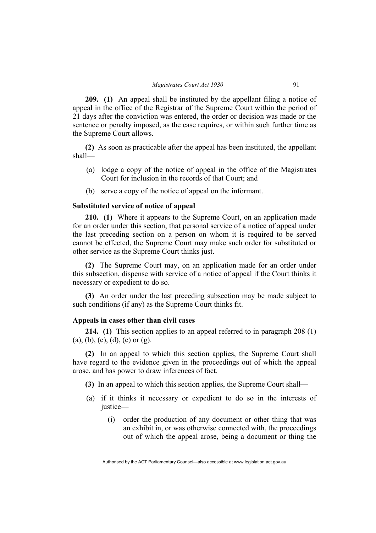**209. (1)** An appeal shall be instituted by the appellant filing a notice of appeal in the office of the Registrar of the Supreme Court within the period of 21 days after the conviction was entered, the order or decision was made or the sentence or penalty imposed, as the case requires, or within such further time as the Supreme Court allows.

**(2)** As soon as practicable after the appeal has been instituted, the appellant shall—

- (a) lodge a copy of the notice of appeal in the office of the Magistrates Court for inclusion in the records of that Court; and
- (b) serve a copy of the notice of appeal on the informant.

# **Substituted service of notice of appeal**

**210. (1)** Where it appears to the Supreme Court, on an application made for an order under this section, that personal service of a notice of appeal under the last preceding section on a person on whom it is required to be served cannot be effected, the Supreme Court may make such order for substituted or other service as the Supreme Court thinks just.

**(2)** The Supreme Court may, on an application made for an order under this subsection, dispense with service of a notice of appeal if the Court thinks it necessary or expedient to do so.

**(3)** An order under the last preceding subsection may be made subject to such conditions (if any) as the Supreme Court thinks fit.

# **Appeals in cases other than civil cases**

**214. (1)** This section applies to an appeal referred to in paragraph 208 (1) (a), (b), (c), (d), (e) or (g).

**(2)** In an appeal to which this section applies, the Supreme Court shall have regard to the evidence given in the proceedings out of which the appeal arose, and has power to draw inferences of fact.

**(3)** In an appeal to which this section applies, the Supreme Court shall—

- (a) if it thinks it necessary or expedient to do so in the interests of justice—
	- (i) order the production of any document or other thing that was an exhibit in, or was otherwise connected with, the proceedings out of which the appeal arose, being a document or thing the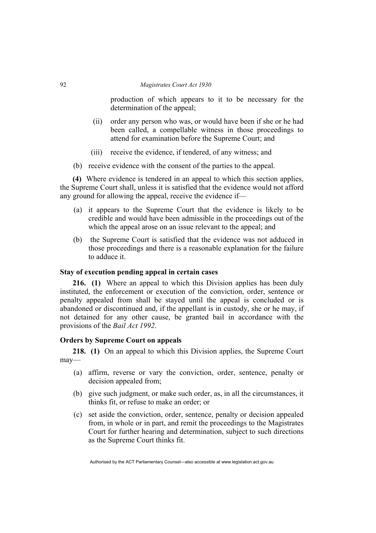production of which appears to it to be necessary for the determination of the appeal;

- (ii) order any person who was, or would have been if she or he had been called, a compellable witness in those proceedings to attend for examination before the Supreme Court; and
- (iii) receive the evidence, if tendered, of any witness; and
- (b) receive evidence with the consent of the parties to the appeal.

**(4)** Where evidence is tendered in an appeal to which this section applies, the Supreme Court shall, unless it is satisfied that the evidence would not afford any ground for allowing the appeal, receive the evidence if—

- (a) it appears to the Supreme Court that the evidence is likely to be credible and would have been admissible in the proceedings out of the which the appeal arose on an issue relevant to the appeal; and
- (b) the Supreme Court is satisfied that the evidence was not adduced in those proceedings and there is a reasonable explanation for the failure to adduce it.

## **Stay of execution pending appeal in certain cases**

**216. (1)** Where an appeal to which this Division applies has been duly instituted, the enforcement or execution of the conviction, order, sentence or penalty appealed from shall be stayed until the appeal is concluded or is abandoned or discontinued and, if the appellant is in custody, she or he may, if not detained for any other cause, be granted bail in accordance with the provisions of the *Bail Act 1992*.

## **Orders by Supreme Court on appeals**

**218. (1)** On an appeal to which this Division applies, the Supreme Court may—

- (a) affirm, reverse or vary the conviction, order, sentence, penalty or decision appealed from;
- (b) give such judgment, or make such order, as, in all the circumstances, it thinks fit, or refuse to make an order; or
- (c) set aside the conviction, order, sentence, penalty or decision appealed from, in whole or in part, and remit the proceedings to the Magistrates Court for further hearing and determination, subject to such directions as the Supreme Court thinks fit.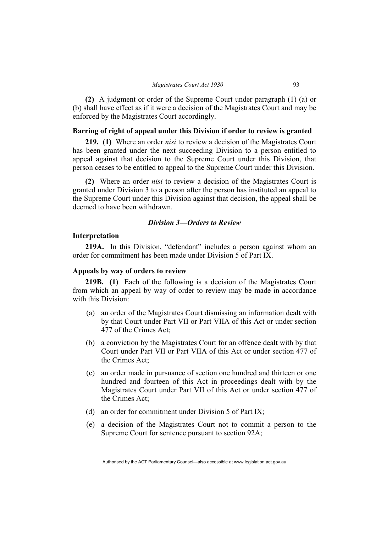**(2)** A judgment or order of the Supreme Court under paragraph (1) (a) or (b) shall have effect as if it were a decision of the Magistrates Court and may be enforced by the Magistrates Court accordingly.

# **Barring of right of appeal under this Division if order to review is granted**

**219. (1)** Where an order *nisi* to review a decision of the Magistrates Court has been granted under the next succeeding Division to a person entitled to appeal against that decision to the Supreme Court under this Division, that person ceases to be entitled to appeal to the Supreme Court under this Division.

**(2)** Where an order *nisi* to review a decision of the Magistrates Court is granted under Division 3 to a person after the person has instituted an appeal to the Supreme Court under this Division against that decision, the appeal shall be deemed to have been withdrawn.

## *Division 3—Orders to Review*

#### **Interpretation**

**219A.** In this Division, "defendant" includes a person against whom an order for commitment has been made under Division 5 of Part IX.

## **Appeals by way of orders to review**

**219B. (1)** Each of the following is a decision of the Magistrates Court from which an appeal by way of order to review may be made in accordance with this Division:

- (a) an order of the Magistrates Court dismissing an information dealt with by that Court under Part VII or Part VIIA of this Act or under section 477 of the Crimes Act;
- (b) a conviction by the Magistrates Court for an offence dealt with by that Court under Part VII or Part VIIA of this Act or under section 477 of the Crimes Act;
- (c) an order made in pursuance of section one hundred and thirteen or one hundred and fourteen of this Act in proceedings dealt with by the Magistrates Court under Part VII of this Act or under section 477 of the Crimes Act;
- (d) an order for commitment under Division 5 of Part IX;
- (e) a decision of the Magistrates Court not to commit a person to the Supreme Court for sentence pursuant to section 92A;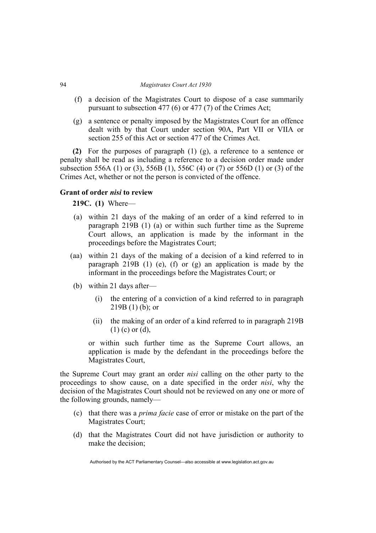- (f) a decision of the Magistrates Court to dispose of a case summarily pursuant to subsection 477 (6) or 477 (7) of the Crimes Act;
- (g) a sentence or penalty imposed by the Magistrates Court for an offence dealt with by that Court under section 90A, Part VII or VIIA or section 255 of this Act or section 477 of the Crimes Act.

**(2)** For the purposes of paragraph (1) (g), a reference to a sentence or penalty shall be read as including a reference to a decision order made under subsection 556A (1) or (3), 556B (1), 556C (4) or (7) or 556D (1) or (3) of the Crimes Act, whether or not the person is convicted of the offence.

# **Grant of order** *nisi* **to review**

**219C. (1)** Where—

- (a) within 21 days of the making of an order of a kind referred to in paragraph 219B (1) (a) or within such further time as the Supreme Court allows, an application is made by the informant in the proceedings before the Magistrates Court;
- (aa) within 21 days of the making of a decision of a kind referred to in paragraph 219B (1) (e), (f) or (g) an application is made by the informant in the proceedings before the Magistrates Court; or
- (b) within 21 days after—
	- (i) the entering of a conviction of a kind referred to in paragraph  $219B(1)$  (b); or
	- (ii) the making of an order of a kind referred to in paragraph 219B (1) (c) or (d),

or within such further time as the Supreme Court allows, an application is made by the defendant in the proceedings before the Magistrates Court,

the Supreme Court may grant an order *nisi* calling on the other party to the proceedings to show cause, on a date specified in the order *nisi*, why the decision of the Magistrates Court should not be reviewed on any one or more of the following grounds, namely—

- (c) that there was a *prima facie* case of error or mistake on the part of the Magistrates Court;
- (d) that the Magistrates Court did not have jurisdiction or authority to make the decision;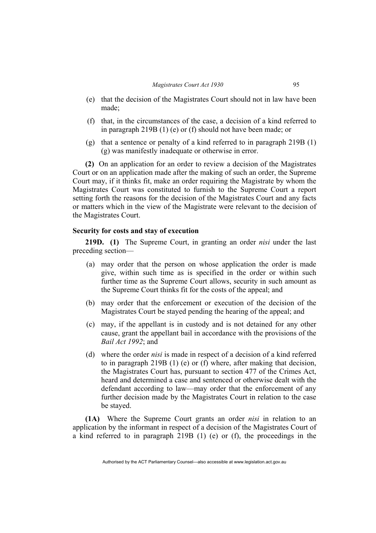- (e) that the decision of the Magistrates Court should not in law have been made;
- (f) that, in the circumstances of the case, a decision of a kind referred to in paragraph 219B (1) (e) or (f) should not have been made; or
- (g) that a sentence or penalty of a kind referred to in paragraph 219B (1) (g) was manifestly inadequate or otherwise in error.

**(2)** On an application for an order to review a decision of the Magistrates Court or on an application made after the making of such an order, the Supreme Court may, if it thinks fit, make an order requiring the Magistrate by whom the Magistrates Court was constituted to furnish to the Supreme Court a report setting forth the reasons for the decision of the Magistrates Court and any facts or matters which in the view of the Magistrate were relevant to the decision of the Magistrates Court.

## **Security for costs and stay of execution**

**219D. (1)** The Supreme Court, in granting an order *nisi* under the last preceding section—

- (a) may order that the person on whose application the order is made give, within such time as is specified in the order or within such further time as the Supreme Court allows, security in such amount as the Supreme Court thinks fit for the costs of the appeal; and
- (b) may order that the enforcement or execution of the decision of the Magistrates Court be stayed pending the hearing of the appeal; and
- (c) may, if the appellant is in custody and is not detained for any other cause, grant the appellant bail in accordance with the provisions of the *Bail Act 1992*; and
- (d) where the order *nisi* is made in respect of a decision of a kind referred to in paragraph 219B (1) (e) or (f) where, after making that decision, the Magistrates Court has, pursuant to section 477 of the Crimes Act, heard and determined a case and sentenced or otherwise dealt with the defendant according to law—may order that the enforcement of any further decision made by the Magistrates Court in relation to the case be stayed.

**(1A)** Where the Supreme Court grants an order *nisi* in relation to an application by the informant in respect of a decision of the Magistrates Court of a kind referred to in paragraph 219B (1) (e) or (f), the proceedings in the

Authorised by the ACT Parliamentary Counsel—also accessible at www.legislation.act.gov.au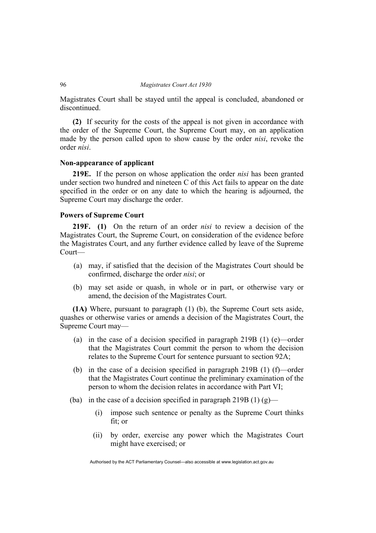Magistrates Court shall be stayed until the appeal is concluded, abandoned or discontinued.

**(2)** If security for the costs of the appeal is not given in accordance with the order of the Supreme Court, the Supreme Court may, on an application made by the person called upon to show cause by the order *nisi*, revoke the order *nisi*.

# **Non-appearance of applicant**

**219E.** If the person on whose application the order *nisi* has been granted under section two hundred and nineteen C of this Act fails to appear on the date specified in the order or on any date to which the hearing is adjourned, the Supreme Court may discharge the order.

# **Powers of Supreme Court**

**219F. (1)** On the return of an order *nisi* to review a decision of the Magistrates Court, the Supreme Court, on consideration of the evidence before the Magistrates Court, and any further evidence called by leave of the Supreme Court—

- (a) may, if satisfied that the decision of the Magistrates Court should be confirmed, discharge the order *nisi*; or
- (b) may set aside or quash, in whole or in part, or otherwise vary or amend, the decision of the Magistrates Court.

**(1A)** Where, pursuant to paragraph (1) (b), the Supreme Court sets aside, quashes or otherwise varies or amends a decision of the Magistrates Court, the Supreme Court may—

- (a) in the case of a decision specified in paragraph 219B (1) (e)—order that the Magistrates Court commit the person to whom the decision relates to the Supreme Court for sentence pursuant to section 92A;
- (b) in the case of a decision specified in paragraph 219B (1) (f)—order that the Magistrates Court continue the preliminary examination of the person to whom the decision relates in accordance with Part VI;
- (ba) in the case of a decision specified in paragraph 219B (1)  $(g)$ 
	- (i) impose such sentence or penalty as the Supreme Court thinks fit; or
	- (ii) by order, exercise any power which the Magistrates Court might have exercised; or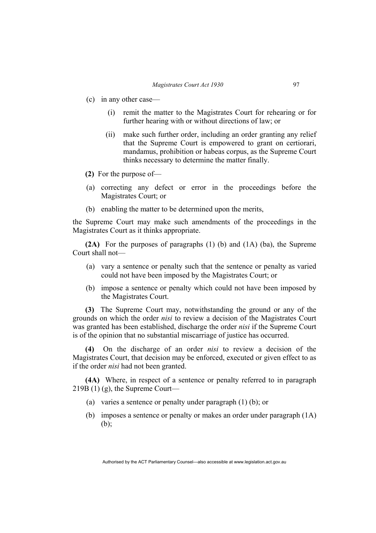- (c) in any other case—
	- (i) remit the matter to the Magistrates Court for rehearing or for further hearing with or without directions of law; or
	- (ii) make such further order, including an order granting any relief that the Supreme Court is empowered to grant on certiorari, mandamus, prohibition or habeas corpus, as the Supreme Court thinks necessary to determine the matter finally.
- **(2)** For the purpose of—
- (a) correcting any defect or error in the proceedings before the Magistrates Court; or
- (b) enabling the matter to be determined upon the merits,

the Supreme Court may make such amendments of the proceedings in the Magistrates Court as it thinks appropriate.

**(2A)** For the purposes of paragraphs (1) (b) and (1A) (ba), the Supreme Court shall not—

- (a) vary a sentence or penalty such that the sentence or penalty as varied could not have been imposed by the Magistrates Court; or
- (b) impose a sentence or penalty which could not have been imposed by the Magistrates Court.

**(3)** The Supreme Court may, notwithstanding the ground or any of the grounds on which the order *nisi* to review a decision of the Magistrates Court was granted has been established, discharge the order *nisi* if the Supreme Court is of the opinion that no substantial miscarriage of justice has occurred.

**(4)** On the discharge of an order *nisi* to review a decision of the Magistrates Court, that decision may be enforced, executed or given effect to as if the order *nisi* had not been granted.

**(4A)** Where, in respect of a sentence or penalty referred to in paragraph 219B (1) (g), the Supreme Court—

- (a) varies a sentence or penalty under paragraph (1) (b); or
- (b) imposes a sentence or penalty or makes an order under paragraph (1A) (b);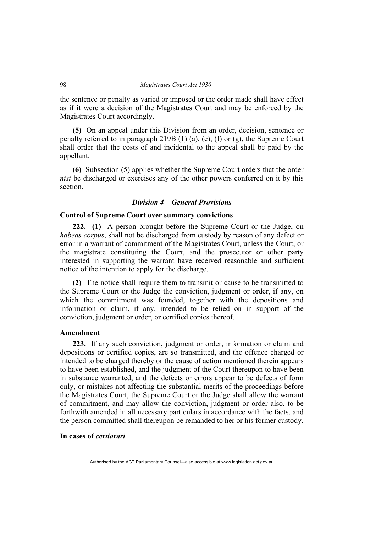the sentence or penalty as varied or imposed or the order made shall have effect as if it were a decision of the Magistrates Court and may be enforced by the Magistrates Court accordingly.

**(5)** On an appeal under this Division from an order, decision, sentence or penalty referred to in paragraph 219B (1) (a), (e), (f) or (g), the Supreme Court shall order that the costs of and incidental to the appeal shall be paid by the appellant.

**(6)** Subsection (5) applies whether the Supreme Court orders that the order *nisi* be discharged or exercises any of the other powers conferred on it by this section.

## *Division 4—General Provisions*

## **Control of Supreme Court over summary convictions**

**222. (1)** A person brought before the Supreme Court or the Judge, on *habeas corpus*, shall not be discharged from custody by reason of any defect or error in a warrant of commitment of the Magistrates Court, unless the Court, or the magistrate constituting the Court, and the prosecutor or other party interested in supporting the warrant have received reasonable and sufficient notice of the intention to apply for the discharge.

**(2)** The notice shall require them to transmit or cause to be transmitted to the Supreme Court or the Judge the conviction, judgment or order, if any, on which the commitment was founded, together with the depositions and information or claim, if any, intended to be relied on in support of the conviction, judgment or order, or certified copies thereof.

## **Amendment**

**223.** If any such conviction, judgment or order, information or claim and depositions or certified copies, are so transmitted, and the offence charged or intended to be charged thereby or the cause of action mentioned therein appears to have been established, and the judgment of the Court thereupon to have been in substance warranted, and the defects or errors appear to be defects of form only, or mistakes not affecting the substantial merits of the proceedings before the Magistrates Court, the Supreme Court or the Judge shall allow the warrant of commitment, and may allow the conviction, judgment or order also, to be forthwith amended in all necessary particulars in accordance with the facts, and the person committed shall thereupon be remanded to her or his former custody.

## **In cases of** *certiorari*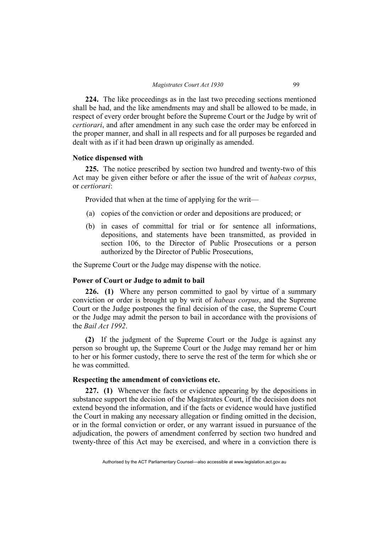**224.** The like proceedings as in the last two preceding sections mentioned shall be had, and the like amendments may and shall be allowed to be made, in respect of every order brought before the Supreme Court or the Judge by writ of *certiorari*, and after amendment in any such case the order may be enforced in the proper manner, and shall in all respects and for all purposes be regarded and dealt with as if it had been drawn up originally as amended.

## **Notice dispensed with**

**225.** The notice prescribed by section two hundred and twenty-two of this Act may be given either before or after the issue of the writ of *habeas corpus*, or *certiorari*:

Provided that when at the time of applying for the writ—

- (a) copies of the conviction or order and depositions are produced; or
- (b) in cases of committal for trial or for sentence all informations, depositions, and statements have been transmitted, as provided in section 106, to the Director of Public Prosecutions or a person authorized by the Director of Public Prosecutions,

the Supreme Court or the Judge may dispense with the notice.

## **Power of Court or Judge to admit to bail**

**226. (1)** Where any person committed to gaol by virtue of a summary conviction or order is brought up by writ of *habeas corpus*, and the Supreme Court or the Judge postpones the final decision of the case, the Supreme Court or the Judge may admit the person to bail in accordance with the provisions of the *Bail Act 1992*.

**(2)** If the judgment of the Supreme Court or the Judge is against any person so brought up, the Supreme Court or the Judge may remand her or him to her or his former custody, there to serve the rest of the term for which she or he was committed.

## **Respecting the amendment of convictions etc.**

**227. (1)** Whenever the facts or evidence appearing by the depositions in substance support the decision of the Magistrates Court, if the decision does not extend beyond the information, and if the facts or evidence would have justified the Court in making any necessary allegation or finding omitted in the decision, or in the formal conviction or order, or any warrant issued in pursuance of the adjudication, the powers of amendment conferred by section two hundred and twenty-three of this Act may be exercised, and where in a conviction there is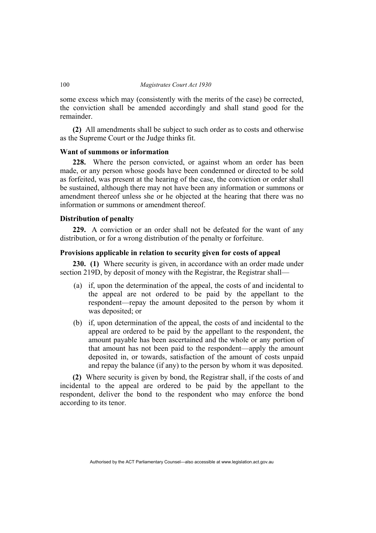some excess which may (consistently with the merits of the case) be corrected, the conviction shall be amended accordingly and shall stand good for the remainder.

**(2)** All amendments shall be subject to such order as to costs and otherwise as the Supreme Court or the Judge thinks fit.

## **Want of summons or information**

**228.** Where the person convicted, or against whom an order has been made, or any person whose goods have been condemned or directed to be sold as forfeited, was present at the hearing of the case, the conviction or order shall be sustained, although there may not have been any information or summons or amendment thereof unless she or he objected at the hearing that there was no information or summons or amendment thereof.

## **Distribution of penalty**

**229.** A conviction or an order shall not be defeated for the want of any distribution, or for a wrong distribution of the penalty or forfeiture.

## **Provisions applicable in relation to security given for costs of appeal**

**230. (1)** Where security is given, in accordance with an order made under section 219D, by deposit of money with the Registrar, the Registrar shall—

- (a) if, upon the determination of the appeal, the costs of and incidental to the appeal are not ordered to be paid by the appellant to the respondent—repay the amount deposited to the person by whom it was deposited; or
- (b) if, upon determination of the appeal, the costs of and incidental to the appeal are ordered to be paid by the appellant to the respondent, the amount payable has been ascertained and the whole or any portion of that amount has not been paid to the respondent—apply the amount deposited in, or towards, satisfaction of the amount of costs unpaid and repay the balance (if any) to the person by whom it was deposited.

**(2)** Where security is given by bond, the Registrar shall, if the costs of and incidental to the appeal are ordered to be paid by the appellant to the respondent, deliver the bond to the respondent who may enforce the bond according to its tenor.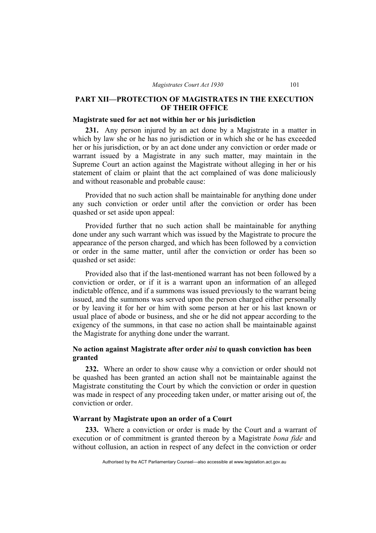## **PART XII—PROTECTION OF MAGISTRATES IN THE EXECUTION OF THEIR OFFICE**

## **Magistrate sued for act not within her or his jurisdiction**

**231.** Any person injured by an act done by a Magistrate in a matter in which by law she or he has no jurisdiction or in which she or he has exceeded her or his jurisdiction, or by an act done under any conviction or order made or warrant issued by a Magistrate in any such matter, may maintain in the Supreme Court an action against the Magistrate without alleging in her or his statement of claim or plaint that the act complained of was done maliciously and without reasonable and probable cause:

Provided that no such action shall be maintainable for anything done under any such conviction or order until after the conviction or order has been quashed or set aside upon appeal:

Provided further that no such action shall be maintainable for anything done under any such warrant which was issued by the Magistrate to procure the appearance of the person charged, and which has been followed by a conviction or order in the same matter, until after the conviction or order has been so quashed or set aside:

Provided also that if the last-mentioned warrant has not been followed by a conviction or order, or if it is a warrant upon an information of an alleged indictable offence, and if a summons was issued previously to the warrant being issued, and the summons was served upon the person charged either personally or by leaving it for her or him with some person at her or his last known or usual place of abode or business, and she or he did not appear according to the exigency of the summons, in that case no action shall be maintainable against the Magistrate for anything done under the warrant.

## **No action against Magistrate after order** *nisi* **to quash conviction has been granted**

**232.** Where an order to show cause why a conviction or order should not be quashed has been granted an action shall not be maintainable against the Magistrate constituting the Court by which the conviction or order in question was made in respect of any proceeding taken under, or matter arising out of, the conviction or order.

## **Warrant by Magistrate upon an order of a Court**

**233.** Where a conviction or order is made by the Court and a warrant of execution or of commitment is granted thereon by a Magistrate *bona fide* and without collusion, an action in respect of any defect in the conviction or order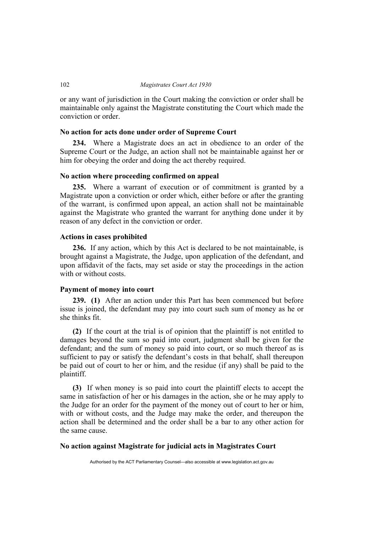or any want of jurisdiction in the Court making the conviction or order shall be maintainable only against the Magistrate constituting the Court which made the conviction or order.

## **No action for acts done under order of Supreme Court**

**234.** Where a Magistrate does an act in obedience to an order of the Supreme Court or the Judge, an action shall not be maintainable against her or him for obeying the order and doing the act thereby required.

## **No action where proceeding confirmed on appeal**

**235.** Where a warrant of execution or of commitment is granted by a Magistrate upon a conviction or order which, either before or after the granting of the warrant, is confirmed upon appeal, an action shall not be maintainable against the Magistrate who granted the warrant for anything done under it by reason of any defect in the conviction or order.

## **Actions in cases prohibited**

**236.** If any action, which by this Act is declared to be not maintainable, is brought against a Magistrate, the Judge, upon application of the defendant, and upon affidavit of the facts, may set aside or stay the proceedings in the action with or without costs.

## **Payment of money into court**

**239. (1)** After an action under this Part has been commenced but before issue is joined, the defendant may pay into court such sum of money as he or she thinks fit.

**(2)** If the court at the trial is of opinion that the plaintiff is not entitled to damages beyond the sum so paid into court, judgment shall be given for the defendant; and the sum of money so paid into court, or so much thereof as is sufficient to pay or satisfy the defendant's costs in that behalf, shall thereupon be paid out of court to her or him, and the residue (if any) shall be paid to the plaintiff.

**(3)** If when money is so paid into court the plaintiff elects to accept the same in satisfaction of her or his damages in the action, she or he may apply to the Judge for an order for the payment of the money out of court to her or him, with or without costs, and the Judge may make the order, and thereupon the action shall be determined and the order shall be a bar to any other action for the same cause.

## **No action against Magistrate for judicial acts in Magistrates Court**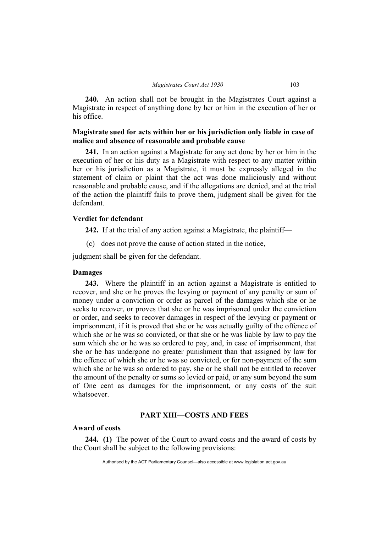**240.** An action shall not be brought in the Magistrates Court against a Magistrate in respect of anything done by her or him in the execution of her or his office.

## **Magistrate sued for acts within her or his jurisdiction only liable in case of malice and absence of reasonable and probable cause**

**241.** In an action against a Magistrate for any act done by her or him in the execution of her or his duty as a Magistrate with respect to any matter within her or his jurisdiction as a Magistrate, it must be expressly alleged in the statement of claim or plaint that the act was done maliciously and without reasonable and probable cause, and if the allegations are denied, and at the trial of the action the plaintiff fails to prove them, judgment shall be given for the defendant.

## **Verdict for defendant**

**242.** If at the trial of any action against a Magistrate, the plaintiff—

(c) does not prove the cause of action stated in the notice,

judgment shall be given for the defendant.

## **Damages**

**243.** Where the plaintiff in an action against a Magistrate is entitled to recover, and she or he proves the levying or payment of any penalty or sum of money under a conviction or order as parcel of the damages which she or he seeks to recover, or proves that she or he was imprisoned under the conviction or order, and seeks to recover damages in respect of the levying or payment or imprisonment, if it is proved that she or he was actually guilty of the offence of which she or he was so convicted, or that she or he was liable by law to pay the sum which she or he was so ordered to pay, and, in case of imprisonment, that she or he has undergone no greater punishment than that assigned by law for the offence of which she or he was so convicted, or for non-payment of the sum which she or he was so ordered to pay, she or he shall not be entitled to recover the amount of the penalty or sums so levied or paid, or any sum beyond the sum of One cent as damages for the imprisonment, or any costs of the suit whatsoever.

## **PART XIII—COSTS AND FEES**

## **Award of costs**

**244. (1)** The power of the Court to award costs and the award of costs by the Court shall be subject to the following provisions: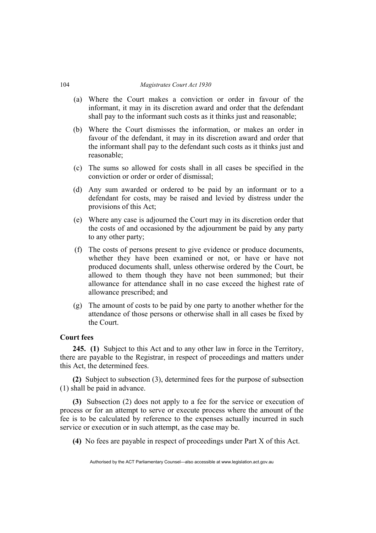- (a) Where the Court makes a conviction or order in favour of the informant, it may in its discretion award and order that the defendant shall pay to the informant such costs as it thinks just and reasonable;
- (b) Where the Court dismisses the information, or makes an order in favour of the defendant, it may in its discretion award and order that the informant shall pay to the defendant such costs as it thinks just and reasonable;
- (c) The sums so allowed for costs shall in all cases be specified in the conviction or order or order of dismissal;
- (d) Any sum awarded or ordered to be paid by an informant or to a defendant for costs, may be raised and levied by distress under the provisions of this Act;
- (e) Where any case is adjourned the Court may in its discretion order that the costs of and occasioned by the adjournment be paid by any party to any other party;
- (f) The costs of persons present to give evidence or produce documents, whether they have been examined or not, or have or have not produced documents shall, unless otherwise ordered by the Court, be allowed to them though they have not been summoned; but their allowance for attendance shall in no case exceed the highest rate of allowance prescribed; and
- (g) The amount of costs to be paid by one party to another whether for the attendance of those persons or otherwise shall in all cases be fixed by the Court.

## **Court fees**

**245. (1)** Subject to this Act and to any other law in force in the Territory, there are payable to the Registrar, in respect of proceedings and matters under this Act, the determined fees.

**(2)** Subject to subsection (3), determined fees for the purpose of subsection (1) shall be paid in advance.

**(3)** Subsection (2) does not apply to a fee for the service or execution of process or for an attempt to serve or execute process where the amount of the fee is to be calculated by reference to the expenses actually incurred in such service or execution or in such attempt, as the case may be.

**(4)** No fees are payable in respect of proceedings under Part X of this Act.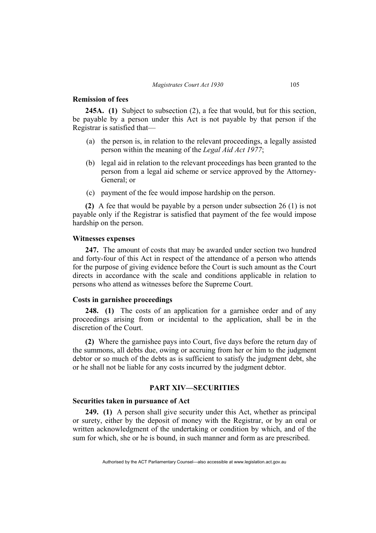## **Remission of fees**

**245A. (1)** Subject to subsection (2), a fee that would, but for this section, be payable by a person under this Act is not payable by that person if the Registrar is satisfied that—

- (a) the person is, in relation to the relevant proceedings, a legally assisted person within the meaning of the *Legal Aid Act 1977*;
- (b) legal aid in relation to the relevant proceedings has been granted to the person from a legal aid scheme or service approved by the Attorney-General; or
- (c) payment of the fee would impose hardship on the person.

**(2)** A fee that would be payable by a person under subsection 26 (1) is not payable only if the Registrar is satisfied that payment of the fee would impose hardship on the person.

## **Witnesses expenses**

**247.** The amount of costs that may be awarded under section two hundred and forty-four of this Act in respect of the attendance of a person who attends for the purpose of giving evidence before the Court is such amount as the Court directs in accordance with the scale and conditions applicable in relation to persons who attend as witnesses before the Supreme Court.

## **Costs in garnishee proceedings**

**248. (1)** The costs of an application for a garnishee order and of any proceedings arising from or incidental to the application, shall be in the discretion of the Court.

**(2)** Where the garnishee pays into Court, five days before the return day of the summons, all debts due, owing or accruing from her or him to the judgment debtor or so much of the debts as is sufficient to satisfy the judgment debt, she or he shall not be liable for any costs incurred by the judgment debtor.

## **PART XIV—SECURITIES**

## **Securities taken in pursuance of Act**

**249. (1)** A person shall give security under this Act, whether as principal or surety, either by the deposit of money with the Registrar, or by an oral or written acknowledgment of the undertaking or condition by which, and of the sum for which, she or he is bound, in such manner and form as are prescribed.

Authorised by the ACT Parliamentary Counsel—also accessible at www.legislation.act.gov.au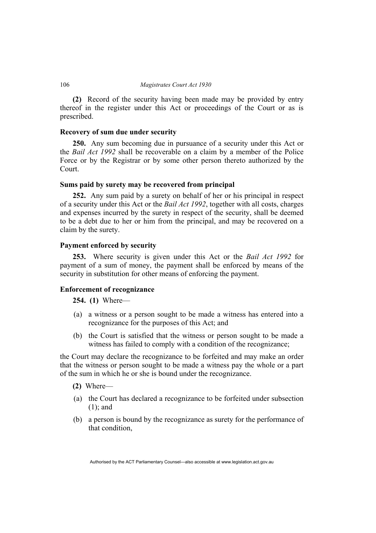**(2)** Record of the security having been made may be provided by entry thereof in the register under this Act or proceedings of the Court or as is prescribed.

## **Recovery of sum due under security**

**250.** Any sum becoming due in pursuance of a security under this Act or the *Bail Act 1992* shall be recoverable on a claim by a member of the Police Force or by the Registrar or by some other person thereto authorized by the Court.

## **Sums paid by surety may be recovered from principal**

**252.** Any sum paid by a surety on behalf of her or his principal in respect of a security under this Act or the *Bail Act 1992*, together with all costs, charges and expenses incurred by the surety in respect of the security, shall be deemed to be a debt due to her or him from the principal, and may be recovered on a claim by the surety.

## **Payment enforced by security**

**253.** Where security is given under this Act or the *Bail Act 1992* for payment of a sum of money, the payment shall be enforced by means of the security in substitution for other means of enforcing the payment.

## **Enforcement of recognizance**

**254. (1)** Where—

- (a) a witness or a person sought to be made a witness has entered into a recognizance for the purposes of this Act; and
- (b) the Court is satisfied that the witness or person sought to be made a witness has failed to comply with a condition of the recognizance;

the Court may declare the recognizance to be forfeited and may make an order that the witness or person sought to be made a witness pay the whole or a part of the sum in which he or she is bound under the recognizance.

- **(2)** Where—
- (a) the Court has declared a recognizance to be forfeited under subsection (1); and
- (b) a person is bound by the recognizance as surety for the performance of that condition,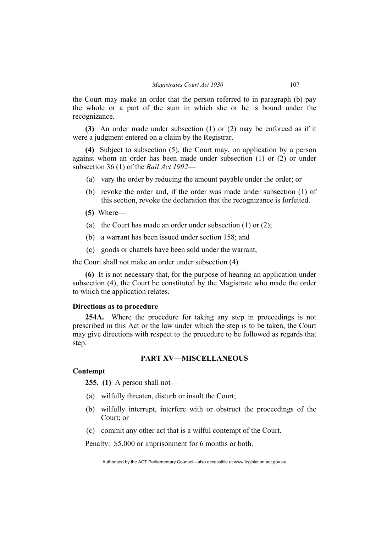the Court may make an order that the person referred to in paragraph (b) pay the whole or a part of the sum in which she or he is bound under the recognizance.

**(3)** An order made under subsection (1) or (2) may be enforced as if it were a judgment entered on a claim by the Registrar.

**(4)** Subject to subsection (5), the Court may, on application by a person against whom an order has been made under subsection (1) or (2) or under subsection 36 (1) of the *Bail Act 1992*—

- (a) vary the order by reducing the amount payable under the order; or
- (b) revoke the order and, if the order was made under subsection (1) of this section, revoke the declaration that the recognizance is forfeited.
- **(5)** Where—
- (a) the Court has made an order under subsection (1) or (2);
- (b) a warrant has been issued under section 158; and
- (c) goods or chattels have been sold under the warrant,

the Court shall not make an order under subsection (4).

**(6)** It is not necessary that, for the purpose of hearing an application under subsection (4), the Court be constituted by the Magistrate who made the order to which the application relates.

## **Directions as to procedure**

**254A.** Where the procedure for taking any step in proceedings is not prescribed in this Act or the law under which the step is to be taken, the Court may give directions with respect to the procedure to be followed as regards that step.

## **PART XV—MISCELLANEOUS**

## **Contempt**

**255. (1)** A person shall not—

- (a) wilfully threaten, disturb or insult the Court;
- (b) wilfully interrupt, interfere with or obstruct the proceedings of the Court; or
- (c) commit any other act that is a wilful contempt of the Court.

Penalty: \$5,000 or imprisonment for 6 months or both.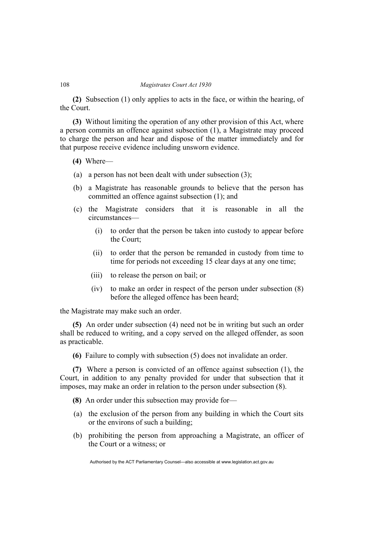**(2)** Subsection (1) only applies to acts in the face, or within the hearing, of the Court.

**(3)** Without limiting the operation of any other provision of this Act, where a person commits an offence against subsection (1), a Magistrate may proceed to charge the person and hear and dispose of the matter immediately and for that purpose receive evidence including unsworn evidence.

- **(4)** Where—
- (a) a person has not been dealt with under subsection (3);
- (b) a Magistrate has reasonable grounds to believe that the person has committed an offence against subsection (1); and
- (c) the Magistrate considers that it is reasonable in all the circumstances—
	- (i) to order that the person be taken into custody to appear before the Court;
	- (ii) to order that the person be remanded in custody from time to time for periods not exceeding 15 clear days at any one time;
	- (iii) to release the person on bail; or
	- (iv) to make an order in respect of the person under subsection (8) before the alleged offence has been heard;

the Magistrate may make such an order.

**(5)** An order under subsection (4) need not be in writing but such an order shall be reduced to writing, and a copy served on the alleged offender, as soon as practicable.

**(6)** Failure to comply with subsection (5) does not invalidate an order.

**(7)** Where a person is convicted of an offence against subsection (1), the Court, in addition to any penalty provided for under that subsection that it imposes, may make an order in relation to the person under subsection (8).

- **(8)** An order under this subsection may provide for—
- (a) the exclusion of the person from any building in which the Court sits or the environs of such a building;
- (b) prohibiting the person from approaching a Magistrate, an officer of the Court or a witness; or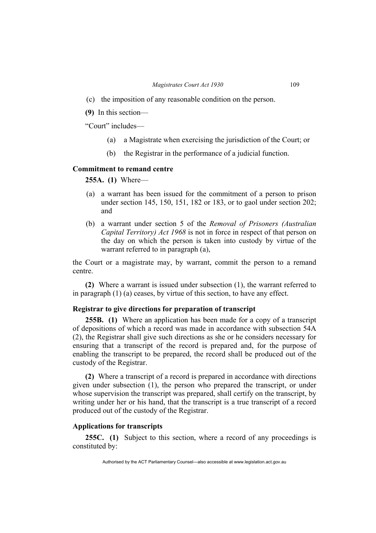- (c) the imposition of any reasonable condition on the person.
- **(9)** In this section—

"Court" includes—

- (a) a Magistrate when exercising the jurisdiction of the Court; or
- (b) the Registrar in the performance of a judicial function.

## **Commitment to remand centre**

**255A. (1)** Where—

- (a) a warrant has been issued for the commitment of a person to prison under section 145, 150, 151, 182 or 183, or to gaol under section 202; and
- (b) a warrant under section 5 of the *Removal of Prisoners (Australian Capital Territory) Act 1968* is not in force in respect of that person on the day on which the person is taken into custody by virtue of the warrant referred to in paragraph (a),

the Court or a magistrate may, by warrant, commit the person to a remand centre.

**(2)** Where a warrant is issued under subsection (1), the warrant referred to in paragraph (1) (a) ceases, by virtue of this section, to have any effect.

## **Registrar to give directions for preparation of transcript**

**255B. (1)** Where an application has been made for a copy of a transcript of depositions of which a record was made in accordance with subsection 54A (2), the Registrar shall give such directions as she or he considers necessary for ensuring that a transcript of the record is prepared and, for the purpose of enabling the transcript to be prepared, the record shall be produced out of the custody of the Registrar.

**(2)** Where a transcript of a record is prepared in accordance with directions given under subsection (1), the person who prepared the transcript, or under whose supervision the transcript was prepared, shall certify on the transcript, by writing under her or his hand, that the transcript is a true transcript of a record produced out of the custody of the Registrar.

## **Applications for transcripts**

**255C. (1)** Subject to this section, where a record of any proceedings is constituted by:

Authorised by the ACT Parliamentary Counsel—also accessible at www.legislation.act.gov.au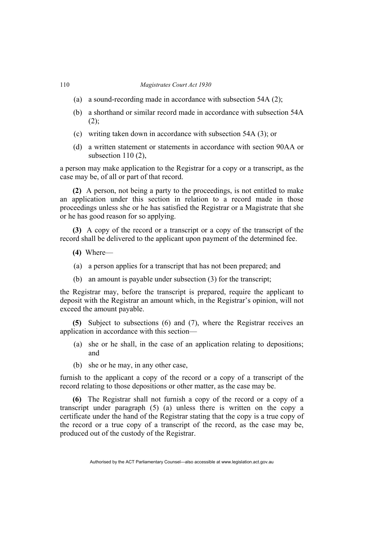- (a) a sound-recording made in accordance with subsection 54A (2);
- (b) a shorthand or similar record made in accordance with subsection 54A  $(2);$
- (c) writing taken down in accordance with subsection 54A (3); or
- (d) a written statement or statements in accordance with section 90AA or subsection 110 (2),

a person may make application to the Registrar for a copy or a transcript, as the case may be, of all or part of that record.

**(2)** A person, not being a party to the proceedings, is not entitled to make an application under this section in relation to a record made in those proceedings unless she or he has satisfied the Registrar or a Magistrate that she or he has good reason for so applying.

**(3)** A copy of the record or a transcript or a copy of the transcript of the record shall be delivered to the applicant upon payment of the determined fee.

- **(4)** Where—
- (a) a person applies for a transcript that has not been prepared; and
- (b) an amount is payable under subsection (3) for the transcript;

the Registrar may, before the transcript is prepared, require the applicant to deposit with the Registrar an amount which, in the Registrar's opinion, will not exceed the amount payable.

**(5)** Subject to subsections (6) and (7), where the Registrar receives an application in accordance with this section—

- (a) she or he shall, in the case of an application relating to depositions; and
- (b) she or he may, in any other case,

furnish to the applicant a copy of the record or a copy of a transcript of the record relating to those depositions or other matter, as the case may be.

**(6)** The Registrar shall not furnish a copy of the record or a copy of a transcript under paragraph (5) (a) unless there is written on the copy a certificate under the hand of the Registrar stating that the copy is a true copy of the record or a true copy of a transcript of the record, as the case may be, produced out of the custody of the Registrar.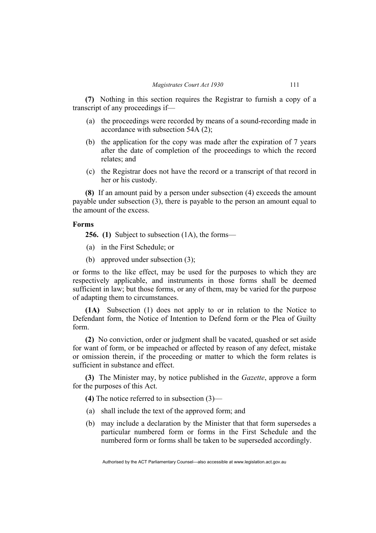**(7)** Nothing in this section requires the Registrar to furnish a copy of a transcript of any proceedings if—

- (a) the proceedings were recorded by means of a sound-recording made in accordance with subsection 54A (2);
- (b) the application for the copy was made after the expiration of 7 years after the date of completion of the proceedings to which the record relates; and
- (c) the Registrar does not have the record or a transcript of that record in her or his custody.

**(8)** If an amount paid by a person under subsection (4) exceeds the amount payable under subsection (3), there is payable to the person an amount equal to the amount of the excess.

## **Forms**

**256. (1)** Subject to subsection (1A), the forms—

- (a) in the First Schedule; or
- (b) approved under subsection (3);

or forms to the like effect, may be used for the purposes to which they are respectively applicable, and instruments in those forms shall be deemed sufficient in law; but those forms, or any of them, may be varied for the purpose of adapting them to circumstances.

**(1A)** Subsection (1) does not apply to or in relation to the Notice to Defendant form, the Notice of Intention to Defend form or the Plea of Guilty form.

**(2)** No conviction, order or judgment shall be vacated, quashed or set aside for want of form, or be impeached or affected by reason of any defect, mistake or omission therein, if the proceeding or matter to which the form relates is sufficient in substance and effect.

**(3)** The Minister may, by notice published in the *Gazette*, approve a form for the purposes of this Act.

**(4)** The notice referred to in subsection (3)—

- (a) shall include the text of the approved form; and
- (b) may include a declaration by the Minister that that form supersedes a particular numbered form or forms in the First Schedule and the numbered form or forms shall be taken to be superseded accordingly.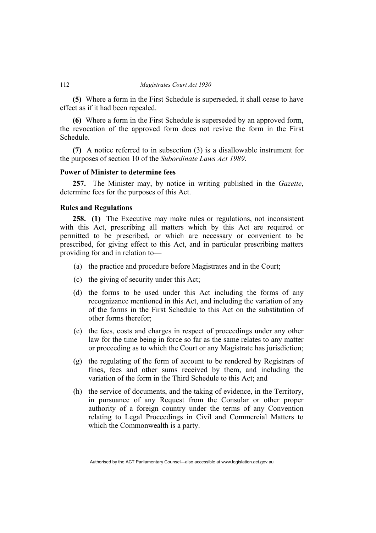**(5)** Where a form in the First Schedule is superseded, it shall cease to have effect as if it had been repealed.

**(6)** Where a form in the First Schedule is superseded by an approved form, the revocation of the approved form does not revive the form in the First Schedule.

**(7)** A notice referred to in subsection (3) is a disallowable instrument for the purposes of section 10 of the *Subordinate Laws Act 1989*.

## **Power of Minister to determine fees**

**257.** The Minister may, by notice in writing published in the *Gazette*, determine fees for the purposes of this Act.

## **Rules and Regulations**

**258. (1)** The Executive may make rules or regulations, not inconsistent with this Act, prescribing all matters which by this Act are required or permitted to be prescribed, or which are necessary or convenient to be prescribed, for giving effect to this Act, and in particular prescribing matters providing for and in relation to—

- (a) the practice and procedure before Magistrates and in the Court;
- (c) the giving of security under this Act;
- (d) the forms to be used under this Act including the forms of any recognizance mentioned in this Act, and including the variation of any of the forms in the First Schedule to this Act on the substitution of other forms therefor;
- (e) the fees, costs and charges in respect of proceedings under any other law for the time being in force so far as the same relates to any matter or proceeding as to which the Court or any Magistrate has jurisdiction;
- (g) the regulating of the form of account to be rendered by Registrars of fines, fees and other sums received by them, and including the variation of the form in the Third Schedule to this Act; and
- (h) the service of documents, and the taking of evidence, in the Territory, in pursuance of any Request from the Consular or other proper authority of a foreign country under the terms of any Convention relating to Legal Proceedings in Civil and Commercial Matters to which the Commonwealth is a party.

Authorised by the ACT Parliamentary Counsel—also accessible at www.legislation.act.gov.au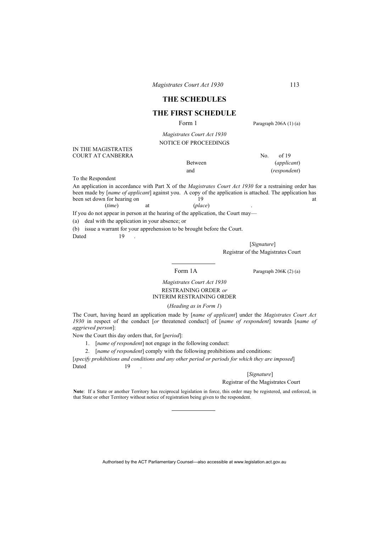## **THE SCHEDULES**

## **THE FIRST SCHEDULE**

Form 1 Paragraph 206A (1) (a)

*Magistrates Court Act 1930* NOTICE OF PROCEEDINGS

IN THE MAGISTRATES COURT AT CANBERRA No. of 19

Between (*applicant*) and (*respondent*)

To the Respondent

An application in accordance with Part X of the *Magistrates Court Act 1930* for a restraining order has been made by [*name of applicant*] against you. A copy of the application is attached. The application has been set down for hearing on a t been set down for hearing on the 19 at the set of the set of the set of the set of the set of the set of the set of the set of the set of the set of the set of the set of the set of the set of the set of the set of the set (*time*) at (*place*) .

If you do not appear in person at the hearing of the application, the Court may—

(a) deal with the application in your absence; or

(b) issue a warrant for your apprehension to be brought before the Court.

Dated 19

 [*Signature*] Registrar of the Magistrates Court

Form 1A Paragraph 206K (2) (a)

### *Magistrates Court Act 1930*  RESTRAINING ORDER *or* INTERIM RESTRAINING ORDER

(*Heading as in Form 1*)

The Court, having heard an application made by [*name of applicant*] under the *Magistrates Court Act 1930* in respect of the conduct [*or* threatened conduct] of [*name of respondent*] towards [*name of aggrieved person*]:

Now the Court this day orders that, for [*period*]:

- 1. [*name of respondent*] not engage in the following conduct:
- 2. [*name of respondent*] comply with the following prohibitions and conditions:

[*specify prohibitions and conditions and any other period or periods for which they are imposed*] Dated 19

[*Signature*]

#### Registrar of the Magistrates Court

Note: If a State or another Territory has reciprocal legislation in force, this order may be registered, and enforced, in that State or other Territory without notice of registration being given to the respondent.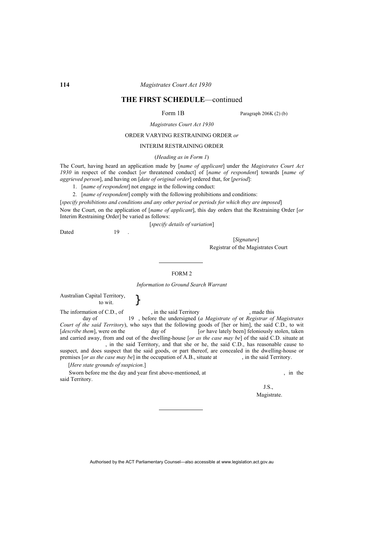## **THE FIRST SCHEDULE**—continued

Form 1B Paragraph 206K (2) (b)

*Magistrates Court Act 1930*

### ORDER VARYING RESTRAINING ORDER *or*

#### INTERIM RESTRAINING ORDER

#### (*Heading as in Form 1*)

The Court, having heard an application made by [*name of applicant*] under the *Magistrates Court Act 1930* in respect of the conduct [*or* threatened conduct] of [*name of respondent*] towards [*name of aggrieved person*], and having on [*date of original order*] ordered that, for [*period*]:

- 1. [*name of respondent*] not engage in the following conduct:
- 2. [*name of respondent*] comply with the following prohibitions and conditions:

[*specify prohibitions and conditions and any other period or periods for which they are imposed*] Now the Court, on the application of [*name of applicant*], this day orders that the Restraining Order [*or* Interim Restraining Order] be varied as follows:

[*specify details of variation*]

Dated 19

[*Signature*] Registrar of the Magistrates Court

#### FORM 2

*Information to Ground Search Warrant* 

Australian Capital Territory,<br>to wit.  $\Big\}$ 

The information of C.D., of  $\qquad \qquad$ , in the said Territory and this day of  $\qquad \qquad$  19, before the undersigned (*a Magistrate of or Registrar of*  day of 19 , before the undersigned (*a Magistrate of* or *Registrar of Magistrates Court of the said Territory*), who says that the following goods of [her or him], the said C.D., to wit [*describe them*], were on the day of [*or* have lately been] feloniously stolen, taken and carried away, from and out of the dwelling-house [*or as the case may be*] of the said C.D. situate at , in the said Territory, and that she or he, the said C.D., has reasonable cause to suspect, and does suspect that the said goods, or part thereof, are concealed in the dwelling-house or premises [*or as the case may be*] in the occupation of A.B., situate at , in the said Territory.

[*Here state grounds of suspicion*.]

Sworn before me the day and year first above-mentioned, at , in the said Territory.

J.S., Magistrate.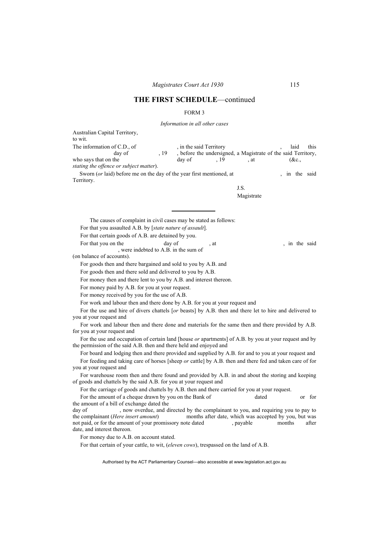#### FORM 3

*Information in all other cases*

Australian Capital Territory, to wit. The information of C.D., of , in the said Territory , laid this day of , 19 , before the undersigned, a Magistrate of the said Territory. day of , 19, before the undersigned, a Magistrate of the said Territory, who says that on the day of  $19$  , at  $(8c)$ , *stating the offence or subject matter*). Sworn (*or* laid) before me on the day of the year first mentioned, at , in the said Territory. J.S. Magistrate The causes of complaint in civil cases may be stated as follows: For that you assaulted A.B. by [*state nature of assault*]. For that certain goods of A.B. are detained by you. For that you on the day of , at , in the said , were indebted to A.B. in the sum of (on balance of accounts). For goods then and there bargained and sold to you by A.B. and For goods then and there sold and delivered to you by A.B. For money then and there lent to you by A.B. and interest thereon. For money paid by A.B. for you at your request. For money received by you for the use of A.B. For work and labour then and there done by A.B. for you at your request and For the use and hire of divers chattels [*or* beasts] by A.B. then and there let to hire and delivered to you at your request and For work and labour then and there done and materials for the same then and there provided by A.B. for you at your request and For the use and occupation of certain land [house *or* apartments] of A.B. by you at your request and by the permission of the said A.B. then and there held and enjoyed and For board and lodging then and there provided and supplied by A.B. for and to you at your request and For feeding and taking care of horses [sheep *or* cattle] by A.B. then and there fed and taken care of for you at your request and For warehouse room then and there found and provided by A.B. in and about the storing and keeping of goods and chattels by the said A.B. for you at your request and For the carriage of goods and chattels by A.B. then and there carried for you at your request. For the amount of a cheque drawn by you on the Bank of dated or for for the amount of a bill of exchange dated the day of , now overdue, and directed by the complainant to you, and requiring you to pay to the complainant (*Here insert amount*) months after date, which was accepted by you, but was not paid, or for the amount of your promissory note dated , payable months after date, and interest thereon.

For money due to A.B. on account stated.

For that certain of your cattle, to wit, (*eleven cows*), trespassed on the land of A.B.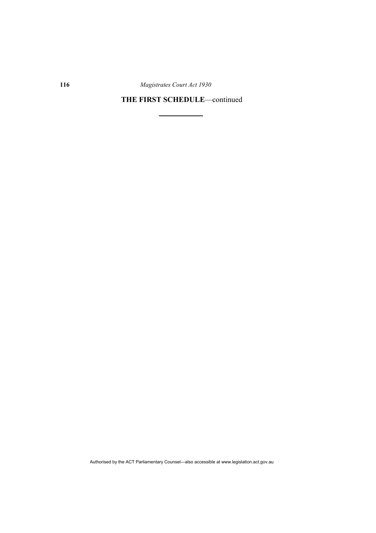## **THE FIRST SCHEDULE**—continued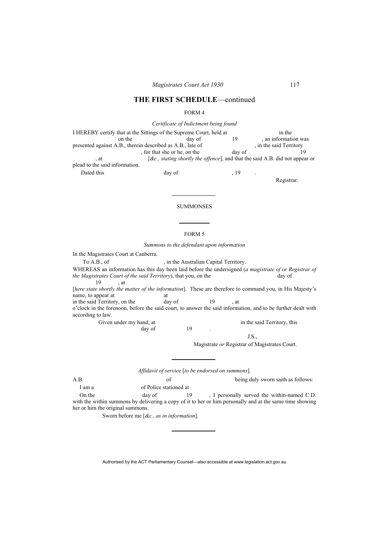#### FORM 4

*Certificate of Indictment being found* 

|                                                            | I HEREBY certify that at the Sittings of the Supreme Court, held at            |        | in the                  |
|------------------------------------------------------------|--------------------------------------------------------------------------------|--------|-------------------------|
| on the                                                     | day of                                                                         | 19     | , an information was    |
| presented against A.B., therein described as A.B., late of |                                                                                |        | , in the said Territory |
|                                                            | , for that she or he, on the                                                   | day of |                         |
| , at                                                       | $[\&c.,$ stating shortly the offence, and that the said A.B. did not appear or |        |                         |
| plead to the said information.                             |                                                                                |        |                         |
| Dated this                                                 | day of                                                                         | . 19   |                         |

#### FORM 5

**SUMMONSES** 

*Summons to the defendant upon information* 

In the Magistrates Court at Canberra.

To A.B., of , in the Australian Capital Territory.

WHEREAS an information has this day been laid before the undersigned (*a magistrate of or Registrar of the Magistrates Court of the said Territory*), that you, on the day of *day* of *the Magistrates Court of the said Territory*), that you, on the 19 , at

[*here state shortly the matter of the information*]. These are therefore to command you, in His Majesty's name, to appear at at

in the said Territory, on the day of 19 , at

o'clock in the forenoon, before the said court, to answer the said information, and to be further dealt with according to law.

> Given under my hand, at in the said Territory, this day of 19 day of

J.S.,

Magistrate *or* Registrar of Magistrates Court.

*Affidavit of service* [*to be endorsed on summons*]*.* 

A.B. being duly sworn saith as follows: I am a of Police stationed at

On the day of 19, I personally served the within-named C.D. with the within summons by delivering a copy of it to her or him personally and at the same time showing her or him the original summons.

Sworn before me [*&c., as in information*].

Authorised by the ACT Parliamentary Counsel—also accessible at www.legislation.act.gov.au

Registrar.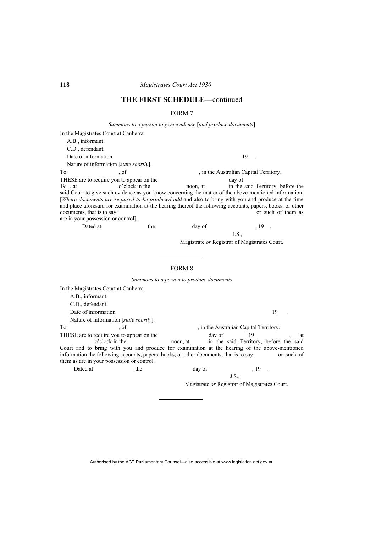#### FORM 7

*Summons to a person to give evidence* [*and produce documents*]

In the Magistrates Court at Canberra. A.B., informant C.D., defendant. Date of information 19 . Nature of information [*state shortly*]. To  $, of$ , of  $,$  in the Australian Capital Territory. THESE are to require you to appear on the day of 19 , at o'clock in the noon, at in the said Territory, before the said Court to give such evidence as you know concerning the matter of the above-mentioned information. [*Where documents are required to be produced add* and also to bring with you and produce at the time and place aforesaid for examination at the hearing thereof the following accounts, papers, books, or other documents, that is to say: or such of them as are in your possession or control]. Dated at the day of the case of  $\frac{19}{19}$ . J.S., Magistrate *or* Registrar of Magistrates Court.

#### FORM 8

*Summons to a person to produce documents* 

In the Magistrates Court at Canberra. A.B., informant. C.D., defendant. Date of information 19 Nature of information [*state shortly*]. To  $, of$ , of  $, and$  , in the Australian Capital Territory. THESE are to require you to appear on the day of 19 , at o'clock in the day of private in the said Territory, before the said noon, at in the said Territory, before the said Court and to bring with you and produce for examination at the hearing of the above-mentioned information the following accounts, papers, books, or other documents, that is to say: or such of them as are in your possession or control. Dated at the day of the contract the contract of the day of the set of the contract of the day of the set of the  $\frac{19}{12}$ . J.S.,

Magistrate *or* Registrar of Magistrates Court.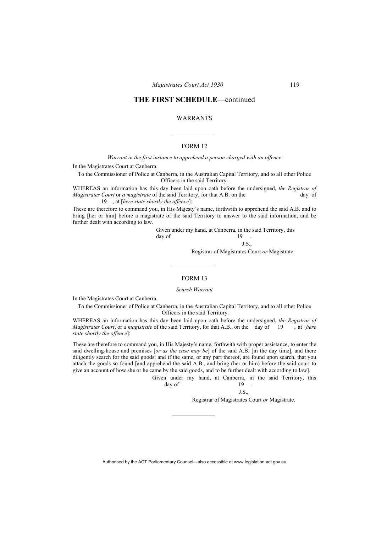#### WARRANTS

#### FORM 12

*Warrant in the first instance to apprehend a person charged with an offence* 

In the Magistrates Court at Canberra.

To the Commissioner of Police at Canberra, in the Australian Capital Territory, and to all other Police Officers in the said Territory.

WHEREAS an information has this day been laid upon oath before the undersigned, *the Registrar of Magistrates Court or a magistrate* of the said Territory, for that A.B. on the day of 19 , at [*here state shortly the offence*]:

These are therefore to command you, in His Majesty's name, forthwith to apprehend the said A.B. and to bring [her or him] before a magistrate of the said Territory to answer to the said information, and be further dealt with according to law.

 Given under my hand, at Canberra, in the said Territory, this  $\alpha$  day of  $19$ . J.S.,

Registrar of Magistrates Court *or* Magistrate.

#### FORM 13

*Search Warrant* 

In the Magistrates Court at Canberra.

To the Commissioner of Police at Canberra, in the Australian Capital Territory, and to all other Police Officers in the said Territory.

WHEREAS an information has this day been laid upon oath before the undersigned, *the Registrar of Magistrates Court*, or *a magistrate* of the said Territory, for that A.B., on the day of 19 , at [*here state shortly the offence*]:

These are therefore to command you, in His Majesty's name, forthwith with proper assistance, to enter the said dwelling-house and premises [*or as the case may be*] of the said A.B. [in the day time], and there diligently search for the said goods; and if the same, or any part thereof, are found upon search, that you attach the goods so found [and apprehend the said A.B., and bring (her or him) before the said court to give an account of how she or he came by the said goods, and to be further dealt with according to law].

|        |  | Given under my hand, at Canberra, in the said Territory, this |  |  |  |
|--------|--|---------------------------------------------------------------|--|--|--|
| day of |  | 19.                                                           |  |  |  |
|        |  | J.S                                                           |  |  |  |

Registrar of Magistrates Court *or* Magistrate.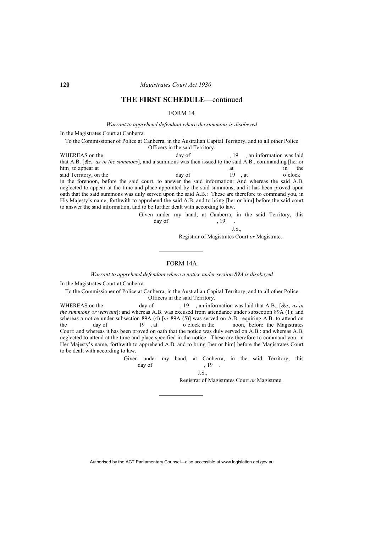#### FORM 14

*Warrant to apprehend defendant where the summons is disobeyed* 

In the Magistrates Court at Canberra.

To the Commissioner of Police at Canberra, in the Australian Capital Territory, and to all other Police Officers in the said Territory.

WHEREAS on the day of  $\frac{19}{19}$ , an information was laid that A.B. [*&c., as in the summons*], and a summons was then issued to the said A.B., commanding [her or him] to appear at at in the said Territory, on the day of 19, at o'clock in the forenoon, before the said court, to answer the said information: And whereas the said A.B. neglected to appear at the time and place appointed by the said summons, and it has been proved upon oath that the said summons was duly served upon the said A.B.: These are therefore to command you, in His Majesty's name, forthwith to apprehend the said A.B. and to bring [her or him] before the said court to answer the said information, and to be further dealt with according to law.

Given under my hand, at Canberra, in the said Territory, this day of 19  $\text{day of}$ , 19.

J.S.,

Registrar of Magistrates Court *or* Magistrate.

## FORM 14A

*Warrant to apprehend defendant where a notice under section 89A is disobeyed* 

In the Magistrates Court at Canberra.

To the Commissioner of Police at Canberra, in the Australian Capital Territory, and to all other Police Officers in the said Territory.

WHEREAS on the day of , 19 , an information was laid that A.B., [*&c., as in the summons or warrant*]: and whereas A.B. was excused from attendance under subsection 89A (1): and whereas a notice under subsection 89A (4) [*or* 89A (5)] was served on A.B. requiring A.B. to attend on the day of 19, at o'clock in the noon, before the Magistrates the day of 19 , at o'clock in the noon, before the Magistrates Court: and whereas it has been proved on oath that the notice was duly served on A.B.: and whereas A.B. neglected to attend at the time and place specified in the notice: These are therefore to command you, in Her Majesty's name, forthwith to apprehend A.B. and to bring [her or him] before the Magistrates Court to be dealt with according to law.

> Given under my hand, at Canberra, in the said Territory, this day of  $19$ .<br> $J.S.,$

J.S.,

Registrar of Magistrates Court *or* Magistrate.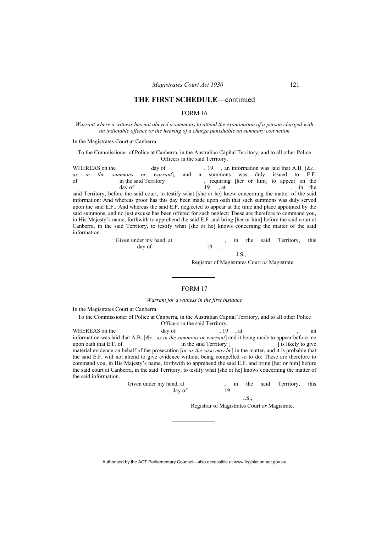#### FORM 16

*Warrant where a witness has not obeyed a summons to attend the examination of a person charged with an indictable offence or the hearing of a charge punishable on summary conviction* 

In the Magistrates Court at Canberra.

To the Commissioner of Police at Canberra, in the Australian Capital Territory, and to all other Police Officers in the said Territory.

WHEREAS on the day of , 19 , an information was laid that A.B. [*&c.*, *as in the summons or warrant*], and a summons was duly issued to E.F. *as in the summons or warrant*], and a summons was duly issued to E.F. of in the said Territory , requiring [her or him] to appear on the day of 19, at , in the said Territory, before the said court, to testify what [she or he] knew concerning the matter of the said information: And whereas proof has this day been made upon oath that such summons was duly served upon the said E.F.: And whereas the said E.F. neglected to appear at the time and place appointed by the

said summons, and no just excuse has been offered for such neglect: These are therefore to command you, in His Majesty's name, forthwith to apprehend the said E.F. and bring [her or him] before the said court at Canberra, in the said Territory, to testify what [she or he] knows concerning the matter of the said information.

| Given under my hand, at |  |  | the said Territory, this |  |
|-------------------------|--|--|--------------------------|--|
| day of                  |  |  |                          |  |

J.S.,

Registrar of Magistrates Court *or* Magistrate.

#### FORM 17

*Warrant for a witness in the first instance* 

In the Magistrates Court at Canberra.

To the Commissioner of Police at Canberra, in the Australian Capital Territory, and to all other Police Officers in the said Territory.

WHEREAS on the day of the day of the state of the day of the state of the day of the state of the day of the state of the state of the state of the state of the state of the state of the state of the state of the state of information was laid that A.B. [*&c., as in the summons or warrant*] and it being made to appear before me upon oath that E.F. of in the said Territory [ ] is likely to give material evidence on behalf of the prosecution [*or as the case may be*] in the matter, and it is probable that the said E.F. will not attend to give evidence without being compelled so to do: These are therefore to command you, in His Majesty's name, forthwith to apprehend the said E.F. and bring [her or him] before the said court at Canberra, in the said Territory, to testify what [she or he] knows concerning the matter of the said information.

| Given under my hand, at |  |  | the said Territory, this |  |
|-------------------------|--|--|--------------------------|--|
| day of                  |  |  |                          |  |

J.S.,

Registrar of Magistrates Court *or* Magistrate.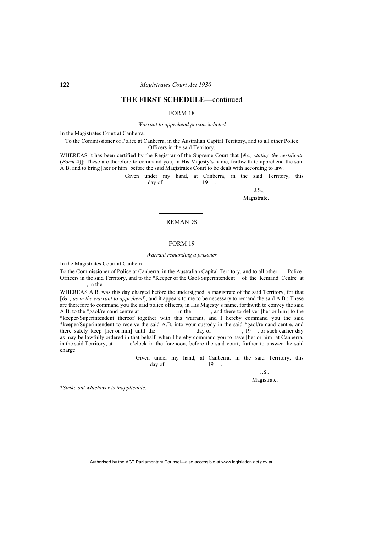#### FORM 18

*Warrant to apprehend person indicted* 

In the Magistrates Court at Canberra.

To the Commissioner of Police at Canberra, in the Australian Capital Territory, and to all other Police Officers in the said Territory.

WHEREAS it has been certified by the Registrar of the Supreme Court that [*&c., stating the certificate* (*Form* 4)]: These are therefore to command you, in His Majesty's name, forthwith to apprehend the said A.B. and to bring [her or him] before the said Magistrates Court to be dealt with according to law.

 Given under my hand, at Canberra, in the said Territory, this  $day of$  19.

> J.S., Magistrate.

#### REMANDS

#### FORM 19

#### *Warrant remanding a prisoner*

In the Magistrates Court at Canberra.

To the Commissioner of Police at Canberra, in the Australian Capital Territory, and to all other Police Officers in the said Territory, and to the \*Keeper of the Gaol/Superintendent of the Remand Centre at , in the

WHEREAS A.B. was this day charged before the undersigned, a magistrate of the said Territory, for that [*&c., as in the warrant to apprehend*], and it appears to me to be necessary to remand the said A.B.: These are therefore to command you the said police officers, in His Majesty's name, forthwith to convey the said A.B. to the \*gaol/remand centre at . in the . and there to deliver [her or him] to the , and there to deliver [her or him] to the \*keeper/Superintendent thereof together with this warrant, and I hereby command you the said \*keeper/Superintendent to receive the said A.B. into your custody in the said \*gaol/remand centre, and there safely keep [her or him] until the day of , 19 , or such earlier day as may be lawfully ordered in that behalf, when I hereby command you to have [her or him] at Canberra, in the said Territory, at o'clock in the forenoon, before the said court, further to answer the said o'clock in the forenoon, before the said court, further to answer the said charge.

 Given under my hand, at Canberra, in the said Territory, this  $day \text{ of } 19$ .

> J.S., Magistrate.

\**Strike out whichever is inapplicable*.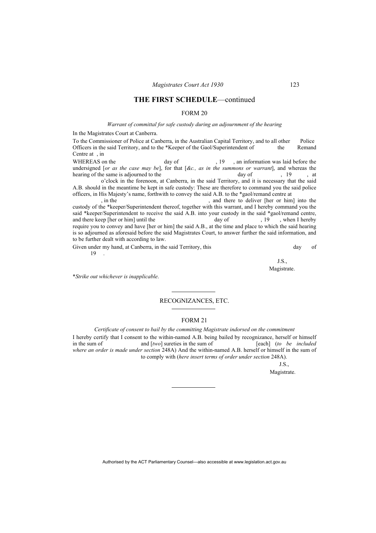#### FORM 20

#### *Warrant of committal for safe custody during an adjournment of the hearing*

In the Magistrates Court at Canberra.

To the Commissioner of Police at Canberra, in the Australian Capital Territory, and to all other Police Officers in the said Territory, and to the \*Keeper of the Gaol/Superintendent of the Remand Centre at , in

WHEREAS on the day of  $\frac{19}{19}$ , an information was laid before the undersigned [*or as the case may be*], for that [*&c., as in the summons or warrant*], and whereas the hearing of the same is adjourned to the day of , 19 , at o'clock in the forenoon, at Canberra, in the said Territory, and it is necessary that the said

A.B. should in the meantime be kept in safe custody: These are therefore to command you the said police officers, in His Majesty's name, forthwith to convey the said A.B. to the \*gaol/remand centre at

, in the , and there to deliver [her or him] into the custody of the \*keeper/Superintendent thereof, together with this warrant, and I hereby command you the said \*keeper/Superintendent to receive the said  $\overline{A}$ .B. into your custody in the said \*gaol/remand centre, and there keep [her or him] until the day of 19 when I here hy and there keep [her or him] until the day of  $\frac{19}{19}$ , when I hereby require you to convey and have [her or him] the said A.B., at the time and place to which the said hearing is so adjourned as aforesaid before the said Magistrates Court, to answer further the said information, and to be further dealt with according to law.

Given under my hand, at Canberra, in the said Territory, this day of day of 19 .

J.S., Magistrate.

\**Strike out whichever is inapplicable*.

### RECOGNIZANCES, ETC.

#### FORM 21

*Certificate of consent to bail by the committing Magistrate indorsed on the commitment* 

I hereby certify that I consent to the within-named A.B. being bailed by recognizance, herself or himself in the sum of  $[awo]$  sureties in the sum of  $[each]$  (to be included and [two] sureties in the sum of *where an order is made under section* 248A) And the within-named A.B. herself or himself in the sum of to comply with (*here insert terms of order under section* 248A).

J.S.,

Magistrate.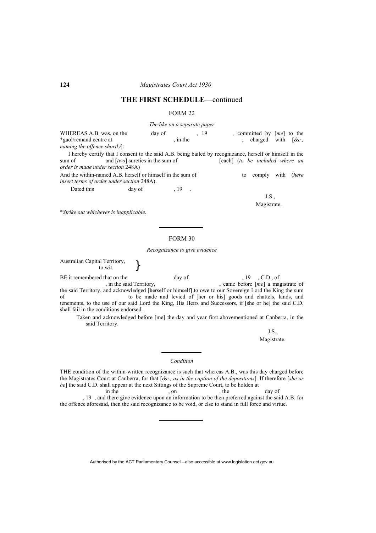#### FORM 22

*The like on a separate paper* 

WHEREAS A.B. was, on the day of , 19 , committed by  $[me]$  to the \*gaol/remand centre at , in the , charged with [*&c., naming the offence shortly*]:

I hereby certify that I consent to the said A.B. being bailed by recognizance, herself or himself in the sum of and [*two*] sureties in the sum of [each] (*to be included where an order is made under section* 248A)

And the within-named A.B. herself or himself in the sum of to comply with (*here insert terms of order under section* 248A).

Dated this day of 19 .

J.S.,

Magistrate.

\**Strike out whichever is inapplicable*.

#### FORM 30

*Recognizance to give evidence* 

Australian Capital Territory,<br>to wit.  $\Big\}$ 

BE it remembered that on the day of , 19 , C.D., of , in the said Territory, came before  $[me]$  a magistrate of the said Territory, and acknowledged [herself or himself] to owe to our Sovereign Lord the King the sum of to be made and levied of [her or his] goods and chattels, lands, and tenements, to the use of our said Lord the King, His Heirs and Successors, if [she or he] the said C.D. shall fail in the conditions endorsed.

Taken and acknowledged before [me] the day and year first abovementioned at Canberra, in the said Territory.

> J.S., Magistrate.

*Condition* 

THE condition of the within-written recognizance is such that whereas A.B., was this day charged before the Magistrates Court at Canberra, for that [*&c., as in the caption of the depositions*]. If therefore [*she or*   $he\!$  the said C.D. shall appear at the next Sittings of the Supreme Court, to be holden at in the  $\,$  , on  $\,$ 

in the , on , the day of , 19 , and there give evidence upon an information to be then preferred against the said A.B. for the offence aforesaid, then the said recognizance to be void, or else to stand in full force and virtue.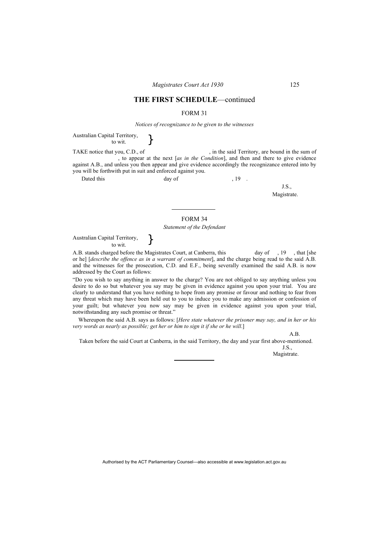#### FORM 31

*Notices of recognizance to be given to the witnesses* 

Australian Capital Territory,<br>to wit.  $\Big\}$ 

TAKE notice that you, C.D., of , in the said Territory, are bound in the sum of , to appear at the next [*as in the Condition*], and then and there to give evidence against A.B., and unless you then appear and give evidence accordingly the recognizance entered into by you will be forthwith put in suit and enforced against you.

Dated this day of , 19 .

J.S.,

Magistrate.

## FORM 34

#### *Statement of the Defendant*

Australian Capital Territory,  $\left.\begin{array}{c} \big\} \\ \text{to wit.} \end{array}\right\}$ 

A.B. stands charged before the Magistrates Court, at Canberra, this day of , 19, that [she or he] [*describe the offence as in a warrant of commitment*], and the charge being read to the said A.B. and the witnesses for the prosecution, C.D. and E.F., being severally examined the said A.B. is now addressed by the Court as follows:

"Do you wish to say anything in answer to the charge? You are not obliged to say anything unless you desire to do so but whatever you say may be given in evidence against you upon your trial. You are clearly to understand that you have nothing to hope from any promise or favour and nothing to fear from any threat which may have been held out to you to induce you to make any admission or confession of your guilt; but whatever you now say may be given in evidence against you upon your trial, notwithstanding any such promise or threat."

Whereupon the said A.B. says as follows: [*Here state whatever the prisoner may say, and in her or his very words as nearly as possible; get her or him to sign it if she or he will*.]

A.B.

Taken before the said Court at Canberra, in the said Territory, the day and year first above-mentioned.

J.S., Magistrate.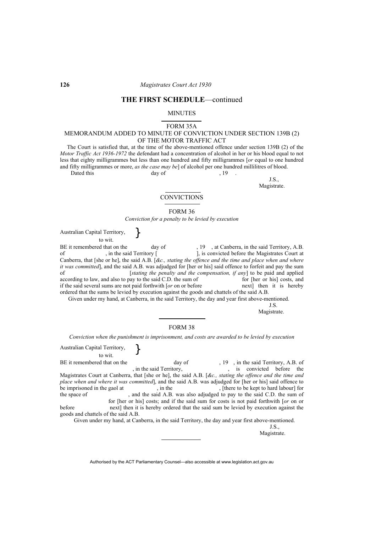#### MINUTES

#### FORM 35A

#### MEMORANDUM ADDED TO MINUTE OF CONVICTION UNDER SECTION 139B (2) OF THE MOTOR TRAFFIC ACT

The Court is satisfied that, at the time of the above-mentioned offence under section 139B (2) of the *Motor Traffic Act 1936-1972* the defendant had a concentration of alcohol in her or his blood equal to not less that eighty milligrammes but less than one hundred and fifty milligrammes [*or* equal to one hundred and fifty milligrammes or more, *as the case may be*] of alcohol per one hundred millilitres of blood. Dated this day of 19

J.S.,

Magistrate.

#### **CONVICTIONS**

FORM 36

*Conviction for a penalty to be levied by execution* 

Australian Capital Territory, to wit. }

BE it remembered that on the day of , 19, at Canberra, in the said Territory, A.B. of , in the said Territory [ ], is convicted before the Magistrates Court at Canberra, that [she or he], the said A.B. [*&c., stating the offence and the time and place when and where it was committed*], and the said A.B. was adjudged for [her or his] said offence to forfeit and pay the sum of [*stating the penalty and the compensation, if any*] to be paid and applied according to law, and also to pay to the said C.D. the sum of for [her or his] costs, and if the said several sums are not paid forthwith [*or* on or before next] then it is hereby ordered that the sums be levied by execution against the goods and chattels of the said A.B.

Given under my hand, at Canberra, in the said Territory, the day and year first above-mentioned.

J.S.

Magistrate.

#### FORM 38

*Conviction when the punishment is imprisonment, and costs are awarded to be levied by execution*

Australian Capital Territory,  $\left.\begin{array}{cc} \mathbf{b} & \mathbf{c} \\ \mathbf{d} & \mathbf{b} \end{array}\right\}$ BE it remembered that on the day of , 19, in the said Territory, A.B. of , in the said Territory,  $\qquad \qquad$ , is convicted before the Magistrates Court at Canberra, that [she or he], the said A.B. [*&c., stating the offence and the time and place when and where it was committed*], and the said A.B. was adjudged for [her or his] said offence to be imprisoned in the gaol at , in the , [there to be kept to hard labour] for the space of , and the said A.B. was also adjudged to pay to the said C.D. the sum of for [her or his] costs; and if the said sum for costs is not paid forthwith [*or* on or before next] then it is hereby ordered that the said sum be levied by execution against the goods and chattels of the said A.B. Given under my hand, at Canberra, in the said Territory, the day and year first above-mentioned.

J.S.,

Magistrate.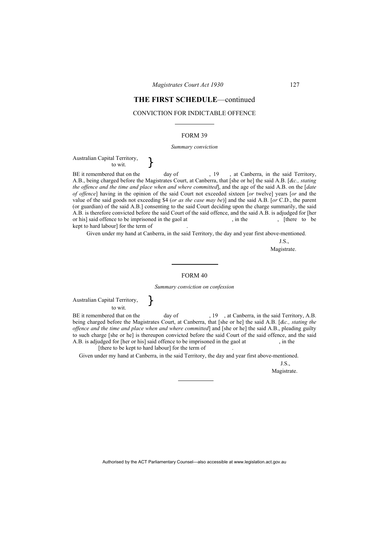#### CONVICTION FOR INDICTABLE OFFENCE

#### FORM 39

#### *Summary conviction*

# Australian Capital Territory,<br>to wit.  $\Big\}$

BE it remembered that on the day of , 19, at Canberra, in the said Territory, A.B., being charged before the Magistrates Court, at Canberra, that [she or he] the said A.B. [*&c., stating the offence and the time and place when and where committed*], and the age of the said A.B. on the [*date of offence*] having in the opinion of the said Court not exceeded sixteen [*or* twelve] years [*or* and the value of the said goods not exceeding \$4 (*or as the case may be*)] and the said A.B. [*or* C.D., the parent (or guardian) of the said A.B.] consenting to the said Court deciding upon the charge summarily, the said A.B. is therefore convicted before the said Court of the said offence, and the said A.B. is adjudged for [her or his] said offence to be imprisoned in the gaol at , in the , [there to be imprisoned in the gaol at kept to hard labour] for the term of .

Given under my hand at Canberra, in the said Territory, the day and year first above-mentioned.

J.S.,

Magistrate.

#### FORM 40

*Summary conviction on confession* 

Australian Capital Territory, to wit. }

BE it remembered that on the day of , 19 , at Canberra, in the said Territory, A.B. being charged before the Magistrates Court, at Canberra, that [she or he] the said A.B. [*&c., stating the offence and the time and place when and where committed*] and [she or he] the said A.B., pleading guilty to such charge [she or he] is thereupon convicted before the said Court of the said offence, and the said A.B. is adjudged for [her or his] said offence to be imprisoned in the gaol at in the A.B. is adjudged for [her or his] said offence to be imprisoned in the gaol at [there to be kept to hard labour] for the term of

Given under my hand at Canberra, in the said Territory, the day and year first above-mentioned.

J.S., Magistrate.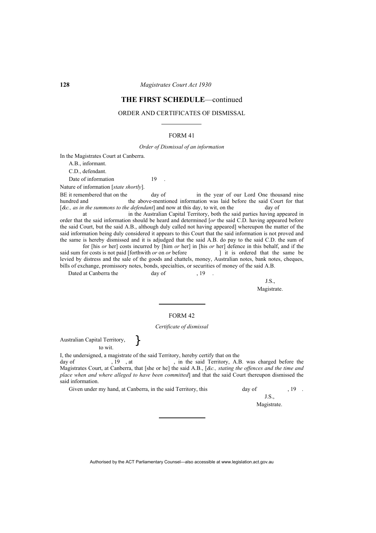## **THE FIRST SCHEDULE**—continued

#### ORDER AND CERTIFICATES OF DISMISSAL

#### FORM 41

*Order of Dismissal of an information* 

In the Magistrates Court at Canberra.

A.B., informant. C.D., defendant.

Date of information 19

Nature of information [*state shortly*].

BE it remembered that on the day of in the year of our Lord One thousand nine hundred and the above-mentioned information was laid before the said Court for that [*&c., as in the summons to the defendant*] and now at this day, to wit, on the day of

 at in the Australian Capital Territory, both the said parties having appeared in order that the said information should be heard and determined [*or* the said C.D. having appeared before the said Court, but the said A.B., although duly called not having appeared] whereupon the matter of the said information being duly considered it appears to this Court that the said information is not proved and the same is hereby dismissed and it is adjudged that the said A.B. do pay to the said C.D. the sum of

 for [his *or* her] costs incurred by [him *or* her] in [his *or* her] defence in this behalf, and if the said sum for costs is not paid [forthwith *or* on *or* before levied by distress and the sale of the goods and chattels, money, Australian notes, bank notes, cheques, bills of exchange, promissory notes, bonds, specialties, or securities of money of the said A.B.

Dated at Canberra the day of 19

J.S.,

Magistrate.

## FORM 42

#### *Certificate of dismissal*

Australian Capital Territory, to wit. }

I, the undersigned, a magistrate of the said Territory, hereby certify that on the

day of  $, 19, at$ , in the said Territory, A.B. was charged before the Magistrates Court, at Canberra, that [she or he] the said A.B., [*&c., stating the offences and the time and place when and where alleged to have been committed*] and that the said Court thereupon dismissed the said information.

Given under my hand, at Canberra, in the said Territory, this day of , 19 .

J.S., Magistrate.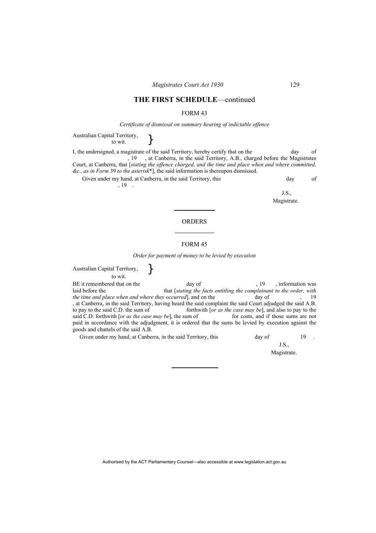#### FORM 43

#### *Certificate of dismissal on summary hearing of indictable offence*

Australian Capital Territory,<br>to wit.  $\Big\}$ 

I, the undersigned, a magistrate of the said Territory, hereby certify that on the day of , 19 , at Canberra, in the said Territory, A.B., charged before the Magistrates Court, at Canberra, that [*stating the offence charged, and the time and place when and where committed, &c., as in Form* 39 *to the asterisk*\*], the said information is thereupon dismissed. Given under my hand, at Canberra, in the said Territory, this day of

 $\left(19\right)$ 

J.S., Magistrate.

#### ORDERS

#### FORM 45

*Order for payment of money to be levied by execution* 

Australian Capital Territory, to wit. } BE it remembered that on the day of , 19 , information was<br>laid before the that stating the facts entitling the complainant to the order with that [stating the facts entitling the complainant to the order, with *the time and place when and where they occurred*], and on the day of , 19 , at Canberra, in the said Territory, having heard the said complaint the said Court adjudged the said A.B. to pay to the said C.D. the sum of forthwith [*or as the case may be*], and also to pay to the said C.D. forthwith [*or as the case may be*], the sum of for costs, and if those sums are not said C.D. forthwith [*or as the case may be*], the sum of paid in accordance with the adjudgment, it is ordered that the sums be levied by execution against the goods and chattels of the said A.B.

Given under my hand, at Canberra, in the said Territory, this day of 19

J.S., Magistrate.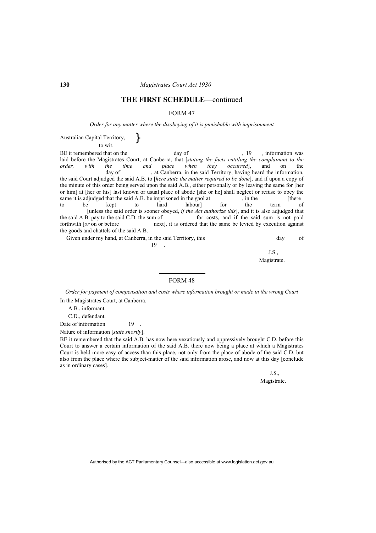#### FORM 47

*Order for any matter where the disobeying of it is punishable with imprisonment* 

Australian Capital Territory, to wit. }

BE it remembered that on the day of  $\frac{19}{15}$ , 19 , information was laid before the Magistrates Court, at Canberra, that [*stating the facts entitling the complainant to the order,* with the time and place when they occurred], and on the day of , at Canberra, in the said Territory, having heard the information.  $\alpha$ , at Canberra, in the said Territory, having heard the information, the said Court adjudged the said A.B. to [*here state the matter required to be done*], and if upon a copy of the minute of this order being served upon the said A.B., either personally or by leaving the same for [her or him] at [her or his] last known or usual place of abode [she or he] shall neglect or refuse to obey the same it is adjudged that the said A.B. be imprisoned in the gaol at , in the [there to be kept to hard labour] for the term of to be kept to hard labour] for the term of [unless the said order is sooner obeyed, *if the Act authorize this*], and it is also adjudged that for costs, and if the said sum is not paid forthwith [*or* on or before next], it is ordered that the same be levied by execution against the goods and chattels of the said A.B.

Given under my hand, at Canberra, in the said Territory, this day of

 $19$  .

J.S., Magistrate.

#### FORM 48

*Order for payment of compensation and costs where information brought or made in the wrong Court*  In the Magistrates Court, at Canberra.

A.B., informant.

C.D., defendant.

Date of information 19

Nature of information [*state shortly*].

BE it remembered that the said A.B. has now here vexatiously and oppressively brought C.D. before this Court to answer a certain information of the said A.B. there now being a place at which a Magistrates Court is held more easy of access than this place, not only from the place of abode of the said C.D. but also from the place where the subject-matter of the said information arose, and now at this day [conclude as in ordinary cases].

> J.S., Magistrate.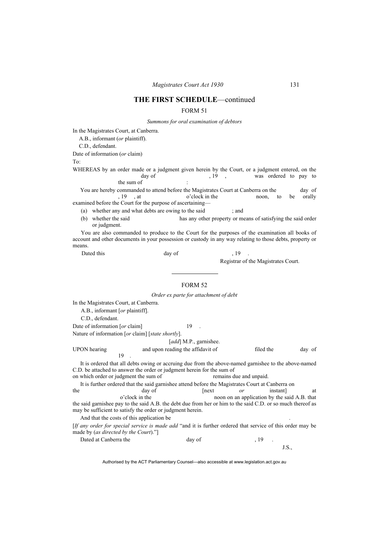#### FORM 51

*Summons for oral examination of debtors* 

In the Magistrates Court, at Canberra.

A.B., informant (*or* plaintiff).

C.D., defendant.

Date of information (*or* claim)

To:

WHEREAS by an order made or a judgment given herein by the Court, or a judgment entered, on the day of 19, 19, was ordered to pay to day of  $, 19,$  , was ordered to pay to the sum of

You are hereby commanded to attend before the Magistrates Court at Canberra on the day of , 19 , at o'clock in the noon, to be orally examined before the Court for the purpose of ascertaining—

(a) whether any and what debts are owing to the said ; and

(b) whether the said has any other property or means of satisfying the said order or judgment.

You are also commanded to produce to the Court for the purposes of the examination all books of account and other documents in your possession or custody in any way relating to those debts, property or means.

Dated this day of the same of  $\frac{19}{2}$ 

Registrar of the Magistrates Court.

#### FORM 52

*Order ex parte for attachment of debt* 

In the Magistrates Court, at Canberra.

A.B., informant [*or* plaintiff].

C.D., defendant.

Date of information [*or* claim] 19

Nature of information [*or* claim] [*state shortly*].

[*add*] M.P., garnishee.

UPON hearing and upon reading the affidavit of filed the day of  $19$ .

It is ordered that all debts owing or accruing due from the above-named garnishee to the above-named C.D. be attached to answer the order or judgment herein for the sum of

on which order or judgment the sum of remains due and unpaid.

It is further ordered that the said garnishee attend before the Magistrates Court at Canberra on

the day of [next *or* instant] at o'clock in the noon on an application by the said A.B. that the said garnishee pay to the said A.B. the debt due from her or him to the said C.D. or so much thereof as may be sufficient to satisfy the order or judgment herein.

And that the costs of this application be.

[*If any order for special service is made add* "and it is further ordered that service of this order may be made by (*as directed by the Court*)."]

| Dated at Canberra the | day of |  |       |
|-----------------------|--------|--|-------|
|                       |        |  | J.D., |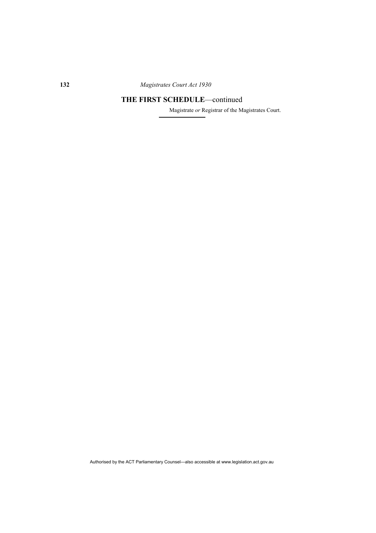Magistrate *or* Registrar of the Magistrates Court.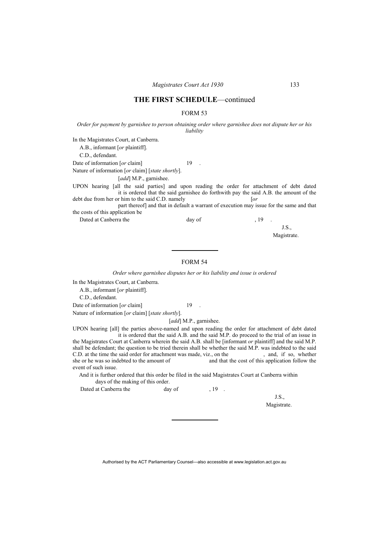#### FORM 53

*Order for payment by garnishee to person obtaining order where garnishee does not dispute her or his liability* 

In the Magistrates Court, at Canberra.

A.B., informant [*or* plaintiff].

C.D., defendant.

Date of information [*or* claim] 19 .

Nature of information [*or* claim] [*state shortly*].

[*add*] M.P., garnishee.

UPON hearing [all the said parties] and upon reading the order for attachment of debt dated it is ordered that the said garnishee do forthwith pay the said A.B. the amount of the debt due from her or him to the said C.D. namely [*or*

 part thereof] and that in default a warrant of execution may issue for the same and that the costs of this application be

Dated at Canberra the day of , 19 .

J.S.,

Magistrate.

### FORM 54

*Order where garnishee disputes her or his liability and issue is ordered* 

In the Magistrates Court, at Canberra.

A.B., informant [*or* plaintiff].

C.D., defendant.

Date of information [*or* claim] 19

Nature of information [*or* claim] [*state shortly*].

[*add*] M.P., garnishee.

UPON hearing [all] the parties above-named and upon reading the order for attachment of debt dated it is ordered that the said A.B. and the said M.P. do proceed to the trial of an issue in the Magistrates Court at Canberra wherein the said A.B. shall be [informant *or* plaintiff] and the said M.P. shall be defendant; the question to be tried therein shall be whether the said M.P. was indebted to the said C.D. at the time the said order for attachment was made, viz., on the , and, if so, whether she or he was so indebted to the amount of and that the cost of this application follow the and that the cost of this application follow the event of such issue.

And it is further ordered that this order be filed in the said Magistrates Court at Canberra within days of the making of this order.

Dated at Canberra the day of  $19$ .

J.S.,

Magistrate.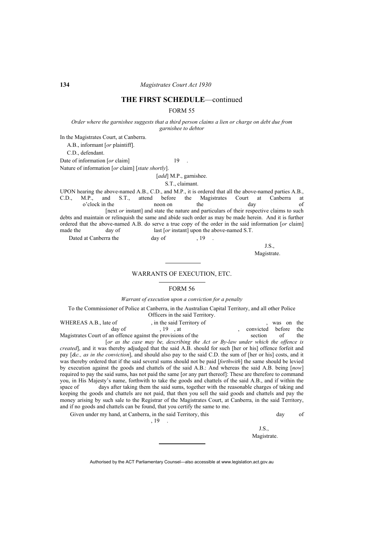FORM 55

*Order where the garnishee suggests that a third person claims a lien or charge on debt due from garnishee to debtor* 

In the Magistrates Court, at Canberra. A.B., informant [*or* plaintiff]. C.D., defendant.

Date of information [*or* claim] 19 . Nature of information [*or* claim] [*state shortly*].

[add] M.P., garnishee.

S.T., claimant.

UPON hearing the above-named A.B., C.D., and M.P., it is ordered that all the above-named parties A.B., C.D., M.P., and S.T., attend before the Magistrates Court at Canberra at o'clock in the noon on the day of [next *or* instant] and state the nature and particulars of their respective claims to such debts and maintain or relinquish the same and abide such order as may be made herein. And it is further ordered that the above-named A.B. do serve a true copy of the order in the said information [*or* claim] made the day of last [*or* instant] upon the above-named S.T.

Dated at Canberra the day of the day of the state of  $\frac{19}{10}$ .

J.S., Magistrate.

#### WARRANTS OF EXECUTION, ETC.

### FORM 56

#### *Warrant of execution upon a conviction for a penalty*

To the Commissioner of Police at Canberra, in the Australian Capital Territory, and all other Police Officers in the said Territory.

| WHEREAS A.B., late of                                                                                           | , in the said Territory of                                                               |                      | was on | the |
|-----------------------------------------------------------------------------------------------------------------|------------------------------------------------------------------------------------------|----------------------|--------|-----|
|                                                                                                                 | day of $19$ , at                                                                         | convicted before the |        |     |
| Magistrates Court of an offence against the provisions of the                                                   |                                                                                          | section              | of     | the |
|                                                                                                                 | [or as the case may be, describing the Act or By-law under which the offence is          |                      |        |     |
| created], and it was thereby adjudged that the said A.B. should for such [her or his] offence forfeit and       |                                                                                          |                      |        |     |
| pay $[\&c, as in the convolution]$ , and should also pay to the said C.D. the sum of [her or his] costs, and it |                                                                                          |                      |        |     |
| was thereby ordered that if the said several sums should not be paid [forthwith] the same should be levied      |                                                                                          |                      |        |     |
| by execution against the goods and chattels of the said A.B.: And whereas the said A.B. being [now]             |                                                                                          |                      |        |     |
| required to pay the said sums, has not paid the same [or any part thereof]: These are therefore to command      |                                                                                          |                      |        |     |
| you, in His Majesty's name, forthwith to take the goods and chattels of the said A.B., and if within the        |                                                                                          |                      |        |     |
| space of                                                                                                        | days after taking them the said sums, together with the reasonable charges of taking and |                      |        |     |
| keeping the goods and chattels are not paid, that then you sell the said goods and chattels and pay the         |                                                                                          |                      |        |     |
| money arising by such sale to the Registrar of the Magistrates Court, at Canberra, in the said Territory,       |                                                                                          |                      |        |     |
| and if no goods and chattels can be found, that you certify the same to me.                                     |                                                                                          |                      |        |     |
| Given under my hand at Canberra in the said Territory this                                                      |                                                                                          |                      | dav    | of  |

Given under my hand, at Canberra, in the said Territory, this day of  $\left(19\right)$ J.S.,

Magistrate.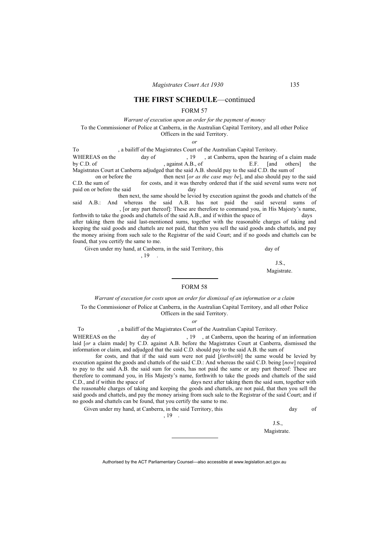#### FORM 57

*Warrant of execution upon an order for the payment of money* 

To the Commissioner of Police at Canberra, in the Australian Capital Territory, and all other Police Officers in the said Territory.

*or*

To capital Territory.<br>
WHEREAS on the day of 19 at Canberra unon the hearing WHEREAS on the day of , 19, at Canberra, upon the hearing of a claim made<br>by C.D. of against A.B., of E.F. [and others] the  $\alpha$  against A.B., of  $E.F.$  [and others] the Magistrates Court at Canberra adjudged that the said A.B. should pay to the said C.D. the sum of on or before the then next [*or as the case may be*], and also should pay to the said C.D. the sum of for costs, and it was thereby ordered that if the said several sums were not paid on or before the said day day of then next, the same should be levied by execution against the goods and chattels of the said A.B.: And whereas the said A.B. has not paid the said several sums of , [or any part thereof]: These are therefore to command you, in His Majesty's name, forthwith to take the goods and chattels of the said A.B., and if within the space of days after taking them the said last-mentioned sums, together with the reasonable charges of taking and keeping the said goods and chattels are not paid, that then you sell the said goods ands chattels, and pay the money arising from such sale to the Registrar of the said Court; and if no goods and chattels can be found, that you certify the same to me.

Given under my hand, at Canberra, in the said Territory, this day of , 19 .

J.S.,

Magistrate.

## FORM 58

#### *Warrant of execution for costs upon an order for dismissal of an information or a claim*

To the Commissioner of Police at Canberra, in the Australian Capital Territory, and all other Police Officers in the said Territory.

*or* 

To , a bailiff of the Magistrates Court of the Australian Capital Territory.

WHEREAS on the day of , 19, at Canberra, upon the hearing of an information laid [*or* a claim made] by C.D. against A.B. before the Magistrates Court at Canberra, dismissed the information or claim, and adjudged that the said C.D. should pay to the said A.B. the sum of

 for costs, and that if the said sum were not paid [*forthwith*] the same would be levied by execution against the goods and chattels of the said C.D.: And whereas the said C.D. being [*now*] required to pay to the said A.B. the said sum for costs, has not paid the same or any part thereof: These are therefore to command you, in His Majesty's name, forthwith to take the goods and chattels of the said C.D., and if within the space of days next after taking them the said sum, together with the reasonable charges of taking and keeping the goods and chattels, are not paid, that then you sell the said goods and chattels, and pay the money arising from such sale to the Registrar of the said Court; and if no goods and chattels can be found, that you certify the same to me.

Given under my hand, at Canberra, in the said Territory, this **of** the same of the same of the same of the same of the same of the same of the same of the same of the same of the same of the same of the same of the same of  $, 19$ .

J.S., Magistrate.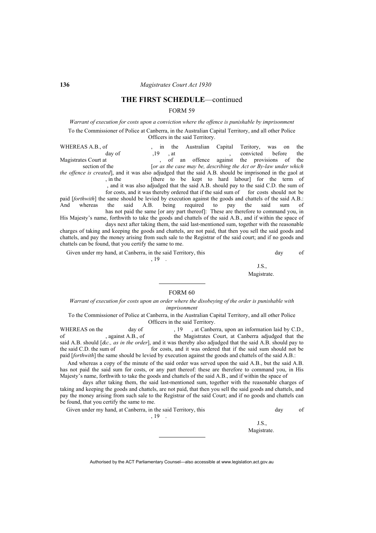### FORM 59

*Warrant of execution for costs upon a conviction where the offence is punishable by imprisonment*  To the Commissioner of Police at Canberra, in the Australian Capital Territory, and all other Police Officers in the said Territory.

WHEREAS A.B., of , in the Australian Capital Teritory, was on the day of , 19, at convicted before the day of  $19$ , at , convicted before the Magistrates Court at , of an offence against the provisions of the section of the *for as the case may be, describing the Act or By-law under which* $\frac{1}{2}$ *for as the case may be, describing the Act or By-law under which the offence is created*], and it was also adjudged that the said A.B. should be imprisoned in the gaol at , in the [there to be kept to hard labour] for the term of , and it was also adjudged that the said A.B. should pay to the said C.D. the sum of for costs, and it was thereby ordered that if the said sum of for costs should not be paid [*forthwith*] the same should be levied by execution against the goods and chattels of the said A.B.:

And whereas the said A.B. being required to pay the said sum of has not paid the same [or any part thereof]: These are therefore to command you, in His Majesty's name, forthwith to take the goods and chattels of the said A.B., and if within the space of

 days next after taking them, the said last-mentioned sum, together with the reasonable charges of taking and keeping the goods and chattels, are not paid, that then you sell the said goods and chattels, and pay the money arising from such sale to the Registrar of the said court; and if no goods and chattels can be found, that you certify the same to me.

Given under my hand, at Canberra, in the said Territory, this day of

, 19 .

J.S., Magistrate.

#### FORM 60

#### *Warrant of execution for costs upon an order where the disobeying of the order is punishable with imprisonment*

To the Commissioner of Police at Canberra, in the Australian Capital Territory, and all other Police Officers in the said Territory.

WHEREAS on the day of , 19, at Canberra, upon an information laid by C.D., of the Magistrates Court, at Canberra adjudged that the of , against A.B., of the Magistrates Court, at Canberra adjudged that the said A.B. should [*&c., as in the order*], and it was thereby also adjudged that the said A.B. should pay to the said C.D. the sum of for costs, and it was ordered that if the said sum should not be paid [*forthwith*] the same should be levied by execution against the goods and chattels of the said A.B.:

And whereas a copy of the minute of the said order was served upon the said A.B., but the said A.B. has not paid the said sum for costs, or any part thereof: these are therefore to command you, in His Majesty's name, forthwith to take the goods and chattels of the said A.B., and if within the space of

 days after taking them, the said last-mentioned sum, together with the reasonable charges of taking and keeping the goods and chattels, are not paid, that then you sell the said goods and chattels, and pay the money arising from such sale to the Registrar of the said Court; and if no goods and chattels can be found, that you certify the same to me.

Given under my hand, at Canberra, in the said Territory, this day of

, 19 .

J.S., Magistrate.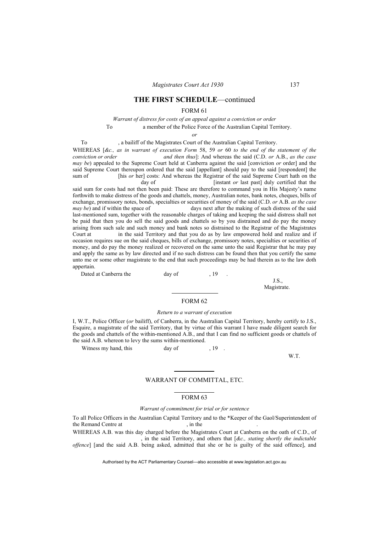#### FORM 61

### *Warrant of distress for costs of an appeal against a conviction or order*  To a member of the Police Force of the Australian Capital Territory.

*or* 

To , a bailiff of the Magistrates Court of the Australian Capital Territory.

WHEREAS [*&c., as in warrant of execution Form* 58, 59 *or* 60 *to the end of the statement of the conviction or order and then thus*]: And whereas the said (C.D. *or* A.B., *as the case may be*) appealed to the Supreme Court held at Canberra against the said [conviction *or* order] and the said Supreme Court thereupon ordered that the said [appellant] should pay to the said [respondent] the sum of [his *or* her] costs: And whereas the Registrar of the said Supreme Court hath on the day of **[instant** *or* last past] duly certified that the

said sum for costs had not then been paid: These are therefore to command you in His Majesty's name forthwith to make distress of the goods and chattels, money, Australian notes, bank notes, cheques, bills of exchange, promissory notes, bonds, specialties or securities of money of the said (C.D. *or* A.B. *as the case may be*) and if within the space of days next after the making of such distress of the said last-mentioned sum, together with the reasonable charges of taking and keeping the said distress shall not be paid that then you do sell the said goods and chattels so by you distrained and do pay the money arising from such sale and such money and bank notes so distrained to the Registrar of the Magistrates Court at in the said Territory and that you do as by law empowered hold and realize and if occasion requires sue on the said cheques, bills of exchange, promissory notes, specialties or securities of money, and do pay the money realized or recovered on the same unto the said Registrar that he may pay and apply the same as by law directed and if no such distress can be found then that you certify the same unto me or some other magistrate to the end that such proceedings may be had therein as to the law doth appertain.

Dated at Canberra the day of , 19 .

J.S., Magistrate.

#### FORM 62

#### *Return to a warrant of execution*

I, W.T., Police Officer (*or* bailiff), of Canberra, in the Australian Capital Territory, hereby certify to J.S., Esquire, a magistrate of the said Territory, that by virtue of this warrant I have made diligent search for the goods and chattels of the within-mentioned A.B., and that I can find no sufficient goods or chattels of the said A.B. whereon to levy the sums within-mentioned.

Witness my hand, this day of 19

W.T.

#### WARRANT OF COMMITTAL, ETC.

### FORM 63

#### *Warrant of commitment for trial or for sentence*

To all Police Officers in the Australian Capital Territory and to the \*Keeper of the Gaol/Superintendent of the Remand Centre at , in the WHEREAS A.B. was this day charged before the Magistrates Court at Canberra on the oath of C.D., of , in the said Territory, and others that [*&c., stating shortly the indictable* 

*offence*] [and the said A.B. being asked, admitted that she or he is guilty of the said offence], and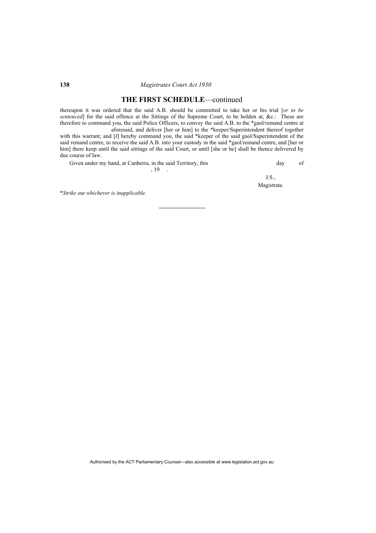### **THE FIRST SCHEDULE**—continued

thereupon it was ordered that the said A.B. should be committed to take her or his trial [*or to be sentenced*] for the said offence at the Sittings of the Supreme Court, to be holden at, &c.: These are therefore to command you, the said Police Officers, to convey the said A.B. to the \*gaol/remand centre at aforesaid, and deliver [her or him] to the \*keeper/Superintendent thereof together

with this warrant; and [*I*] hereby command you, the said \*keeper of the said gaol/Superintendent of the said remand centre, to receive the said A.B. into your custody in the said \*gaol/remand centre, and [her or him] there keep until the said sittings of the said Court, or until [she or he] shall be thence delivered by due course of law.

Given under my hand, at Canberra, in the said Territory, this day of  $, 19$ .

J.S., Magistrate.

\**Strike out whichever is inapplicable*.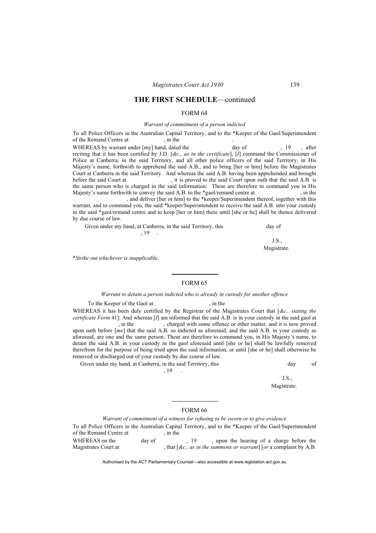#### FORM 64

### *Warrant of commitment of a person indicted*

To all Police Officers in the Australian Capital Territory, and to the \*Keeper of the Gaol/Superintendent of the Remand Centre at , in the

WHEREAS by warrant under [my] hand, dated the day of , 19, after reciting that it has been certified by J.D. [*&c., as in the certificate*], [*I*] command the Commissioner of Police at Canberra, in the said Territory, and all other police officers of the said Territory, in His Majesty's name, forthwith to apprehend the said A.B., and to bring [her or him] before the Magistrates Court at Canberra in the said Territory. And whereas the said A.B. having been apprehended and brought before the said Court at , it is proved to the said Court upon oath that the said A.B. is the same person who is charged in the said information: These are therefore to command you in His Majesty's name forthwith to convey the said A.B. to the \*gaol/remand centre at , in the

 , and deliver [her or him] to the \*keeper/Superintendent thereof, together with this warrant, and to command you, the said \*keeper/Superintendent to receive the said A.B. into your custody in the said \*gaol/remand centre and to keep [her or him] there until [she or he] shall be thence delivered by due course of law.

| Given under my hand, at Canberra, in the said Territory, this | day of |
|---------------------------------------------------------------|--------|
|                                                               |        |
|                                                               |        |

Magistrate.

\**Strike out whichever is inapplicable*.

### FORM 65

#### *Warrant to detain a person indicted who is already in custody for another offence*

To the Keeper of the Gaol at , in the

WHEREAS it has been duly certified by the Registrar of the Magistrates Court that [*&c., stating the certificate Form* 41]: And whereas [*I*] am informed that the said A.B. is in your custody in the said gaol at , in the , charged with some offence or other matter, and it is now proved upon oath before [*me*] that the said A.B. so indicted as aforesaid, and the said A.B. in your custody as aforesaid, are one and the same person: These are therefore to command you, in His Majesty's name, to detain the said A.B. in your custody in the gaol aforesaid until [she or he] shall be lawfully removed therefrom for the purpose of being tried upon the said information, or until [she or he] shall otherwise be removed or discharged out of your custody by due course of law.

Given under my hand, at Canberra, in the said Territory, this day day of

, 19 .

J.S., Magistrate.

#### FORM 66

*Warrant of commitment of a witness for refusing to be sworn or to give evidence* 

To all Police Officers in the Australian Capital Territory, and to the \*Keeper of the Gaol/Superintendent of the Remand Centre at , in the WHEREAS on the day of , 19 , upon the hearing of a charge before the

Magistrates Court at , that  $\lceil \mathcal{R}c, \mathcal{A}\mathcal{A}\mathcal{B}\rceil$  as *in the summons or warrant*  $\lceil \mathcal{A}\mathcal{A}\mathcal{B}\rceil$ .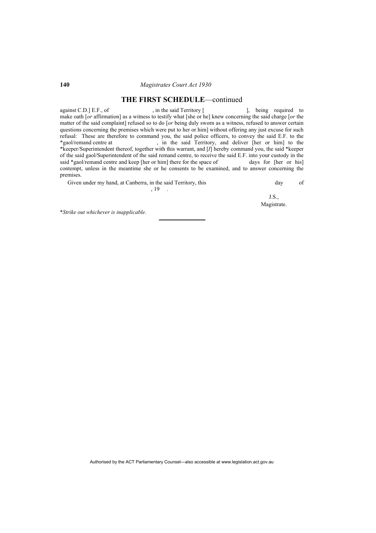### **THE FIRST SCHEDULE**—continued

against C.D.] E.F., of , in the said Territory [ ], being required to make oath [*or* affirmation] as a witness to testify what [she or he] knew concerning the said charge [*or* the matter of the said complaint] refused so to do [*or* being duly sworn as a witness, refused to answer certain questions concerning the premises which were put to her or him] without offering any just excuse for such refusal: These are therefore to command you, the said police officers, to convey the said E.F. to the \*gaol/remand centre at , in the said Territory, and deliver [her or him] to the \*keeper/Superintendent thereof, together with this warrant, and [*I*] hereby command you, the said \*keeper of the said gaol/Superintendent of the said remand centre, to receive the said E.F. into your custody in the said \*gaol/remand centre and keep [her or him] there for the space of days for [her or his] contempt, unless in the meantime she or he consents to be examined, and to answer concerning the premises.

Given under my hand, at Canberra, in the said Territory, this day of day of , 19 .

J.S., Magistrate.

\**Strike out whichever is inapplicable*.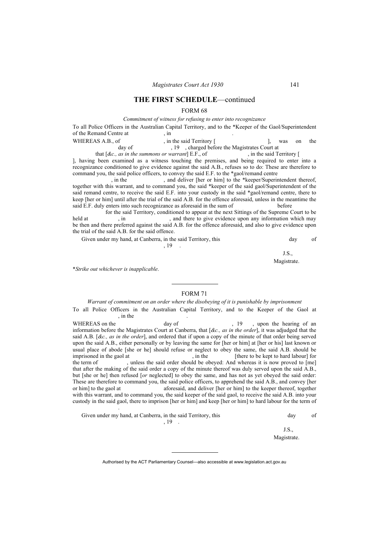#### FORM 68

#### *Commitment of witness for refusing to enter into recognizance*

| To all Police Officers in the Australian Capital Territory, and to the *Keeper of the Gaol/Superintendent |                         |  |            |  |
|-----------------------------------------------------------------------------------------------------------|-------------------------|--|------------|--|
| of the Remand Centre at                                                                                   | m                       |  |            |  |
| WHEDEAS A $R_{\text{off}}$                                                                                | in the said Territory L |  | was an the |  |

| WHEREAS A.B., of | , in the said Territory [                 | was on the |  |
|------------------|-------------------------------------------|------------|--|
| day of           | , charged before the Magistrates Court at |            |  |

that  $[dc., as in the summons or warrant]$  E.F., of , in the said Territory [ ], having been examined as a witness touching the premises, and being required to enter into a recognizance conditioned to give evidence against the said A.B., refuses so to do: These are therefore to command you, the said police officers, to convey the said E.F. to the \*gaol/remand centre

, in the , and deliver [her or him] to the \*keeper/Superintendent thereof, together with this warrant, and to command you, the said \*keeper of the said gaol/Superintendent of the said remand centre, to receive the said E.F. into your custody in the said \*gaol/remand centre, there to keep [her or him] until after the trial of the said A.B. for the offence aforesaid, unless in the meantime the said E.F. duly enters into such recognizance as aforesaid in the sum of before

 for the said Territory, conditioned to appear at the next Sittings of the Supreme Court to be held at , in , and there to give evidence upon any information which may be then and there preferred against the said A.B. for the offence aforesaid, and also to give evidence upon the trial of the said A.B. for the said offence.

| Given under my hand, at Canberra, in the said Territory, this | day |  |
|---------------------------------------------------------------|-----|--|
|                                                               |     |  |

J.S., Magistrate.

\**Strike out whichever is inapplicable*.

### FORM 71

*Warrant of commitment on an order where the disobeying of it is punishable by imprisonment*  To all Police Officers in the Australian Capital Territory, and to the Keeper of the Gaol at , in the

WHEREAS on the day of  $\frac{19}{19}$ , upon the hearing of an information before the Magistrates Court at Canberra, that [*&c., as in the order*], it was adjudged that the said A.B. [*&c., as in the order*], and ordered that if upon a copy of the minute of that order being served upon the said A.B., either personally or by leaving the same for [her or him] at [her or his] last known or usual place of abode [she or he] should refuse or neglect to obey the same, the said A.B. should be imprisoned in the gaol at the said A.B. should be imprisoned in the gaol at the said A.B. should for in the [there to be kept to hard labour] for the term of , unless the said order should be obeyed: And whereas it is now proved to [me] that after the making of the said order a copy of the minute thereof was duly served upon the said A.B., but [she or he] then refused [*or* neglected] to obey the same, and has not as yet obeyed the said order: These are therefore to command you, the said police officers, to apprehend the said A.B., and convey [her or him] to the gaol at aforesaid, and deliver [her or him] to the keeper thereof, together with this warrant, and to command you, the said keeper of the said gaol, to receive the said A.B. into your custody in the said gaol, there to imprison [her or him] and keep [her or him] to hard labour for the term of .

Given under my hand, at Canberra, in the said Territory, this day of day of , 19 .

J.S., Magistrate.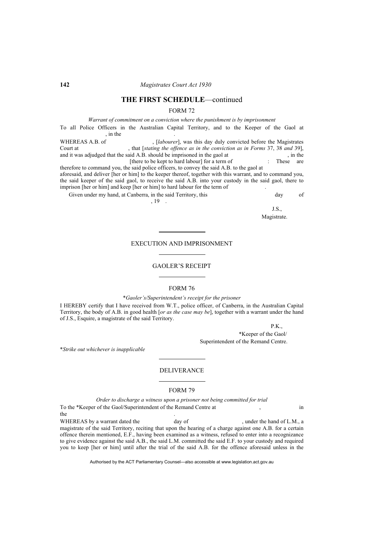### FORM 72

*Warrant of commitment on a conviction where the punishment is by imprisonment*  To all Police Officers in the Australian Capital Territory, and to the Keeper of the Gaol at , in the WHEREAS A.B. of , [*labourer*], was this day duly convicted before the Magistrates Court at , that *[stating the offence as in the conviction as in Forms* 37, 38 *and* 39], and it was adjudged that the said A.B. should be imprisoned in the gaol at . in the and it was adjudged that the said  $A.B.$  should be imprisoned in the gaol at

[there to be kept to hard labour] for a term of : These are therefore to command you, the said police officers, to convey the said A.B. to the gaol at aforesaid, and deliver [her or him] to the keeper thereof, together with this warrant, and to command you, the said keeper of the said gaol, to receive the said A.B. into your custody in the said gaol, there to imprison [her or him] and keep [her or him] to hard labour for the term of

Given under my hand, at Canberra, in the said Territory, this **compared a** day of

, 19 .

J.S., Magistrate.

#### EXECUTION AND IMPRISONMENT

#### GAOLER'S RECEIPT

#### FORM 76

#### \**Gaoler's/Superintendent's receipt for the prisoner*

I HEREBY certify that I have received from W.T., police officer, of Canberra, in the Australian Capital Territory, the body of A.B. in good health [*or as the case may be*], together with a warrant under the hand of J.S., Esquire, a magistrate of the said Territory.

P.K.,

 \*Keeper of the Gaol/ Superintendent of the Remand Centre.

\**Strike out whichever is inapplicable*

### DELIVERANCE

#### FORM 79

*Order to discharge a witness upon a prisoner not being committed for trial*  To the \*Keeper of the Gaol/Superintendent of the Remand Centre at  $\qquad \qquad$  in the state of the state of the state of the state of the state of the state of the state of the state of the state of the state of the state of the state of the state of the state of the state of the state of the state of t

WHEREAS by a warrant dated the day of , under the hand of L.M., a magistrate of the said Territory, reciting that upon the hearing of a charge against one A.B. for a certain offence therein mentioned, E.F., having been examined as a witness, refused to enter into a recognizance to give evidence against the said A.B., the said L.M. committed the said E.F. to your custody and required you to keep [her or him] until after the trial of the said A.B. for the offence aforesaid unless in the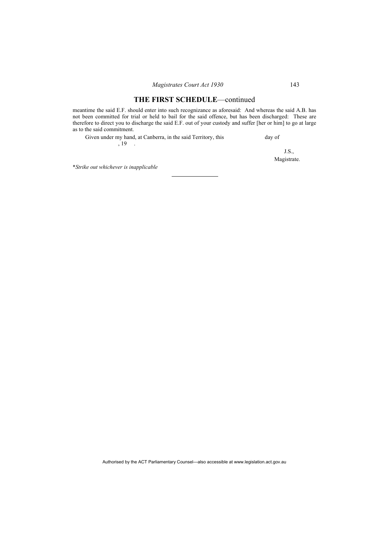meantime the said E.F. should enter into such recognizance as aforesaid: And whereas the said A.B. has not been committed for trial or held to bail for the said offence, but has been discharged: These are therefore to direct you to discharge the said E.F. out of your custody and suffer [her or him] to go at large as to the said commitment.

| Given under my hand, at Canberra, in the said Territory, this | day of |
|---------------------------------------------------------------|--------|
| . 19                                                          |        |

J.S., Magistrate.

\**Strike out whichever is inapplicable*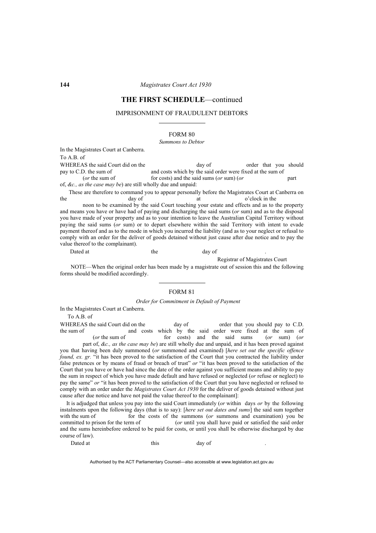#### IMPRISONMENT OF FRAUDULENT DEBTORS

FORM 80

#### *Summons to Debtor*

In the Magistrates Court at Canberra.

To A.B. of

WHEREAS the said Court did on the day of order that you should pay to C.D. the sum of and costs which by the said order were fixed at the sum of and costs which by the said order were fixed at the sum of (*or* the sum of for costs) and the said sums (*or* sum) (*or* part of, *&c., as the case may be*) are still wholly due and unpaid:

These are therefore to command you to appear personally before the Magistrates Court at Canberra on the day of at o'clock in the day of at o'clock in the

 noon to be examined by the said Court touching your estate and effects and as to the property and means you have or have had of paying and discharging the said sums (*or* sum) and as to the disposal you have made of your property and as to your intention to leave the Australian Capital Territory without paying the said sums (*or* sum) or to depart elsewhere within the said Territory with intent to evade payment thereof and as to the mode in which you incurred the liability (and as to your neglect or refusal to comply with an order for the deliver of goods detained without just cause after due notice and to pay the value thereof to the complainant).

Dated at the day of the day of the day of the day of the day of the day of the day of the day of the day of the  $\alpha$ 

Registrar of Magistrates Court

NOTE—When the original order has been made by a magistrate out of session this and the following forms should be modified accordingly.

### FORM 81

*Order for Commitment in Default of Payment* 

In the Magistrates Court at Canberra.

To A.B. of

WHEREAS the said Court did on the day of order that you should pay to C.D.<br>the sum of and costs which by the said order were fixed at the sum of and costs which by the said order were fixed at the sum of (*or* the sum of for costs) and the said sums (*or* sum) (*or* part of, *&c., as the case may be*) are still wholly due and unpaid, and it has been proved against you that having been duly summoned (*or* summoned and examined) [*here set out the specific offence found, ex. gr.* "it has been proved to the satisfaction of the Court that you contracted the liability under false pretences or by means of fraud or breach of trust" *or* "it has been proved to the satisfaction of the Court that you have or have had since the date of the order against you sufficient means and ability to pay the sum in respect of which you have made default and have refused or neglected (*or* refuse or neglect) to pay the same" or "it has been proved to the satisfaction of the Court that you have neglected or refused to comply with an order under the *Magistrates Court Act 1930* for the deliver of goods detained without just cause after due notice and have not paid the value thereof to the complainant]:

It is adjudged that unless you pay into the said Court immediately (*or* within days *or* by the following instalments upon the following days (that is to say): [*here set out dates and sums*] the said sum together with the sum of for the costs of the summons (*or* summons and examination) you be committed to prison for the term of (*or* until you shall have paid or satisfied the said order and the sums hereinbefore ordered to be paid for costs, or until you shall be otherwise discharged by due course of law).

Dated at this day of .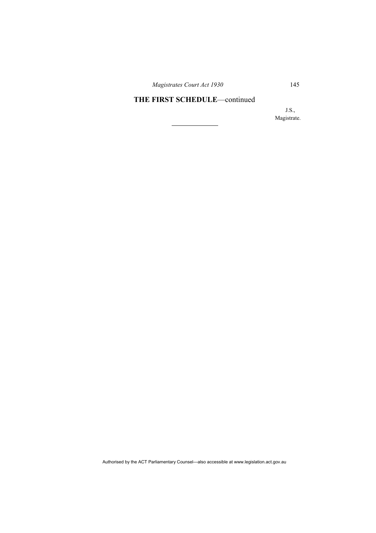*Magistrates Court Act 1930* 145

# **THE FIRST SCHEDULE**—continued

J.S., Magistrate.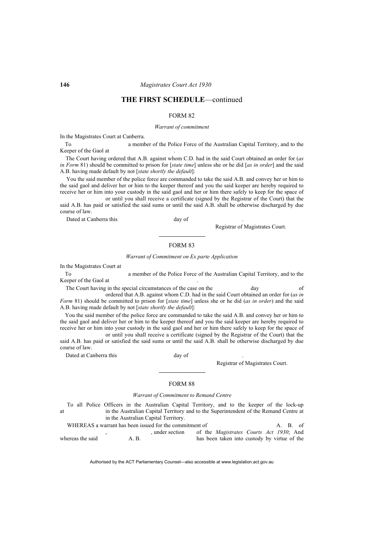### FORM 82

#### *Warrant of commitment*

In the Magistrates Court at Canberra.

To a member of the Police Force of the Australian Capital Territory, and to the Keeper of the Gaol at

The Court having ordered that A.B. against whom C.D. had in the said Court obtained an order for (*as in Form* 81) should be committed to prison for [*state time*] unless she or he did [*as in order*] and the said A.B. having made default by not [*state shortly the default*]:

You the said member of the police force are commanded to take the said A.B. and convey her or him to the said gaol and deliver her or him to the keeper thereof and you the said keeper are hereby required to receive her or him into your custody in the said gaol and her or him there safely to keep for the space of or until you shall receive a certificate (signed by the Registrar of the Court) that the

said A.B. has paid or satisfied the said sums or until the said A.B. shall be otherwise discharged by due course of law.

Dated at Canberra this day of .

Registrar of Magistrates Court.

#### FORM 83

#### *Warrant of Commitment on Ex parte Application*

In the Magistrates Court at

To a member of the Police Force of the Australian Capital Territory, and to the Keeper of the Gaol at

The Court having in the special circumstances of the case on the day day of ordered that A.B. against whom C.D. had in the said Court obtained an order for (*as in* 

*Form* 81) should be committed to prison for [*state time*] unless she or he did (*as in order*) and the said A.B. having made default by not [*state shortly the default*]:

You the said member of the police force are commanded to take the said A.B. and convey her or him to the said gaol and deliver her or him to the keeper thereof and you the said keeper are hereby required to receive her or him into your custody in the said gaol and her or him there safely to keep for the space of

 or until you shall receive a certificate (signed by the Registrar of the Court) that the said A.B. has paid or satisfied the said sums or until the said A.B. shall be otherwise discharged by due course of law.

Dated at Canberra this day of .

Registrar of Magistrates Court.

### FORM 88

#### *Warrant of Commitment to Remand Centre*

To all Police Officers in the Australian Capital Territory, and to the keeper of the lock-up at in the Australian Capital Territory and to the Superintendent of the Remand Centre at in the Australian Capital Territory.

WHEREAS a warrant has been issued for the commitment of A. B. of , under section of the *Magistrates Courts Act 1930*; And whereas the said  $A$ . B. has been taken into custody by virtue of the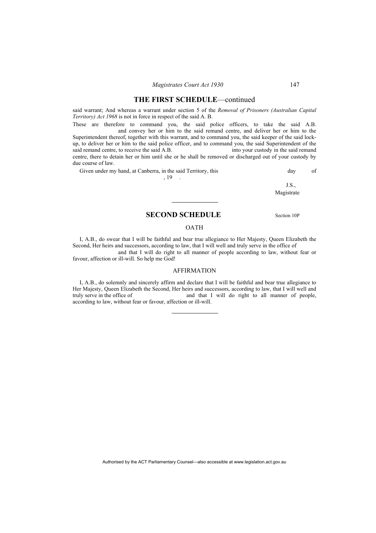said warrant; And whereas a warrant under section 5 of the *Removal of Prisoners (Australian Capital Territory) Act 1968* is not in force in respect of the said A. B.

These are therefore to command you, the said police officers, to take the said A.B. and convey her or him to the said remand centre, and deliver her or him to the Superintendent thereof, together with this warrant, and to command you, the said keeper of the said lockup, to deliver her or him to the said police officer, and to command you, the said Superintendent of the said remand centre, to receive the said  $A.B.$ centre, there to detain her or him until she or he shall be removed or discharged out of your custody by due course of law.

Given under my hand, at Canberra, in the said Territory, this day of day of

, 19

J.S., Magistrate

## **SECOND SCHEDULE** Section 10P

### OATH

I, A.B., do swear that I will be faithful and bear true allegiance to Her Majesty, Queen Elizabeth the Second, Her heirs and successors, according to law, that I will well and truly serve in the office of

 and that I will do right to all manner of people according to law, without fear or favour, affection or ill-will. So help me God!

### AFFIRMATION

I, A.B., do solemnly and sincerely affirm and declare that I will be faithful and bear true allegiance to Her Majesty, Queen Elizabeth the Second, Her heirs and successors, according to law, that I will well and truly serve in the office of and that I will do right to all manner of people. and that I will do right to all manner of people, according to law, without fear or favour, affection or ill-will.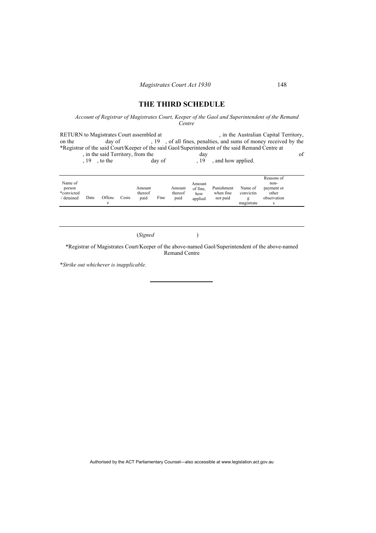# **THE THIRD SCHEDULE**

### *Account of Registrar of Magistrates Court, Keeper of the Gaol and Superintendent of the Remand Centre*

RETURN to Magistrates Court assembled at , in the Australian Capital Territory, on the day of , 19, of all fines, penalties, and sums of money received by the \*Registrar of the said Court/Keeper of the said Gaol/Superintendent of the said Remand Centre at %, in the said Territory, from the day of day<br>  $\begin{array}{ccc} 19 & , \text{to the} \\ 19 & , \text{to the} \end{array}$  day of  $\begin{array}{ccc} 19 & , \text{and how applied.} \\ 19 & , \text{to the} \end{array}$ , and how applied.

| Name of<br>person<br>*convicted<br>Date<br>detained | Offenc<br>e | Costs | Amount<br>thereof<br>paid | Fine | Amount<br>thereof<br>paid | Amount<br>of fine.<br>how<br>applied | Punishment<br>when fine<br>not paid | Name of<br>convictin<br>magistrate | Reasons of<br>non-<br>payment or<br>other<br>observation<br>s |  |
|-----------------------------------------------------|-------------|-------|---------------------------|------|---------------------------|--------------------------------------|-------------------------------------|------------------------------------|---------------------------------------------------------------|--|
|-----------------------------------------------------|-------------|-------|---------------------------|------|---------------------------|--------------------------------------|-------------------------------------|------------------------------------|---------------------------------------------------------------|--|

(*Signed* )

\*Registrar of Magistrates Court/Keeper of the above-named Gaol/Superintendent of the above-named Remand Centre

\**Strike out whichever is inapplicable.*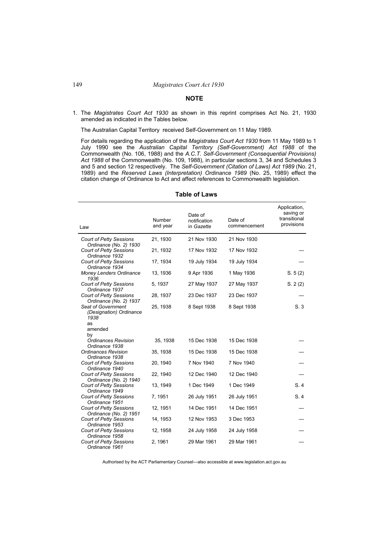### **NOTE**

1. The *Magistrates Court Act 1930* as shown in this reprint comprises Act No. 21, 1930 amended as indicated in the Tables below.

The Australian Capital Territory received Self-Government on 11 May 1989.

For details regarding the application of the *Magistrates Court Act 1930* from 11 May 1989 to 1 July 1990 see the *Australian Capital Territory (Self-Government) Act 1988* of the Commonwealth (No. 106, 1988) and the *A.C.T. Self-Government (Consequential Provisions) Act 1988* of the Commonwealth (No. 109, 1988), in particular sections 3, 34 and Schedules 3 and 5 and section 12 respectively. The *Self-Government (Citation of Laws) Act 1989* (No. 21, 1989) and the *Reserved Laws (Interpretation) Ordinance 1989* (No. 25, 1989) effect the citation change of Ordinance to Act and affect references to Commonwealth legislation.

| Law                                                          | Number<br>and year | Date of<br>notification<br>in Gazette | Date of<br>commencement | Application,<br>saving or<br>transitional<br>provisions |
|--------------------------------------------------------------|--------------------|---------------------------------------|-------------------------|---------------------------------------------------------|
| <b>Court of Petty Sessions</b><br>Ordinance (No. 2) 1930     | 21, 1930           | 21 Nov 1930                           | 21 Nov 1930             |                                                         |
| <b>Court of Petty Sessions</b><br>Ordinance 1932             | 21, 1932           | 17 Nov 1932                           | 17 Nov 1932             |                                                         |
| <b>Court of Petty Sessions</b><br>Ordinance 1934             | 17, 1934           | 19 July 1934                          | 19 July 1934            |                                                         |
| Money Lenders Ordinance<br>1936                              | 13, 1936           | 9 Apr 1936                            | 1 May 1936              | S. 5(2)                                                 |
| <b>Court of Petty Sessions</b><br>Ordinance 1937             | 5, 1937            | 27 May 1937                           | 27 May 1937             | S. 2(2)                                                 |
| <b>Court of Petty Sessions</b><br>Ordinance (No. 2) 1937     | 28, 1937           | 23 Dec 1937                           | 23 Dec 1937             |                                                         |
| <b>Seat of Government</b><br>(Designation) Ordinance<br>1938 | 25, 1938           | 8 Sept 1938                           | 8 Sept 1938             | S.3                                                     |
| as<br>amended<br>by                                          |                    |                                       |                         |                                                         |
| <b>Ordinances Revision</b><br>Ordinance 1938                 | 35, 1938           | 15 Dec 1938                           | 15 Dec 1938             |                                                         |
| <b>Ordinances Revision</b><br>Ordinance 1938                 | 35, 1938           | 15 Dec 1938                           | 15 Dec 1938             |                                                         |
| <b>Court of Petty Sessions</b><br>Ordinance 1940             | 20, 1940           | 7 Nov 1940                            | 7 Nov 1940              |                                                         |
| <b>Court of Petty Sessions</b><br>Ordinance (No. 2) 1940     | 22, 1940           | 12 Dec 1940                           | 12 Dec 1940             |                                                         |
| <b>Court of Petty Sessions</b><br>Ordinance 1949             | 13, 1949           | 1 Dec 1949                            | 1 Dec 1949              | S.4                                                     |
| <b>Court of Petty Sessions</b><br>Ordinance 1951             | 7, 1951            | 26 July 1951                          | 26 July 1951            | S.4                                                     |
| <b>Court of Petty Sessions</b><br>Ordinance (No. 2) 1951     | 12, 1951           | 14 Dec 1951                           | 14 Dec 1951             |                                                         |
| <b>Court of Petty Sessions</b><br>Ordinance 1953             | 14, 1953           | 12 Nov 1953                           | 3 Dec 1953              |                                                         |
| <b>Court of Petty Sessions</b><br>Ordinance 1958             | 12, 1958           | 24 July 1958                          | 24 July 1958            |                                                         |
| <b>Court of Petty Sessions</b><br>Ordinance 1961             | 2, 1961            | 29 Mar 1961                           | 29 Mar 1961             |                                                         |

#### **Table of Laws**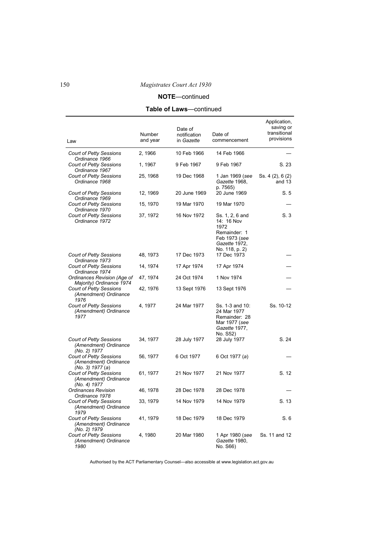# **NOTE**—continued

# **Table of Laws**—continued

| Law                                                                         | Number<br>and year | Date of<br>notification<br>in Gazette | Date of<br>commencement                                                                                   | Application,<br>saving or<br>transitional<br>provisions |
|-----------------------------------------------------------------------------|--------------------|---------------------------------------|-----------------------------------------------------------------------------------------------------------|---------------------------------------------------------|
| <b>Court of Petty Sessions</b><br>Ordinance 1966                            | 2, 1966            | 10 Feb 1966                           | 14 Feb 1966                                                                                               |                                                         |
| <b>Court of Petty Sessions</b><br>Ordinance 1967                            | 1, 1967            | 9 Feb 1967                            | 9 Feb 1967                                                                                                | S. 23                                                   |
| <b>Court of Petty Sessions</b><br>Ordinance 1968                            | 25, 1968           | 19 Dec 1968                           | 1 Jan 1969 (see<br>Gazette 1968,<br>p. 7565)                                                              | Ss. 4 (2), 6 (2)<br>and 13                              |
| <b>Court of Petty Sessions</b><br>Ordinance 1969                            | 12, 1969           | 20 June 1969                          | 20 June 1969                                                                                              | S.5                                                     |
| <b>Court of Petty Sessions</b><br>Ordinance 1970                            | 15, 1970           | 19 Mar 1970                           | 19 Mar 1970                                                                                               |                                                         |
| <b>Court of Petty Sessions</b><br>Ordinance 1972                            | 37, 1972           | 16 Nov 1972                           | Ss. 1, 2, 6 and<br>14: 16 Nov<br>1972<br>Remainder: 1<br>Feb 1973 (see<br>Gazette 1972,<br>No. 118, p. 2) | S.3                                                     |
| <b>Court of Petty Sessions</b><br>Ordinance 1973                            | 48, 1973           | 17 Dec 1973                           | 17 Dec 1973                                                                                               |                                                         |
| <b>Court of Petty Sessions</b><br>Ordinance 1974                            | 14, 1974           | 17 Apr 1974                           | 17 Apr 1974                                                                                               |                                                         |
| Ordinances Revision (Age of<br>Majority) Ordinance 1974                     | 47, 1974           | 24 Oct 1974                           | 1 Nov 1974                                                                                                |                                                         |
| <b>Court of Petty Sessions</b><br>(Amendment) Ordinance<br>1976             | 42, 1976           | 13 Sept 1976                          | 13 Sept 1976                                                                                              |                                                         |
| <b>Court of Petty Sessions</b><br>(Amendment) Ordinance<br>1977             | 4, 1977            | 24 Mar 1977                           | Ss. 1-3 and 10:<br>24 Mar 1977<br>Remainder: 28<br>Mar 1977 (see<br>Gazette 1977,<br>No. S52)             | Ss. 10-12                                               |
| <b>Court of Petty Sessions</b><br>(Amendment) Ordinance<br>(No. 2) 1977     | 34, 1977           | 28 July 1977                          | 28 July 1977                                                                                              | S. 24                                                   |
| <b>Court of Petty Sessions</b><br>(Amendment) Ordinance<br>(No. 3) 1977 (a) | 56, 1977           | 6 Oct 1977                            | 6 Oct 1977 (a)                                                                                            |                                                         |
| <b>Court of Petty Sessions</b><br>(Amendment) Ordinance<br>(No. 4) 1977     | 61, 1977           | 21 Nov 1977                           | 21 Nov 1977                                                                                               | S. 12                                                   |
| <b>Ordinances Revision</b><br>Ordinance 1978                                | 46, 1978           | 28 Dec 1978                           | 28 Dec 1978                                                                                               |                                                         |
| Court of Petty Sessions<br>(Amendment) Ordinance<br>1979                    | 33, 1979           | 14 Nov 1979                           | 14 Nov 1979                                                                                               | S. 13                                                   |
| <b>Court of Petty Sessions</b><br>(Amendment) Ordinance<br>(No. 2) 1979     | 41, 1979           | 18 Dec 1979                           | 18 Dec 1979                                                                                               | S.6                                                     |
| <b>Court of Petty Sessions</b><br>(Amendment) Ordinance<br>1980             | 4, 1980            | 20 Mar 1980                           | 1 Apr 1980 (see<br>Gazette 1980,<br>No. S66)                                                              | Ss. 11 and 12                                           |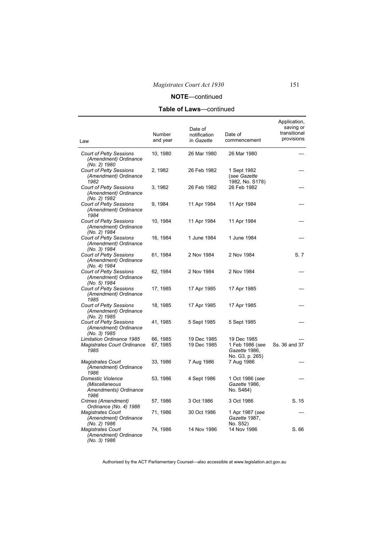# **Table of Laws**—continued

| Law                                                                            | Number<br>and year   | Date of<br>notification<br>in Gazette | Date of<br>commencement                                            | Application,<br>saving or<br>transitional<br>provisions |
|--------------------------------------------------------------------------------|----------------------|---------------------------------------|--------------------------------------------------------------------|---------------------------------------------------------|
| <b>Court of Petty Sessions</b><br>(Amendment) Ordinance<br>(No. 2) 1980        | 10, 1980             | 26 Mar 1980                           | 26 Mar 1980                                                        |                                                         |
| <b>Court of Petty Sessions</b><br>(Amendment) Ordinance<br>1982                | 2, 1982              | 26 Feb 1982                           | 1 Sept 1982<br>(see Gazette<br>1982, No. S178)                     |                                                         |
| <b>Court of Petty Sessions</b><br>(Amendment) Ordinance<br>(No. 2) 1982        | 3, 1982              | 26 Feb 1982                           | 26 Feb 1982                                                        |                                                         |
| <b>Court of Petty Sessions</b><br>(Amendment) Ordinance<br>1984                | 9, 1984              | 11 Apr 1984                           | 11 Apr 1984                                                        |                                                         |
| <b>Court of Petty Sessions</b><br>(Amendment) Ordinance<br>(No. 2) 1984        | 10, 1984             | 11 Apr 1984                           | 11 Apr 1984                                                        |                                                         |
| <b>Court of Petty Sessions</b><br>(Amendment) Ordinance<br>(No. 3) 1984        | 16, 1984             | 1 June 1984                           | 1 June 1984                                                        |                                                         |
| <b>Court of Petty Sessions</b><br>(Amendment) Ordinance<br>(No. 4) 1984        | 61, 1984             | 2 Nov 1984                            | 2 Nov 1984                                                         | S.7                                                     |
| <b>Court of Petty Sessions</b><br>(Amendment) Ordinance<br>(No. 5) 1984        | 62, 1984             | 2 Nov 1984                            | 2 Nov 1984                                                         |                                                         |
| <b>Court of Petty Sessions</b><br>(Amendment) Ordinance<br>1985                | 17, 1985             | 17 Apr 1985                           | 17 Apr 1985                                                        |                                                         |
| Court of Petty Sessions<br>(Amendment) Ordinance<br>(No. 2) 1985               | 18, 1985             | 17 Apr 1985                           | 17 Apr 1985                                                        |                                                         |
| <b>Court of Petty Sessions</b><br>(Amendment) Ordinance<br>(No. 3) 1985        | 41, 1985             | 5 Sept 1985                           | 5 Sept 1985                                                        |                                                         |
| <b>Limitation Ordinance 1985</b><br><b>Magistrates Court Ordinance</b><br>1985 | 66, 1985<br>67, 1985 | 19 Dec 1985<br>19 Dec 1985            | 19 Dec 1985<br>1 Feb 1986 (see<br>Gazette 1986,<br>No. G3, p. 265) | Ss. 36 and 37                                           |
| <b>Magistrates Court</b><br>(Amendment) Ordinance<br>1986                      | 33, 1986             | 7 Aug 1986                            | 7 Aug 1986                                                         |                                                         |
| <b>Domestic Violence</b><br>(Miscellaneous<br>Amendments) Ordinance<br>1986    | 53, 1986             | 4 Sept 1986                           | 1 Oct 1986 (see<br>Gazette 1986,<br>No. S484)                      |                                                         |
| Crimes (Amendment)<br>Ordinance (No. 4) 1986                                   | 57, 1986             | 3 Oct 1986                            | 3 Oct 1986                                                         | S. 15                                                   |
| <b>Magistrates Court</b><br>(Amendment) Ordinance<br>(No. 2) 1986              | 71, 1986             | 30 Oct 1986                           | 1 Apr 1987 (see<br>Gazette 1987,<br>No. S52)                       |                                                         |
| <b>Magistrates Court</b><br>(Amendment) Ordinance<br>(No. 3) 1986              | 74, 1986             | 14 Nov 1986                           | 14 Nov 1986                                                        | S. 66                                                   |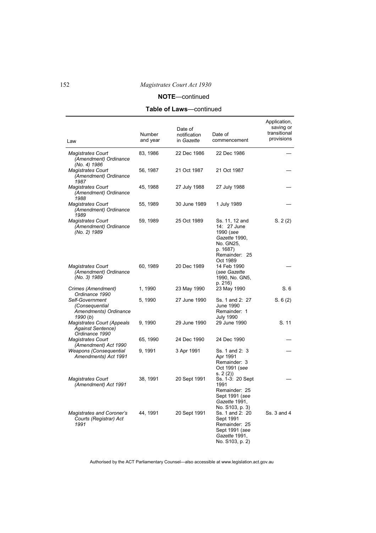# **NOTE**—continued

# **Table of Laws**—continued

| Law                                                                   | Number<br>and year | Date of<br>notification<br>in Gazette | Date of<br>commencement                                                                                           | Application,<br>saving or<br>transitional<br>provisions |
|-----------------------------------------------------------------------|--------------------|---------------------------------------|-------------------------------------------------------------------------------------------------------------------|---------------------------------------------------------|
| <b>Magistrates Court</b><br>(Amendment) Ordinance<br>(No. 4) 1986     | 83, 1986           | 22 Dec 1986                           | 22 Dec 1986                                                                                                       |                                                         |
| <b>Magistrates Court</b><br>(Amendment) Ordinance<br>1987             | 56, 1987           | 21 Oct 1987                           | 21 Oct 1987                                                                                                       |                                                         |
| <b>Magistrates Court</b><br>(Amendment) Ordinance<br>1988             | 45, 1988           | 27 July 1988                          | 27 July 1988                                                                                                      |                                                         |
| <b>Magistrates Court</b><br>(Amendment) Ordinance<br>1989             | 55, 1989           | 30 June 1989                          | 1 July 1989                                                                                                       |                                                         |
| <b>Magistrates Court</b><br>(Amendment) Ordinance<br>(No. 2) 1989     | 59, 1989           | 25 Oct 1989                           | Ss. 11, 12 and<br>14: 27 June<br>1990 (see<br>Gazette 1990,<br>No. GN25,<br>p. 1687)<br>Remainder: 25<br>Oct 1989 | S. 2(2)                                                 |
| <b>Magistrates Court</b><br>(Amendment) Ordinance<br>(No. 3) 1989     | 60, 1989           | 20 Dec 1989                           | 14 Feb 1990<br>(see Gazette<br>1990, No. GN5,<br>p. 216)                                                          |                                                         |
| Crimes (Amendment)<br>Ordinance 1990                                  | 1, 1990            | 23 May 1990                           | 23 May 1990                                                                                                       | S.6                                                     |
| Self-Government<br>(Consequential<br>Amendments) Ordinance<br>1990(b) | 5, 1990            | 27 June 1990                          | Ss. 1 and 2: 27<br>June 1990<br>Remainder: 1<br><b>July 1990</b>                                                  | S. 6(2)                                                 |
| Magistrates Court (Appeals<br>Against Sentence)<br>Ordinance 1990     | 9, 1990            | 29 June 1990                          | 29 June 1990                                                                                                      | S. 11                                                   |
| <b>Magistrates Court</b><br>(Amendment) Act 1990                      | 65, 1990           | 24 Dec 1990                           | 24 Dec 1990                                                                                                       |                                                         |
| Weapons (Consequential<br>Amendments) Act 1991                        | 9, 1991            | 3 Apr 1991                            | Ss. 1 and 2: 3<br>Apr 1991<br>Remainder: 3<br>Oct 1991 (see<br>s. 2 (2))                                          |                                                         |
| <b>Magistrates Court</b><br>(Amendment) Act 1991                      | 38, 1991           | 20 Sept 1991                          | Ss. 1-3: 20 Sept<br>1991<br>Remainder: 25<br>Sept 1991 (see<br>Gazette 1991,<br>No. S103, p. 3)                   |                                                         |
| <b>Magistrates and Coroner's</b><br>Courts (Registrar) Act<br>1991    | 44, 1991           | 20 Sept 1991                          | Ss. 1 and 2: 20<br>Sept 1991<br>Remainder: 25<br>Sept 1991 (see<br>Gazette 1991,<br>No. S103, p. 2)               | Ss. 3 and 4                                             |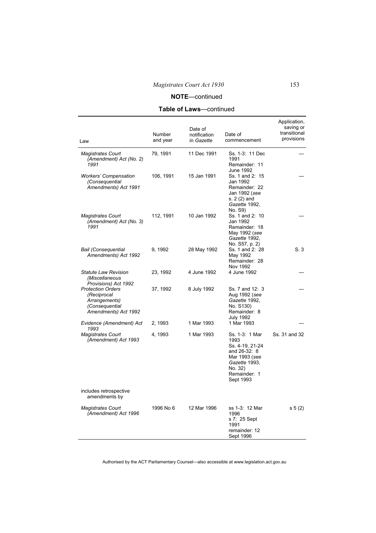**Table of Laws**—continued

| Law                                                                                                | <b>Number</b><br>and year | Date of<br>notification<br>in Gazette | Date of<br>commencement                                                                                                             | Application,<br>saving or<br>transitional<br>provisions |
|----------------------------------------------------------------------------------------------------|---------------------------|---------------------------------------|-------------------------------------------------------------------------------------------------------------------------------------|---------------------------------------------------------|
| <b>Magistrates Court</b><br>(Amendment) Act (No. 2)<br>1991                                        | 79, 1991                  | 11 Dec 1991                           | Ss. 1-3: 11 Dec<br>1991<br>Remainder: 11                                                                                            |                                                         |
| <b>Workers' Compensation</b><br>(Consequential<br>Amendments) Act 1991                             | 106, 1991                 | 15 Jan 1991                           | June 1992<br>Ss. 1 and 2: 15<br>Jan 1992<br>Remainder: 22<br>Jan 1992 (see<br>s. 2 (2) and<br>Gazette 1992,<br>No. S9)              |                                                         |
| <b>Magistrates Court</b><br>(Amendment) Act (No. 3)<br>1991                                        | 112, 1991                 | 10 Jan 1992                           | Ss. 1 and 2: 10<br>Jan 1992<br>Remainder: 18<br>May 1992 (see<br>Gazette 1992,<br>No. S57, p. 2)                                    |                                                         |
| <b>Bail (Consequential</b><br>Amendments) Act 1992                                                 | 9, 1992                   | 28 May 1992                           | Ss. 1 and 2: 28<br>May 1992<br>Remainder: 28<br>Nov 1992                                                                            | S.3                                                     |
| Statute Law Revision<br>(Miscellaneous<br>Provisions) Act 1992                                     | 23, 1992                  | 4 June 1992                           | 4 June 1992                                                                                                                         |                                                         |
| <b>Protection Orders</b><br>(Reciprocal<br>Arrangements)<br>(Consequential<br>Amendments) Act 1992 | 37, 1992                  | 8 July 1992                           | Ss. 7 and 12: 3<br>Aug 1992 (see<br>Gazette 1992,<br>No. S130)<br>Remainder: 8<br><b>July 1992</b>                                  |                                                         |
| Evidence (Amendment) Act<br>1993                                                                   | 2, 1993                   | 1 Mar 1993                            | 1 Mar 1993                                                                                                                          |                                                         |
| <b>Magistrates Court</b><br>(Amendment) Act 1993                                                   | 4, 1993                   | 1 Mar 1993                            | Ss. 1-3: 1 Mar<br>1993<br>Ss. 4-19, 21-24<br>and 26-32: 8<br>Mar 1993 (see<br>Gazette 1993,<br>No. 32)<br>Remainder: 1<br>Sept 1993 | Ss. 31 and 32                                           |
| includes retrospective<br>amendments by                                                            |                           |                                       |                                                                                                                                     |                                                         |
| <b>Magistrates Court</b><br>(Amendment) Act 1996                                                   | 1996 No 6                 | 12 Mar 1996                           | ss 1-3: 12 Mar<br>1996<br>s 7: 25 Sept<br>1991<br>remainder: 12<br>Sept 1996                                                        | s 5(2)                                                  |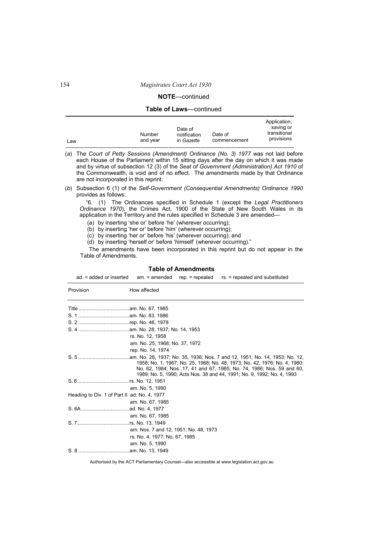### **NOTE**—continued

### **Table of Laws**—continued

|     |                    |                                       |                         | Application,                            |
|-----|--------------------|---------------------------------------|-------------------------|-----------------------------------------|
| Law | Number<br>and vear | Date of<br>notification<br>in Gazette | Date of<br>commencement | saving or<br>transitional<br>provisions |

(*a*) The *Court of Petty Sessions (Amendment) Ordinance (No. 3) 1977* was not laid before each House of the Parliament within 15 sitting days after the day on which it was made and by virtue of subsection 12 (3) of the *Seat of Government (Administration) Act 1910* of the Commonwealth, is void and of no effect. The amendments made by that Ordinance are not incorporated in this reprint.

(*b*) Subsection 6 (1) of the *Self-Government (Consequential Amendments) Ordinance 1990* provides as follows:

"6. (1) The Ordinances specified in Schedule 1 (except the *Legal Practitioners Ordinance 1970*), the Crimes Act, 1900 of the State of New South Wales in its application in the Territory and the rules specified in Schedule 3 are amended—

(a) by inserting 'she or' before 'he' (wherever occurring);

(b) by inserting 'her or' before 'him' (wherever occurring);

(c) by inserting 'her or' before 'his' (wherever occurring); and

(d) by inserting 'herself or' before 'himself' (wherever occurring)."

The amendments have been incorporated in this reprint but do not appear in the Table of Amendments.

**Table of Amendments** 

| ad. = added or inserted                      | rs. = repealed and substituted<br>$am. = amended$<br>$rep. = repeated$                                                                                                                                                       |
|----------------------------------------------|------------------------------------------------------------------------------------------------------------------------------------------------------------------------------------------------------------------------------|
| Provision                                    | How affected                                                                                                                                                                                                                 |
|                                              |                                                                                                                                                                                                                              |
|                                              |                                                                                                                                                                                                                              |
|                                              |                                                                                                                                                                                                                              |
|                                              |                                                                                                                                                                                                                              |
|                                              | rs. No. 12, 1958                                                                                                                                                                                                             |
|                                              | am. No. 25, 1968; No. 37, 1972                                                                                                                                                                                               |
|                                              | rep. No. 14, 1974                                                                                                                                                                                                            |
|                                              | 1958; No. 1, 1967; No. 25, 1968; No. 48, 1973; No. 42, 1976; No. 4, 1980;<br>No. 62, 1984; Nos. 17, 41 and 67, 1985; No. 74, 1986; Nos. 59 and 60,<br>1989; No. 5, 1990; Acts Nos. 38 and 44, 1991; No. 9, 1992; No. 4, 1993 |
|                                              |                                                                                                                                                                                                                              |
|                                              | am. No. 5, 1990                                                                                                                                                                                                              |
| Heading to Div. 1 of Part II ad. No. 4, 1977 |                                                                                                                                                                                                                              |
|                                              | am. No. 67, 1985                                                                                                                                                                                                             |
|                                              |                                                                                                                                                                                                                              |
|                                              | am. No. 67, 1985                                                                                                                                                                                                             |
|                                              |                                                                                                                                                                                                                              |
|                                              | am. Nos. 7 and 12, 1951; No. 48, 1973                                                                                                                                                                                        |
|                                              | rs. No. 4, 1977; No. 67, 1985                                                                                                                                                                                                |
|                                              | am. No. 5, 1990                                                                                                                                                                                                              |
|                                              |                                                                                                                                                                                                                              |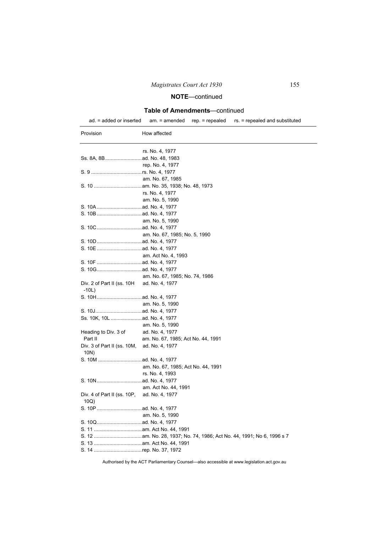## **Table of Amendments**—continued

ad. = added or inserted am. = amended rep. = repealed rs. = repealed and substituted

| Provision                             | How affected                       |
|---------------------------------------|------------------------------------|
|                                       |                                    |
|                                       | rs. No. 4, 1977                    |
|                                       | rep. No. 4, 1977                   |
|                                       |                                    |
|                                       | am. No. 67, 1985                   |
|                                       |                                    |
|                                       | rs. No. 4, 1977                    |
|                                       | am. No. 5, 1990                    |
|                                       |                                    |
|                                       |                                    |
|                                       | am. No. 5, 1990                    |
|                                       |                                    |
|                                       | am. No. 67, 1985; No. 5, 1990      |
|                                       |                                    |
|                                       |                                    |
|                                       | am. Act No. 4, 1993                |
|                                       |                                    |
|                                       |                                    |
|                                       | am. No. 67, 1985; No. 74, 1986     |
| Div. 2 of Part II (ss. 10H<br>$-10L)$ | ad. No. 4, 1977                    |
|                                       |                                    |
|                                       | am. No. 5, 1990                    |
|                                       |                                    |
| Ss. 10K, 10L  ad. No. 4, 1977         |                                    |
|                                       | am. No. 5, 1990                    |
| Heading to Div. 3 of                  | ad. No. 4, 1977                    |
| Part II                               | am. No. 67, 1985; Act No. 44, 1991 |
| Div. 3 of Part II (ss. 10M,           | ad. No. 4, 1977                    |
| 10N)                                  |                                    |
|                                       |                                    |
|                                       | am. No. 67, 1985; Act No. 44, 1991 |
|                                       | rs. No. 4, 1993                    |
|                                       |                                    |
|                                       | am. Act No. 44, 1991               |
| Div. 4 of Part II (ss. 10P,           | ad. No. 4, 1977                    |
| 10Q)                                  |                                    |
|                                       |                                    |
|                                       | am. No. 5, 1990                    |
|                                       |                                    |
|                                       |                                    |
|                                       |                                    |
|                                       |                                    |
| S. 14 rep. No. 37, 1972               |                                    |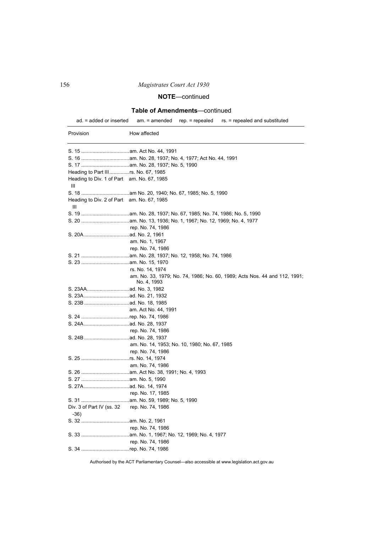# **NOTE**—continued

## **Table of Amendments**—continued

ad. = added or inserted am. = amended rep. = repealed rs. = repealed and substituted

| Provision                                             | How affected                                                                             |
|-------------------------------------------------------|------------------------------------------------------------------------------------------|
|                                                       |                                                                                          |
|                                                       |                                                                                          |
|                                                       |                                                                                          |
|                                                       |                                                                                          |
| Heading to Div. 1 of Part am. No. 67, 1985<br>Ш       |                                                                                          |
|                                                       |                                                                                          |
| Heading to Div. 2 of Part am. No. 67, 1985<br>Ш       |                                                                                          |
|                                                       |                                                                                          |
|                                                       |                                                                                          |
|                                                       | rep. No. 74, 1986                                                                        |
|                                                       |                                                                                          |
|                                                       | am. No. 1, 1967                                                                          |
|                                                       | rep. No. 74, 1986                                                                        |
|                                                       |                                                                                          |
|                                                       |                                                                                          |
|                                                       | rs. No. 14, 1974                                                                         |
|                                                       | am. No. 33, 1979; No. 74, 1986; No. 60, 1989; Acts Nos. 44 and 112, 1991;<br>No. 4, 1993 |
|                                                       |                                                                                          |
|                                                       |                                                                                          |
|                                                       |                                                                                          |
|                                                       | am. Act No. 44, 1991                                                                     |
|                                                       |                                                                                          |
|                                                       |                                                                                          |
|                                                       | rep. No. 74, 1986                                                                        |
|                                                       |                                                                                          |
|                                                       | am. No. 14, 1953; No. 10, 1980; No. 67, 1985                                             |
|                                                       | rep. No. 74, 1986                                                                        |
|                                                       |                                                                                          |
|                                                       | am. No. 74, 1986                                                                         |
|                                                       |                                                                                          |
|                                                       |                                                                                          |
|                                                       |                                                                                          |
|                                                       | rep. No. 17, 1985                                                                        |
|                                                       |                                                                                          |
| Div. 3 of Part IV (ss. 32 rep. No. 74, 1986<br>$-36)$ |                                                                                          |
|                                                       |                                                                                          |
|                                                       | rep. No. 74, 1986                                                                        |
|                                                       |                                                                                          |
|                                                       | rep. No. 74, 1986                                                                        |
|                                                       |                                                                                          |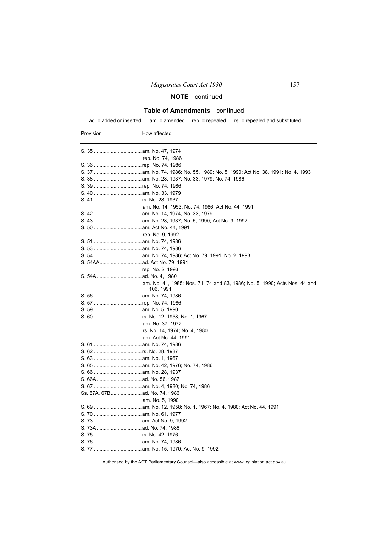## **Table of Amendments**—continued

ad. = added or inserted am. = amended rep. = repealed rs. = repealed and substituted

| Provision | How affected                                                                           |
|-----------|----------------------------------------------------------------------------------------|
|           |                                                                                        |
|           | rep. No. 74, 1986                                                                      |
|           |                                                                                        |
|           |                                                                                        |
|           |                                                                                        |
|           |                                                                                        |
|           |                                                                                        |
|           |                                                                                        |
|           | am. No. 14, 1953; No. 74, 1986; Act No. 44, 1991                                       |
|           |                                                                                        |
|           |                                                                                        |
|           |                                                                                        |
|           | rep. No. 9, 1992                                                                       |
|           |                                                                                        |
|           |                                                                                        |
|           |                                                                                        |
|           |                                                                                        |
|           | rep. No. 2, 1993                                                                       |
|           |                                                                                        |
|           | am. No. 41, 1985; Nos. 71, 74 and 83, 1986; No. 5, 1990; Acts Nos. 44 and<br>106, 1991 |
|           |                                                                                        |
|           |                                                                                        |
|           |                                                                                        |
|           |                                                                                        |
|           | am. No. 37, 1972                                                                       |
|           | rs. No. 14, 1974; No. 4, 1980                                                          |
|           | am. Act No. 44, 1991                                                                   |
|           |                                                                                        |
|           |                                                                                        |
|           |                                                                                        |
|           |                                                                                        |
|           |                                                                                        |
|           |                                                                                        |
|           |                                                                                        |
|           | Ss. 67A, 67B  ad. No. 74, 1986                                                         |
|           | am. No. 5, 1990                                                                        |
|           |                                                                                        |
|           |                                                                                        |
|           |                                                                                        |
|           |                                                                                        |
|           |                                                                                        |
|           |                                                                                        |
|           |                                                                                        |
|           |                                                                                        |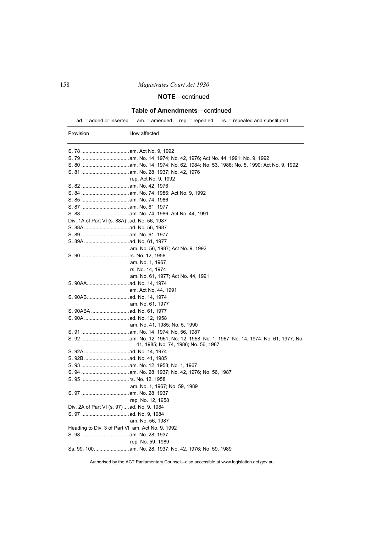# **NOTE**—continued

## **Table of Amendments**—continued

ad. = added or inserted am. = amended rep. = repealed rs. = repealed and substituted

| Provision | How affected                                     |
|-----------|--------------------------------------------------|
|           |                                                  |
|           |                                                  |
|           |                                                  |
|           |                                                  |
|           | rep. Act No. 9, 1992                             |
|           |                                                  |
|           |                                                  |
|           |                                                  |
|           |                                                  |
|           |                                                  |
|           | Div. 1A of Part VI (s. 88A). ad. No. 56, 1987    |
|           |                                                  |
|           |                                                  |
|           |                                                  |
|           | am. No. 56, 1987; Act No. 9, 1992                |
|           |                                                  |
|           | am. No. 1, 1967                                  |
|           | rs. No. 14, 1974                                 |
|           | am. No. 61, 1977; Act No. 44, 1991               |
|           |                                                  |
|           | am. Act No. 44, 1991                             |
|           |                                                  |
|           | am. No. 61, 1977                                 |
|           |                                                  |
|           |                                                  |
|           | am. No. 41, 1985; No. 5, 1990                    |
|           |                                                  |
|           |                                                  |
|           | 41, 1985; No. 74, 1986; No. 56, 1987             |
|           |                                                  |
|           |                                                  |
|           |                                                  |
|           |                                                  |
|           |                                                  |
|           | am. No. 1, 1967; No. 59, 1989                    |
|           |                                                  |
|           | rep. No. 12, 1958                                |
|           | Div. 2A of Part VI (s. 97)ad. No. 9, 1984        |
|           |                                                  |
|           | am. No. 56, 1987                                 |
|           | Heading to Div. 3 of Part VI am. Act No. 9, 1992 |
|           |                                                  |
|           | rep. No. 59, 1989                                |
|           |                                                  |
|           |                                                  |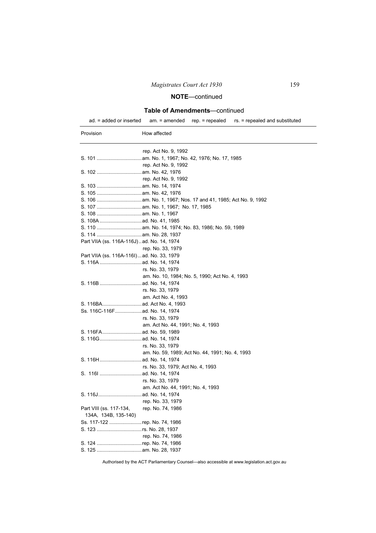## **Table of Amendments**—continued

ad. = added or inserted am. = amended rep. = repealed rs. = repealed and substituted

| Provision               | How affected                                    |
|-------------------------|-------------------------------------------------|
|                         | rep. Act No. 9, 1992                            |
|                         |                                                 |
|                         | rep. Act No. 9, 1992                            |
|                         |                                                 |
|                         | rep. Act No. 9, 1992                            |
|                         |                                                 |
|                         |                                                 |
|                         |                                                 |
|                         |                                                 |
|                         |                                                 |
|                         |                                                 |
|                         |                                                 |
|                         |                                                 |
|                         | Part VIIA (ss. 116A-116J)ad. No. 14, 1974       |
|                         | rep. No. 33, 1979                               |
|                         | Part VIIA (ss. 116A-116I)ad. No. 33, 1979       |
|                         |                                                 |
|                         | rs. No. 33, 1979                                |
|                         | am. No. 10, 1984; No. 5, 1990; Act No. 4, 1993  |
|                         |                                                 |
|                         | rs. No. 33, 1979                                |
|                         | am. Act No. 4, 1993                             |
|                         |                                                 |
|                         |                                                 |
|                         | rs. No. 33, 1979                                |
|                         | am. Act No. 44, 1991; No. 4, 1993               |
|                         |                                                 |
|                         |                                                 |
|                         | rs. No. 33, 1979                                |
|                         | am. No. 59, 1989; Act No. 44, 1991; No. 4, 1993 |
|                         |                                                 |
|                         | rs. No. 33, 1979; Act No. 4, 1993               |
|                         |                                                 |
|                         | rs. No. 33, 1979                                |
|                         | am. Act No. 44, 1991; No. 4, 1993               |
|                         |                                                 |
|                         | rep. No. 33, 1979                               |
| Part VIII (ss. 117-134, | rep. No. 74, 1986                               |
| 134A, 134B, 135-140)    |                                                 |
|                         | Ss. 117-122 rep. No. 74, 1986                   |
|                         |                                                 |
|                         | rep. No. 74, 1986                               |
|                         | S. 124 rep. No. 74, 1986                        |
|                         |                                                 |
|                         |                                                 |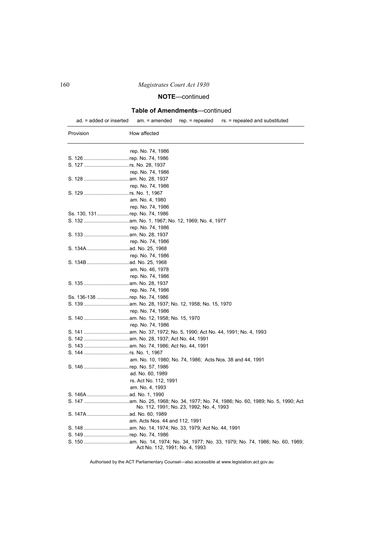# **NOTE**—continued

## **Table of Amendments**—continued

ad. = added or inserted am. = amended rep. = repealed rs. = repealed and substituted

| Provision | How affected                                              |
|-----------|-----------------------------------------------------------|
|           |                                                           |
|           | rep. No. 74, 1986                                         |
|           | S. 126 rep. No. 74, 1986                                  |
|           |                                                           |
|           | rep. No. 74, 1986                                         |
|           |                                                           |
|           | rep. No. 74, 1986                                         |
|           |                                                           |
|           | am. No. 4, 1980                                           |
|           | rep. No. 74, 1986                                         |
|           | Ss. 130, 131rep. No. 74, 1986                             |
|           |                                                           |
|           | rep. No. 74, 1986                                         |
|           |                                                           |
|           | rep. No. 74, 1986                                         |
|           |                                                           |
|           | rep. No. 74, 1986                                         |
|           |                                                           |
|           | am. No. 46, 1978                                          |
|           | rep. No. 74, 1986                                         |
|           |                                                           |
|           | rep. No. 74, 1986                                         |
|           | Ss. 136-138 rep. No. 74, 1986                             |
|           |                                                           |
|           | rep. No. 74, 1986                                         |
|           |                                                           |
|           | rep. No. 74, 1986                                         |
|           |                                                           |
|           |                                                           |
|           |                                                           |
|           |                                                           |
|           | am. No. 10, 1980; No. 74, 1986; Acts Nos. 38 and 44, 1991 |
|           | S. 146 rep. No. 57, 1986                                  |
|           | ad. No. 60, 1989                                          |
|           | rs. Act No. 112, 1991                                     |
|           | am. No. 4, 1993                                           |
|           |                                                           |
|           | No. 112, 1991; No. 23, 1992; No. 4, 1993                  |
|           |                                                           |
|           | am. Acts Nos. 44 and 112, 1991                            |
|           |                                                           |
|           | S. 149 rep. No. 74, 1986                                  |
|           | Act No. 112, 1991; No. 4, 1993                            |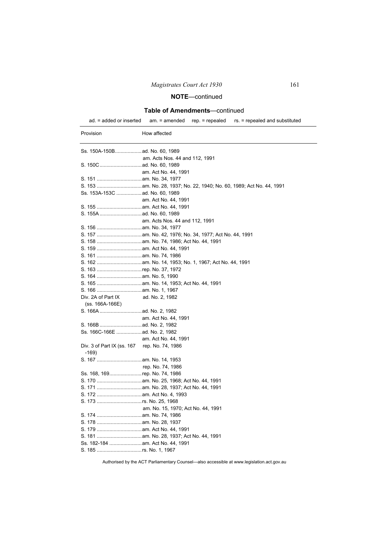## **Table of Amendments**—continued

ad. = added or inserted am. = amended rep. = repealed rs. = repealed and substituted

| Provision                                    | How affected                       |
|----------------------------------------------|------------------------------------|
|                                              |                                    |
|                                              | am. Acts Nos. 44 and 112, 1991     |
|                                              |                                    |
|                                              | am. Act No. 44, 1991               |
|                                              |                                    |
|                                              |                                    |
| Ss. 153A-153C  ad. No. 60, 1989              |                                    |
|                                              | am. Act No. 44, 1991               |
|                                              |                                    |
|                                              |                                    |
|                                              | am. Acts Nos. 44 and 112, 1991     |
|                                              |                                    |
|                                              |                                    |
|                                              |                                    |
|                                              |                                    |
|                                              |                                    |
|                                              |                                    |
|                                              |                                    |
|                                              |                                    |
|                                              |                                    |
|                                              |                                    |
| Div. 2A of Part IX                           | ad. No. 2, 1982                    |
| (ss. 166A-166E)                              |                                    |
|                                              |                                    |
|                                              | am. Act No. 44, 1991               |
|                                              |                                    |
| Ss. 166C-166E  ad. No. 2, 1982               |                                    |
|                                              | am. Act No. 44, 1991               |
| Div. 3 of Part IX (ss. 167 rep. No. 74, 1986 |                                    |
| $-169$                                       |                                    |
|                                              |                                    |
|                                              | rep. No. 74, 1986                  |
| Ss. 168, 169rep. No. 74, 1986                |                                    |
|                                              |                                    |
|                                              |                                    |
|                                              |                                    |
|                                              |                                    |
|                                              | am. No. 15, 1970; Act No. 44, 1991 |
|                                              |                                    |
|                                              |                                    |
|                                              |                                    |
| Ss. 182-184  am. Act No. 44, 1991            |                                    |
| S. 185 rs. No. 1, 1967                       |                                    |
|                                              |                                    |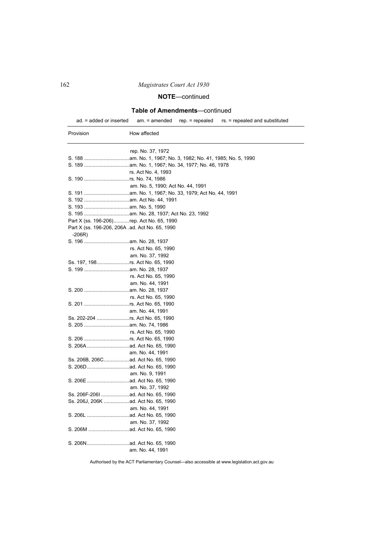# **NOTE**—continued

## **Table of Amendments**—continued

ad. = added or inserted am. = amended rep. = repealed rs. = repealed and substituted

| Provision                                                   | How affected                      |
|-------------------------------------------------------------|-----------------------------------|
|                                                             | rep. No. 37, 1972                 |
|                                                             |                                   |
|                                                             |                                   |
|                                                             | rs. Act No. 4, 1993               |
| S. 190 rs. No. 74, 1986                                     |                                   |
|                                                             | am. No. 5, 1990; Act No. 44, 1991 |
|                                                             |                                   |
|                                                             |                                   |
|                                                             |                                   |
|                                                             |                                   |
| Part X (ss. 196-206) rep. Act No. 65, 1990                  |                                   |
| Part X (ss. 196-206, 206A .ad. Act No. 65, 1990<br>$-206R)$ |                                   |
|                                                             |                                   |
|                                                             | rs. Act No. 65, 1990              |
|                                                             | am. No. 37, 1992                  |
| Ss. 197, 198rs. Act No. 65, 1990                            |                                   |
|                                                             |                                   |
|                                                             | rs. Act No. 65, 1990              |
|                                                             | am. No. 44, 1991                  |
|                                                             |                                   |
|                                                             | rs. Act No. 65, 1990              |
|                                                             |                                   |
|                                                             | am. No. 44, 1991                  |
| Ss. 202-204 rs. Act No. 65, 1990                            |                                   |
|                                                             |                                   |
|                                                             | rs. Act No. 65, 1990              |
| S. 206 rs. Act No. 65, 1990                                 |                                   |
|                                                             |                                   |
|                                                             | am. No. 44, 1991                  |
| Ss. 206B, 206Cad. Act No. 65, 1990                          |                                   |
|                                                             |                                   |
|                                                             | am. No. 9, 1991                   |
|                                                             |                                   |
|                                                             | am. No. 37, 1992                  |
|                                                             |                                   |
| Ss. 206J, 206K  ad. Act No. 65, 1990                        |                                   |
|                                                             | am. No. 44, 1991                  |
|                                                             |                                   |
|                                                             | am. No. 37, 1992                  |
|                                                             |                                   |
|                                                             |                                   |
|                                                             | am. No. 44, 1991                  |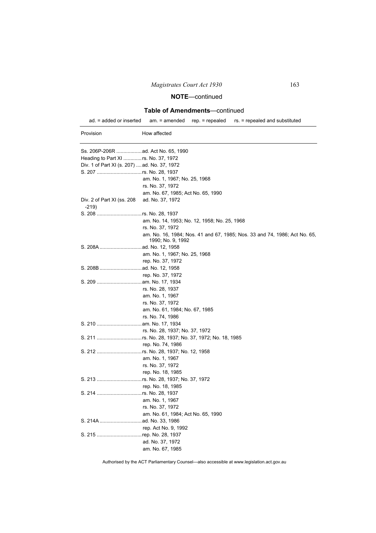## **Table of Amendments**—continued

ad. = added or inserted am. = amended rep. = repealed rs. = repealed and substituted

| Provision                                    | How affected                                                                                   |
|----------------------------------------------|------------------------------------------------------------------------------------------------|
|                                              |                                                                                                |
| Heading to Part XI  rs. No. 37, 1972         |                                                                                                |
| Div. 1 of Part XI (s. 207)  ad. No. 37, 1972 |                                                                                                |
|                                              |                                                                                                |
|                                              | am. No. 1, 1967; No. 25, 1968                                                                  |
|                                              | rs. No. 37, 1972                                                                               |
|                                              | am. No. 67, 1985; Act No. 65, 1990                                                             |
| Div. 2 of Part XI (ss. 208<br>$-219$         | ad. No. 37, 1972                                                                               |
|                                              |                                                                                                |
|                                              | am. No. 14, 1953; No. 12, 1958; No. 25, 1968                                                   |
|                                              | rs. No. 37, 1972                                                                               |
|                                              | am. No. 16, 1984; Nos. 41 and 67, 1985; Nos. 33 and 74, 1986; Act No. 65,<br>1990; No. 9, 1992 |
|                                              |                                                                                                |
|                                              | am. No. 1, 1967; No. 25, 1968                                                                  |
|                                              | rep. No. 37, 1972                                                                              |
|                                              |                                                                                                |
|                                              | rep. No. 37, 1972                                                                              |
|                                              |                                                                                                |
|                                              | rs. No. 28, 1937                                                                               |
|                                              | am. No. 1, 1967                                                                                |
|                                              | rs. No. 37, 1972                                                                               |
|                                              | am. No. 61, 1984; No. 67, 1985                                                                 |
|                                              | rs. No. 74, 1986                                                                               |
|                                              |                                                                                                |
|                                              | rs. No. 28, 1937; No. 37, 1972                                                                 |
|                                              | S. 211 rs. No. 28, 1937; No. 37, 1972; No. 18, 1985                                            |
|                                              | rep. No. 74, 1986                                                                              |
|                                              |                                                                                                |
|                                              | am. No. 1, 1967                                                                                |
|                                              | rs. No. 37, 1972                                                                               |
|                                              | rep. No. 18, 1985                                                                              |
|                                              | S. 213 rs. No. 28, 1937; No. 37, 1972                                                          |
|                                              | rep. No. 18, 1985                                                                              |
|                                              |                                                                                                |
|                                              | am. No. 1, 1967                                                                                |
|                                              | rs. No. 37, 1972                                                                               |
|                                              | am. No. 61, 1984; Act No. 65, 1990                                                             |
|                                              |                                                                                                |
|                                              | rep. Act No. 9, 1992                                                                           |
| S. 215 rep. No. 28, 1937                     |                                                                                                |
|                                              | ad. No. 37, 1972<br>am. No. 67, 1985                                                           |
|                                              |                                                                                                |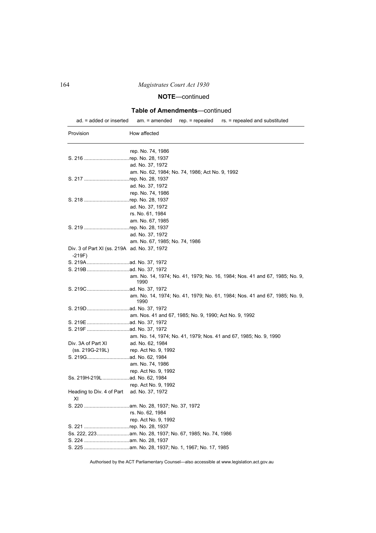# **NOTE**—continued

## **Table of Amendments**—continued

ad. = added or inserted am. = amended rep. = repealed rs. = repealed and substituted

| Provision                                               | How affected                                                                       |
|---------------------------------------------------------|------------------------------------------------------------------------------------|
|                                                         | rep. No. 74, 1986                                                                  |
| S. 216 rep. No. 28, 1937                                |                                                                                    |
|                                                         | ad. No. 37, 1972                                                                   |
|                                                         | am. No. 62, 1984; No. 74, 1986; Act No. 9, 1992                                    |
| S. 217 rep. No. 28, 1937                                |                                                                                    |
|                                                         | ad. No. 37, 1972                                                                   |
|                                                         | rep. No. 74, 1986                                                                  |
| S. 218 rep. No. 28, 1937                                |                                                                                    |
|                                                         | ad. No. 37, 1972                                                                   |
|                                                         | rs. No. 61, 1984                                                                   |
|                                                         | am. No. 67, 1985                                                                   |
| S. 219 rep. No. 28, 1937                                |                                                                                    |
|                                                         | ad. No. 37, 1972                                                                   |
|                                                         | am. No. 67, 1985; No. 74, 1986                                                     |
| Div. 3 of Part XI (ss. 219A ad. No. 37, 1972<br>$-219F$ |                                                                                    |
|                                                         |                                                                                    |
|                                                         |                                                                                    |
|                                                         | am. No. 14, 1974; No. 41, 1979; No. 16, 1984; Nos. 41 and 67, 1985; No. 9,<br>1990 |
|                                                         |                                                                                    |
|                                                         | am. No. 14, 1974; No. 41, 1979; No. 61, 1984; Nos. 41 and 67, 1985; No. 9,<br>1990 |
|                                                         |                                                                                    |
|                                                         | am. Nos. 41 and 67, 1985; No. 9, 1990; Act No. 9, 1992                             |
|                                                         |                                                                                    |
|                                                         |                                                                                    |
|                                                         | am. No. 14, 1974; No. 41, 1979; Nos. 41 and 67, 1985; No. 9, 1990                  |
| Div. 3A of Part XI                                      | ad. No. 62, 1984                                                                   |
| (ss. 219G-219L)                                         | rep. Act No. 9, 1992                                                               |
|                                                         |                                                                                    |
|                                                         | am. No. 74, 1986                                                                   |
|                                                         | rep. Act No. 9, 1992                                                               |
| Ss. 219H-219L ad. No. 62, 1984                          |                                                                                    |
|                                                         | rep. Act No. 9, 1992                                                               |
| Heading to Div. 4 of Part ad. No. 37, 1972<br>ΧI        |                                                                                    |
|                                                         |                                                                                    |
|                                                         | rs. No. 62, 1984                                                                   |
|                                                         | rep. Act No. 9, 1992                                                               |
| S. 221 rep. No. 28, 1937                                |                                                                                    |
|                                                         |                                                                                    |
|                                                         |                                                                                    |
|                                                         |                                                                                    |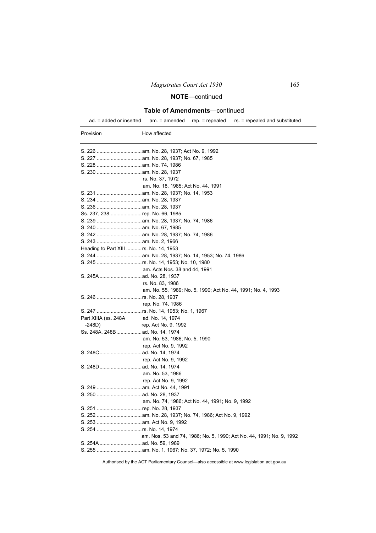## **Table of Amendments**—continued

ad. = added or inserted am. = amended rep. = repealed rs. = repealed and substituted

| Provision                              | How affected                                                         |
|----------------------------------------|----------------------------------------------------------------------|
|                                        |                                                                      |
|                                        |                                                                      |
|                                        |                                                                      |
|                                        |                                                                      |
|                                        | rs. No. 37, 1972                                                     |
|                                        | am. No. 18, 1985; Act No. 44, 1991                                   |
|                                        |                                                                      |
|                                        |                                                                      |
|                                        |                                                                      |
| Ss. 237, 238rep. No. 66, 1985          |                                                                      |
|                                        |                                                                      |
|                                        |                                                                      |
|                                        |                                                                      |
|                                        |                                                                      |
| Heading to Part XIII  rs. No. 14, 1953 |                                                                      |
|                                        |                                                                      |
|                                        |                                                                      |
|                                        | am. Acts Nos. 38 and 44, 1991                                        |
|                                        |                                                                      |
|                                        | rs. No. 83, 1986                                                     |
|                                        | am. No. 55, 1989; No. 5, 1990; Act No. 44, 1991; No. 4, 1993         |
|                                        |                                                                      |
|                                        | rep. No. 74, 1986                                                    |
|                                        |                                                                      |
| Part XIIIA (ss. 248A ad. No. 14, 1974  |                                                                      |
| $-248D)$                               | rep. Act No. 9, 1992                                                 |
| Ss. 248A, 248Bad. No. 14, 1974         |                                                                      |
|                                        | am. No. 53, 1986; No. 5, 1990                                        |
|                                        | rep. Act No. 9, 1992                                                 |
|                                        |                                                                      |
|                                        | rep. Act No. 9, 1992                                                 |
|                                        |                                                                      |
|                                        | am. No. 53, 1986                                                     |
|                                        | rep. Act No. 9, 1992                                                 |
|                                        |                                                                      |
|                                        |                                                                      |
|                                        | am. No. 74, 1986; Act No. 44, 1991; No. 9, 1992                      |
| S. 251 rep. No. 28, 1937               |                                                                      |
|                                        |                                                                      |
|                                        |                                                                      |
|                                        |                                                                      |
|                                        | am. Nos. 53 and 74, 1986; No. 5, 1990; Act No. 44, 1991; No. 9, 1992 |
|                                        |                                                                      |
|                                        |                                                                      |